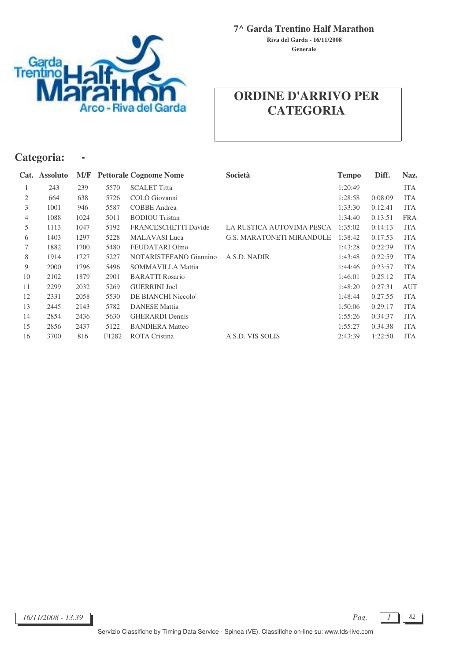

**Generale Riva del Garda - 16/11/2008**

# Garda<br>Trentino co - Riva del Garda

## **ORDINE D'ARRIVO PER CATEGORIA**

#### **Categoria: -**

|                | Cat. Assoluto | M/F  |                   | <b>Pettorale Cognome Nome</b> | Società                          | <b>Tempo</b> | Diff.   | Naz.       |
|----------------|---------------|------|-------------------|-------------------------------|----------------------------------|--------------|---------|------------|
|                | 243           | 239  | 5570              | <b>SCALET Titta</b>           |                                  | 1:20:49      |         | <b>ITA</b> |
| 2              | 664           | 638  | 5726              | COLÒ Giovanni                 |                                  | 1:28:58      | 0:08:09 | <b>ITA</b> |
| 3              | 1001          | 946  | 5587              | <b>COBBE</b> Andrea           |                                  | 1:33:30      | 0:12:41 | <b>ITA</b> |
| $\overline{4}$ | 1088          | 1024 | 5011              | <b>BODIOU</b> Tristan         |                                  | 1:34:40      | 0:13:51 | <b>FRA</b> |
| 5              | 1113          | 1047 | 5192              | <b>FRANCESCHETTI Davide</b>   | LA RUSTICA AUTOVIMA PESCA        | 1:35:02      | 0:14:13 | <b>ITA</b> |
| 6              | 1403          | 1297 | 5228              | <b>MALAVASI</b> Luca          | <b>G.S. MARATONETI MIRANDOLE</b> | 1:38:42      | 0:17:53 | <b>ITA</b> |
| 7              | 1882          | 1700 | 5480              | FEUDATARI Olmo                |                                  | 1:43:28      | 0:22:39 | <b>ITA</b> |
| 8              | 1914          | 1727 | 5227              | NOTARISTEFANO Giannino        | A.S.D. NADIR                     | 1:43:48      | 0:22:59 | <b>ITA</b> |
| 9              | 2000          | 1796 | 5496              | <b>SOMMAVILLA Mattia</b>      |                                  | 1:44:46      | 0:23:57 | <b>ITA</b> |
| 10             | 2102          | 1879 | 2901              | <b>BARATTI Rosario</b>        |                                  | 1:46:01      | 0:25:12 | <b>ITA</b> |
| 11             | 2299          | 2032 | 5269              | <b>GUERRINI</b> Joel          |                                  | 1:48:20      | 0:27:31 | AUT        |
| 12             | 2331          | 2058 | 5530              | DE BIANCHI Niccolo'           |                                  | 1:48:44      | 0:27:55 | <b>ITA</b> |
| 13             | 2445          | 2143 | 5782              | <b>DANESE</b> Mattia          |                                  | 1:50:06      | 0:29:17 | <b>ITA</b> |
| 14             | 2854          | 2436 | 5630              | <b>GHERARDI</b> Dennis        |                                  | 1:55:26      | 0:34:37 | <b>ITA</b> |
| 15             | 2856          | 2437 | 5122              | <b>BANDIERA</b> Matteo        |                                  | 1:55:27      | 0:34:38 | <b>ITA</b> |
| 16             | 3700          | 816  | F <sub>1282</sub> | <b>ROTA</b> Cristina          | A.S.D. VIS SOLIS                 | 2:43:39      | 1:22:50 | <b>ITA</b> |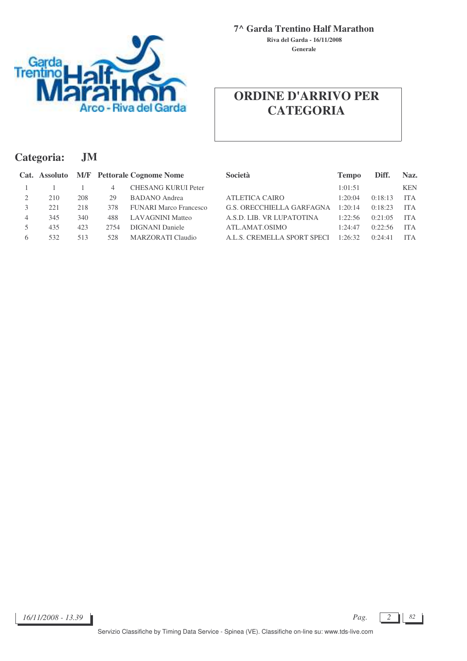

**Generale Riva del Garda - 16/11/2008**

## **ORDINE D'ARRIVO PER CATEGORIA**

| Categoria: |               |     | .JM  |                                   |                                  |              |         |            |  |  |  |  |
|------------|---------------|-----|------|-----------------------------------|----------------------------------|--------------|---------|------------|--|--|--|--|
|            | Cat. Assoluto |     |      | <b>M/F</b> Pettorale Cognome Nome | <b>Società</b>                   | <b>Tempo</b> | Diff.   | Naz.       |  |  |  |  |
|            |               |     | 4    | <b>CHESANG KURUI Peter</b>        |                                  | 1:01:51      |         | <b>KEN</b> |  |  |  |  |
| 2          | 210           | 208 | 29   | <b>BADANO</b> Andrea              | <b>ATLETICA CAIRO</b>            | 1:20:04      | 0:18:13 | <b>ITA</b> |  |  |  |  |
|            | 221           | 218 | 378  | <b>FUNARI Marco Francesco</b>     | <b>G.S. ORECCHIELLA GARFAGNA</b> | 1:20:14      | 0:18:23 | <b>ITA</b> |  |  |  |  |
| 4          | 345           | 340 | 488  | <b>LAVAGNINI Matteo</b>           | A.S.D. LIB. VR LUPATOTINA        | 1:22:56      | 0:21:05 | <b>ITA</b> |  |  |  |  |
|            | 435           | 423 | 2754 | <b>DIGNANI</b> Daniele            | ATL.AMAT.OSIMO                   | 1:24:47      | 0:22:56 | <b>ITA</b> |  |  |  |  |
| 6          | 532           | 513 | 528  | MARZORATI Claudio                 | A.L.S. CREMELLA SPORT SPECI      | 1:26:32      | 0:24:41 | <b>ITA</b> |  |  |  |  |

*Pag.*  $\begin{bmatrix} 2 \end{bmatrix}$  82

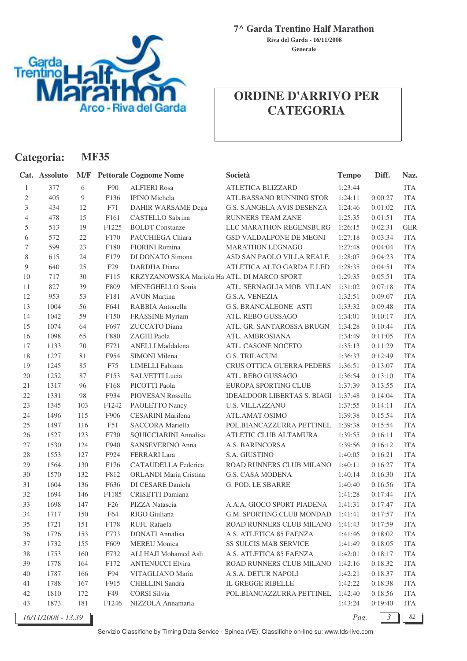

**Generale Riva del Garda - 16/11/2008**

### **ORDINE D'ARRIVO PER CATEGORIA**

|                             | Categoria:         |        | <b>MF35</b>       |                                             |                                     |              |                |            |
|-----------------------------|--------------------|--------|-------------------|---------------------------------------------|-------------------------------------|--------------|----------------|------------|
|                             | Cat. Assoluto      |        |                   | <b>M/F</b> Pettorale Cognome Nome           | Società                             | <b>Tempo</b> | Diff.          | Naz.       |
| 1                           | 377                | 6      | F90               | <b>ALFIERI Rosa</b>                         | ATLETICA BLIZZARD                   | 1:23:44      |                | <b>ITA</b> |
| $\mathfrak{2}$              | 405                | 9      | F136              | <b>IPINO</b> Michela                        | ATL.BASSANO RUNNING STOR            | 1:24:11      | 0:00:27        | <b>ITA</b> |
| $\ensuremath{\mathfrak{Z}}$ | 434                | 12     | F71               | DAHIR WARSAME Dega                          | G.S. S.ANGELA AVIS DESENZA          | 1:24:46      | 0:01:02        | <b>ITA</b> |
| $\overline{4}$              | 478                | 15     | F161              | CASTELLO Sabrina                            | RUNNERS TEAM ZANE'                  | 1:25:35      | 0:01:51        | <b>ITA</b> |
| 5                           | 513                | 19     | F1225             | <b>BOLDT</b> Constanze                      | LLC MARATHON REGENSBURG             | 1:26:15      | 0:02:31        | <b>GER</b> |
| 6                           | 572                | $22\,$ | F170              | PACCHIEGA Chiara                            | GSD VALDALPONE DE MEGNI             | 1:27:18      | 0:03:34        | <b>ITA</b> |
| 7                           | 599                | $23\,$ | F180              | FIORINI Romina                              | <b>MARATHON LEGNAGO</b>             | 1:27:48      | 0:04:04        | <b>ITA</b> |
| 8                           | 615                | 24     | F179              | DI DONATO Simona                            | ASD SAN PAOLO VILLA REALE           | 1:28:07      | 0:04:23        | <b>ITA</b> |
| 9                           | 640                | $25\,$ | F <sub>29</sub>   | <b>DARDHA</b> Diana                         | ATLETICA ALTO GARDA E LED           | 1:28:35      | 0:04:51        | <b>ITA</b> |
| 10                          | 717                | $30\,$ | F115              | KRZYZANOWSKA Mariola Ha ATL. DI MARCO SPORT |                                     | 1:29:35      | 0:05:51        | <b>ITA</b> |
| 11                          | 827                | 39     | F809              | MENEGHELLO Sonia                            | ATL. SERNAGLIA MOB. VILLAN          | 1:31:02      | 0:07:18        | <b>ITA</b> |
| 12                          | 953                | 53     | F181              | <b>AVON</b> Martina                         | <b>G.S.A. VENEZIA</b>               | 1:32:51      | 0:09:07        | <b>ITA</b> |
| 13                          | 1004               | 56     | F641              | RABBIA Antonella                            | <b>G.S. BRANCALEONE ASTI</b>        | 1:33:32      | 0:09:48        | <b>ITA</b> |
| 14                          | 1042               | 59     | F150              | FRASSINE Myriam                             | ATL. REBO GUSSAGO                   | 1:34:01      | 0:10:17        | <b>ITA</b> |
| 15                          | 1074               | 64     | F697              | ZUCCATO Diana                               | ATL. GR. SANTAROSSA BRUGN           | 1:34:28      | 0:10:44        | <b>ITA</b> |
| 16                          | 1098               | 65     | F880              | ZAGHI Paola                                 | ATL. AMBROSIANA                     | 1:34:49      | 0:11:05        | <b>ITA</b> |
| 17                          | 1133               | 70     | F721              | <b>ANELLI</b> Maddalena                     | ATL. CASONE NOCETO                  | 1:35:13      | 0:11:29        | <b>ITA</b> |
| 18                          | 1227               | 81     | F954              | SIMONI Milena                               | <b>G.S. TRILACUM</b>                | 1:36:33      | 0:12:49        | <b>ITA</b> |
| 19                          | 1245               | 85     | F75               | LIMELLI Fabiana                             | CRUS OTTICA GUERRA PEDERS           | 1:36:51      | 0:13:07        | <b>ITA</b> |
| 20                          | 1252               | $87\,$ | F153              | <b>SALVETTI Lucia</b>                       | ATL. REBO GUSSAGO                   | 1:36:54      | 0:13:10        | <b>ITA</b> |
| 21                          | 1317               | 96     | F168              | PICOTTI Paola                               | EUROPA SPORTING CLUB                | 1:37:39      | 0:13:55        | <b>ITA</b> |
| 22                          | 1331               | 98     | F934              | PIOVESAN Rossella                           | IDEALDOOR LIBERTAS S. BIAGI 1:37:48 |              | 0:14:04        | <b>ITA</b> |
| 23                          | 1345               | 103    | F1242             | PAOLETTO Nancy                              | <b>U.S. VILLAZZANO</b>              | 1:37:55      | 0:14:11        | <b>ITA</b> |
| 24                          | 1496               | 115    | F906              | <b>CESARINI</b> Marilena                    | ATL.AMAT.OSIMO                      | 1:39:38      | 0:15:54        | <b>ITA</b> |
| 25                          | 1497               | 116    | F51               | SACCORA Mariella                            | POL.BIANCAZZURRA PETTINEL           | 1:39:38      | 0:15:54        | <b>ITA</b> |
| 26                          | 1527               | 123    | F730              | SQUICCIARINI Annalisa                       | ATLETIC CLUB ALTAMURA               | 1:39:55      | 0:16:11        | <b>ITA</b> |
| 27                          | 1530               | 124    | F940              | SANSEVERINO Anna                            | A.S. BARINCORSA                     | 1:39:56      | 0:16:12        | <b>ITA</b> |
| 28                          | 1553               | 127    | F924              | <b>FERRARI</b> Lara                         | S.A. GIUSTINO                       | 1:40:05      | 0:16:21        | <b>ITA</b> |
| 29                          | 1564               | 130    | F176              | <b>CATAUDELLA</b> Federica                  | ROAD RUNNERS CLUB MILANO            | 1:40:11      | 0:16:27        | <b>ITA</b> |
| 30                          | 1570               | 132    | F812              | ORLANDI Maria Cristina                      | G.S. CASA MODENA                    | 1:40:14      | 0:16:30        | <b>ITA</b> |
| 31                          | 1604               | 136    | F636              | DI CESARE Daniela                           | G. POD. LE SBARRE                   | 1:40:40      | 0:16:56        | <b>ITA</b> |
| 32                          | 1694               | 146    | F1185             | CRISETTI Damiana                            |                                     | 1:41:28      | 0:17:44        | <b>ITA</b> |
| 33                          | 1698               | 147    | F26               | PIZZA Natascia                              | A.A.A. GIOCO SPORT PIADENA          | 1:41:31      | 0:17:47        | <b>ITA</b> |
| 34                          | 1717               | 150    | F64               | RIGO Giuliana                               | G.M. SPORTING CLUB MONDAD           | 1:41:41      | 0:17:57        | <b>ITA</b> |
| 35                          | 1721               | 151    | F178              | RUJU Rafaela                                | ROAD RUNNERS CLUB MILANO            | 1:41:43      | 0:17:59        | <b>ITA</b> |
| 36                          | 1726               | 153    | F733              | <b>DONATI</b> Annalisa                      | A.S. ATLETICA 85 FAENZA             | 1:41:46      | 0:18:02        | <b>ITA</b> |
| 37                          | 1732               | 155    | F609              | <b>MEREU</b> Monica                         | <b>SS SULCIS MAB SERVICE</b>        | 1:41:49      | 0:18:05        | <b>ITA</b> |
| 38                          | 1753               | 160    | F732              | ALI HAJI Mohamed Asli                       | A.S. ATLETICA 85 FAENZA             | 1:42:01      | 0:18:17        | <b>ITA</b> |
| 39                          | 1778               | 164    | F172              | <b>ANTENUCCI Elvira</b>                     | ROAD RUNNERS CLUB MILANO            | 1:42:16      | 0:18:32        | <b>ITA</b> |
| 40                          | 1787               | 166    | F94               | VITAGLIANO Maria                            | A.S.A. DETUR NAPOLI                 | 1:42:21      | 0:18:37        | <b>ITA</b> |
| 41                          | 1788               | 167    | F915              | <b>CHELLINI</b> Sandra                      | IL GREGGE RIBELLE                   | 1:42:22      | 0:18:38        | <b>ITA</b> |
| 42                          | 1810               | 172    | F49               | <b>CORSI</b> Silvia                         | POL.BIANCAZZURRA PETTINEL           | 1:42:40      | 0:18:56        | <b>ITA</b> |
| 43                          | 1873               | 181    | F <sub>1246</sub> | NIZZOLA Annamaria                           |                                     | 1:43:24      | 0:19:40        | <b>ITA</b> |
|                             | 16/11/2008 - 13.39 |        |                   |                                             |                                     | Pag.         | $\mathfrak{Z}$ | 82         |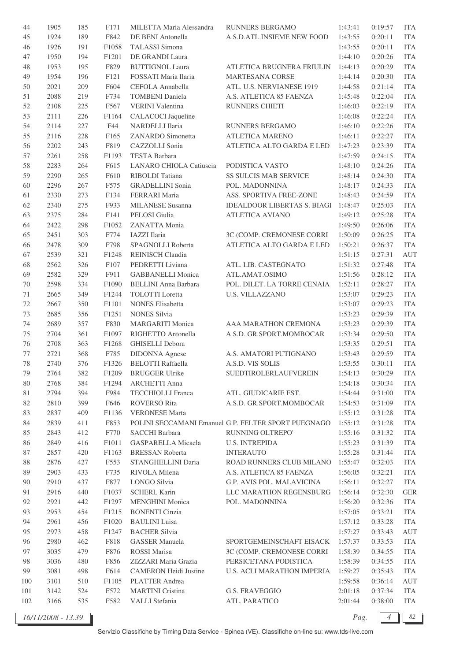| 44     | 1905 | 185 | F171              | MILETTA Maria Alessandra     | RUNNERS BERGAMO                                     | 1:43:41 | 0:19:57 | <b>ITA</b> |
|--------|------|-----|-------------------|------------------------------|-----------------------------------------------------|---------|---------|------------|
| 45     | 1924 | 189 | F842              | DE BENI Antonella            | A.S.D.ATL.INSIEME NEW FOOD                          | 1:43:55 | 0:20:11 | <b>ITA</b> |
| 46     | 1926 | 191 | F1058             | <b>TALASSI</b> Simona        |                                                     | 1:43:55 | 0:20:11 | <b>ITA</b> |
| 47     | 1950 | 194 | F1201             | DE GRANDI Laura              |                                                     | 1:44:10 | 0:20:26 | <b>ITA</b> |
| 48     | 1953 | 195 | F829              | <b>BUTTIGNOL Laura</b>       | ATLETICA BRUGNERA FRIULIN                           | 1:44:13 | 0:20:29 | <b>ITA</b> |
| 49     | 1954 | 196 | F121              | FOSSATI Maria Ilaria         | <b>MARTESANA CORSE</b>                              | 1:44:14 | 0:20:30 | <b>ITA</b> |
| 50     | 2021 | 209 | F604              | CEFOLA Annabella             | ATL. U.S. NERVIANESE 1919                           | 1:44:58 | 0:21:14 | <b>ITA</b> |
| 51     | 2088 | 219 | F734              | <b>TOMBENI</b> Daniela       | A.S. ATLETICA 85 FAENZA                             | 1:45:48 | 0:22:04 | <b>ITA</b> |
| 52     | 2108 | 225 | F567              | VERINI Valentina             | RUNNERS CHIETI                                      | 1:46:03 | 0:22:19 | <b>ITA</b> |
| 53     | 2111 | 226 | F1164             | CALACOCI Jaqueline           |                                                     | 1:46:08 | 0:22:24 | <b>ITA</b> |
| 54     | 2114 | 227 | F44               | NARDELLI Ilaria              | RUNNERS BERGAMO                                     | 1:46:10 | 0:22:26 | <b>ITA</b> |
| 55     | 2116 | 228 | F165              | ZANARDO Simonetta            | ATLETICA MARENO                                     | 1:46:11 | 0:22:27 | <b>ITA</b> |
| 56     | 2202 | 243 | F819              | CAZZOLLI Sonia               | ATLETICA ALTO GARDA E LED                           | 1:47:23 | 0:23:39 | <b>ITA</b> |
|        |      |     |                   |                              |                                                     |         |         | <b>ITA</b> |
| 57     | 2261 | 258 | F1193             | TESTA Barbara                |                                                     | 1:47:59 | 0:24:15 |            |
| 58     | 2283 | 264 | F615              | LANARO CHIOLA Catiuscia      | PODISTICA VASTO                                     | 1:48:10 | 0:24:26 | <b>ITA</b> |
| 59     | 2290 | 265 | F610              | RIBOLDI Tatiana              | SS SULCIS MAB SERVICE                               | 1:48:14 | 0:24:30 | <b>ITA</b> |
| 60     | 2296 | 267 | F575              | <b>GRADELLINI</b> Sonia      | POL. MADONNINA                                      | 1:48:17 | 0:24:33 | <b>ITA</b> |
| 61     | 2330 | 273 | F134              | FERRARI Maria                | ASS. SPORTIVA FREE-ZONE                             | 1:48:43 | 0:24:59 | <b>ITA</b> |
| 62     | 2340 | 275 | F933              | MILANESE Susanna             | IDEALDOOR LIBERTAS S. BIAGI 1:48:47                 |         | 0:25:03 | <b>ITA</b> |
| 63     | 2375 | 284 | F141              | PELOSI Giulia                | <b>ATLETICA AVIANO</b>                              | 1:49:12 | 0:25:28 | <b>ITA</b> |
| 64     | 2422 | 298 | F1052             | ZANATTA Monia                |                                                     | 1:49:50 | 0:26:06 | <b>ITA</b> |
| 65     | 2451 | 303 | F774              | <b>IAZZI</b> Ilaria          | 3C (COMP. CREMONESE CORRI                           | 1:50:09 | 0:26:25 | <b>ITA</b> |
| 66     | 2478 | 309 | F798              | SPAGNOLLI Roberta            | ATLETICA ALTO GARDA E LED                           | 1:50:21 | 0:26:37 | <b>ITA</b> |
| 67     | 2539 | 321 | F1248             | REINISCH Claudia             |                                                     | 1:51:15 | 0:27:31 | <b>AUT</b> |
| 68     | 2562 | 326 | F107              | PEDRETTI Liviana             | ATL. LIB. CASTEGNATO                                | 1:51:32 | 0:27:48 | <b>ITA</b> |
| 69     | 2582 | 329 | F911              | <b>GABBANELLI Monica</b>     | ATL.AMAT.OSIMO                                      | 1:51:56 | 0:28:12 | <b>ITA</b> |
| 70     | 2598 | 334 | F1090             | <b>BELLINI Anna Barbara</b>  | POL. DILET. LA TORRE CENAIA                         | 1:52:11 | 0:28:27 | <b>ITA</b> |
| 71     | 2665 | 349 | F1244             | <b>TOLOTTI</b> Loretta       | <b>U.S. VILLAZZANO</b>                              | 1:53:07 | 0:29:23 | <b>ITA</b> |
| 72     | 2667 | 350 | F1101             | <b>NONES</b> Elisabetta      |                                                     | 1:53:07 | 0:29:23 | <b>ITA</b> |
| 73     | 2685 | 356 | F1251             | <b>NONES Silvia</b>          |                                                     | 1:53:23 | 0:29:39 | <b>ITA</b> |
| 74     | 2689 | 357 | F830              | <b>MARGARITI Monica</b>      | AAA MARATHON CREMONA                                | 1:53:23 | 0:29:39 | <b>ITA</b> |
| $75\,$ | 2704 | 361 | F1097             | RIGHETTO Antonella           | A.S.D. GR.SPORT.MOMBOCAR                            | 1:53:34 | 0:29:50 | <b>ITA</b> |
| 76     | 2708 | 363 | F1268             | <b>GHISELLI Debora</b>       |                                                     | 1:53:35 | 0:29:51 | <b>ITA</b> |
| 77     | 2721 | 368 | F785              | <b>DIDONNA</b> Agnese        | A.S. AMATORI PUTIGNANO                              | 1:53:43 | 0:29:59 | <b>ITA</b> |
| 78     | 2740 | 376 | F1326             | <b>BELOTTI Raffaella</b>     | A.S.D. VIS SOLIS                                    | 1:53:55 | 0:30:11 | <b>ITA</b> |
| 79     | 2764 | 382 | F1209             | <b>BRUGGER Ulrike</b>        | SUEDTIROLERLAUFVEREIN                               | 1:54:13 | 0:30:29 | <b>ITA</b> |
| 80     | 2768 | 384 | F <sub>1294</sub> | <b>ARCHETTI Anna</b>         |                                                     | 1:54:18 | 0:30:34 | <b>ITA</b> |
| 81     | 2794 | 394 | F984              | <b>TECCHIOLLI Franca</b>     | ATL. GIUDICARIE EST.                                | 1:54:44 | 0:31:00 | <b>ITA</b> |
| 82     | 2810 | 399 | F646              | <b>ROVERSO Rita</b>          | A.S.D. GR.SPORT.MOMBOCAR                            | 1:54:53 | 0:31:09 | <b>ITA</b> |
| 83     | 2837 | 409 | F1136             | <b>VERONESE Marta</b>        |                                                     | 1:55:12 | 0:31:28 | <b>ITA</b> |
| 84     | 2839 | 411 | F853              |                              | POLINI SECCAMANI Emanuel G.P. FELTER SPORT PUEGNAGO | 1:55:12 | 0:31:28 | <b>ITA</b> |
| 85     | 2843 | 412 | F770              | SACCHI Barbara               | RUNNING OLTREPO'                                    | 1:55:16 | 0:31:32 | <b>ITA</b> |
| 86     | 2849 | 416 | F1011             | GASPARELLA Micaela           | <b>U.S. INTREPIDA</b>                               | 1:55:23 | 0:31:39 | <b>ITA</b> |
|        | 2857 | 420 | F1163             | <b>BRESSAN Roberta</b>       | <b>INTERAUTO</b>                                    | 1:55:28 | 0:31:44 | <b>ITA</b> |
| 87     |      | 427 |                   |                              | ROAD RUNNERS CLUB MILANO                            |         |         |            |
| 88     | 2876 |     | F553              | STANGHELLINI Daria           |                                                     | 1:55:47 | 0:32:03 | <b>ITA</b> |
| 89     | 2903 | 433 | F735              | RIVOLA Milena                | A.S. ATLETICA 85 FAENZA                             | 1:56:05 | 0:32:21 | <b>ITA</b> |
| 90     | 2910 | 437 | F877              | LONGO Silvia                 | G.P. AVIS POL. MALAVICINA                           | 1:56:11 | 0:32:27 | <b>ITA</b> |
| 91     | 2916 | 440 | F1037             | <b>SCHERL Karin</b>          | LLC MARATHON REGENSBURG                             | 1:56:14 | 0:32:30 | <b>GER</b> |
| 92     | 2921 | 442 | F1297             | <b>MENGHINI</b> Monica       | POL. MADONNINA                                      | 1:56:20 | 0:32:36 | <b>ITA</b> |
| 93     | 2953 | 454 | F1215             | <b>BONENTI</b> Cinzia        |                                                     | 1:57:05 | 0:33:21 | <b>ITA</b> |
| 94     | 2961 | 456 | F1020             | <b>BAULINI</b> Luisa         |                                                     | 1:57:12 | 0:33:28 | <b>ITA</b> |
| 95     | 2973 | 458 | F1247             | <b>BACHER Silvia</b>         |                                                     | 1:57:27 | 0:33:43 | AUT        |
| 96     | 2980 | 462 | F818              | <b>GASSER Manuela</b>        | SPORTGEMEINSCHAFT EISACK                            | 1:57:37 | 0:33:53 | <b>ITA</b> |
| 97     | 3035 | 479 | F876              | <b>ROSSI</b> Marisa          | 3C (COMP. CREMONESE CORRI                           | 1:58:39 | 0:34:55 | <b>ITA</b> |
| 98     | 3036 | 480 | F856              | ZIZZARI Maria Grazia         | PERSICETANA PODISTICA                               | 1:58:39 | 0:34:55 | <b>ITA</b> |
| 99     | 3081 | 498 | F614              | <b>CAMERON Heidi Justine</b> | <b>U.S. ACLI MARATHON IMPERIA</b>                   | 1:59:27 | 0:35:43 | <b>ITA</b> |
| 100    | 3101 | 510 | F1105             | PLATTER Andrea               |                                                     | 1:59:58 | 0:36:14 | AUT        |
| 101    | 3142 | 524 | F572              | <b>MARTINI</b> Cristina      | G.S. FRAVEGGIO                                      | 2:01:18 | 0:37:34 | <b>ITA</b> |
| 102    | 3166 | 535 | F582              | VALLI Stefania               | ATL. PARATICO                                       | 2:01:44 | 0:38:00 | ITA        |
|        |      |     |                   |                              |                                                     |         |         |            |

*16/11/2008 - 13.39 Pag. 4 82*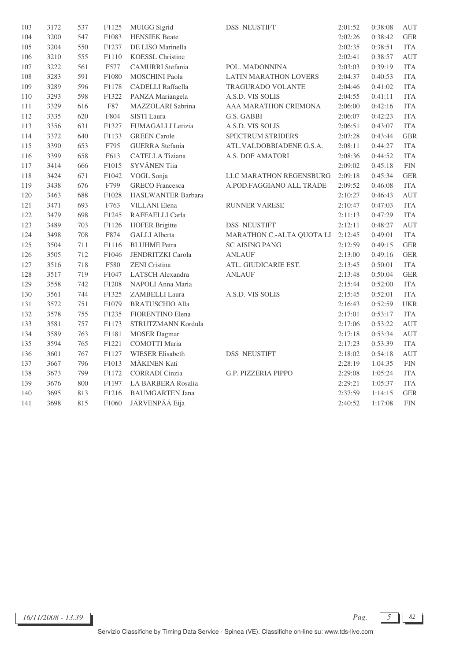| 103     | 3172 | 537 | F1125 | <b>MUIGG</b> Sigrid       | <b>DSS NEUSTIFT</b>          | 2:01:52 | 0:38:08 | <b>AUT</b>  |
|---------|------|-----|-------|---------------------------|------------------------------|---------|---------|-------------|
| 104     | 3200 | 547 | F1083 | <b>HENSIEK Beate</b>      |                              | 2:02:26 | 0:38:42 | <b>GER</b>  |
| 105     | 3204 | 550 | F1237 | DE LISO Marinella         |                              | 2:02:35 | 0:38:51 | <b>ITA</b>  |
| 106     | 3210 | 555 | F1110 | <b>KOESSL Christine</b>   |                              | 2:02:41 | 0:38:57 | <b>AUT</b>  |
| 107     | 3222 | 561 | F577  | CAMURRI Stefania          | POL. MADONNINA               | 2:03:03 | 0:39:19 | <b>ITA</b>  |
| $108\,$ | 3283 | 591 | F1080 | <b>MOSCHINI Paola</b>     | <b>LATIN MARATHON LOVERS</b> | 2:04:37 | 0:40:53 | <b>ITA</b>  |
| 109     | 3289 | 596 | F1178 | <b>CADELLI</b> Raffaella  | TRAGURADO VOLANTE            | 2:04:46 | 0:41:02 | <b>ITA</b>  |
| 110     | 3293 | 598 | F1322 | PANZA Mariangela          | A.S.D. VIS SOLIS             | 2:04:55 | 0:41:11 | <b>ITA</b>  |
| 111     | 3329 | 616 | F87   | MAZZOLARI Sabrina         | AAA MARATHON CREMONA         | 2:06:00 | 0:42:16 | <b>ITA</b>  |
| 112     | 3335 | 620 | F804  | SISTI Laura               | G.S. GABBI                   | 2:06:07 | 0:42:23 | <b>ITA</b>  |
| 113     | 3356 | 631 | F1327 | <b>FUMAGALLI Letizia</b>  | A.S.D. VIS SOLIS             | 2:06:51 | 0:43:07 | <b>ITA</b>  |
| 114     | 3372 | 640 | F1133 | <b>GREEN</b> Carole       | <b>SPECTRUM STRIDERS</b>     | 2:07:28 | 0:43:44 | <b>GBR</b>  |
| 115     | 3390 | 653 | F795  | <b>GUERRA</b> Stefania    | ATL.VALDOBBIADENE G.S.A.     | 2:08:11 | 0:44:27 | <b>ITA</b>  |
| 116     | 3399 | 658 | F613  | <b>CATELLA Tiziana</b>    | A.S. DOF AMATORI             | 2:08:36 | 0:44:52 | <b>ITA</b>  |
| 117     | 3414 | 666 | F1015 | SYVÄNEN Tiia              |                              | 2:09:02 | 0:45:18 | ${\rm FIN}$ |
| 118     | 3424 | 671 | F1042 | VOGL Sonja                | LLC MARATHON REGENSBURG      | 2:09:18 | 0:45:34 | <b>GER</b>  |
| 119     | 3438 | 676 | F799  | <b>GRECO</b> Francesca    | A.POD.FAGGIANO ALL TRADE     | 2:09:52 | 0:46:08 | <b>ITA</b>  |
| 120     | 3463 | 688 | F1028 | <b>HASLWANTER Barbara</b> |                              | 2:10:27 | 0:46:43 | <b>AUT</b>  |
| 121     | 3471 | 693 | F763  | <b>VILLANI</b> Elena      | RUNNER VARESE                | 2:10:47 | 0:47:03 | <b>ITA</b>  |
| 122     | 3479 | 698 | F1245 | RAFFAELLI Carla           |                              | 2:11:13 | 0:47:29 | <b>ITA</b>  |
| 123     | 3489 | 703 | F1126 | <b>HOFER Brigitte</b>     | <b>DSS NEUSTIFT</b>          | 2:12:11 | 0:48:27 | <b>AUT</b>  |
| 124     | 3498 | 708 | F874  | <b>GALLI</b> Alberta      | MARATHON C .- ALTA QUOTA LI  | 2:12:45 | 0:49:01 | <b>ITA</b>  |
| 125     | 3504 | 711 | F1116 | <b>BLUHME</b> Petra       | <b>SC AISING PANG</b>        | 2:12:59 | 0:49:15 | ${\tt GER}$ |
| 126     | 3505 | 712 | F1046 | <b>JENDRITZKI</b> Carola  | <b>ANLAUF</b>                | 2:13:00 | 0:49:16 | <b>GER</b>  |
| 127     | 3516 | 718 | F580  | <b>ZENI</b> Cristina      | ATL. GIUDICARIE EST.         | 2:13:45 | 0:50:01 | <b>ITA</b>  |
| 128     | 3517 | 719 | F1047 | LATSCH Alexandra          | <b>ANLAUF</b>                | 2:13:48 | 0:50:04 | <b>GER</b>  |
| 129     | 3558 | 742 | F1208 | NAPOLI Anna Maria         |                              | 2:15:44 | 0:52:00 | <b>ITA</b>  |
| 130     | 3561 | 744 | F1325 | <b>ZAMBELLI Laura</b>     | A.S.D. VIS SOLIS             | 2:15:45 | 0:52:01 | <b>ITA</b>  |
| 131     | 3572 | 751 | F1079 | <b>BRATUSCHIO Alla</b>    |                              | 2:16:43 | 0:52:59 | <b>UKR</b>  |
| 132     | 3578 | 755 | F1235 | FIORENTINO Elena          |                              | 2:17:01 | 0:53:17 | <b>ITA</b>  |
| 133     | 3581 | 757 | F1173 | STRUTZMANN Kordula        |                              | 2:17:06 | 0:53:22 | <b>AUT</b>  |
| 134     | 3589 | 763 | F1181 | <b>MOSER</b> Dagmar       |                              | 2:17:18 | 0:53:34 | <b>AUT</b>  |
| 135     | 3594 | 765 | F1221 | <b>COMOTTI Maria</b>      |                              | 2:17:23 | 0:53:39 | <b>ITA</b>  |
| 136     | 3601 | 767 | F1127 | <b>WIESER Elisabeth</b>   | <b>DSS NEUSTIFT</b>          | 2:18:02 | 0:54:18 | <b>AUT</b>  |
| 137     | 3667 | 796 | F1013 | MÄKINEN Kati              |                              | 2:28:19 | 1:04:35 | ${\rm FIN}$ |
| 138     | 3673 | 799 | F1172 | <b>CORRADI</b> Cinzia     | G.P. PIZZERIA PIPPO          | 2:29:08 | 1:05:24 | <b>ITA</b>  |
| 139     | 3676 | 800 | F1197 | <b>LA BARBERA Rosalia</b> |                              | 2:29:21 | 1:05:37 | <b>ITA</b>  |
| 140     | 3695 | 813 | F1216 | <b>BAUMGARTEN Jana</b>    |                              | 2:37:59 | 1:14:15 | ${\tt GER}$ |
| 141     | 3698 | 815 | F1060 | JÄRVENPÄÄ Eija            |                              | 2:40:52 | 1:17:08 | <b>FIN</b>  |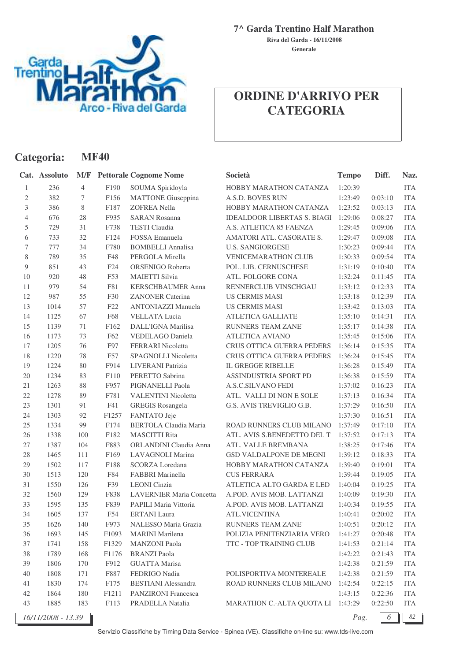

**Generale Riva del Garda - 16/11/2008**

### **ORDINE D'ARRIVO PER CATEGORIA**

|              | Categoria:         |                | <b>MF40</b>     |                                 |                                    |              |         |            |
|--------------|--------------------|----------------|-----------------|---------------------------------|------------------------------------|--------------|---------|------------|
|              | Cat. Assoluto      | M/F            |                 | <b>Pettorale Cognome Nome</b>   | Società                            | <b>Tempo</b> | Diff.   | Naz.       |
| $\mathbf{1}$ | 236                | $\overline{4}$ | F190            | SOUMA Spiridoyla                | HOBBY MARATHON CATANZA             | 1:20:39      |         | <b>ITA</b> |
| $\mathbf{2}$ | 382                | 7              | F156            | <b>MATTONE</b> Giuseppina       | A.S.D. BOVES RUN                   | 1:23:49      | 0:03:10 | <b>ITA</b> |
| 3            | 386                | 8              | F187            | <b>ZOFREA Nella</b>             | HOBBY MARATHON CATANZA             | 1:23:52      | 0:03:13 | <b>ITA</b> |
| 4            | 676                | 28             | F935            | <b>SARAN Rosanna</b>            | <b>IDEALDOOR LIBERTAS S. BIAGI</b> | 1:29:06      | 0:08:27 | <b>ITA</b> |
| 5            | 729                | 31             | F738            | <b>TESTI</b> Claudia            | A.S. ATLETICA 85 FAENZA            | 1:29:45      | 0:09:06 | <b>ITA</b> |
| 6            | 733                | 32             | F124            | FOSSA Emanuela                  | AMATORI ATL. CASORATE S.           | 1:29:47      | 0:09:08 | <b>ITA</b> |
| 7            | 777                | 34             | F780            | <b>BOMBELLI Annalisa</b>        | <b>U.S. SANGIORGESE</b>            | 1:30:23      | 0:09:44 | <b>ITA</b> |
| $8\,$        | 789                | 35             | F48             | PERGOLA Mirella                 | <b>VENICEMARATHON CLUB</b>         | 1:30:33      | 0:09:54 | <b>ITA</b> |
| 9            | 851                | 43             | F24             | ORSENIGO Roberta                | POL. LIB. CERNUSCHESE              | 1:31:19      | 0:10:40 | <b>ITA</b> |
| 10           | 920                | $48\,$         | F53             | <b>MAIETTI Silvia</b>           | ATL. FOLGORE CONA                  | 1:32:24      | 0:11:45 | <b>ITA</b> |
| 11           | 979                | 54             | F81             | <b>KERSCHBAUMER Anna</b>        | RENNERCLUB VINSCHGAU               | 1:33:12      | 0:12:33 | <b>ITA</b> |
| 12           | 987                | 55             | F30             | <b>ZANONER Caterina</b>         | <b>US CERMIS MASI</b>              | 1:33:18      | 0:12:39 | <b>ITA</b> |
| 13           | 1014               | 57             | F <sub>22</sub> | <b>ANTONIAZZI Manuela</b>       | <b>US CERMIS MASI</b>              | 1:33:42      | 0:13:03 | <b>ITA</b> |
| 14           | 1125               | 67             | F68             | <b>VELLATA Lucia</b>            | ATLETICA GALLIATE                  | 1:35:10      | 0:14:31 | <b>ITA</b> |
| 15           | 1139               | $71\,$         | F162            | DALL'IGNA Marilisa              | RUNNERS TEAM ZANE'                 | 1:35:17      | 0:14:38 | <b>ITA</b> |
| 16           | 1173               | 73             | F62             | VEDELAGO Daniela                | <b>ATLETICA AVIANO</b>             | 1:35:45      | 0:15:06 | <b>ITA</b> |
| 17           | 1205               | 76             | F97             | FERRARI Nicoletta               | CRUS OTTICA GUERRA PEDERS          | 1:36:14      | 0:15:35 | <b>ITA</b> |
| 18           | 1220               | 78             | F57             | SPAGNOLLI Nicoletta             | CRUS OTTICA GUERRA PEDERS          | 1:36:24      | 0:15:45 | <b>ITA</b> |
| 19           | 1224               | 80             | F914            | LIVERANI Patrizia               | IL GREGGE RIBELLE                  | 1:36:28      | 0:15:49 | <b>ITA</b> |
| 20           | 1234               | 83             | F110            | PERETTO Sabrina                 | ASSINDUSTRIA SPORT PD              | 1:36:38      | 0:15:59 | <b>ITA</b> |
| 21           | 1263               | 88             | F957            | PIGNANELLI Paola                | A.S.C.SILVANO FEDI                 | 1:37:02      | 0:16:23 | <b>ITA</b> |
| $22\,$       | 1278               | 89             | F781            | <b>VALENTINI Nicoletta</b>      | ATL. VALLI DI NON E SOLE           | 1:37:13      | 0:16:34 | <b>ITA</b> |
| 23           | 1301               | 91             | F41             | <b>GREGIS Rosangela</b>         | G.S. AVIS TREVIGLIO G.B.           | 1:37:29      | 0:16:50 | <b>ITA</b> |
| 24           | 1303               | 92             | F1257           | FANTATO Jeje                    |                                    | 1:37:30      | 0:16:51 | <b>ITA</b> |
| 25           | 1334               | 99             | F174            | BERTOLA Claudia Maria           | ROAD RUNNERS CLUB MILANO           | 1:37:49      | 0:17:10 | <b>ITA</b> |
| 26           | 1338               | 100            | F182            | <b>MASCITTI Rita</b>            | ATL. AVIS S.BENEDETTO DEL T        | 1:37:52      | 0:17:13 | <b>ITA</b> |
| $27\,$       | 1387               | 104            | F883            | ORLANDINI Claudia Anna          | ATL. VALLE BREMBANA                | 1:38:25      | 0:17:46 | <b>ITA</b> |
| 28           | 1465               | 111            | F169            | LAVAGNOLI Marina                | GSD VALDALPONE DE MEGNI            | 1:39:12      | 0:18:33 | <b>ITA</b> |
| 29           | 1502               | 117            | F188            | <b>SCORZA</b> Loredana          | HOBBY MARATHON CATANZA             | 1:39:40      | 0:19:01 | <b>ITA</b> |
| 30           | 1513               | 120            | F84             | FABBRI Marinella                | <b>CUS FERRARA</b>                 | 1:39:44      | 0:19:05 | <b>ITA</b> |
| 31           | 1550               | 126            | F39             | <b>LEONI</b> Cinzia             | ATLETICA ALTO GARDA E LED          | 1:40:04      | 0:19:25 | <b>ITA</b> |
| 32           | 1560               | 129            | F838            | <b>LAVERNIER Maria Concetta</b> | A.POD. AVIS MOB. LATTANZI          | 1:40:09      | 0:19:30 | <b>ITA</b> |
| 33           | 1595               | 135            | F839            | PAPILI Maria Vittoria           | A.POD. AVIS MOB. LATTANZI          | 1:40:34      | 0:19:55 | <b>ITA</b> |
| 34           | 1605               | 137            | F54             | <b>ERTANI</b> Laura             | <b>ATL.VICENTINA</b>               | 1:40:41      | 0:20:02 | <b>ITA</b> |
| 35           | 1626               | 140            | F973            | NALESSO Maria Grazia            | RUNNERS TEAM ZANE'                 | 1:40:51      | 0:20:12 | <b>ITA</b> |
| 36           | 1693               | 145            | F1093           | <b>MARINI</b> Marilena          | POLIZIA PENITENZIARIA VERO         | 1:41:27      | 0:20:48 | <b>ITA</b> |
| 37           | 1741               | 158            | F1329           | <b>MANZONI</b> Paola            | TTC - TOP TRAINING CLUB            | 1:41:53      | 0:21:14 | <b>ITA</b> |
| $38\,$       | 1789               | 168            | F1176           | <b>BRANZI</b> Paola             |                                    | 1:42:22      | 0:21:43 | <b>ITA</b> |
| 39           | 1806               | 170            | F912            | <b>GUATTA Marisa</b>            |                                    | 1:42:38      | 0:21:59 | <b>ITA</b> |
| 40           | 1808               | 171            | F887            | FEDRIGO Nadia                   | POLISPORTIVA MONTEREALE            | 1:42:38      | 0:21:59 | <b>ITA</b> |
| 41           | 1830               | 174            | F175            | <b>BESTIANI</b> Alessandra      | ROAD RUNNERS CLUB MILANO           | 1:42:54      | 0:22:15 | <b>ITA</b> |
| $42\,$       | 1864               | 180            | F1211           | PANZIRONI Francesca             |                                    | 1:43:15      | 0:22:36 | <b>ITA</b> |
| 43           | 1885               | 183            | F113            | PRADELLA Natalia                | MARATHON C.-ALTA QUOTA LI 1:43:29  |              | 0:22:50 | ITA        |
|              | 16/11/2008 - 13.39 |                |                 |                                 |                                    | Pag.         | 6       | 82         |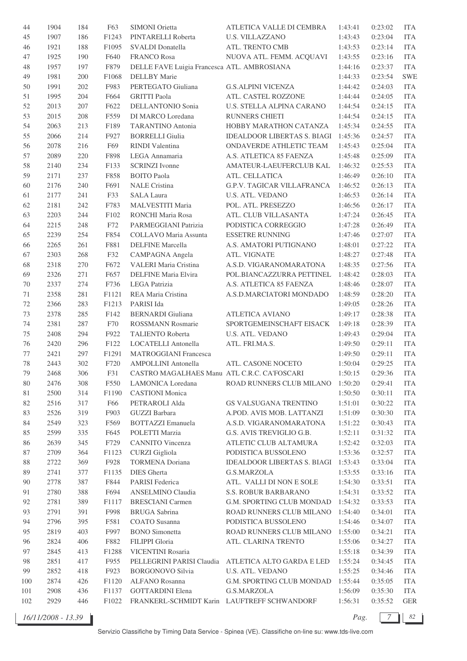| 44     | 1904 | 184 | F63               | SIMONI Orietta                              | ATLETICA VALLE DI CEMBRA           | 1:43:41 | 0:23:02 | <b>ITA</b> |
|--------|------|-----|-------------------|---------------------------------------------|------------------------------------|---------|---------|------------|
| 45     | 1907 | 186 | F1243             | PINTARELLI Roberta                          | <b>U.S. VILLAZZANO</b>             | 1:43:43 | 0:23:04 | <b>ITA</b> |
| 46     | 1921 | 188 | F1095             | SVALDI Donatella                            | ATL. TRENTO CMB                    | 1:43:53 | 0:23:14 | <b>ITA</b> |
| 47     | 1925 | 190 | F640              | <b>FRANCO Rosa</b>                          | NUOVA ATL. FEMM. ACQUAVI           | 1:43:55 | 0:23:16 | <b>ITA</b> |
| 48     | 1957 | 197 | F879              | DELLE FAVE Luigia Francesca ATL. AMBROSIANA |                                    | 1:44:16 | 0:23:37 | <b>ITA</b> |
| 49     | 1981 | 200 | F1068             | <b>DELLBY</b> Marie                         |                                    | 1:44:33 | 0:23:54 | <b>SWE</b> |
| 50     | 1991 | 202 | F983              | PERTEGATO Giuliana                          | <b>G.S.ALPINI VICENZA</b>          | 1:44:42 | 0:24:03 | <b>ITA</b> |
| 51     | 1995 | 204 | F664              | <b>GRITTI Paola</b>                         | ATL. CASTEL ROZZONE                | 1:44:44 | 0:24:05 | <b>ITA</b> |
| 52     | 2013 | 207 | F622              | <b>DELLANTONIO Sonia</b>                    | U.S. STELLA ALPINA CARANO          | 1:44:54 | 0:24:15 | <b>ITA</b> |
| 53     | 2015 | 208 | F559              | DI MARCO Loredana                           | RUNNERS CHIETI                     | 1:44:54 | 0:24:15 | <b>ITA</b> |
| 54     | 2063 | 213 | F189              | <b>TARANTINO Antonia</b>                    | HOBBY MARATHON CATANZA             | 1:45:34 | 0:24:55 | <b>ITA</b> |
| 55     | 2066 | 214 | F927              | <b>BORRELLI Giulia</b>                      | <b>IDEALDOOR LIBERTAS S. BIAGI</b> | 1:45:36 | 0:24:57 | <b>ITA</b> |
| 56     | 2078 | 216 | F69               | RINDI Valentina                             | ONDAVERDE ATHLETIC TEAM            | 1:45:43 | 0:25:04 | <b>ITA</b> |
| 57     | 2089 | 220 | F898              | LEGA Annamaria                              | A.S. ATLETICA 85 FAENZA            | 1:45:48 | 0:25:09 | <b>ITA</b> |
| 58     | 2140 | 234 | F133              | <b>SCRINZI</b> Ivonne                       | AMATEUR-LAEUFERCLUB KAL            | 1:46:32 | 0:25:53 | <b>ITA</b> |
|        |      |     |                   |                                             |                                    |         |         |            |
| 59     | 2171 | 237 | F858              | <b>BOITO Paola</b>                          | ATL. CELLATICA                     | 1:46:49 | 0:26:10 | <b>ITA</b> |
| 60     | 2176 | 240 | F691              | <b>NALE</b> Cristina                        | <b>G.P.V. TAGICAR VILLAFRANCA</b>  | 1:46:52 | 0:26:13 | <b>ITA</b> |
| 61     | 2177 | 241 | F33               | <b>SALA Laura</b>                           | <b>U.S. ATL. VEDANO</b>            | 1:46:53 | 0:26:14 | <b>ITA</b> |
| 62     | 2181 | 242 | F783              | MALVESTITI Maria                            | POL. ATL. PRESEZZO                 | 1:46:56 | 0:26:17 | <b>ITA</b> |
| 63     | 2203 | 244 | F102              | RONCHI Maria Rosa                           | ATL. CLUB VILLASANTA               | 1:47:24 | 0:26:45 | <b>ITA</b> |
| 64     | 2215 | 248 | F72               | PARMEGGIANI Patrizia                        | PODISTICA CORREGGIO                | 1:47:28 | 0:26:49 | <b>ITA</b> |
| 65     | 2239 | 254 | F854              | <b>COLLAVO</b> Maria Assunta                | <b>ESSETRE RUNNING</b>             | 1:47:46 | 0:27:07 | <b>ITA</b> |
| 66     | 2265 | 261 | F881              | <b>DELFINE</b> Marcella                     | A.S. AMATORI PUTIGNANO             | 1:48:01 | 0:27:22 | <b>ITA</b> |
| 67     | 2303 | 268 | F32               | CAMPAGNA Angela                             | ATL. VIGNATE                       | 1:48:27 | 0:27:48 | <b>ITA</b> |
| 68     | 2318 | 270 | F672              | <b>VALERI Maria Cristina</b>                | A.S.D. VIGARANOMARATONA            | 1:48:35 | 0:27:56 | <b>ITA</b> |
| 69     | 2326 | 271 | F657              | DELFINE Maria Elvira                        | POL.BIANCAZZURRA PETTINEL          | 1:48:42 | 0:28:03 | <b>ITA</b> |
| 70     | 2337 | 274 | F736              | LEGA Patrizia                               | A.S. ATLETICA 85 FAENZA            | 1:48:46 | 0:28:07 | <b>ITA</b> |
| 71     | 2358 | 281 | F1121             | REA Maria Cristina                          | A.S.D.MARCIATORI MONDADO           | 1:48:59 | 0:28:20 | <b>ITA</b> |
| 72     | 2366 | 283 | F1213             | PARISI Ida                                  |                                    | 1:49:05 | 0:28:26 | <b>ITA</b> |
| 73     | 2378 | 285 | F142              | <b>BERNARDI</b> Giuliana                    | <b>ATLETICA AVIANO</b>             | 1:49:17 | 0:28:38 | <b>ITA</b> |
| 74     | 2381 | 287 | F70               | <b>ROSSMANN Rosmarie</b>                    | SPORTGEMEINSCHAFT EISACK           | 1:49:18 | 0:28:39 | <b>ITA</b> |
| 75     | 2408 | 294 | F922              | <b>TALIENTO Roberta</b>                     | U.S. ATL. VEDANO                   | 1:49:43 | 0:29:04 | <b>ITA</b> |
| 76     | 2420 | 296 | F122              | LOCATELLI Antonella                         | ATL. FRI.MA.S.                     | 1:49:50 | 0:29:11 | <b>ITA</b> |
| 77     | 2421 | 297 | F1291             | MATROGGIANI Francesca                       |                                    | 1:49:50 | 0:29:11 | <b>ITA</b> |
| 78     | 2443 | 302 | F720              | AMPOLLINI Antonella                         | ATL. CASONE NOCETO                 | 1:50:04 | 0:29:25 | <b>ITA</b> |
| 79     | 2468 | 306 | F31               | CASTRO MAGALHAES Manu ATL C.R.C. CA'FOSCARI |                                    | 1:50:15 | 0:29:36 | <b>ITA</b> |
| 80     | 2476 | 308 | F550              | LAMONICA Loredana                           | ROAD RUNNERS CLUB MILANO           | 1:50:20 | 0:29:41 | <b>ITA</b> |
| 81     | 2500 | 314 | F1190             | <b>CASTIONI</b> Monica                      |                                    | 1:50:50 | 0:30:11 | <b>ITA</b> |
| 82     | 2516 | 317 | F66               | PETRAROLI Alda                              | <b>GS VALSUGANA TRENTINO</b>       | 1:51:01 | 0:30:22 | <b>ITA</b> |
| 83     | 2526 | 319 | F903              | GUZZI Barbara                               | A.POD. AVIS MOB. LATTANZI          | 1:51:09 | 0:30:30 | <b>ITA</b> |
| 84     | 2549 | 323 | F569              | <b>BOTTAZZI</b> Emanuela                    | A.S.D. VIGARANOMARATONA            | 1:51:22 | 0:30:43 | <b>ITA</b> |
| 85     | 2599 | 335 | F645              | POLETTI Marzia                              | G.S. AVIS TREVIGLIO G.B.           | 1:52:11 | 0:31:32 | <b>ITA</b> |
| 86     | 2639 | 345 | F729              | <b>CANNITO</b> Vincenza                     | ATLETIC CLUB ALTAMURA              | 1:52:42 | 0:32:03 | <b>ITA</b> |
| 87     | 2709 | 364 | F1123             | <b>CURZI</b> Gigliola                       | PODISTICA BUSSOLENO                | 1:53:36 | 0:32:57 | <b>ITA</b> |
| $88\,$ | 2722 | 369 | F928              | <b>TORMENA</b> Doriana                      | <b>IDEALDOOR LIBERTAS S. BIAGI</b> | 1:53:43 | 0:33:04 | <b>ITA</b> |
| 89     | 2741 | 377 | F1135             | <b>DIES</b> Gherta                          | <b>G.S.MARZOLA</b>                 | 1:53:55 | 0:33:16 | <b>ITA</b> |
| 90     | 2778 | 387 | F844              | PARISI Federica                             | ATL. VALLI DI NON E SOLE           | 1:54:30 | 0:33:51 | <b>ITA</b> |
| 91     | 2780 | 388 | F694              | ANSELMINO Claudia                           | S.S. ROBUR BARBARANO               | 1:54:31 | 0:33:52 | <b>ITA</b> |
| 92     | 2781 | 389 | F1117             | <b>BRESCIANI</b> Carmen                     | G.M. SPORTING CLUB MONDAD          | 1:54:32 | 0:33:53 | <b>ITA</b> |
|        |      |     |                   |                                             |                                    |         |         |            |
| 93     | 2791 | 391 | F998              | <b>BRUGA</b> Sabrina                        | ROAD RUNNERS CLUB MILANO           | 1:54:40 | 0:34:01 | <b>ITA</b> |
| 94     | 2796 | 395 | F581              | <b>COATO</b> Susanna                        | PODISTICA BUSSOLENO                | 1:54:46 | 0:34:07 | <b>ITA</b> |
| 95     | 2819 | 403 | F997              | <b>BONO</b> Simonetta                       | ROAD RUNNERS CLUB MILANO           | 1:55:00 | 0:34:21 | <b>ITA</b> |
| 96     | 2824 | 406 | F882              | FILIPPI Gloria                              | ATL. CLARINA TRENTO                | 1:55:06 | 0:34:27 | <b>ITA</b> |
| 97     | 2845 | 413 | F1288             | VICENTINI Rosaria                           |                                    | 1:55:18 | 0:34:39 | <b>ITA</b> |
| $98\,$ | 2851 | 417 | F955              | PELLEGRINI PARISI Claudia                   | ATLETICA ALTO GARDA E LED          | 1:55:24 | 0:34:45 | <b>ITA</b> |
| 99     | 2852 | 418 | F923              | <b>BORGONOVO Silvia</b>                     | <b>U.S. ATL. VEDANO</b>            | 1:55:25 | 0:34:46 | <b>ITA</b> |
| 100    | 2874 | 426 | F1120             | ALFANO Rosanna                              | G.M. SPORTING CLUB MONDAD          | 1:55:44 | 0:35:05 | <b>ITA</b> |
| 101    | 2908 | 436 | F1137             | <b>GOTTARDINI Elena</b>                     | G.S.MARZOLA                        | 1:56:09 | 0:35:30 | <b>ITA</b> |
| 102    | 2929 | 446 | F <sub>1022</sub> | FRANKERL-SCHMIDT Karin LAUFTREFF SCHWANDORF |                                    | 1:56:31 | 0:35:52 | <b>GER</b> |

*16/11/2008 - 13.39 Pag. 7 82*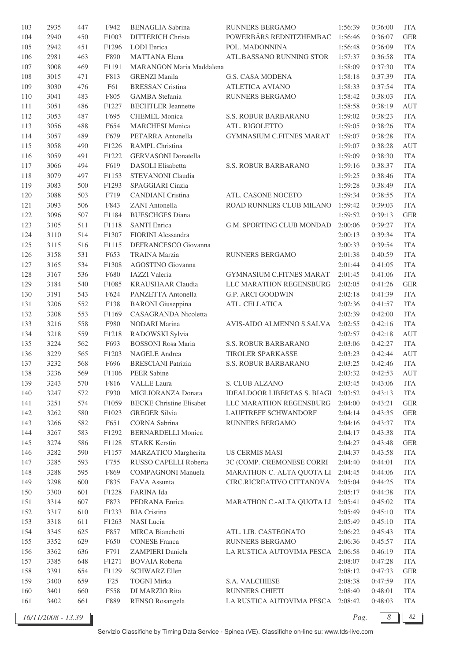| 103 | 2935 | 447 | F942  | <b>BENAGLIA</b> Sabrina         | <b>RUNNERS BERGAMO</b>             | 1:56:39 | 0:36:00 | <b>ITA</b> |
|-----|------|-----|-------|---------------------------------|------------------------------------|---------|---------|------------|
| 104 | 2940 | 450 | F1003 | <b>DITTERICH Christa</b>        | POWERBÄRS REDNITZHEMBAC            | 1:56:46 | 0:36:07 | <b>GER</b> |
| 105 | 2942 | 451 | F1296 | LODI Enrica                     | POL. MADONNINA                     | 1:56:48 | 0:36:09 | <b>ITA</b> |
| 106 | 2981 | 463 | F890  | <b>MATTANA Elena</b>            | ATL.BASSANO RUNNING STOR           | 1:57:37 | 0:36:58 | <b>ITA</b> |
| 107 | 3008 | 469 | F1191 | <b>MARANGON Maria Maddalena</b> |                                    | 1:58:09 | 0:37:30 | <b>ITA</b> |
| 108 | 3015 | 471 | F813  | <b>GRENZI Manila</b>            | <b>G.S. CASA MODENA</b>            | 1:58:18 | 0:37:39 | <b>ITA</b> |
| 109 | 3030 | 476 | F61   | <b>BRESSAN</b> Cristina         | <b>ATLETICA AVIANO</b>             | 1:58:33 | 0:37:54 | <b>ITA</b> |
| 110 | 3041 | 483 | F805  | GAMBA Stefania                  | RUNNERS BERGAMO                    | 1:58:42 | 0:38:03 | <b>ITA</b> |
| 111 | 3051 | 486 | F1227 | <b>BECHTLER</b> Jeannette       |                                    | 1:58:58 | 0:38:19 | <b>AUT</b> |
| 112 | 3053 | 487 | F695  | <b>CHEMEL Monica</b>            | S.S. ROBUR BARBARANO               | 1:59:02 | 0:38:23 | <b>ITA</b> |
| 113 | 3056 | 488 | F654  | <b>MARCHESI Monica</b>          | ATL. RIGOLETTO                     | 1:59:05 | 0:38:26 | <b>ITA</b> |
| 114 | 3057 | 489 | F679  | PETARRA Antonella               | <b>GYMNASIUM C.FITNES MARAT</b>    | 1:59:07 | 0:38:28 | <b>ITA</b> |
| 115 | 3058 | 490 | F1226 | RAMPL Christina                 |                                    | 1:59:07 | 0:38:28 | <b>AUT</b> |
|     |      | 491 |       | <b>GERVASONI</b> Donatella      |                                    |         | 0:38:30 | <b>ITA</b> |
| 116 | 3059 |     | F1222 |                                 |                                    | 1:59:09 |         |            |
| 117 | 3066 | 494 | F619  | DASOLI Elisabetta               | S.S. ROBUR BARBARANO               | 1:59:16 | 0:38:37 | <b>ITA</b> |
| 118 | 3079 | 497 | F1153 | STEVANONI Claudia               |                                    | 1:59:25 | 0:38:46 | <b>ITA</b> |
| 119 | 3083 | 500 | F1293 | SPAGGIARI Cinzia                |                                    | 1:59:28 | 0:38:49 | <b>ITA</b> |
| 120 | 3088 | 503 | F719  | <b>CANDIANI</b> Cristina        | ATL. CASONE NOCETO                 | 1:59:34 | 0:38:55 | <b>ITA</b> |
| 121 | 3093 | 506 | F843  | ZANI Antonella                  | ROAD RUNNERS CLUB MILANO           | 1:59:42 | 0:39:03 | <b>ITA</b> |
| 122 | 3096 | 507 | F1184 | <b>BUESCHGES Diana</b>          |                                    | 1:59:52 | 0:39:13 | <b>GER</b> |
| 123 | 3105 | 511 | F1118 | <b>SANTI Enrica</b>             | G.M. SPORTING CLUB MONDAD          | 2:00:06 | 0:39:27 | <b>ITA</b> |
| 124 | 3110 | 514 | F1307 | FIORINI Alessandra              |                                    | 2:00:13 | 0:39:34 | <b>ITA</b> |
| 125 | 3115 | 516 | F1115 | DEFRANCESCO Giovanna            |                                    | 2:00:33 | 0:39:54 | <b>ITA</b> |
| 126 | 3158 | 531 | F653  | <b>TRAINA Marzia</b>            | RUNNERS BERGAMO                    | 2:01:38 | 0:40:59 | <b>ITA</b> |
| 127 | 3165 | 534 | F1308 | AGOSTINO Giovanna               |                                    | 2:01:44 | 0:41:05 | <b>ITA</b> |
| 128 | 3167 | 536 | F680  | <b>IAZZI</b> Valeria            | <b>GYMNASIUM C.FITNES MARAT</b>    | 2:01:45 | 0:41:06 | <b>ITA</b> |
| 129 | 3184 | 540 | F1085 | <b>KRAUSHAAR Claudia</b>        | LLC MARATHON REGENSBURG            | 2:02:05 | 0:41:26 | <b>GER</b> |
| 130 | 3191 | 543 | F624  | PANZETTA Antonella              | G.P. ARCI GOODWIN                  | 2:02:18 | 0:41:39 | <b>ITA</b> |
| 131 | 3206 | 552 | F138  | <b>BARONI</b> Giuseppina        | ATL. CELLATICA                     | 2:02:36 | 0:41:57 | <b>ITA</b> |
| 132 | 3208 | 553 | F1169 | <b>CASAGRANDA Nicoletta</b>     |                                    | 2:02:39 | 0:42:00 | <b>ITA</b> |
| 133 | 3216 | 558 | F980  | NODARI Marina                   | AVIS-AIDO ALMENNO S.SALVA          | 2:02:55 | 0:42:16 | <b>ITA</b> |
| 134 | 3218 | 559 | F1218 | RADOWSKI Sylvia                 |                                    | 2:02:57 | 0:42:18 | <b>AUT</b> |
| 135 | 3224 | 562 | F693  | <b>BOSSONI</b> Rosa Maria       | S.S. ROBUR BARBARANO               | 2:03:06 | 0:42:27 | <b>ITA</b> |
| 136 | 3229 | 565 | F1203 | NAGELE Andrea                   | <b>TIROLER SPARKASSE</b>           | 2:03:23 | 0:42:44 | <b>AUT</b> |
| 137 | 3232 | 568 | F696  | <b>BRESCIANI Patrizia</b>       | <b>S.S. ROBUR BARBARANO</b>        | 2:03:25 | 0:42:46 | <b>ITA</b> |
| 138 | 3236 | 569 | F1106 | PEER Sabine                     |                                    | 2:03:32 | 0:42:53 | AUT        |
| 139 | 3243 | 570 | F816  | <b>VALLE</b> Laura              | S. CLUB ALZANO                     | 2:03:45 | 0:43:06 | <b>ITA</b> |
| 140 | 3247 | 572 | F930  | MIGLIORANZA Donata              | <b>IDEALDOOR LIBERTAS S. BIAGI</b> | 2:03:52 | 0:43:13 | <b>ITA</b> |
| 141 | 3251 | 574 | F1059 | <b>BECKE Christine Elisabet</b> | LLC MARATHON REGENSBURG            | 2:04:00 | 0:43:21 | <b>GER</b> |
| 142 | 3262 | 580 | F1023 | <b>GREGER Silvia</b>            | LAUFTREFF SCHWANDORF               | 2:04:14 | 0:43:35 | <b>GER</b> |
| 143 | 3266 | 582 | F651  | <b>CORNA</b> Sabrina            | RUNNERS BERGAMO                    | 2:04:16 | 0:43:37 | <b>ITA</b> |
| 144 | 3267 | 583 | F1292 | <b>BERNARDELLI Monica</b>       |                                    | 2:04:17 | 0:43:38 | <b>ITA</b> |
| 145 | 3274 | 586 | F1128 | <b>STARK Kerstin</b>            |                                    | 2:04:27 | 0:43:48 | <b>GER</b> |
| 146 | 3282 | 590 | F1157 | MARZATICO Margherita            | <b>US CERMIS MASI</b>              | 2:04:37 | 0:43:58 | <b>ITA</b> |
| 147 | 3285 | 593 | F755  | RUSSO CAPELLI Roberta           | 3C (COMP. CREMONESE CORRI          | 2:04:40 | 0:44:01 | <b>ITA</b> |
| 148 | 3288 | 595 | F869  | <b>COMPAGNONI Manuela</b>       | MARATHON C.-ALTA QUOTA LI          | 2:04:45 | 0:44:06 | <b>ITA</b> |
|     |      |     |       |                                 |                                    |         |         |            |
| 149 | 3298 | 600 | F835  | FAVA Assunta                    | CIRC.RICREATIVO CITTANOVA          | 2:05:04 | 0:44:25 | <b>ITA</b> |
| 150 | 3300 | 601 | F1228 | FARINA Ida                      |                                    | 2:05:17 | 0:44:38 | <b>ITA</b> |
| 151 | 3314 | 607 | F873  | PEDRANA Enrica                  | MARATHON C.-ALTA QUOTA LI          | 2:05:41 | 0:45:02 | <b>ITA</b> |
| 152 | 3317 | 610 | F1233 | <b>BIA</b> Cristina             |                                    | 2:05:49 | 0:45:10 | <b>ITA</b> |
| 153 | 3318 | 611 | F1263 | <b>NASI</b> Lucia               |                                    | 2:05:49 | 0:45:10 | <b>ITA</b> |
| 154 | 3345 | 625 | F857  | MIRCA Bianchetti                | ATL. LIB. CASTEGNATO               | 2:06:22 | 0:45:43 | <b>ITA</b> |
| 155 | 3352 | 629 | F650  | <b>CONESE Franca</b>            | RUNNERS BERGAMO                    | 2:06:36 | 0:45:57 | <b>ITA</b> |
| 156 | 3362 | 636 | F791  | ZAMPIERI Daniela                | LA RUSTICA AUTOVIMA PESCA          | 2:06:58 | 0:46:19 | <b>ITA</b> |
| 157 | 3385 | 648 | F1271 | <b>BOVAIA Roberta</b>           |                                    | 2:08:07 | 0:47:28 | <b>ITA</b> |
| 158 | 3391 | 654 | F1129 | <b>SCHWARZ Ellen</b>            |                                    | 2:08:12 | 0:47:33 | <b>GER</b> |
| 159 | 3400 | 659 | F25   | <b>TOGNI Mirka</b>              | S.A. VALCHIESE                     | 2:08:38 | 0:47:59 | <b>ITA</b> |
| 160 | 3401 | 660 | F558  | DI MARZIO Rita                  | RUNNERS CHIETI                     | 2:08:40 | 0:48:01 | <b>ITA</b> |
| 161 | 3402 | 661 | F889  | <b>RENSO Rosangela</b>          | LA RUSTICA AUTOVIMA PESCA 2:08:42  |         | 0:48:03 | <b>ITA</b> |

*16/11/2008 - 13.39 Pag. 8 82*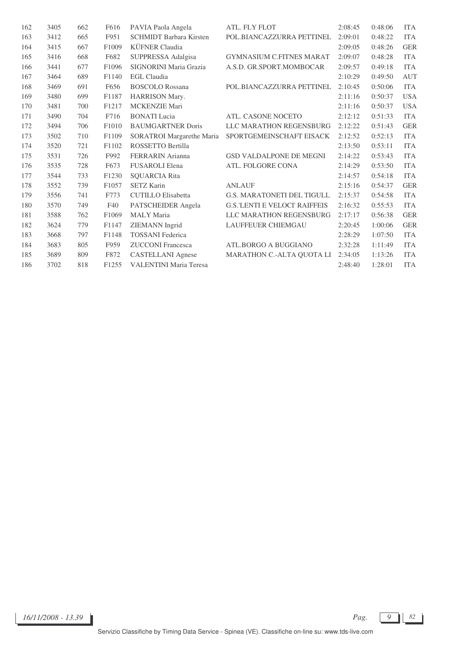| 162 | 3405 | 662 | F616              | PAVIA Paola Angela             | ATL. FLY FLOT                        | 2:08:45 | 0:48:06 | <b>ITA</b> |
|-----|------|-----|-------------------|--------------------------------|--------------------------------------|---------|---------|------------|
| 163 | 3412 | 665 | F951              | <b>SCHMIDT</b> Barbara Kirsten | POL.BIANCAZZURRA PETTINEL            | 2:09:01 | 0:48:22 | <b>ITA</b> |
| 164 | 3415 | 667 | F1009             | KÜFNER Claudia                 |                                      | 2:09:05 | 0:48:26 | <b>GER</b> |
| 165 | 3416 | 668 | F682              | SUPPRESSA Adalgisa             | <b>GYMNASIUM C.FITNES MARAT</b>      | 2:09:07 | 0:48:28 | <b>ITA</b> |
| 166 | 3441 | 677 | F1096             | SIGNORINI Maria Grazia         | A.S.D. GR.SPORT.MOMBOCAR             | 2:09:57 | 0:49:18 | <b>ITA</b> |
| 167 | 3464 | 689 | F1140             | <b>EGL</b> Claudia             |                                      | 2:10:29 | 0:49:50 | <b>AUT</b> |
| 168 | 3469 | 691 | F656              | <b>BOSCOLO</b> Rossana         | POL.BIANCAZZURRA PETTINEL            | 2:10:45 | 0:50:06 | <b>ITA</b> |
| 169 | 3480 | 699 | F1187             | HARRISON Mary.                 |                                      | 2:11:16 | 0:50:37 | <b>USA</b> |
| 170 | 3481 | 700 | F1217             | MCKENZIE Mari                  |                                      | 2:11:16 | 0:50:37 | <b>USA</b> |
| 171 | 3490 | 704 | F716              | <b>BONATI</b> Lucia            | ATL. CASONE NOCETO                   | 2:12:12 | 0:51:33 | <b>ITA</b> |
| 172 | 3494 | 706 | F1010             | <b>BAUMGARTNER Doris</b>       | LLC MARATHON REGENSBURG              | 2:12:22 | 0:51:43 | <b>GER</b> |
| 173 | 3502 | 710 | F1109             | SORATROI Margarethe Maria      | SPORTGEMEINSCHAFT EISACK             | 2:12:52 | 0:52:13 | <b>ITA</b> |
| 174 | 3520 | 721 | F1102             | ROSSETTO Bertilla              |                                      | 2:13:50 | 0:53:11 | <b>ITA</b> |
| 175 | 3531 | 726 | F992              | <b>FERRARIN</b> Arianna        | <b>GSD VALDALPONE DE MEGNI</b>       | 2:14:22 | 0:53:43 | <b>ITA</b> |
| 176 | 3535 | 728 | F673              | <b>FUSAROLI Elena</b>          | ATL. FOLGORE CONA                    | 2:14:29 | 0:53:50 | <b>ITA</b> |
| 177 | 3544 | 733 | F1230             | <b>SOUARCIA Rita</b>           |                                      | 2:14:57 | 0:54:18 | <b>ITA</b> |
| 178 | 3552 | 739 | F1057             | <b>SETZ Karin</b>              | <b>ANLAUF</b>                        | 2:15:16 | 0:54:37 | <b>GER</b> |
| 179 | 3556 | 741 | F773              | <b>CUTILLO</b> Elisabetta      | <b>G.S. MARATONETI DEL TIGULL</b>    | 2:15:37 | 0:54:58 | <b>ITA</b> |
| 180 | 3570 | 749 | F40               | PATSCHEIDER Angela             | <b>G.S.'LENTI E VELOCI' RAIFFEIS</b> | 2:16:32 | 0:55:53 | <b>ITA</b> |
| 181 | 3588 | 762 | F1069             | <b>MALY</b> Maria              | LLC MARATHON REGENSBURG              | 2:17:17 | 0:56:38 | <b>GER</b> |
| 182 | 3624 | 779 | F1147             | <b>ZIEMANN</b> Ingrid          | <b>LAUFFEUER CHIEMGAU</b>            | 2:20:45 | 1:00:06 | <b>GER</b> |
| 183 | 3668 | 797 | F1148             | <b>TOSSANI</b> Federica        |                                      | 2:28:29 | 1:07:50 | <b>ITA</b> |
| 184 | 3683 | 805 | F959              | <b>ZUCCONI</b> Francesca       | ATL.BORGO A BUGGIANO                 | 2:32:28 | 1:11:49 | <b>ITA</b> |
| 185 | 3689 | 809 | F872              | <b>CASTELLANI</b> Agnese       | MARATHON C.-ALTA QUOTA LI            | 2:34:05 | 1:13:26 | <b>ITA</b> |
| 186 | 3702 | 818 | F <sub>1255</sub> | <b>VALENTINI Maria Teresa</b>  |                                      | 2:48:40 | 1:28:01 | <b>ITA</b> |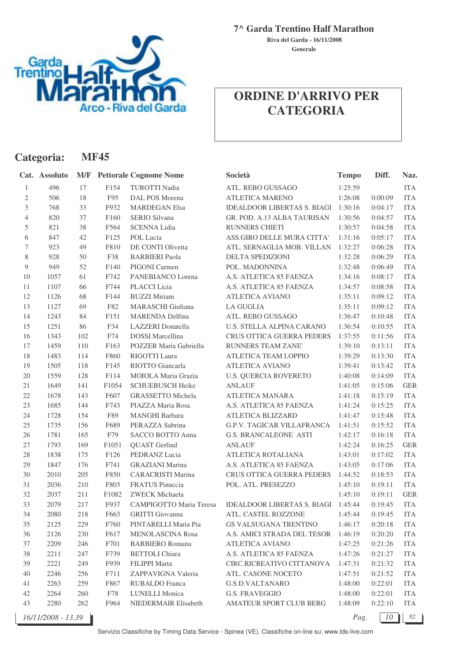

**Generale Riva del Garda - 16/11/2008**

## **ORDINE D'ARRIVO PER CATEGORIA**

| Categoria:     |                    |        | <b>MF45</b> |                               |                                                             |              |         |            |
|----------------|--------------------|--------|-------------|-------------------------------|-------------------------------------------------------------|--------------|---------|------------|
|                | Cat. Assoluto      | M/F    |             | <b>Pettorale Cognome Nome</b> | Società                                                     | <b>Tempo</b> | Diff.   | Naz.       |
| 1              | 496                | 17     | F154        | <b>TUROTTI Nadia</b>          | ATL. REBO GUSSAGO                                           | 1:25:59      |         | <b>ITA</b> |
| $\mathbf{2}$   | 506                | 18     | F95         | DAL POS Morena                | ATLETICA MARENO                                             | 1:26:08      | 0:00:09 | <b>ITA</b> |
| 3              | 768                | 33     | F932        | <b>MARDEGAN Elsa</b>          | <b>IDEALDOOR LIBERTAS S. BIAGI</b>                          | 1:30:16      | 0:04:17 | <b>ITA</b> |
| $\overline{4}$ | 820                | 37     | F160        | SERIO Silvana                 | GR. POD. A.13 ALBA TAURISAN                                 | 1:30:56      | 0:04:57 | <b>ITA</b> |
| 5              | 821                | $38\,$ | F564        | <b>SCENNA Lidia</b>           | RUNNERS CHIETI                                              | 1:30:57      | 0:04:58 | <b>ITA</b> |
| 6              | 847                | $42\,$ | F125        | POL Lucia                     | ASS.GIRO DELLE MURA CITTA'                                  | 1:31:16      | 0:05:17 | <b>ITA</b> |
| $\tau$         | 923                | 49     | F810        | DE CONTI Olivetta             | ATL. SERNAGLIA MOB. VILLAN                                  | 1:32:27      | 0:06:28 | <b>ITA</b> |
| 8              | 928                | 50     | F38         | <b>BARBIERI</b> Paola         | DELTA SPEDIZIONI                                            | 1:32:28      | 0:06:29 | <b>ITA</b> |
| 9              | 949                | 52     | F140        | PIGONI Carmen                 | POL. MADONNINA                                              | 1:32:48      | 0:06:49 | <b>ITA</b> |
| 10             | 1057               | 61     | F742        | PANEBIANCO Lorena             | A.S. ATLETICA 85 FAENZA                                     | 1:34:16      | 0:08:17 | <b>ITA</b> |
| 11             | 1107               | 66     | F744        | PLACCI Licia                  | A.S. ATLETICA 85 FAENZA                                     | 1:34:57      | 0:08:58 | <b>ITA</b> |
| 12             | 1126               | 68     | F144        | <b>BUZZI Miriam</b>           | <b>ATLETICA AVIANO</b>                                      | 1:35:11      | 0:09:12 | <b>ITA</b> |
| 13             | 1127               | 69     | F82         | MARASCHI Giuliana             | <b>LA GUGLIA</b>                                            | 1:35:11      | 0:09:12 | <b>ITA</b> |
| 14             | 1243               | 84     | F151        | MARENDA Delfina               | ATL. REBO GUSSAGO                                           | 1:36:47      | 0:10:48 | <b>ITA</b> |
| 15             | 1251               | 86     | F34         | <b>LAZZERI</b> Donatella      | U.S. STELLA ALPINA CARANO                                   | 1:36:54      | 0:10:55 | <b>ITA</b> |
| 16             | 1343               | 102    | F74         | <b>DOSSI</b> Marcellina       | <b>CRUS OTTICA GUERRA PEDERS</b>                            | 1:37:55      | 0:11:56 | <b>ITA</b> |
| 17             | 1459               | 110    | F163        | POZZER Maria Gabriella        | RUNNERS TEAM ZANE'                                          | 1:39:10      | 0:13:11 | <b>ITA</b> |
| 18             | 1483               | 114    | F860        | RIGOTTI Laura                 | ATLETICA TEAM LOPPIO                                        | 1:39:29      | 0:13:30 | <b>ITA</b> |
| 19             | 1505               | 118    | F145        | RIOTTO Giancarla              | <b>ATLETICA AVIANO</b>                                      | 1:39:41      | 0:13:42 | <b>ITA</b> |
| 20             | 1559               | 128    | F114        | MOIOLA Maria Grazia           | <b>U.S. QUERCIA ROVERETO</b>                                | 1:40:08      | 0:14:09 | <b>ITA</b> |
| 21             | 1649               | 141    | F1054       | <b>SCHUEBUSCH Heike</b>       | <b>ANLAUF</b>                                               | 1:41:05      | 0:15:06 | <b>GER</b> |
| $22\,$         | 1678               | 143    | F607        | GRASSETTO Michela             | ATLETICA MANARA                                             | 1:41:18      | 0:15:19 | <b>ITA</b> |
| 23             | 1685               | 144    | F743        | PIAZZA Maria Rosa             | A.S. ATLETICA 85 FAENZA                                     | 1:41:24      | 0:15:25 | <b>ITA</b> |
| 24             | 1728               | 154    | F89         | <b>MANGHI</b> Barbara         | ATLETICA BLIZZARD                                           | 1:41:47      | 0:15:48 | <b>ITA</b> |
| $25\,$         | 1735               | 156    | F689        | PERAZZA Sabrina               | <b>G.P.V. TAGICAR VILLAFRANCA</b>                           | 1:41:51      | 0:15:52 | <b>ITA</b> |
| 26             | 1781               | 165    | F79         | SACCO BOTTO Anna              | <b>G.S. BRANCALEONE ASTI</b>                                | 1:42:17      | 0:16:18 | <b>ITA</b> |
| 27             | 1793               | 169    | F1051       | <b>QUAST</b> Gerlind          | <b>ANLAUF</b>                                               | 1:42:24      | 0:16:25 | <b>GER</b> |
| 28             | 1838               | 175    | F126        | PEDRANZ Lucia                 | ATLETICA ROTALIANA                                          | 1:43:01      | 0:17:02 | <b>ITA</b> |
| 29             | 1847               | 176    | F741        | <b>GRAZIANI</b> Marina        | A.S. ATLETICA 85 FAENZA                                     | 1:43:05      | 0:17:06 | <b>ITA</b> |
| 30             | 2010               | 205    | F850        | <b>CARACRISTI Marina</b>      | CRUS OTTICA GUERRA PEDERS                                   | 1:44:52      | 0:18:53 | <b>ITA</b> |
| 31             | 2036               | 210    | F803        | FRATUS Pinuccia               | POL. ATL. PRESEZZO                                          | 1:45:10      | 0:19:11 | <b>ITA</b> |
| 32             | 2037               | 211    | F1082       | ZWECK Michaela                |                                                             | 1:45:10      | 0:19:11 | <b>GER</b> |
| 33             | 2079               | 217    | F937        |                               | CAMPIGOTTO Maria Teresa IDEALDOOR LIBERTAS S. BIAGI 1:45:44 |              | 0:19:45 | <b>ITA</b> |
| 34             | 2080               | 218    | F663        | <b>GRITTI</b> Giovanna        | ATL. CASTEL ROZZONE                                         | 1:45:44      | 0:19:45 | <b>ITA</b> |
| 35             | 2125               | 229    | F760        | PINTARELLI Maria Pia          | <b>GS VALSUGANA TRENTINO</b>                                | 1:46:17      | 0:20:18 | <b>ITA</b> |
| 36             | 2126               | 230    | F617        | <b>MENOLASCINA Rosa</b>       | A.S. AMICI STRADA DEL TESOR                                 | 1:46:19      | 0:20:20 | <b>ITA</b> |
| 37             | 2209               | 246    | F701        | <b>BARBIERO</b> Romana        | <b>ATLETICA AVIANO</b>                                      | 1:47:25      | 0:21:26 | <b>ITA</b> |
| $38\,$         | 2211               | 247    | F739        | <b>BETTOLI</b> Chiara         | A.S. ATLETICA 85 FAENZA                                     | 1:47:26      | 0:21:27 | <b>ITA</b> |
| 39             | 2221               | 249    | F939        | FILIPPI Marta                 | CIRC.RICREATIVO CITTANOVA                                   | 1:47:31      | 0:21:32 | <b>ITA</b> |
| 40             | 2246               | 256    | F711        | ZAPPAVIGNA Valeria            | ATL. CASONE NOCETO                                          | 1:47:51      | 0:21:52 | <b>ITA</b> |
| 41             | 2263               | 259    | F867        | RUBALDO Franca                | G.S.D.VALTANARO                                             | 1:48:00      | 0:22:01 | <b>ITA</b> |
| 42             | 2264               | 260    | F78         | <b>LUNELLI</b> Monica         | <b>G.S. FRAVEGGIO</b>                                       | 1:48:00      | 0:22:01 | <b>ITA</b> |
| 43             | 2280               | 262    | F964        | NIEDERMAIR Elisabeth          | AMATEUR SPORT CLUB BERG                                     | 1:48:09      | 0:22:10 | <b>ITA</b> |
|                | 16/11/2008 - 13.39 |        |             |                               |                                                             | Pag.         | 10      | 82         |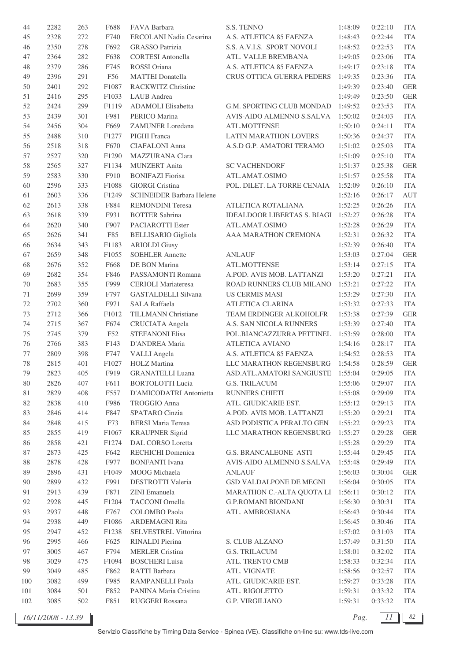| 44  | 2282 | 263 | F688  | FAVA Barbara                    | S.S. TENNO                          | 1:48:09            | 0:22:10            | <b>ITA</b>  |
|-----|------|-----|-------|---------------------------------|-------------------------------------|--------------------|--------------------|-------------|
| 45  | 2328 | 272 | F740  | <b>ERCOLANI Nadia Cesarina</b>  | A.S. ATLETICA 85 FAENZA             | 1:48:43            | 0:22:44            | <b>ITA</b>  |
| 46  | 2350 | 278 | F692  | <b>GRASSO</b> Patrizia          | S.S. A.V.I.S. SPORT NOVOLI          | 1:48:52            | 0:22:53            | <b>ITA</b>  |
| 47  | 2364 | 282 | F638  | <b>CORTESI</b> Antonella        | ATL. VALLE BREMBANA                 | 1:49:05            | 0:23:06            | <b>ITA</b>  |
| 48  | 2379 | 286 | F745  | <b>ROSSI</b> Oriana             | A.S. ATLETICA 85 FAENZA             | 1:49:17            | 0:23:18            | <b>ITA</b>  |
| 49  | 2396 | 291 | F56   | <b>MATTEI</b> Donatella         | CRUS OTTICA GUERRA PEDERS           | 1:49:35            | 0:23:36            | <b>ITA</b>  |
| 50  | 2401 | 292 | F1087 | RACKWITZ Christine              |                                     | 1:49:39            | 0:23:40            | <b>GER</b>  |
| 51  | 2416 | 295 | F1033 | LAUB Andrea                     |                                     | 1:49:49            | 0:23:50            | <b>GER</b>  |
| 52  | 2424 | 299 | F1119 | ADAMOLI Elisabetta              | G.M. SPORTING CLUB MONDAD           | 1:49:52            | 0:23:53            | <b>ITA</b>  |
| 53  | 2439 | 301 | F981  | PERICO Marina                   | AVIS-AIDO ALMENNO S.SALVA           | 1:50:02            | 0:24:03            | <b>ITA</b>  |
| 54  | 2456 | 304 | F669  | <b>ZAMUNER</b> Loredana         | ATL.MOTTENSE                        | 1:50:10            | 0:24:11            | <b>ITA</b>  |
| 55  | 2488 | 310 | F1277 | PIGHI Franca                    | <b>LATIN MARATHON LOVERS</b>        | 1:50:36            | 0:24:37            | <b>ITA</b>  |
| 56  | 2518 | 318 | F670  | <b>CIAFALONI</b> Anna           | A.S.D G.P. AMATORI TERAMO           | 1:51:02            | 0:25:03            | <b>ITA</b>  |
| 57  | 2527 | 320 | F1290 | MAZZURANA Clara                 |                                     | 1:51:09            | 0:25:10            | <b>ITA</b>  |
| 58  | 2565 | 327 | F1134 | <b>MUNZERT</b> Anita            | <b>SC VACHENDORF</b>                | 1:51:37            | 0:25:38            | <b>GER</b>  |
| 59  | 2583 | 330 | F910  | <b>BONIFAZI Fiorisa</b>         | ATL.AMAT.OSIMO                      | 1:51:57            | 0:25:58            | <b>ITA</b>  |
| 60  | 2596 | 333 | F1088 | <b>GIORGI Cristina</b>          | POL. DILET. LA TORRE CENAIA         | 1:52:09            | 0:26:10            | <b>ITA</b>  |
| 61  | 2603 | 336 | F1249 | <b>SCHNEIDER Barbara Helene</b> |                                     | 1:52:16            | 0:26:17            | <b>AUT</b>  |
| 62  | 2613 | 338 | F884  | <b>REMONDINI</b> Teresa         | ATLETICA ROTALIANA                  | 1:52:25            | 0:26:26            | <b>ITA</b>  |
| 63  | 2618 | 339 | F931  | <b>BOTTER Sabrina</b>           | IDEALDOOR LIBERTAS S. BIAGI 1:52:27 |                    | 0:26:28            | <b>ITA</b>  |
| 64  | 2620 | 340 | F907  | PACIAROTTI Ester                | ATL.AMAT.OSIMO                      | 1:52:28            | 0:26:29            | <b>ITA</b>  |
| 65  | 2626 | 341 | F85   | <b>BELLISARIO Gigliola</b>      | AAA MARATHON CREMONA                | 1:52:31            | 0:26:32            | <b>ITA</b>  |
| 66  | 2634 | 343 | F1183 | <b>ARIOLDI</b> Giusy            |                                     | 1:52:39            | 0:26:40            | <b>ITA</b>  |
| 67  | 2659 | 348 | F1055 | <b>SOEHLER Annette</b>          | ANLAUF                              | 1:53:03            | 0:27:04            | <b>GER</b>  |
| 68  | 2676 | 352 | F668  | DE BON Marina                   | ATL.MOTTENSE                        | 1:53:14            | 0:27:15            | <b>ITA</b>  |
| 69  | 2682 | 354 | F846  | PASSAMONTI Romana               | A.POD. AVIS MOB. LATTANZI           | 1:53:20            | 0:27:21            | <b>ITA</b>  |
| 70  | 2683 | 355 | F999  | <b>CERIOLI</b> Mariateresa      | ROAD RUNNERS CLUB MILANO            | 1:53:21            | 0:27:22            | <b>ITA</b>  |
| 71  | 2699 | 359 | F797  | GASTALDELLI Silvana             | <b>US CERMIS MASI</b>               | 1:53:29            | 0:27:30            | <b>ITA</b>  |
| 72  | 2702 | 360 | F971  | <b>SALA Raffaela</b>            | <b>ATLETICA CLARINA</b>             | 1:53:32            | 0:27:33            | <b>ITA</b>  |
| 73  | 2712 | 366 | F1012 | TILLMANN Christiane             | TEAM ERDINGER ALKOHOLFR             | 1:53:38            | 0:27:39            | <b>GER</b>  |
| 74  | 2715 | 367 | F674  | <b>CRUCIATA</b> Angela          | A.S. SAN NICOLA RUNNERS             | 1:53:39            | 0:27:40            | <b>ITA</b>  |
| 75  | 2745 | 379 | F52   | <b>STEFANONI Elisa</b>          | POL.BIANCAZZURRA PETTINEL           | 1:53:59            | 0:28:00            | <b>ITA</b>  |
| 76  | 2766 | 383 | F143  | D'ANDREA Maria                  | <b>ATLETICA AVIANO</b>              | 1:54:16            | 0:28:17            | <b>ITA</b>  |
| 77  | 2809 | 398 | F747  | VALLI Angela                    | A.S. ATLETICA 85 FAENZA             | 1:54:52            | 0:28:53            | <b>ITA</b>  |
| 78  | 2815 | 401 | F1027 | <b>HOLZ</b> Martina             | LLC MARATHON REGENSBURG             | 1:54:58            | 0:28:59            | <b>GER</b>  |
| 79  | 2823 | 405 | F919  | <b>GRANATELLI Luana</b>         | ASD.ATL.AMATORI SANGIUSTE 1:55:04   |                    | 0:29:05            | <b>ITA</b>  |
| 80  | 2826 | 407 | F611  | <b>BORTOLOTTI Lucia</b>         | G.S. TRILACUM                       | 1:55:06            | 0:29:07            | <b>ITA</b>  |
| 81  | 2829 | 408 | F557  | D'AMICODATRI Antonietta         | RUNNERS CHIETI                      | 1:55:08            | 0:29:09            | <b>ITA</b>  |
| 82  | 2838 | 410 | F986  | TROGGIO Anna                    | ATL. GIUDICARIE EST.                | 1:55:12            | 0:29:13            | <b>ITA</b>  |
| 83  | 2846 | 414 | F847  | SPATARO Cinzia                  | A.POD. AVIS MOB. LATTANZI           | 1:55:20            | 0:29:21            | <b>ITA</b>  |
| 84  | 2848 | 415 | F73   | <b>BERSI Maria Teresa</b>       | ASD PODISTICA PERALTO GEN           | 1:55:22            | 0:29:23            | <b>ITA</b>  |
| 85  | 2855 | 419 | F1067 | <b>KRAUPNER Sigrid</b>          | LLC MARATHON REGENSBURG             | 1:55:27            | 0:29:28            | <b>GER</b>  |
| 86  | 2858 | 421 | F1274 | DAL CORSO Loretta               |                                     | 1:55:28            | 0:29:29            | <b>ITA</b>  |
| 87  | 2873 | 425 | F642  | RECHICHI Domenica               | <b>G.S. BRANCALEONE ASTI</b>        | 1:55:44            | 0:29:45            | <b>ITA</b>  |
| 88  | 2878 | 428 | F977  | <b>BONFANTI</b> Ivana           | AVIS-AIDO ALMENNO S.SALVA           | 1:55:48            | 0:29:49            | <b>ITA</b>  |
| 89  | 2896 | 431 | F1049 | MOOG Michaela                   | <b>ANLAUF</b>                       | 1:56:03            | 0:30:04            | ${\tt GER}$ |
| 90  | 2899 | 432 | F991  | DESTROTTI Valeria               | GSD VALDALPONE DE MEGNI             | 1:56:04            | 0:30:05            | <b>ITA</b>  |
| 91  | 2913 | 439 | F871  | ZINI Emanuela                   | MARATHON C.-ALTA QUOTA LI           | 1:56:11            | 0:30:12            | <b>ITA</b>  |
| 92  | 2928 | 445 | F1204 | TACCONI Ornella                 | <b>G.P.ROMANI BIONDANI</b>          | 1:56:30            | 0:30:31            | <b>ITA</b>  |
| 93  | 2937 | 448 | F767  | <b>COLOMBO</b> Paola            | ATL. AMBROSIANA                     | 1:56:43            | 0:30:44            | <b>ITA</b>  |
| 94  | 2938 | 449 | F1086 | <b>ARDEMAGNI Rita</b>           |                                     | 1:56:45            | 0:30:46            | <b>ITA</b>  |
| 95  | 2947 | 452 | F1238 | SELVESTREL Vittorina            |                                     | 1:57:02            | 0:31:03            | <b>ITA</b>  |
| 96  | 2995 | 466 | F625  | RINALDI Pierina                 | S. CLUB ALZANO                      | 1:57:49            | 0:31:50            | <b>ITA</b>  |
| 97  | 3005 | 467 | F794  | <b>MERLER Cristina</b>          | <b>G.S. TRILACUM</b>                |                    |                    | <b>ITA</b>  |
| 98  | 3029 | 475 | F1094 | <b>BOSCHERI</b> Luisa           | ATL. TRENTO CMB                     | 1:58:01<br>1:58:33 | 0:32:02<br>0:32:34 | <b>ITA</b>  |
|     |      |     |       |                                 |                                     |                    |                    |             |
| 99  | 3049 | 485 | F862  | RATTI Barbara                   | ATL. VIGNATE                        | 1:58:56            | 0:32:57            | ITA         |
| 100 | 3082 | 499 | F985  | RAMPANELLI Paola                | ATL. GIUDICARIE EST.                | 1:59:27            | 0:33:28            | <b>ITA</b>  |
| 101 | 3084 | 501 | F852  | PANINA Maria Cristina           | ATL. RIGOLETTO                      | 1:59:31            | 0:33:32            | <b>ITA</b>  |
| 102 | 3085 | 502 | F851  | RUGGERI Rossana                 | G.P. VIRGILIANO                     | 1:59:31            | 0:33:32            | <b>ITA</b>  |

*16/11/2008 - 13.39 Pag. 11 82*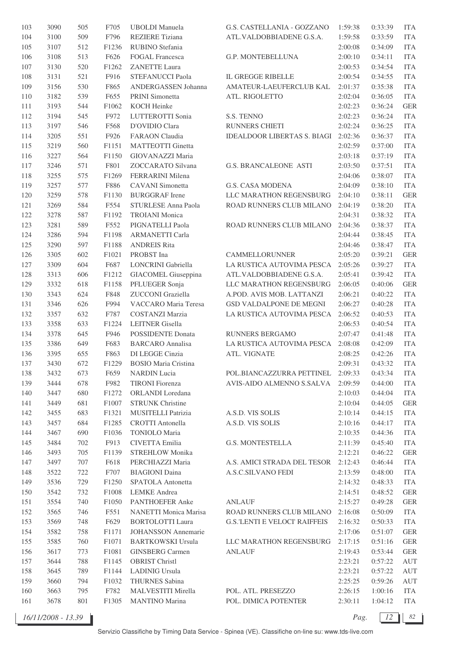| 103     | 3090 | 505 | F705              | <b>UBOLDI</b> Manuela       | G.S. CASTELLANIA - GOZZANO           | 1:59:38 | 0:33:39 | <b>ITA</b>  |
|---------|------|-----|-------------------|-----------------------------|--------------------------------------|---------|---------|-------------|
| 104     | 3100 | 509 | F796              | <b>REZIERE</b> Tiziana      | ATL.VALDOBBIADENE G.S.A.             | 1:59:58 | 0:33:59 | <b>ITA</b>  |
| 105     | 3107 | 512 | F1236             | RUBINO Stefania             |                                      | 2:00:08 | 0:34:09 | <b>ITA</b>  |
| 106     | 3108 | 513 | F626              | <b>FOGAL Francesca</b>      | G.P. MONTEBELLUNA                    | 2:00:10 | 0:34:11 | <b>ITA</b>  |
| 107     | 3130 | 520 | F1262             | <b>ZANETTE Laura</b>        |                                      | 2:00:53 | 0:34:54 | <b>ITA</b>  |
| $108\,$ | 3131 | 521 | F916              | STEFANUCCI Paola            | <b>IL GREGGE RIBELLE</b>             | 2:00:54 | 0:34:55 | <b>ITA</b>  |
| 109     | 3156 | 530 | F865              | ANDERGASSEN Johanna         | AMATEUR-LAEUFERCLUB KAL              | 2:01:37 | 0:35:38 | <b>ITA</b>  |
| 110     | 3182 | 539 | F655              | PRINI Simonetta             | ATL. RIGOLETTO                       | 2:02:04 | 0:36:05 | <b>ITA</b>  |
|         |      | 544 |                   | <b>KOCH Heinke</b>          |                                      |         |         | <b>GER</b>  |
| 111     | 3193 |     | F1062             |                             |                                      | 2:02:23 | 0:36:24 |             |
| 112     | 3194 | 545 | F972              | LUTTEROTTI Sonia            | S.S. TENNO                           | 2:02:23 | 0:36:24 | <b>ITA</b>  |
| 113     | 3197 | 546 | F568              | D'OVIDIO Clara              | RUNNERS CHIETI                       | 2:02:24 | 0:36:25 | <b>ITA</b>  |
| 114     | 3205 | 551 | F926              | <b>FARAON</b> Claudia       | <b>IDEALDOOR LIBERTAS S. BIAGI</b>   | 2:02:36 | 0:36:37 | <b>ITA</b>  |
| 115     | 3219 | 560 | F1151             | <b>MATTEOTTI</b> Ginetta    |                                      | 2:02:59 | 0:37:00 | <b>ITA</b>  |
| 116     | 3227 | 564 | F1150             | GIOVANAZZI Maria            |                                      | 2:03:18 | 0:37:19 | <b>ITA</b>  |
| $117\,$ | 3246 | 571 | F801              | ZOCCARATO Silvana           | <b>G.S. BRANCALEONE ASTI</b>         | 2:03:50 | 0:37:51 | <b>ITA</b>  |
| 118     | 3255 | 575 | F1269             | FERRARINI Milena            |                                      | 2:04:06 | 0:38:07 | <b>ITA</b>  |
| 119     | 3257 | 577 | F886              | CAVANI Simonetta            | <b>G.S. CASA MODENA</b>              | 2:04:09 | 0:38:10 | <b>ITA</b>  |
| 120     | 3259 | 578 | F1130             | <b>BURGGRAF</b> Irene       | LLC MARATHON REGENSBURG              | 2:04:10 | 0:38:11 | <b>GER</b>  |
| 121     | 3269 | 584 | F554              | STURLESE Anna Paola         | ROAD RUNNERS CLUB MILANO             | 2:04:19 | 0:38:20 | <b>ITA</b>  |
| 122     | 3278 | 587 | F1192             | <b>TROIANI</b> Monica       |                                      | 2:04:31 | 0:38:32 | <b>ITA</b>  |
| 123     | 3281 | 589 | F552              | PIGNATELLI Paola            | ROAD RUNNERS CLUB MILANO             | 2:04:36 | 0:38:37 | <b>ITA</b>  |
| 124     | 3286 | 594 | F1198             | <b>ARMANETTI Carla</b>      |                                      | 2:04:44 | 0:38:45 | <b>ITA</b>  |
| 125     | 3290 | 597 | F1188             | <b>ANDREIS Rita</b>         |                                      | 2:04:46 | 0:38:47 | <b>ITA</b>  |
| 126     | 3305 | 602 | F1021             | PROBST Ina                  | CAMMELLORUNNER                       | 2:05:20 | 0:39:21 | <b>GER</b>  |
| 127     | 3309 | 604 | F687              | LONCRINI Gabriella          | LA RUSTICA AUTOVIMA PESCA            | 2:05:26 | 0:39:27 | <b>ITA</b>  |
| 128     | 3313 | 606 | F1212             | GIACOMEL Giuseppina         | ATL.VALDOBBIADENE G.S.A.             | 2:05:41 | 0:39:42 | <b>ITA</b>  |
| 129     |      |     |                   | PFLUEGER Sonja              | LLC MARATHON REGENSBURG              |         |         | <b>GER</b>  |
|         | 3332 | 618 | F1158             |                             |                                      | 2:06:05 | 0:40:06 |             |
| 130     | 3343 | 624 | F848              | ZUCCONI Graziella           | A.POD. AVIS MOB. LATTANZI            | 2:06:21 | 0:40:22 | <b>ITA</b>  |
| 131     | 3346 | 626 | F994              | VACCARO Maria Teresa        | GSD VALDALPONE DE MEGNI              | 2:06:27 | 0:40:28 | <b>ITA</b>  |
| 132     | 3357 | 632 | F787              | <b>COSTANZI Marzia</b>      | LA RUSTICA AUTOVIMA PESCA            | 2:06:52 | 0:40:53 | <b>ITA</b>  |
| 133     | 3358 | 633 | F1224             | LEITNER Gisella             |                                      | 2:06:53 | 0:40:54 | <b>ITA</b>  |
| 134     | 3378 | 645 | F946              | <b>POSSIDENTE Donata</b>    | RUNNERS BERGAMO                      | 2:07:47 | 0:41:48 | <b>ITA</b>  |
| 135     | 3386 | 649 | F683              | <b>BARCARO</b> Annalisa     | LA RUSTICA AUTOVIMA PESCA            | 2:08:08 | 0:42:09 | <b>ITA</b>  |
| 136     | 3395 | 655 | F863              | DI LEGGE Cinzia             | ATL. VIGNATE                         | 2:08:25 | 0:42:26 | <b>ITA</b>  |
| 137     | 3430 | 672 | F1229             | <b>BOSIO Maria Cristina</b> |                                      | 2:09:31 | 0:43:32 | <b>ITA</b>  |
| 138     | 3432 | 673 | F <sub>659</sub>  | <b>NARDIN</b> Lucia         | POL.BIANCAZZURRA PETTINEL            | 2:09:33 | 0:43:34 | ITA         |
| 139     | 3444 | 678 | F982              | <b>TIRONI</b> Fiorenza      | AVIS-AIDO ALMENNO S.SALVA 2:09:59    |         | 0:44:00 | <b>ITA</b>  |
| 140     | 3447 | 680 | F1272             | ORLANDI Loredana            |                                      | 2:10:03 | 0:44:04 | <b>ITA</b>  |
| 141     | 3449 | 681 | F1007             | <b>STRUNK Christine</b>     |                                      | 2:10:04 | 0:44:05 | <b>GER</b>  |
| 142     | 3455 | 683 | F1321             | MUSITELLI Patrizia          | A.S.D. VIS SOLIS                     | 2:10:14 | 0:44:15 | <b>ITA</b>  |
| 143     | 3457 | 684 | F1285             | <b>CROTTI</b> Antonella     | A.S.D. VIS SOLIS                     | 2:10:16 | 0:44:17 | <b>ITA</b>  |
| 144     | 3467 | 690 | F1036             | <b>TONIOLO</b> Maria        |                                      | 2:10:35 | 0:44:36 | <b>ITA</b>  |
| 145     | 3484 | 702 | F913              | CIVETTA Emilia              | G.S. MONTESTELLA                     | 2:11:39 | 0:45:40 | <b>ITA</b>  |
| 146     | 3493 | 705 | F1139             | <b>STREHLOW Monika</b>      |                                      | 2:12:21 | 0:46:22 | <b>GER</b>  |
| 147     | 3497 | 707 | F618              | PERCHIAZZI Maria            | A.S. AMICI STRADA DEL TESOR          | 2:12:43 | 0:46:44 | <b>ITA</b>  |
| 148     | 3522 | 722 | F707              | <b>BIAGIONI</b> Daina       | A.S.C.SILVANO FEDI                   | 2:13:59 | 0:48:00 | <b>ITA</b>  |
| 149     | 3536 | 729 | F1250             | SPATOLA Antonetta           |                                      |         | 0:48:33 | <b>ITA</b>  |
|         |      |     |                   |                             |                                      | 2:14:32 |         |             |
| 150     | 3542 | 732 | F1008             | <b>LEMKE</b> Andrea         |                                      | 2:14:51 | 0:48:52 | <b>GER</b>  |
| 151     | 3554 | 740 | F1050             | PANTHOEFER Anke             | <b>ANLAUF</b>                        | 2:15:27 | 0:49:28 | <b>GER</b>  |
| 152     | 3565 | 746 | F551              | NANETTI Monica Marisa       | ROAD RUNNERS CLUB MILANO             | 2:16:08 | 0:50:09 | <b>ITA</b>  |
| 153     | 3569 | 748 | F629              | <b>BORTOLOTTI Laura</b>     | <b>G.S. LENTI E VELOCI' RAIFFEIS</b> | 2:16:32 | 0:50:33 | <b>ITA</b>  |
| 154     | 3582 | 758 | F1171             | <b>JOHANSSON</b> Annemarie  |                                      | 2:17:06 | 0:51:07 | <b>GER</b>  |
| 155     | 3585 | 760 | F1071             | <b>BARTKOWSKI Ursula</b>    | LLC MARATHON REGENSBURG              | 2:17:15 | 0:51:16 | ${\tt GER}$ |
| 156     | 3617 | 773 | F1081             | <b>GINSBERG</b> Carmen      | <b>ANLAUF</b>                        | 2:19:43 | 0:53:44 | <b>GER</b>  |
| 157     | 3644 | 788 | F1145             | <b>OBRIST Christl</b>       |                                      | 2:23:21 | 0:57:22 | AUT         |
| 158     | 3645 | 789 | F1144             | <b>LADINIG Ursula</b>       |                                      | 2:23:21 | 0:57:22 | AUT         |
| 159     | 3660 | 794 | F1032             | THURNES Sabina              |                                      | 2:25:25 | 0:59:26 | AUT         |
| 160     | 3663 | 795 | F782              | MALVESTITI Mirella          | POL. ATL. PRESEZZO                   | 2:26:15 | 1:00:16 | ITA         |
| 161     | 3678 | 801 | F <sub>1305</sub> | <b>MANTINO</b> Marina       | POL. DIMICA POTENTER                 | 2:30:11 | 1:04:12 | ITA         |
|         |      |     |                   |                             |                                      |         |         |             |

*16/11/2008 - 13.39 Pag. 12 82*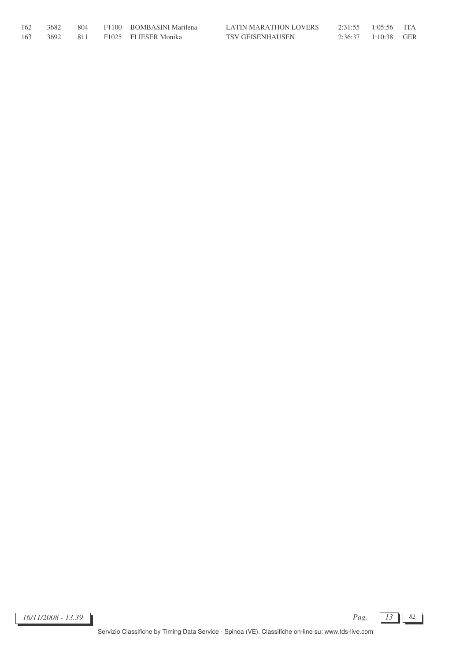| 162 | 3682     |  | 804 F1100 BOMBASINI Marilena | LATIN MARATHON LOVERS   | 2:31:55 1:05:56 ITA |                     |  |
|-----|----------|--|------------------------------|-------------------------|---------------------|---------------------|--|
| 163 | 3692 811 |  | F1025 FLIESER Monika         | <b>TSV GEISENHAUSEN</b> |                     | 2:36:37 1:10:38 GER |  |

*16/11/2008 - 13.39 Pag. 13 82*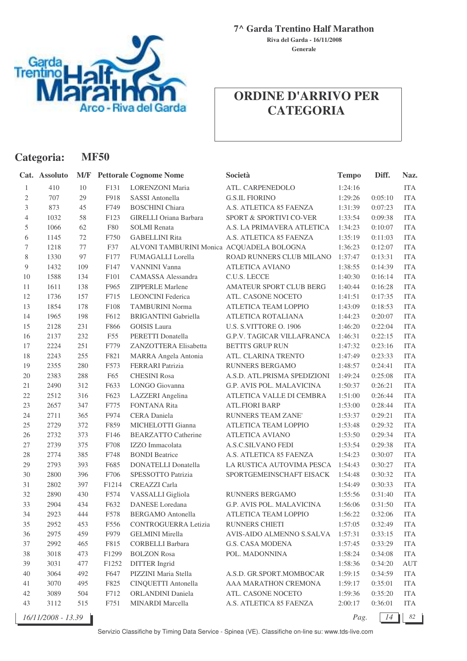

**Generale Riva del Garda - 16/11/2008**

## **ORDINE D'ARRIVO PER CATEGORIA**

| Categoria:     |                    |        | <b>MF50</b>      |                                           |                                   |              |         |            |
|----------------|--------------------|--------|------------------|-------------------------------------------|-----------------------------------|--------------|---------|------------|
|                | Cat. Assoluto      | M/F    |                  | <b>Pettorale Cognome Nome</b>             | Società                           | <b>Tempo</b> | Diff.   | Naz.       |
| 1              | 410                | 10     | F131             | <b>LORENZONI</b> Maria                    | ATL. CARPENEDOLO                  | 1:24:16      |         | <b>ITA</b> |
| $\mathfrak{2}$ | 707                | 29     | F918             | <b>SASSI</b> Antonella                    | <b>G.S.IL FIORINO</b>             | 1:29:26      | 0:05:10 | <b>ITA</b> |
| 3              | 873                | 45     | F749             | <b>BOSCHINI</b> Chiara                    | A.S. ATLETICA 85 FAENZA           | 1:31:39      | 0:07:23 | <b>ITA</b> |
| $\overline{4}$ | 1032               | 58     | F123             | GIRELLI Oriana Barbara                    | SPORT & SPORTIVI CO-VER           | 1:33:54      | 0:09:38 | <b>ITA</b> |
| 5              | 1066               | 62     | F80              | <b>SOLMI</b> Renata                       | A.S. LA PRIMAVERA ATLETICA        | 1:34:23      | 0:10:07 | <b>ITA</b> |
| 6              | 1145               | $72\,$ | F750             | <b>GABELLINI Rita</b>                     | A.S. ATLETICA 85 FAENZA           | 1:35:19      | 0:11:03 | <b>ITA</b> |
| 7              | 1218               | $77\,$ | F37              | ALVONI TAMBURINI Monica ACQUADELA BOLOGNA |                                   | 1:36:23      | 0:12:07 | <b>ITA</b> |
| 8              | 1330               | 97     | F177             | FUMAGALLI Lorella                         | ROAD RUNNERS CLUB MILANO          | 1:37:47      | 0:13:31 | <b>ITA</b> |
| $\overline{9}$ | 1432               | 109    | F147             | VANNINI Vanna                             | <b>ATLETICA AVIANO</b>            | 1:38:55      | 0:14:39 | <b>ITA</b> |
| $10\,$         | 1588               | 134    | F101             | CAMASSA Alessandra                        | C.U.S. LECCE                      | 1:40:30      | 0:16:14 | <b>ITA</b> |
| 11             | 1611               | 138    | F965             | ZIPPERLE Marlene                          | AMATEUR SPORT CLUB BERG           | 1:40:44      | 0:16:28 | <b>ITA</b> |
| 12             | 1736               | 157    | F715             | <b>LEONCINI</b> Federica                  | ATL. CASONE NOCETO                | 1:41:51      | 0:17:35 | <b>ITA</b> |
| 13             | 1854               | 178    | F108             | <b>TAMBURINI Norma</b>                    | ATLETICA TEAM LOPPIO              | 1:43:09      | 0:18:53 | <b>ITA</b> |
| 14             | 1965               | 198    | F612             | <b>BRIGANTINI</b> Gabriella               | ATLETICA ROTALIANA                | 1:44:23      | 0:20:07 | <b>ITA</b> |
| 15             | 2128               | 231    | F866             | <b>GOISIS</b> Laura                       | U.S. S.VITTORE O. 1906            | 1:46:20      | 0:22:04 | <b>ITA</b> |
| 16             | 2137               | 232    | F55              | PERETTI Donatella                         | <b>G.P.V. TAGICAR VILLAFRANCA</b> | 1:46:31      | 0:22:15 | <b>ITA</b> |
| 17             | 2224               | 251    | F779             | ZANZOTTERA Elisabetta                     | <b>BETTI'S GRUP RUN</b>           | 1:47:32      | 0:23:16 | <b>ITA</b> |
| 18             | 2243               | 255    | F821             | MARRA Angela Antonia                      | ATL. CLARINA TRENTO               | 1:47:49      | 0:23:33 | <b>ITA</b> |
| 19             | 2355               | 280    | F573             | <b>FERRARI</b> Patrizia                   | RUNNERS BERGAMO                   | 1:48:57      | 0:24:41 | <b>ITA</b> |
| 20             | 2383               | 288    | F65              | <b>CHESINI Rosa</b>                       | A.S.D. ATL.PRISMA SPEDIZIONI      | 1:49:24      | 0:25:08 | <b>ITA</b> |
| 21             | 2490               | 312    | F633             | LONGO Giovanna                            | G.P. AVIS POL. MALAVICINA         | 1:50:37      | 0:26:21 | <b>ITA</b> |
| $22\,$         | 2512               | 316    | F623             | LAZZERI Angelina                          | ATLETICA VALLE DI CEMBRA          | 1:51:00      | 0:26:44 | <b>ITA</b> |
| 23             | 2657               | 347    | F775             | <b>FONTANA Rita</b>                       | <b>ATL.FIORI BARP</b>             | 1:53:00      | 0:28:44 | <b>ITA</b> |
| 24             | 2711               | 365    | F974             | CERA Daniela                              | RUNNERS TEAM ZANE'                | 1:53:37      | 0:29:21 | <b>ITA</b> |
| 25             | 2729               | 372    | F859             | MICHELOTTI Gianna                         | ATLETICA TEAM LOPPIO              | 1:53:48      | 0:29:32 | <b>ITA</b> |
| 26             | 2732               | 373    | F146             | <b>BEARZATTO Catherine</b>                | <b>ATLETICA AVIANO</b>            | 1:53:50      | 0:29:34 | <b>ITA</b> |
| $27\,$         | 2739               | 375    | F708             | IZZO Immacolata                           | A.S.C.SILVANO FEDI                | 1:53:54      | 0:29:38 | <b>ITA</b> |
| 28             | 2774               | 385    | F748             | <b>BONDI</b> Beatrice                     | A.S. ATLETICA 85 FAENZA           | 1:54:23      | 0:30:07 | <b>ITA</b> |
| 29             | 2793               | 393    | F685             | <b>DONATELLI</b> Donatella                | LA RUSTICA AUTOVIMA PESCA         | 1:54:43      | 0:30:27 | <b>ITA</b> |
| 30             | 2800               | 396    | F706             | SPESSOTTO Patrizia                        | SPORTGEMEINSCHAFT EISACK          | 1:54:48      | 0:30:32 | <b>ITA</b> |
| 31             | 2802               | 397    | F1214            | <b>CREAZZI</b> Carla                      |                                   | 1:54:49      | 0:30:33 | <b>ITA</b> |
| 32             | 2890               | 430    | F574             | VASSALLI Gigliola                         | <b>RUNNERS BERGAMO</b>            | 1:55:56      | 0:31:40 | <b>ITA</b> |
| 33             | 2904               | 434    | F632             | DANESE Loredana                           | G.P. AVIS POL. MALAVICINA         | 1:56:06      | 0:31:50 | <b>ITA</b> |
| 34             | 2923               | 444    | F578             | <b>BERGAMO</b> Antonella                  | ATLETICA TEAM LOPPIO              | 1:56:22      | 0:32:06 | <b>ITA</b> |
| 35             | 2952               | 453    | F <sub>556</sub> | <b>CONTROGUERRA Letizia</b>               | RUNNERS CHIETI                    | 1:57:05      | 0:32:49 | <b>ITA</b> |
| 36             | 2975               | 459    | F979             | <b>GELMINI</b> Mirella                    | AVIS-AIDO ALMENNO S.SALVA         | 1:57:31      | 0:33:15 | <b>ITA</b> |
| 37             | 2992               | 465    | F815             | <b>CORBELLI Barbara</b>                   | G.S. CASA MODENA                  | 1:57:45      | 0:33:29 | <b>ITA</b> |
| $38\,$         | 3018               | 473    | F1299            | <b>BOLZON</b> Rosa                        | POL. MADONNINA                    | 1:58:24      | 0:34:08 | <b>ITA</b> |
| 39             | 3031               | 477    | F1252            | <b>DITTER</b> Ingrid                      |                                   | 1:58:36      | 0:34:20 | AUT        |
| 40             | 3064               | 492    | F647             | PIZZINI Maria Stella                      | A.S.D. GR.SPORT.MOMBOCAR          | 1:59:15      | 0:34:59 | <b>ITA</b> |
| 41             | 3070               | 495    | F825             | CINQUETTI Antonella                       | AAA MARATHON CREMONA              | 1:59:17      | 0:35:01 | <b>ITA</b> |
| 42             | 3089               | 504    | F712             | ORLANDINI Daniela                         | ATL. CASONE NOCETO                | 1:59:36      | 0:35:20 | <b>ITA</b> |
| 43             | 3112               | 515    | F751             | MINARDI Marcella                          | A.S. ATLETICA 85 FAENZA           | 2:00:17      | 0:36:01 | <b>ITA</b> |
|                | 16/11/2008 - 13.39 |        |                  |                                           |                                   | Pag.         | 14      | 82         |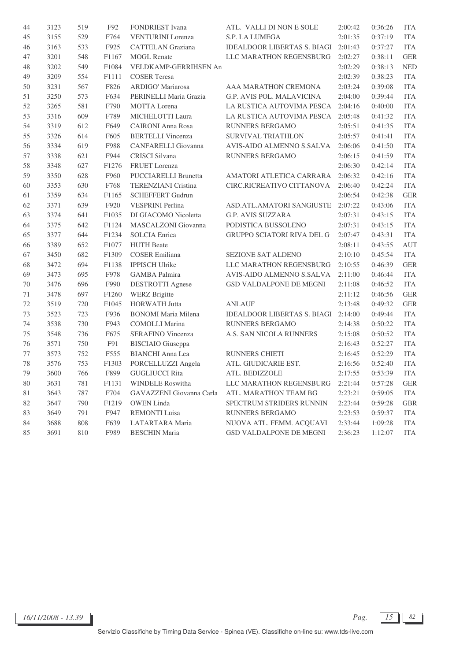| 44 | 3123 | 519 | F92   | FONDRIEST Ivana            | ATL. VALLI DI NON E SOLE           | 2:00:42 | 0:36:26 | <b>ITA</b> |
|----|------|-----|-------|----------------------------|------------------------------------|---------|---------|------------|
| 45 | 3155 | 529 | F764  | <b>VENTURINI</b> Lorenza   | S.P. LA LUMEGA                     | 2:01:35 | 0:37:19 | <b>ITA</b> |
| 46 | 3163 | 533 | F925  | <b>CATTELAN</b> Graziana   | <b>IDEALDOOR LIBERTAS S. BIAGI</b> | 2:01:43 | 0:37:27 | <b>ITA</b> |
| 47 | 3201 | 548 | F1167 | <b>MOGL Renate</b>         | LLC MARATHON REGENSBURG            | 2:02:27 | 0:38:11 | <b>GER</b> |
| 48 | 3202 | 549 | F1084 | VELDKAMP-GERRIHSEN An      |                                    | 2:02:29 | 0:38:13 | <b>NED</b> |
| 49 | 3209 | 554 | F1111 | <b>COSER Teresa</b>        |                                    | 2:02:39 | 0:38:23 | <b>ITA</b> |
| 50 | 3231 | 567 | F826  | ARDIGO' Mariarosa          | AAA MARATHON CREMONA               | 2:03:24 | 0:39:08 | <b>ITA</b> |
| 51 | 3250 | 573 | F634  | PERINELLI Maria Grazia     | G.P. AVIS POL. MALAVICINA          | 2:04:00 | 0:39:44 | <b>ITA</b> |
| 52 | 3265 | 581 | F790  | MOTTA Lorena               | LA RUSTICA AUTOVIMA PESCA          | 2:04:16 | 0:40:00 | <b>ITA</b> |
| 53 | 3316 | 609 | F789  | MICHELOTTI Laura           | LA RUSTICA AUTOVIMA PESCA          | 2:05:48 | 0:41:32 | <b>ITA</b> |
| 54 | 3319 | 612 | F649  | <b>CAIRONI Anna Rosa</b>   | RUNNERS BERGAMO                    | 2:05:51 | 0:41:35 | <b>ITA</b> |
| 55 | 3326 | 614 | F605  | <b>BERTELLI</b> Vincenza   | <b>SURVIVAL TRIATHLON</b>          | 2:05:57 | 0:41:41 | <b>ITA</b> |
| 56 | 3334 | 619 | F988  | CANFARELLI Giovanna        | AVIS-AIDO ALMENNO S.SALVA          | 2:06:06 | 0:41:50 | <b>ITA</b> |
| 57 | 3338 | 621 | F944  | CRISCI Silvana             | RUNNERS BERGAMO                    | 2:06:15 | 0:41:59 | <b>ITA</b> |
| 58 | 3348 | 627 | F1276 | FRUET Lorenza              |                                    | 2:06:30 | 0:42:14 | <b>ITA</b> |
| 59 | 3350 | 628 | F960  | PUCCIARELLI Brunetta       | AMATORI ATLETICA CARRARA           | 2:06:32 | 0:42:16 | <b>ITA</b> |
| 60 | 3353 | 630 | F768  | <b>TERENZIANI Cristina</b> | CIRC.RICREATIVO CITTANOVA          | 2:06:40 | 0:42:24 | <b>ITA</b> |
| 61 | 3359 | 634 | F1165 | <b>SCHEFFERT Gudrun</b>    |                                    | 2:06:54 | 0:42:38 | <b>GER</b> |
| 62 | 3371 | 639 | F920  | VESPRINI Perlina           | ASD.ATL.AMATORI SANGIUSTE          | 2:07:22 | 0:43:06 | <b>ITA</b> |
| 63 | 3374 | 641 | F1035 | DI GIACOMO Nicoletta       | G.P. AVIS SUZZARA                  | 2:07:31 | 0:43:15 | <b>ITA</b> |
| 64 | 3375 | 642 | F1124 | MASCALZONI Giovanna        | PODISTICA BUSSOLENO                | 2:07:31 | 0:43:15 | <b>ITA</b> |
| 65 | 3377 | 644 | F1234 | <b>SOLCIA</b> Enrica       | GRUPPO SCIATORI RIVA DEL G         | 2:07:47 | 0:43:31 | <b>ITA</b> |
| 66 | 3389 | 652 | F1077 | <b>HUTH Beate</b>          |                                    | 2:08:11 | 0:43:55 | <b>AUT</b> |
| 67 | 3450 | 682 | F1309 | <b>COSER Emiliana</b>      | <b>SEZIONE SAT ALDENO</b>          | 2:10:10 | 0:45:54 | <b>ITA</b> |
| 68 | 3472 | 694 | F1138 | <b>IPPISCH Ulrike</b>      | LLC MARATHON REGENSBURG            | 2:10:55 | 0:46:39 | <b>GER</b> |
| 69 | 3473 | 695 | F978  | <b>GAMBA</b> Palmira       | AVIS-AIDO ALMENNO S.SALVA          | 2:11:00 | 0:46:44 | <b>ITA</b> |
| 70 | 3476 | 696 | F990  | <b>DESTROTTI Agnese</b>    | GSD VALDALPONE DE MEGNI            | 2:11:08 | 0:46:52 | <b>ITA</b> |
| 71 | 3478 | 697 | F1260 | <b>WERZ</b> Brigitte       |                                    | 2:11:12 | 0:46:56 | <b>GER</b> |
| 72 | 3519 | 720 | F1045 | <b>HORWATH Jutta</b>       | <b>ANLAUF</b>                      | 2:13:48 | 0:49:32 | <b>GER</b> |
| 73 | 3523 | 723 | F936  | <b>BONOMI</b> Maria Milena | <b>IDEALDOOR LIBERTAS S. BIAGI</b> | 2:14:00 | 0:49:44 | <b>ITA</b> |
| 74 | 3538 | 730 | F943  | <b>COMOLLI Marina</b>      | RUNNERS BERGAMO                    | 2:14:38 | 0:50:22 | <b>ITA</b> |
| 75 | 3548 | 736 | F675  | SERAFINO Vincenza          | A.S. SAN NICOLA RUNNERS            | 2:15:08 | 0:50:52 | <b>ITA</b> |
| 76 | 3571 | 750 | F91   | <b>BISCIAIO</b> Giuseppa   |                                    | 2:16:43 | 0:52:27 | <b>ITA</b> |
| 77 | 3573 | 752 | F555  | <b>BIANCHI</b> Anna Lea    | RUNNERS CHIETI                     | 2:16:45 | 0:52:29 | <b>ITA</b> |
| 78 | 3576 | 753 | F1303 | PORCELLUZZI Angela         | ATL. GIUDICARIE EST.               | 2:16:56 | 0:52:40 | <b>ITA</b> |
| 79 | 3600 | 766 | F899  | GUGLIUCCI Rita             | ATL. BEDIZZOLE                     | 2:17:55 | 0:53:39 | <b>ITA</b> |
| 80 | 3631 | 781 | F1131 | WINDELE Roswitha           | LLC MARATHON REGENSBURG            | 2:21:44 | 0:57:28 | <b>GER</b> |
| 81 | 3643 | 787 | F704  | GAVAZZENI Giovanna Carla   | ATL. MARATHON TEAM BG              | 2:23:21 | 0:59:05 | <b>ITA</b> |
| 82 | 3647 | 790 | F1219 | <b>OWEN</b> Linda          | SPECTRUM STRIDERS RUNNIN           | 2:23:44 | 0:59:28 | <b>GBR</b> |
| 83 | 3649 | 791 | F947  | <b>REMONTI</b> Luisa       | RUNNERS BERGAMO                    | 2:23:53 | 0:59:37 | <b>ITA</b> |
| 84 | 3688 | 808 | F639  | LATARTARA Maria            | NUOVA ATL. FEMM. ACQUAVI           | 2:33:44 | 1:09:28 | ITA        |
| 85 | 3691 | 810 | F989  | <b>BESCHIN Maria</b>       | GSD VALDALPONE DE MEGNI            | 2:36:23 | 1:12:07 | ITA        |

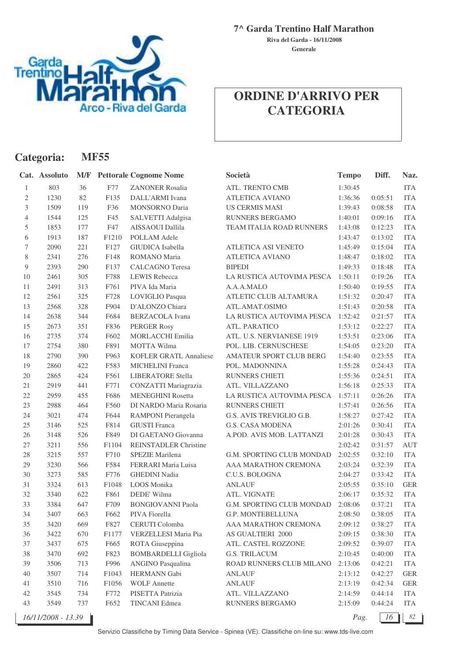

**Categoria: MF55**

**7^ Garda Trentino Half Marathon**

**Generale Riva del Garda - 16/11/2008**

## **ORDINE D'ARRIVO PER CATEGORIA**

|                | Cat. Assoluto      |     |       | <b>M/F</b> Pettorale Cognome Nome | Società                   | <b>Tempo</b> | Diff.   | Naz.       |
|----------------|--------------------|-----|-------|-----------------------------------|---------------------------|--------------|---------|------------|
| $\mathbf{1}$   | 803                | 36  | F77   | <b>ZANONER Rosalia</b>            | ATL. TRENTO CMB           | 1:30:45      |         | <b>ITA</b> |
| 2              | 1230               | 82  | F135  | DALL'ARMI Ivana                   | <b>ATLETICA AVIANO</b>    | 1:36:36      | 0:05:51 | <b>ITA</b> |
| 3              | 1509               | 119 | F36   | <b>MONSORNO Daria</b>             | <b>US CERMIS MASI</b>     | 1:39:43      | 0:08:58 | <b>ITA</b> |
| $\overline{4}$ | 1544               | 125 | F45   | SALVETTI Adalgisa                 | <b>RUNNERS BERGAMO</b>    | 1:40:01      | 0:09:16 | <b>ITA</b> |
| 5              | 1853               | 177 | F47   | AISSAOUI Dallila                  | TEAM ITALIA ROAD RUNNERS  | 1:43:08      | 0:12:23 | <b>ITA</b> |
| 6              | 1913               | 187 | F1210 | POLLAM Adele                      |                           | 1:43:47      | 0:13:02 | <b>ITA</b> |
| 7              | 2090               | 221 | F127  | GIUDICA Isabella                  | ATLETICA ASI VENETO       | 1:45:49      | 0:15:04 | <b>ITA</b> |
| 8              | 2341               | 276 | F148  | <b>ROMANO</b> Maria               | <b>ATLETICA AVIANO</b>    | 1:48:47      | 0:18:02 | <b>ITA</b> |
| 9              | 2393               | 290 | F137  | <b>CALCAGNO</b> Teresa            | <b>BIPEDI</b>             | 1:49:33      | 0:18:48 | <b>ITA</b> |
| 10             | 2461               | 305 | F788  | <b>LEWIS Rebecca</b>              | LA RUSTICA AUTOVIMA PESCA | 1:50:11      | 0:19:26 | <b>ITA</b> |
| 11             | 2491               | 313 | F761  | PIVA Ida Maria                    | A.A.A.MALO                | 1:50:40      | 0:19:55 | <b>ITA</b> |
| 12             | 2561               | 325 | F728  | LOVIGLIO Pasqua                   | ATLETIC CLUB ALTAMURA     | 1:51:32      | 0:20:47 | <b>ITA</b> |
| 13             | 2568               | 328 | F904  | D'ALONZO Chiara                   | ATL.AMAT.OSIMO            | 1:51:43      | 0:20:58 | <b>ITA</b> |
| 14             | 2638               | 344 | F684  | <b>BERZACOLA</b> Ivana            | LA RUSTICA AUTOVIMA PESCA | 1:52:42      | 0:21:57 | <b>ITA</b> |
| 15             | 2673               | 351 | F836  | <b>PERGER Rosy</b>                | ATL. PARATICO             | 1:53:12      | 0:22:27 | <b>ITA</b> |
| 16             | 2735               | 374 | F602  | <b>MORLACCHI Emilia</b>           | ATL. U.S. NERVIANESE 1919 | 1:53:51      | 0:23:06 | <b>ITA</b> |
| 17             | 2754               | 380 | F891  | <b>MOTTA Wilma</b>                | POL. LIB. CERNUSCHESE     | 1:54:05      | 0:23:20 | <b>ITA</b> |
| 18             | 2790               | 390 | F963  | <b>KOFLER GRATL Annaliese</b>     | AMATEUR SPORT CLUB BERG   | 1:54:40      | 0:23:55 | <b>ITA</b> |
| 19             | 2860               | 422 | F583  | <b>MICHELINI</b> Franca           | POL. MADONNINA            | 1:55:28      | 0:24:43 | <b>ITA</b> |
| 20             | 2865               | 424 | F561  | <b>LIBERATORE Stella</b>          | RUNNERS CHIETI            | 1:55:36      | 0:24:51 | <b>ITA</b> |
| 21             | 2919               | 441 | F771  | CONZATTI Mariagrazia              | ATL. VILLAZZANO           | 1:56:18      | 0:25:33 | <b>ITA</b> |
| 22             | 2959               | 455 | F686  | <b>MENEGHINI Rosetta</b>          | LA RUSTICA AUTOVIMA PESCA | 1:57:11      | 0:26:26 | <b>ITA</b> |
| 23             | 2988               | 464 | F560  | DI NARDO Maria Rosaria            | <b>RUNNERS CHIETI</b>     | 1:57:41      | 0:26:56 | <b>ITA</b> |
| 24             | 3021               | 474 | F644  | RAMPONI Pierangela                | G.S. AVIS TREVIGLIO G.B.  | 1:58:27      | 0:27:42 | <b>ITA</b> |
| 25             | 3146               | 525 | F814  | <b>GIUSTI</b> Franca              | <b>G.S. CASA MODENA</b>   | 2:01:26      | 0:30:41 | <b>ITA</b> |
| 26             | 3148               | 526 | F849  | DI GAETANO Giovanna               | A.POD. AVIS MOB. LATTANZI | 2:01:28      | 0:30:43 | <b>ITA</b> |
| 27             | 3211               | 556 | F1104 | <b>REINSTADLER Christine</b>      |                           | 2:02:42      | 0:31:57 | <b>AUT</b> |
| 28             | 3215               | 557 | F710  | SPEZIE Marilena                   | G.M. SPORTING CLUB MONDAD | 2:02:55      | 0:32:10 | <b>ITA</b> |
| 29             | 3230               | 566 | F584  | FERRARI Maria Luisa               | AAA MARATHON CREMONA      | 2:03:24      | 0:32:39 | <b>ITA</b> |
| 30             | 3273               | 585 | F776  | <b>GHEDINI Nadia</b>              | C.U.S. BOLOGNA            | 2:04:27      | 0:33:42 | <b>ITA</b> |
| 31             | 3324               | 613 | F1048 | LOOS Monika                       | <b>ANLAUF</b>             | 2:05:55      | 0:35:10 | <b>GER</b> |
| 32             | 3340               | 622 | F861  | DEDE' Wilma                       | ATL. VIGNATE              | 2:06:17      | 0:35:32 | <b>ITA</b> |
| 33             | 3384               | 647 | F709  | <b>BONGIOVANNI Paola</b>          | G.M. SPORTING CLUB MONDAD | 2:08:06      | 0:37:21 | <b>ITA</b> |
| 34             | 3407               | 663 | F662  | PIVA Fiorella                     | G.P. MONTEBELLUNA         | 2:08:50      | 0:38:05 | <b>ITA</b> |
| 35             | 3420               | 669 | F827  | CERUTI Colomba                    | AAA MARATHON CREMONA      | 2:09:12      | 0:38:27 | ITA        |
| 36             | 3422               | 670 | F1177 | VERZELLESI Maria Pia              | AS GUALTIERI 2000         | 2:09:15      | 0:38:30 | ITA        |
| 37             | 3437               | 675 | F665  | ROTA Giuseppina                   | ATL. CASTEL ROZZONE       | 2:09:52      | 0:39:07 | ITA        |
| 38             | 3470               | 692 | F823  | <b>BOMBARDELLI</b> Gigliola       | G.S. TRILACUM             | 2:10:45      | 0:40:00 | <b>ITA</b> |
| 39             | 3506               | 713 | F996  | ANGINO Pasqualina                 | ROAD RUNNERS CLUB MILANO  | 2:13:06      | 0:42:21 | ITA        |
| 40             | 3507               | 714 | F1043 | HERMANN Gabi                      | ANLAUF                    | 2:13:12      | 0:42:27 | <b>GER</b> |
| 41             | 3510               | 716 | F1056 | <b>WOLF</b> Annette               | <b>ANLAUF</b>             | 2:13:19      | 0:42:34 | <b>GER</b> |
| 42             | 3545               | 734 | F772  | PISETTA Patrizia                  | ATL. VILLAZZANO           | 2:14:59      | 0:44:14 | <b>ITA</b> |
| 43             | 3549               | 737 | F652  | <b>TINCANI</b> Edmea              | RUNNERS BERGAMO           | 2:15:09      | 0:44:24 | ITA        |
|                | 16/11/2008 - 13.39 |     |       |                                   |                           | Pag.         | 16      | 82         |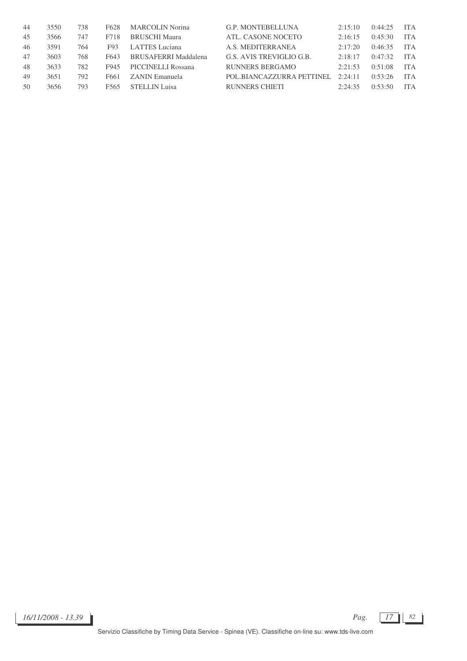| -44 | 3550 | 738 | F <sub>628</sub> | MARCOLIN Norina             | <b>G.P. MONTEBELLUNA</b>  | 2:15:10 | 0:44:25 | <b>ITA</b> |
|-----|------|-----|------------------|-----------------------------|---------------------------|---------|---------|------------|
| 45  | 3566 | 747 | F718             | <b>BRUSCHI Maura</b>        | ATL. CASONE NOCETO        | 2:16:15 | 0:45:30 | <b>ITA</b> |
| 46  | 3591 | 764 | F93              | LATTES Luciana              | A.S. MEDITERRANEA         | 2:17:20 | 0:46:35 | <b>ITA</b> |
| 47  | 3603 | 768 | F643             | <b>BRUSAFERRI Maddalena</b> | G.S. AVIS TREVIGLIO G.B.  | 2:18:17 | 0:47:32 | <b>ITA</b> |
| 48  | 3633 | 782 | F945             | PICCINELLI Rossana          | RUNNERS BERGAMO           | 2:21:53 | 0:51:08 | <b>ITA</b> |
| 49  | 3651 | 792 | F661             | ZANIN Emanuela              | POL.BIANCAZZURRA PETTINEL | 2:24:11 | 0.53.26 | <b>ITA</b> |
| 50  | 3656 | 793 | F565             | STELLIN Luisa               | RUNNERS CHIETI            | 2:24:35 | 0.53.50 | ITA.       |

*16/11/2008 - 13.39 Pag. 17 82*

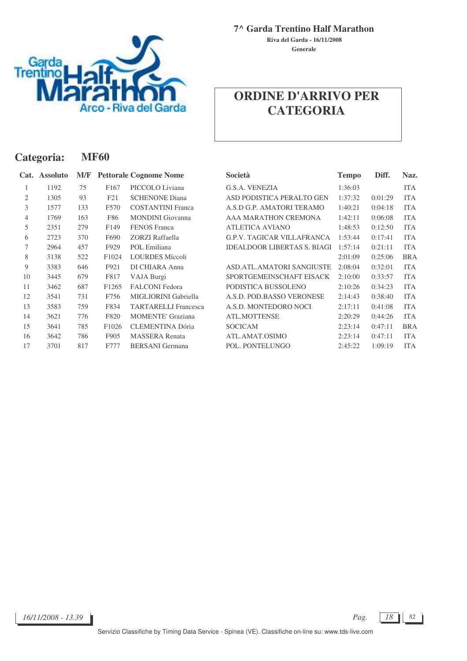

**Generale Riva del Garda - 16/11/2008**

## **ORDINE D'ARRIVO PER CATEGORIA**

| Categoria:     |                 |     | <b>MF60</b>       |                               |                                    |              |         |            |  |  |  |
|----------------|-----------------|-----|-------------------|-------------------------------|------------------------------------|--------------|---------|------------|--|--|--|
| Cat.           | <b>Assoluto</b> | M/F |                   | <b>Pettorale Cognome Nome</b> | Società                            | <b>Tempo</b> | Diff.   | Naz.       |  |  |  |
| 1              | 1192            | 75  | F <sub>167</sub>  | PICCOLO Liviana               | G.S.A. VENEZIA                     | 1:36:03      |         | <b>ITA</b> |  |  |  |
| 2              | 1305            | 93  | F21               | <b>SCHENONE Diana</b>         | ASD PODISTICA PERALTO GEN          | 1:37:32      | 0:01:29 | <b>ITA</b> |  |  |  |
| 3              | 1577            | 133 | F570              | <b>COSTANTINI Franca</b>      | A.S.D G.P. AMATORI TERAMO          | 1:40:21      | 0:04:18 | <b>ITA</b> |  |  |  |
| $\overline{4}$ | 1769            | 163 | F86               | <b>MONDINI</b> Giovanna       | AAA MARATHON CREMONA               | 1:42:11      | 0:06:08 | <b>ITA</b> |  |  |  |
| 5              | 2351            | 279 | F <sub>149</sub>  | <b>FENOS</b> Franca           | <b>ATLETICA AVIANO</b>             | 1:48:53      | 0:12:50 | <b>ITA</b> |  |  |  |
| 6              | 2723            | 370 | F690              | <b>ZORZI</b> Raffaella        | <b>G.P.V. TAGICAR VILLAFRANCA</b>  | 1:53:44      | 0:17:41 | <b>ITA</b> |  |  |  |
| 7              | 2964            | 457 | F929              | POL Emiliana                  | <b>IDEALDOOR LIBERTAS S. BIAGI</b> | 1:57:14      | 0:21:11 | <b>ITA</b> |  |  |  |
| 8              | 3138            | 522 | F1024             | <b>LOURDES Míccoli</b>        |                                    | 2:01:09      | 0:25:06 | <b>BRA</b> |  |  |  |
| 9              | 3383            | 646 | F921              | DI CHIARA Anna                | <b>ASD.ATL.AMATORI SANGIUSTE</b>   | 2:08:04      | 0:32:01 | <b>ITA</b> |  |  |  |
| 10             | 3445            | 679 | F817              | VAJA Burgi                    | SPORTGEMEINSCHAFT EISACK           | 2:10:00      | 0:33:57 | <b>ITA</b> |  |  |  |
| 11             | 3462            | 687 | F <sub>1265</sub> | <b>FALCONI</b> Fedora         | PODISTICA BUSSOLENO                | 2:10:26      | 0:34:23 | <b>ITA</b> |  |  |  |
| 12             | 3541            | 731 | F756              | MIGLIORINI Gabriella          | A.S.D. POD.BASSO VERONESE          | 2:14:43      | 0:38:40 | <b>ITA</b> |  |  |  |
| 13             | 3583            | 759 | F834              | <b>TARTARELLI Francesca</b>   | A.S.D. MONTEDORO NOCI              | 2:17:11      | 0:41:08 | <b>ITA</b> |  |  |  |
| 14             | 3621            | 776 | F820              | <b>MOMENTE' Graziana</b>      | <b>ATL.MOTTENSE</b>                | 2:20:29      | 0:44:26 | <b>ITA</b> |  |  |  |
| 15             | 3641            | 785 | F1026             | <b>CLEMENTINA Dória</b>       | <b>SOCICAM</b>                     | 2:23:14      | 0:47:11 | <b>BRA</b> |  |  |  |
| 16             | 3642            | 786 | F905              | <b>MASSERA</b> Renata         | ATL.AMAT.OSIMO                     | 2:23:14      | 0:47:11 | <b>ITA</b> |  |  |  |
| 17             | 3701            | 817 | F777              | <b>BERSANI</b> Germana        | POL. PONTELUNGO                    | 2:45:22      | 1:09:19 | <b>ITA</b> |  |  |  |

*16/11/2008 - 13.39 Pag. 18 82*

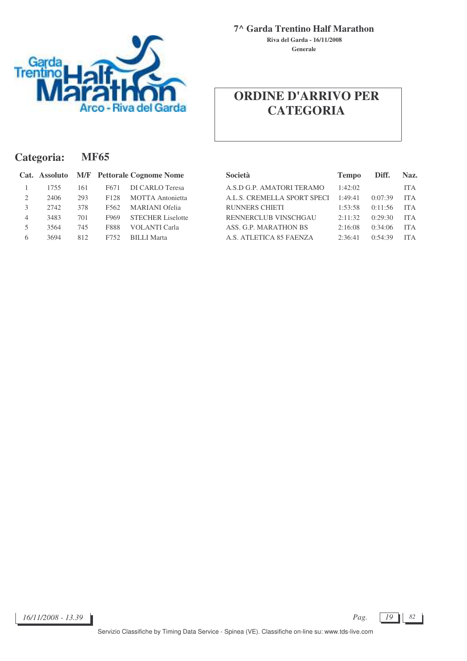

**Generale Riva del Garda - 16/11/2008**

## **ORDINE D'ARRIVO PER CATEGORIA**

| Categoria: |               |     | <b>MF65</b>      |                                   |                             |              |         |            |  |  |  |  |  |
|------------|---------------|-----|------------------|-----------------------------------|-----------------------------|--------------|---------|------------|--|--|--|--|--|
|            | Cat. Assoluto |     |                  | <b>M/F</b> Pettorale Cognome Nome | <b>Società</b>              | <b>Tempo</b> | Diff.   | Naz.       |  |  |  |  |  |
|            | 1755          | 161 | F <sub>671</sub> | DI CARLO Teresa                   | A.S.D G.P. AMATORI TERAMO   | 1:42:02      |         | <b>ITA</b> |  |  |  |  |  |
| 2          | 2406          | 293 | F <sub>128</sub> | <b>MOTTA</b> Antonietta           | A.L.S. CREMELLA SPORT SPECI | 1:49:41      | 0:07:39 | <b>ITA</b> |  |  |  |  |  |
| 3          | 2742          | 378 | F562             | <b>MARIANI</b> Ofelia             | <b>RUNNERS CHIETI</b>       | 1:53:58      | 0:11:56 | <b>ITA</b> |  |  |  |  |  |
| 4          | 3483          | 701 | F969             | <b>STECHER Liselotte</b>          | RENNERCLUB VINSCHGAU        | 2:11:32      | 0:29:30 | <b>ITA</b> |  |  |  |  |  |
|            | 3564          | 745 | <b>F888</b>      | <b>VOLANTI</b> Carla              | ASS. G.P. MARATHON BS       | 2:16:08      | 0:34:06 | <b>ITA</b> |  |  |  |  |  |
| 6          | 3694          | 812 | F752             | <b>BILLI</b> Marta                | A.S. ATLETICA 85 FAENZA     | 2:36:41      | 0:54:39 | <b>ITA</b> |  |  |  |  |  |

| Società                     | <b>Tempo</b> | Diff.   | Naz.       |
|-----------------------------|--------------|---------|------------|
| A.S.D G.P. AMATORI TERAMO   | 1:42:02      |         | <b>ITA</b> |
| A.L.S. CREMELLA SPORT SPECI | 1:49:41      | 0:07:39 | <b>ITA</b> |
| <b>RUNNERS CHIETI</b>       | 1:53:58      | 0:11:56 | <b>ITA</b> |
| RENNERCLUB VINSCHGAU        | 2:11:32      | 0:29:30 | <b>ITA</b> |
| ASS. G.P. MARATHON BS       | 2:16:08      | 0:34:06 | <b>ITA</b> |
| A.S. ATLETICA 85 FAENZA     | 2:36:41      | 0:54:39 | <b>ITA</b> |

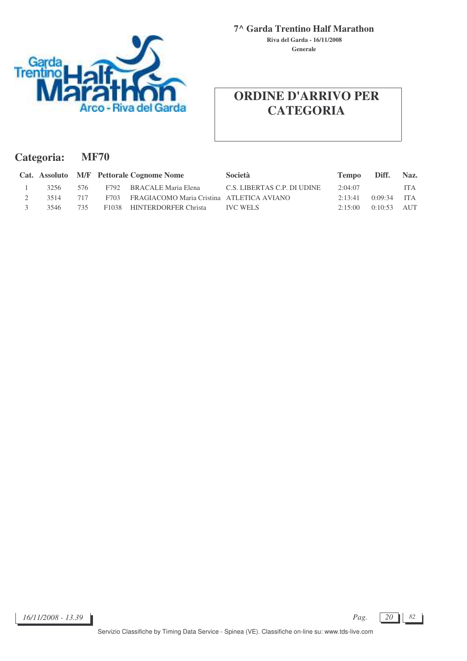

**Generale Riva del Garda - 16/11/2008**

#### **ORDINE D'ARRIVO PER CATEGORIA**

| Categoria: | <b>MF70</b> |
|------------|-------------|
|------------|-------------|

|      |     | Cat. Assoluto M/F Pettorale Cognome Nome       | <b>Società</b>              | Tempo Diff. |               | Naz.       |
|------|-----|------------------------------------------------|-----------------------------|-------------|---------------|------------|
| 3256 | 576 | F792 BRACALE Maria Elena                       | C.S. LIBERTAS C.P. DI UDINE | 2:04:07     |               | <b>ITA</b> |
| 3514 | 717 | F703 FRAGIACOMO Maria Cristina ATLETICA AVIANO |                             | 2:13:41     | $0:09:34$ ITA |            |
| 3546 | 735 | F1038 HINTERDORFER Christa                     | <b>IVC WELS</b>             | 2:15:00     | $0:10:53$ AUT |            |

*16/11/2008 - 13.39 Pag. 20 82*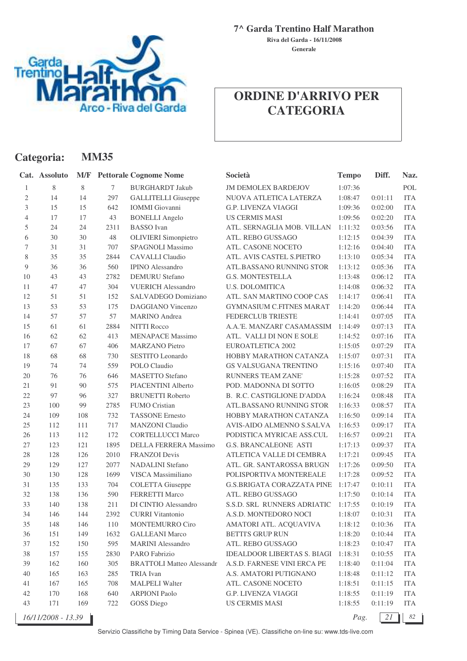

**Categoria: MM35**

**7^ Garda Trentino Half Marathon**

**Generale Riva del Garda - 16/11/2008**

## **ORDINE D'ARRIVO PER CATEGORIA**

|                | Cat. Assoluto      |     |      | <b>M/F</b> Pettorale Cognome Nome | Società                           | <b>Tempo</b> | Diff.   | Naz.       |
|----------------|--------------------|-----|------|-----------------------------------|-----------------------------------|--------------|---------|------------|
| 1              | 8                  | 8   | 7    | <b>BURGHARDT Jakub</b>            | <b>JM DEMOLEX BARDEJOV</b>        | 1:07:36      |         | POL        |
| 2              | 14                 | 14  | 297  | <b>GALLITELLI</b> Giuseppe        | NUOVA ATLETICA LATERZA            | 1:08:47      | 0:01:11 | <b>ITA</b> |
| 3              | 15                 | 15  | 642  | <b>IOMMI</b> Giovanni             | <b>G.P. LIVENZA VIAGGI</b>        | 1:09:36      | 0:02:00 | <b>ITA</b> |
| $\overline{4}$ | 17                 | 17  | 43   | <b>BONELLI Angelo</b>             | <b>US CERMIS MASI</b>             | 1:09:56      | 0:02:20 | <b>ITA</b> |
| 5              | 24                 | 24  | 2311 | <b>BASSO</b> Ivan                 | ATL. SERNAGLIA MOB. VILLAN        | 1:11:32      | 0:03:56 | <b>ITA</b> |
| 6              | 30                 | 30  | 48   | <b>OLIVIERI</b> Simonpietro       | ATL. REBO GUSSAGO                 | 1:12:15      | 0:04:39 | <b>ITA</b> |
| 7              | 31                 | 31  | 707  | SPAGNOLI Massimo                  | ATL. CASONE NOCETO                | 1:12:16      | 0:04:40 | <b>ITA</b> |
| 8              | 35                 | 35  | 2844 | <b>CAVALLI</b> Claudio            | ATL. AVIS CASTEL S.PIETRO         | 1:13:10      | 0:05:34 | <b>ITA</b> |
| 9              | 36                 | 36  | 560  | <b>IPINO Alessandro</b>           | ATL.BASSANO RUNNING STOR          | 1:13:12      | 0:05:36 | <b>ITA</b> |
| 10             | 43                 | 43  | 2782 | <b>DEMURU</b> Stefano             | <b>G.S. MONTESTELLA</b>           | 1:13:48      | 0:06:12 | <b>ITA</b> |
| 11             | 47                 | 47  | 304  | <b>VUERICH Alessandro</b>         | <b>U.S. DOLOMITICA</b>            | 1:14:08      | 0:06:32 | <b>ITA</b> |
| 12             | 51                 | 51  | 152  | SALVADEGO Domiziano               | ATL. SAN MARTINO COOP CAS         | 1:14:17      | 0:06:41 | <b>ITA</b> |
| 13             | 53                 | 53  | 175  | <b>DAGGIANO</b> Vincenzo          | <b>GYMNASIUM C.FITNES MARAT</b>   | 1:14:20      | 0:06:44 | <b>ITA</b> |
| 14             | 57                 | 57  | 57   | <b>MARINO</b> Andrea              | FEDERCLUB TRIESTE                 | 1:14:41      | 0:07:05 | <b>ITA</b> |
| 15             | 61                 | 61  | 2884 | <b>NITTI Rocco</b>                | A.A.'E. MANZARI' CASAMASSIM       | 1:14:49      | 0:07:13 | <b>ITA</b> |
| 16             | 62                 | 62  | 413  | <b>MENAPACE Massimo</b>           | ATL. VALLI DI NON E SOLE          | 1:14:52      | 0:07:16 | <b>ITA</b> |
| 17             | 67                 | 67  | 406  | <b>MARZANO</b> Pietro             | EUROATLETICA 2002                 | 1:15:05      | 0:07:29 | <b>ITA</b> |
| 18             | 68                 | 68  | 730  | SESTITO Leonardo                  | HOBBY MARATHON CATANZA            | 1:15:07      | 0:07:31 | <b>ITA</b> |
| 19             | 74                 | 74  | 559  | POLO Claudio                      | <b>GS VALSUGANA TRENTINO</b>      | 1:15:16      | 0:07:40 | <b>ITA</b> |
| 20             | 76                 | 76  | 646  | <b>MASETTO</b> Stefano            | <b>RUNNERS TEAM ZANE</b>          | 1:15:28      | 0:07:52 | <b>ITA</b> |
| 21             | 91                 | 90  | 575  | PIACENTINI Alberto                | POD. MADONNA DI SOTTO             | 1:16:05      | 0:08:29 | <b>ITA</b> |
| 22             | 97                 | 96  | 327  | <b>BRUNETTI Roberto</b>           | B. R.C. CASTIGLIONE D'ADDA        | 1:16:24      | 0:08:48 | <b>ITA</b> |
| 23             | 100                | 99  | 2785 | <b>FUMO Cristian</b>              | ATL.BASSANO RUNNING STOR          | 1:16:33      | 0:08:57 | <b>ITA</b> |
| 24             | 109                | 108 | 732  | <b>TASSONE Ernesto</b>            | HOBBY MARATHON CATANZA            | 1:16:50      | 0:09:14 | <b>ITA</b> |
| 25             | 112                | 111 | 717  | <b>MANZONI</b> Claudio            | AVIS-AIDO ALMENNO S.SALVA         | 1:16:53      | 0:09:17 | <b>ITA</b> |
| 26             | 113                | 112 | 172  | <b>CORTELLUCCI Marco</b>          | PODISTICA MYRICAE ASS.CUL         | 1:16:57      | 0:09:21 | <b>ITA</b> |
| 27             | 123                | 121 | 1895 | DELLA FERRERA Massimo             | <b>G.S. BRANCALEONE ASTI</b>      | 1:17:13      | 0:09:37 | <b>ITA</b> |
| 28             | 128                | 126 | 2010 | <b>FRANZOI</b> Devis              | ATLETICA VALLE DI CEMBRA          | 1:17:21      | 0:09:45 | <b>ITA</b> |
| 29             | 129                | 127 | 2077 | <b>NADALINI</b> Stefano           | ATL. GR. SANTAROSSA BRUGN         | 1:17:26      | 0:09:50 | <b>ITA</b> |
| 30             | 130                | 128 | 1699 | VISCA Massimiliano                | POLISPORTIVA MONTEREALE           | 1:17:28      | 0:09:52 | <b>ITA</b> |
| 31             | 135                | 133 | 704  | <b>COLETTA</b> Giuseppe           | <b>G.S.BRIGATA CORAZZATA PINE</b> | 1:17:47      | 0:10:11 | <b>ITA</b> |
| 32             | 138                | 136 | 590  | <b>FERRETTI Marco</b>             | ATL. REBO GUSSAGO                 | 1:17:50      | 0:10:14 | <b>ITA</b> |
| 33             | 140                | 138 | 211  | DI CINTIO Alessandro              | S.S.D. SRL RUNNERS ADRIATIC       | 1:17:55      | 0:10:19 | <b>ITA</b> |
| 34             | 146                | 144 | 2392 | <b>CURRI</b> Vitantonio           | A.S.D. MONTEDORO NOCI             | 1:18:07      | 0:10:31 | ITA        |
| 35             | 148                | 146 | 110  | <b>MONTEMURRO Ciro</b>            | AMATORI ATL. ACQUAVIVA            | 1:18:12      | 0:10:36 | ITA        |
| 36             | 151                | 149 | 1632 | <b>GALLEANI</b> Marco             | <b>BETTI'S GRUP RUN</b>           | 1:18:20      | 0:10:44 | <b>ITA</b> |
| 37             | 152                | 150 | 595  | <b>MARINI</b> Alessandro          | ATL. REBO GUSSAGO                 | 1:18:23      | 0:10:47 | <b>ITA</b> |
| $38\,$         | 157                | 155 | 2830 | PARO Fabrizio                     | IDEALDOOR LIBERTAS S. BIAGI       | 1:18:31      | 0:10:55 | <b>ITA</b> |
| 39             | 162                | 160 | 305  | <b>BRATTOLI Matteo Alessandr</b>  | A.S.D. FARNESE VINI ERCA PE       | 1:18:40      | 0:11:04 | <b>ITA</b> |
| 40             | 165                | 163 | 285  | TRIA Ivan                         | A.S. AMATORI PUTIGNANO            | 1:18:48      | 0:11:12 | <b>ITA</b> |
| 41             | 167                | 165 | 708  | <b>MALPELI Walter</b>             | ATL. CASONE NOCETO                | 1:18:51      | 0:11:15 | <b>ITA</b> |
| 42             | 170                | 168 | 640  | <b>ARPIONI Paolo</b>              | G.P. LIVENZA VIAGGI               | 1:18:55      | 0:11:19 | <b>ITA</b> |
| 43             | 171                | 169 | 722  | <b>GOSS Diego</b>                 | <b>US CERMIS MASI</b>             | 1:18:55      | 0:11:19 | <b>ITA</b> |
|                | 16/11/2008 - 13.39 |     |      |                                   |                                   | Pag.         | 21      | 82         |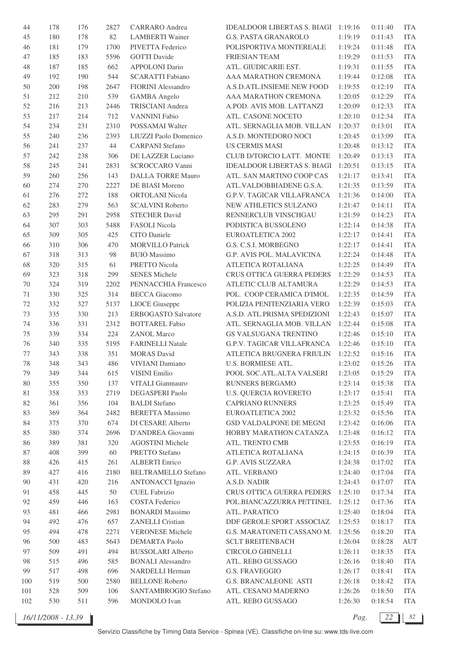| 44  | 178 | 176 | 2827 | CARRARO Andrea             | <b>IDEALDOOR LIBERTAS S. BIAGI</b> | 1:19:16 | 0:11:40 | <b>ITA</b> |
|-----|-----|-----|------|----------------------------|------------------------------------|---------|---------|------------|
| 45  | 180 | 178 | 82   | <b>LAMBERTI</b> Wainer     | <b>G.S. PASTA GRANAROLO</b>        | 1:19:19 | 0:11:43 | <b>ITA</b> |
| 46  | 181 | 179 | 1700 | PIVETTA Federico           | POLISPORTIVA MONTEREALE            | 1:19:24 | 0:11:48 | <b>ITA</b> |
| 47  | 185 | 183 | 5596 | <b>GOTTI</b> Davide        | FRIESIAN TEAM                      | 1:19:29 | 0:11:53 | <b>ITA</b> |
| 48  | 187 | 185 | 662  | <b>APPOLONI</b> Dario      | ATL. GIUDICARIE EST.               | 1:19:31 | 0:11:55 | <b>ITA</b> |
| 49  | 192 | 190 | 544  | <b>SCARATTI Fabiano</b>    | AAA MARATHON CREMONA               | 1:19:44 | 0:12:08 | <b>ITA</b> |
| 50  | 200 | 198 | 2647 | <b>FIORINI</b> Alessandro  | A.S.D.ATL.INSIEME NEW FOOD         | 1:19:55 | 0:12:19 | <b>ITA</b> |
| 51  | 212 | 210 | 539  | <b>GAMBA</b> Angelo        | AAA MARATHON CREMONA               | 1:20:05 | 0:12:29 | <b>ITA</b> |
| 52  | 216 | 213 | 2446 | <b>TRISCIANI</b> Andrea    | A.POD. AVIS MOB. LATTANZI          | 1:20:09 | 0:12:33 | <b>ITA</b> |
| 53  | 217 | 214 | 712  | <b>VANNINI Fabio</b>       | ATL. CASONE NOCETO                 | 1:20:10 | 0:12:34 | <b>ITA</b> |
| 54  | 234 | 231 | 2310 | POSSAMAI Walter            | ATL. SERNAGLIA MOB. VILLAN         | 1:20:37 | 0:13:01 | <b>ITA</b> |
| 55  | 240 | 236 | 2393 | LIUZZI Paolo Domenico      | A.S.D. MONTEDORO NOCI              | 1:20:45 | 0:13:09 | <b>ITA</b> |
| 56  | 241 | 237 | 44   | <b>CARPANI</b> Stefano     | <b>US CERMIS MASI</b>              | 1:20:48 | 0:13:12 | <b>ITA</b> |
| 57  | 242 | 238 | 306  | DE LAZZER Luciano          | CLUB D/TORCIO LATT. MONTE          | 1:20:49 | 0:13:13 | <b>ITA</b> |
| 58  | 245 | 241 | 2831 | SCROCCARO Vanni            | <b>IDEALDOOR LIBERTAS S. BIAGI</b> | 1:20:51 | 0:13:15 | <b>ITA</b> |
| 59  | 260 | 256 | 143  | <b>DALLA TORRE Mauro</b>   | ATL. SAN MARTINO COOP CAS          | 1:21:17 | 0:13:41 | <b>ITA</b> |
| 60  | 274 | 270 | 2227 | DE BIASI Moreno            | ATL.VALDOBBIADENE G.S.A.           | 1:21:35 | 0:13:59 | <b>ITA</b> |
|     | 276 | 272 | 188  | <b>ORTOLANI</b> Nicola     |                                    | 1:21:36 | 0:14:00 | <b>ITA</b> |
| 61  |     |     |      |                            | G.P.V. TAGICAR VILLAFRANCA         | 1:21:47 |         |            |
| 62  | 283 | 279 | 563  | <b>SCALVINI Roberto</b>    | NEW ATHLETICS SULZANO              |         | 0:14:11 | <b>ITA</b> |
| 63  | 295 | 291 | 2958 | <b>STECHER David</b>       | RENNERCLUB VINSCHGAU               | 1:21:59 | 0:14:23 | <b>ITA</b> |
| 64  | 307 | 303 | 5488 | <b>FASOLI</b> Nicola       | PODISTICA BUSSOLENO                | 1:22:14 | 0:14:38 | <b>ITA</b> |
| 65  | 309 | 305 | 425  | <b>CITO</b> Daniele        | <b>EUROATLETICA 2002</b>           | 1:22:17 | 0:14:41 | <b>ITA</b> |
| 66  | 310 | 306 | 470  | <b>MORVILLO Patrick</b>    | G.S. C.S.I. MORBEGNO               | 1:22:17 | 0:14:41 | <b>ITA</b> |
| 67  | 318 | 313 | 98   | <b>BUIO</b> Massimo        | G.P. AVIS POL. MALAVICINA          | 1:22:24 | 0:14:48 | <b>ITA</b> |
| 68  | 320 | 315 | 61   | PRETTO Nicola              | ATLETICA ROTALIANA                 | 1:22:25 | 0:14:49 | <b>ITA</b> |
| 69  | 323 | 318 | 299  | <b>SENES Michele</b>       | <b>CRUS OTTICA GUERRA PEDERS</b>   | 1:22:29 | 0:14:53 | <b>ITA</b> |
| 70  | 324 | 319 | 2202 | PENNACCHIA Francesco       | ATLETIC CLUB ALTAMURA              | 1:22:29 | 0:14:53 | <b>ITA</b> |
| 71  | 330 | 325 | 314  | <b>BECCA</b> Giacomo       | POL. COOP CERAMICA D'IMOL          | 1:22:35 | 0:14:59 | <b>ITA</b> |
| 72  | 332 | 327 | 5137 | <b>LIOCE</b> Giuseppe      | POLIZIA PENITENZIARIA VERO         | 1:22:39 | 0:15:03 | <b>ITA</b> |
| 73  | 335 | 330 | 213  | <b>ERBOGASTO Salvatore</b> | A.S.D. ATL.PRISMA SPEDIZIONI       | 1:22:43 | 0:15:07 | <b>ITA</b> |
| 74  | 336 | 331 | 2312 | <b>BOTTAREL Fabio</b>      | ATL. SERNAGLIA MOB. VILLAN         | 1:22:44 | 0:15:08 | <b>ITA</b> |
| 75  | 339 | 334 | 224  | <b>ZANOL Marco</b>         | GS VALSUGANA TRENTINO              | 1:22:46 | 0:15:10 | <b>ITA</b> |
| 76  | 340 | 335 | 5195 | <b>FARINELLI Natale</b>    | G.P.V. TAGICAR VILLAFRANCA         | 1:22:46 | 0:15:10 | <b>ITA</b> |
| 77  | 343 | 338 | 351  | <b>MORAS</b> David         | ATLETICA BRUGNERA FRIULIN          | 1:22:52 | 0:15:16 | <b>ITA</b> |
| 78  | 348 | 343 | 486  | VIVIANI Damiano            | <b>U.S. BORMIESE ATL.</b>          | 1:23:02 | 0:15:26 | <b>ITA</b> |
| 79  | 349 | 344 | 615  | VISINI Emilio              | POOL SOC.ATL.ALTA VALSERI          | 1:23:05 | 0:15:29 | <b>ITA</b> |
| 80  | 355 | 350 | 137  | VITALI Gianmauro           | RUNNERS BERGAMO                    | 1:23:14 | 0:15:38 | <b>ITA</b> |
| 81  | 358 | 353 | 2719 | DEGASPERI Paolo            | <b>U.S. QUERCIA ROVERETO</b>       | 1:23:17 | 0:15:41 | <b>ITA</b> |
| 82  | 361 | 356 | 104  | <b>BALDI</b> Stefano       | <b>CAPRIANO RUNNERS</b>            | 1:23:25 | 0:15:49 | <b>ITA</b> |
| 83  | 369 | 364 | 2482 | <b>BERETTA Massimo</b>     | EUROATLETICA 2002                  | 1:23:32 | 0:15:56 | <b>ITA</b> |
| 84  | 375 | 370 | 674  | DI CESARE Alberto          | <b>GSD VALDALPONE DE MEGNI</b>     | 1:23:42 | 0:16:06 | <b>ITA</b> |
| 85  | 380 | 374 | 2696 | D'ANDREA Giovanni          | HOBBY MARATHON CATANZA             | 1:23:48 | 0:16:12 | <b>ITA</b> |
| 86  | 389 | 381 | 320  | <b>AGOSTINI</b> Michele    | ATL. TRENTO CMB                    | 1:23:55 | 0:16:19 | <b>ITA</b> |
| 87  | 408 | 399 | 60   | PRETTO Stefano             | ATLETICA ROTALIANA                 | 1:24:15 | 0:16:39 | <b>ITA</b> |
| 88  | 426 | 415 | 261  | <b>ALBERTI</b> Enrico      | <b>G.P. AVIS SUZZARA</b>           | 1:24:38 | 0:17:02 | <b>ITA</b> |
| 89  | 427 | 416 | 2180 | <b>BELTRAMELLO Stefano</b> | ATL. VERBANO                       | 1:24:40 | 0:17:04 | <b>ITA</b> |
| 90  | 431 | 420 | 216  | <b>ANTONACCI</b> Ignazio   | A.S.D. NADIR                       | 1:24:43 | 0:17:07 | <b>ITA</b> |
| 91  | 458 | 445 | 50   | <b>CUEL Fabrizio</b>       | CRUS OTTICA GUERRA PEDERS          | 1:25:10 | 0:17:34 | <b>ITA</b> |
| 92  | 459 | 446 | 163  | COSTA Federico             | POL.BIANCAZZURRA PETTINEL          | 1:25:12 | 0:17:36 | <b>ITA</b> |
| 93  | 481 | 466 | 2981 | <b>BONARDI</b> Massimo     | ATL. PARATICO                      | 1:25:40 | 0:18:04 | <b>ITA</b> |
| 94  | 492 | 476 | 657  | <b>ZANELLI</b> Cristian    | DDF GEROLE SPORT ASSOCIAZ          | 1:25:53 | 0:18:17 | <b>ITA</b> |
| 95  | 494 | 478 | 2271 | <b>VERONESE</b> Michele    | G.S. MARATONETI CASSANO M.         | 1:25:56 | 0:18:20 | <b>ITA</b> |
| 96  | 500 | 483 | 5643 | <b>DEMARTA Paolo</b>       | <b>SCLT BREITENBACH</b>            | 1:26:04 | 0:18:28 | <b>AUT</b> |
| 97  | 509 | 491 | 494  | <b>BUSSOLARI Alberto</b>   | CIRCOLO GHINELLI                   | 1:26:11 | 0:18:35 | <b>ITA</b> |
| 98  | 515 | 496 | 585  | <b>BONALI</b> Alessandro   | ATL. REBO GUSSAGO                  | 1:26:16 | 0:18:40 | <b>ITA</b> |
| 99  | 517 | 498 | 696  | <b>NARDELLI Herman</b>     | <b>G.S. FRAVEGGIO</b>              | 1:26:17 | 0:18:41 | <b>ITA</b> |
| 100 | 519 | 500 | 2580 | <b>BELLONE Roberto</b>     | <b>G.S. BRANCALEONE ASTI</b>       | 1:26:18 | 0:18:42 | <b>ITA</b> |
| 101 | 528 | 509 | 106  | SANTAMBROGIO Stefano       | ATL. CESANO MADERNO                | 1:26:26 | 0:18:50 | ITA        |
| 102 | 530 | 511 | 596  | MONDOLO Ivan               | ATL. REBO GUSSAGO                  | 1:26:30 | 0:18:54 | <b>ITA</b> |
|     |     |     |      |                            |                                    |         |         |            |

*16/11/2008 - 13.39 Pag. 22 82*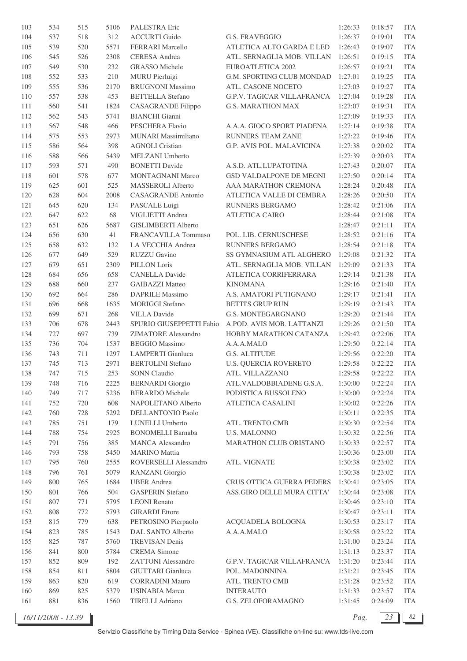| 103 | 534 | 515 | 5106 | PALESTRA Eric              |                                   | 1:26:33 | 0:18:57 | <b>ITA</b> |
|-----|-----|-----|------|----------------------------|-----------------------------------|---------|---------|------------|
| 104 | 537 | 518 | 312  | <b>ACCURTI Guido</b>       | <b>G.S. FRAVEGGIO</b>             | 1:26:37 | 0:19:01 | <b>ITA</b> |
| 105 | 539 | 520 | 5571 | FERRARI Marcello           | ATLETICA ALTO GARDA E LED         | 1:26:43 | 0:19:07 | <b>ITA</b> |
| 106 | 545 | 526 | 2308 | <b>CERESA</b> Andrea       | ATL. SERNAGLIA MOB. VILLAN        | 1:26:51 | 0:19:15 | <b>ITA</b> |
| 107 | 549 | 530 | 232  | <b>GRASSO</b> Michele      | EUROATLETICA 2002                 | 1:26:57 | 0:19:21 | <b>ITA</b> |
| 108 | 552 | 533 | 210  | <b>MURU</b> Pierluigi      | G.M. SPORTING CLUB MONDAD         | 1:27:01 | 0:19:25 | <b>ITA</b> |
| 109 | 555 | 536 | 2170 | <b>BRUGNONI Massimo</b>    | ATL. CASONE NOCETO                | 1:27:03 | 0:19:27 | <b>ITA</b> |
| 110 | 557 | 538 | 453  | <b>BETTELLA</b> Stefano    | <b>G.P.V. TAGICAR VILLAFRANCA</b> | 1:27:04 | 0:19:28 | <b>ITA</b> |
| 111 | 560 | 541 | 1824 | <b>CASAGRANDE Filippo</b>  | <b>G.S. MARATHON MAX</b>          | 1:27:07 | 0:19:31 | <b>ITA</b> |
| 112 | 562 | 543 | 5741 | <b>BIANCHI</b> Gianni      |                                   | 1:27:09 | 0:19:33 | <b>ITA</b> |
| 113 | 567 | 548 | 466  | PESCHERA Flavio            | A.A.A. GIOCO SPORT PIADENA        | 1:27:14 | 0:19:38 | <b>ITA</b> |
| 114 | 575 | 553 | 2973 | <b>MUNARI</b> Massimiliano | RUNNERS TEAM ZANE'                | 1:27:22 | 0:19:46 | <b>ITA</b> |
| 115 | 586 | 564 | 398  | <b>AGNOLI</b> Cristian     | G.P. AVIS POL. MALAVICINA         | 1:27:38 | 0:20:02 | <b>ITA</b> |
| 116 | 588 | 566 | 5439 | MELZANI Umberto            |                                   | 1:27:39 | 0:20:03 | <b>ITA</b> |
| 117 | 593 | 571 | 490  | <b>BONETTI</b> Davide      | A.S.D. ATL.LUPATOTINA             | 1:27:43 | 0:20:07 | <b>ITA</b> |
| 118 | 601 | 578 | 677  | <b>MONTAGNANI Marco</b>    | <b>GSD VALDALPONE DE MEGNI</b>    | 1:27:50 | 0:20:14 | <b>ITA</b> |
| 119 | 625 | 601 | 525  | <b>MASSEROLI Alberto</b>   | AAA MARATHON CREMONA              | 1:28:24 | 0:20:48 | <b>ITA</b> |
| 120 | 628 | 604 | 2008 | <b>CASAGRANDE Antonio</b>  | ATLETICA VALLE DI CEMBRA          | 1:28:26 | 0:20:50 | <b>ITA</b> |
| 121 | 645 | 620 | 134  | PASCALE Luigi              | <b>RUNNERS BERGAMO</b>            | 1:28:42 | 0:21:06 | <b>ITA</b> |
| 122 | 647 | 622 | 68   | VIGLIETTI Andrea           | <b>ATLETICA CAIRO</b>             | 1:28:44 | 0:21:08 | <b>ITA</b> |
| 123 | 651 | 626 | 5687 | <b>GISLIMBERTI Alberto</b> |                                   | 1:28:47 | 0:21:11 | <b>ITA</b> |
| 124 | 656 | 630 | 41   | FRANCAVILLA Tommaso        | POL. LIB. CERNUSCHESE             | 1:28:52 | 0:21:16 | <b>ITA</b> |
| 125 | 658 | 632 | 132  | LA VECCHIA Andrea          | RUNNERS BERGAMO                   | 1:28:54 | 0:21:18 | <b>ITA</b> |
| 126 | 677 | 649 | 529  | <b>RUZZU Gavino</b>        | SS GYMNASIUM ATL ALGHERO          | 1:29:08 | 0:21:32 | <b>ITA</b> |
| 127 | 679 | 651 | 2309 | PILLON Loris               | ATL. SERNAGLIA MOB. VILLAN        | 1:29:09 | 0:21:33 | <b>ITA</b> |
| 128 | 684 | 656 | 658  | <b>CANELLA Davide</b>      | ATLETICA CORRIFERRARA             | 1:29:14 | 0:21:38 | <b>ITA</b> |
| 129 | 688 | 660 | 237  | <b>GAIBAZZI Matteo</b>     | <b>KINOMANA</b>                   | 1:29:16 | 0:21:40 | <b>ITA</b> |
| 130 | 692 | 664 | 286  | <b>DAPRILE Massimo</b>     | A.S. AMATORI PUTIGNANO            | 1:29:17 | 0:21:41 | <b>ITA</b> |
| 131 | 696 | 668 | 1635 | <b>MORIGGI Stefano</b>     | <b>BETTI'S GRUP RUN</b>           | 1:29:19 | 0:21:43 | <b>ITA</b> |
| 132 | 699 | 671 | 268  | <b>VILLA Davide</b>        | G.S. MONTEGARGNANO                | 1:29:20 | 0:21:44 | <b>ITA</b> |
| 133 | 706 | 678 | 2443 | SPURIO GIUSEPPETTI Fabio   | A.POD. AVIS MOB. LATTANZI         | 1:29:26 | 0:21:50 | <b>ITA</b> |
| 134 | 727 | 697 | 739  | <b>ZIMATORE</b> Alessandro | HOBBY MARATHON CATANZA            | 1:29:42 | 0:22:06 | <b>ITA</b> |
| 135 | 736 | 704 | 1537 | <b>BEGGIO Massimo</b>      | A.A.A.MALO                        | 1:29:50 | 0:22:14 | <b>ITA</b> |
| 136 | 743 | 711 | 1297 | <b>LAMPERTI</b> Gianluca   | <b>G.S. ALTITUDE</b>              | 1:29:56 | 0:22:20 | <b>ITA</b> |
| 137 | 745 | 713 | 2971 | <b>BERTOLINI</b> Stefano   | <b>U.S. QUERCIA ROVERETO</b>      | 1:29:58 | 0:22:22 | <b>ITA</b> |
| 138 | 747 | 715 | 253  | <b>SONN</b> Claudio        | ATL. VILLAZZANO                   | 1:29:58 | 0:22:22 | <b>ITA</b> |
| 139 | 748 | 716 | 2225 | <b>BERNARDI</b> Giorgio    | ATL.VALDOBBIADENE G.S.A.          | 1:30:00 | 0:22:24 | <b>ITA</b> |
| 140 | 749 | 717 | 5236 | <b>BERARDO</b> Michele     | PODISTICA BUSSOLENO               | 1:30:00 | 0:22:24 | <b>ITA</b> |
| 141 | 752 | 720 | 608  | NAPOLETANO Alberto         | ATLETICA CASALINI                 | 1:30:02 | 0:22:26 | <b>ITA</b> |
| 142 | 760 | 728 | 5292 | DELLANTONIO Paolo          |                                   | 1:30:11 | 0:22:35 | <b>ITA</b> |
| 143 | 785 | 751 | 179  | LUNELLI Umberto            | ATL. TRENTO CMB                   | 1:30:30 | 0:22:54 | <b>ITA</b> |
| 144 | 788 | 754 | 2925 | <b>BONOMELLI Barnaba</b>   | <b>U.S. MALONNO</b>               | 1:30:32 | 0:22:56 | <b>ITA</b> |
| 145 | 791 | 756 | 385  | <b>MANCA</b> Alessandro    | <b>MARATHON CLUB ORISTANO</b>     | 1:30:33 | 0:22:57 | <b>ITA</b> |
| 146 | 793 | 758 | 5450 | <b>MARINO</b> Mattia       |                                   | 1:30:36 | 0:23:00 | <b>ITA</b> |
| 147 | 795 | 760 | 2555 | ROVERSELLI Alessandro      | ATL. VIGNATE                      | 1:30:38 | 0:23:02 | <b>ITA</b> |
| 148 | 796 | 761 | 5079 | RANZANI Giorgio            |                                   | 1:30:38 | 0:23:02 | <b>ITA</b> |
| 149 | 800 | 765 | 1684 | <b>UBER</b> Andrea         | CRUS OTTICA GUERRA PEDERS         | 1:30:41 | 0:23:05 | <b>ITA</b> |
| 150 | 801 | 766 | 504  | <b>GASPERIN Stefano</b>    | ASS.GIRO DELLE MURA CITTA'        | 1:30:44 | 0:23:08 | <b>ITA</b> |
| 151 | 807 | 771 | 5795 | <b>LEONI</b> Renato        |                                   | 1:30:46 | 0:23:10 | <b>ITA</b> |
| 152 | 808 | 772 | 5793 | <b>GIRARDI</b> Ettore      |                                   | 1:30:47 | 0:23:11 | <b>ITA</b> |
| 153 | 815 | 779 | 638  | PETROSINO Pierpaolo        | ACQUADELA BOLOGNA                 | 1:30:53 | 0:23:17 | <b>ITA</b> |
| 154 | 823 | 785 | 1543 | DAL SANTO Alberto          | A.A.A.MALO                        | 1:30:58 | 0:23:22 | <b>ITA</b> |
| 155 | 825 | 787 | 5760 | <b>TREVISAN</b> Denis      |                                   | 1:31:00 | 0:23:24 | <b>ITA</b> |
| 156 | 841 | 800 | 5784 | <b>CREMA</b> Simone        |                                   | 1:31:13 | 0:23:37 | <b>ITA</b> |
| 157 | 852 | 809 | 192  | <b>ZATTONI</b> Alessandro  | <b>G.P.V. TAGICAR VILLAFRANCA</b> | 1:31:20 | 0:23:44 | <b>ITA</b> |
| 158 | 854 | 811 | 5804 | GIUTTARI Gianluca          | POL. MADONNINA                    | 1:31:21 | 0:23:45 | <b>ITA</b> |
| 159 | 863 | 820 | 619  | <b>CORRADINI Mauro</b>     | ATL. TRENTO CMB                   | 1:31:28 | 0:23:52 | <b>ITA</b> |
| 160 | 869 | 825 | 5379 | <b>USINABIA Marco</b>      | <b>INTERAUTO</b>                  | 1:31:33 | 0:23:57 | <b>ITA</b> |
| 161 | 881 | 836 | 1560 | <b>TIRELLI Adriano</b>     | G.S. ZELOFORAMAGNO                | 1:31:45 | 0:24:09 | <b>ITA</b> |
|     |     |     |      |                            |                                   |         |         |            |

*16/11/2008 - 13.39 Pag. 23 82*

Servizio Classifiche by Timing Data Service - Spinea (VE). Classifiche on-line su: www.tds-live.com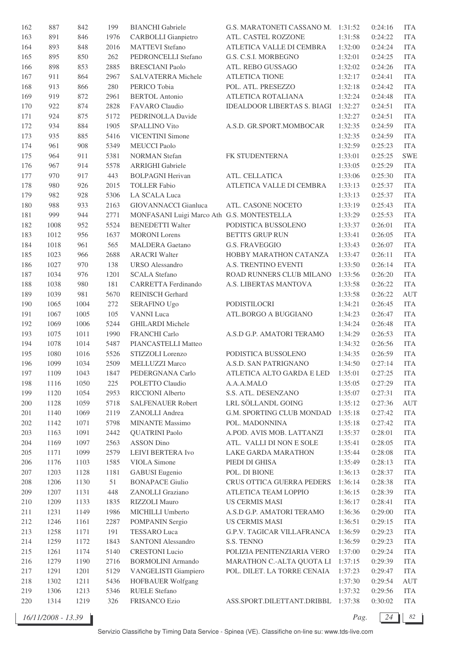| 162     | 887  | 842  | 199  | <b>BIANCHI</b> Gabriele                    | G.S. MARATONETI CASSANO M.         | 1:31:52 | 0:24:16 | <b>ITA</b> |
|---------|------|------|------|--------------------------------------------|------------------------------------|---------|---------|------------|
| 163     | 891  | 846  | 1976 | <b>CARBOLLI</b> Gianpietro                 | ATL. CASTEL ROZZONE                | 1:31:58 | 0:24:22 | <b>ITA</b> |
| 164     | 893  | 848  | 2016 | <b>MATTEVI</b> Stefano                     | ATLETICA VALLE DI CEMBRA           | 1:32:00 | 0:24:24 | <b>ITA</b> |
| 165     | 895  | 850  | 262  | PEDRONCELLI Stefano                        | G.S. C.S.I. MORBEGNO               | 1:32:01 | 0:24:25 | <b>ITA</b> |
| 166     | 898  | 853  | 2885 | <b>BRESCIANI Paolo</b>                     | ATL. REBO GUSSAGO                  | 1:32:02 | 0:24:26 | <b>ITA</b> |
| 167     | 911  | 864  | 2967 | <b>SALVATERRA Michele</b>                  | <b>ATLETICA TIONE</b>              | 1:32:17 | 0:24:41 | <b>ITA</b> |
| 168     | 913  | 866  | 280  | PERICO Tobia                               | POL. ATL. PRESEZZO                 | 1:32:18 | 0:24:42 | <b>ITA</b> |
| 169     | 919  | 872  | 2961 | <b>BERTOL Antonio</b>                      | ATLETICA ROTALIANA                 | 1:32:24 | 0:24:48 | <b>ITA</b> |
| 170     | 922  | 874  | 2828 | FAVARO Claudio                             | <b>IDEALDOOR LIBERTAS S. BIAGI</b> | 1:32:27 | 0:24:51 | <b>ITA</b> |
| 171     | 924  | 875  | 5172 | PEDRINOLLA Davide                          |                                    | 1:32:27 | 0:24:51 | <b>ITA</b> |
| 172     | 934  | 884  | 1905 | SPALLINO Vito                              | A.S.D. GR.SPORT.MOMBOCAR           | 1:32:35 | 0:24:59 | <b>ITA</b> |
| 173     | 935  | 885  | 5416 | <b>VICENTINI Simone</b>                    |                                    | 1:32:35 | 0:24:59 | <b>ITA</b> |
| 174     | 961  | 908  | 5349 | <b>MEUCCI</b> Paolo                        |                                    | 1:32:59 | 0:25:23 | <b>ITA</b> |
| 175     | 964  | 911  | 5381 | <b>NORMAN</b> Stefan                       | FK STUDENTERNA                     | 1:33:01 | 0:25:25 | <b>SWE</b> |
|         |      |      | 5578 |                                            |                                    |         |         | <b>ITA</b> |
| 176     | 967  | 914  |      | <b>ARRIGHI Gabriele</b>                    |                                    | 1:33:05 | 0:25:29 |            |
| 177     | 970  | 917  | 443  | <b>BOLPAGNI Herivan</b>                    | ATL. CELLATICA                     | 1:33:06 | 0:25:30 | <b>ITA</b> |
| 178     | 980  | 926  | 2015 | <b>TOLLER Fabio</b>                        | ATLETICA VALLE DI CEMBRA           | 1:33:13 | 0:25:37 | <b>ITA</b> |
| 179     | 982  | 928  | 5306 | LA SCALA Luca                              |                                    | 1:33:13 | 0:25:37 | <b>ITA</b> |
| 180     | 988  | 933  | 2163 | GIOVANNACCI Gianluca                       | ATL. CASONE NOCETO                 | 1:33:19 | 0:25:43 | <b>ITA</b> |
| 181     | 999  | 944  | 2771 | MONFASANI Luigi Marco Ath G.S. MONTESTELLA |                                    | 1:33:29 | 0:25:53 | <b>ITA</b> |
| 182     | 1008 | 952  | 5524 | <b>BENEDETTI Walter</b>                    | PODISTICA BUSSOLENO                | 1:33:37 | 0:26:01 | <b>ITA</b> |
| 183     | 1012 | 956  | 1637 | <b>MORONI</b> Lorens                       | <b>BETTI'S GRUP RUN</b>            | 1:33:41 | 0:26:05 | <b>ITA</b> |
| 184     | 1018 | 961  | 565  | <b>MALDERA</b> Gaetano                     | <b>G.S. FRAVEGGIO</b>              | 1:33:43 | 0:26:07 | <b>ITA</b> |
| 185     | 1023 | 966  | 2688 | <b>ARACRI Walter</b>                       | HOBBY MARATHON CATANZA             | 1:33:47 | 0:26:11 | <b>ITA</b> |
| 186     | 1027 | 970  | 138  | <b>URSO</b> Alessandro                     | A.S. TRENTINO EVENTI               | 1:33:50 | 0:26:14 | <b>ITA</b> |
| 187     | 1034 | 976  | 1201 | <b>SCALA Stefano</b>                       | ROAD RUNNERS CLUB MILANO           | 1:33:56 | 0:26:20 | <b>ITA</b> |
| 188     | 1038 | 980  | 181  | CARRETTA Ferdinando                        | A.S. LIBERTAS MANTOVA              | 1:33:58 | 0:26:22 | <b>ITA</b> |
| 189     | 1039 | 981  | 5670 | <b>REINISCH Gerhard</b>                    |                                    | 1:33:58 | 0:26:22 | <b>AUT</b> |
| 190     | 1065 | 1004 | 272  | <b>SERAFINO Ugo</b>                        | PODISTILOCRI                       | 1:34:21 | 0:26:45 | <b>ITA</b> |
| 191     | 1067 | 1005 | 105  | <b>VANNI</b> Luca                          | ATL.BORGO A BUGGIANO               | 1:34:23 | 0:26:47 | <b>ITA</b> |
| 192     | 1069 | 1006 | 5244 | <b>GHILARDI</b> Michele                    |                                    | 1:34:24 | 0:26:48 | <b>ITA</b> |
| 193     | 1075 | 1011 | 1990 | FRANCHI Carlo                              | A.S.D G.P. AMATORI TERAMO          | 1:34:29 | 0:26:53 | <b>ITA</b> |
| 194     | 1078 | 1014 | 5487 | PIANCASTELLI Matteo                        |                                    | 1:34:32 | 0:26:56 | <b>ITA</b> |
| 195     | 1080 | 1016 | 5526 | STIZZOLI Lorenzo                           | PODISTICA BUSSOLENO                | 1:34:35 | 0:26:59 | <b>ITA</b> |
| 196     | 1099 | 1034 | 2509 | <b>MELLUZZI Marco</b>                      | A.S.D. SAN PATRIGNANO              | 1:34:50 | 0:27:14 | <b>ITA</b> |
| 197     | 1109 | 1043 | 1847 | PEDERGNANA Carlo                           | ATLETICA ALTO GARDA E LED          | 1:35:01 | 0:27:25 | <b>ITA</b> |
| 198     | 1116 | 1050 | 225  | POLETTO Claudio                            | A.A.A.MALO                         | 1:35:05 | 0:27:29 | <b>ITA</b> |
| 199     | 1120 | 1054 | 2953 | RICCIONI Alberto                           | S.S. ATL. DESENZANO                | 1:35:07 | 0:27:31 | <b>ITA</b> |
| 200     | 1128 | 1059 | 5718 | SALFENAUER Robert                          | LRL SÖLLANDL GOING                 | 1:35:12 | 0:27:36 | AUT        |
| 201     | 1140 | 1069 | 2119 | ZANOLLI Andrea                             | G.M. SPORTING CLUB MONDAD          | 1:35:18 | 0:27:42 | <b>ITA</b> |
| 202     | 1142 | 1071 | 5798 | <b>MINANTE Massimo</b>                     | POL. MADONNINA                     | 1:35:18 | 0:27:42 | <b>ITA</b> |
| 203     | 1163 | 1091 | 2442 | <b>QUATRINI Paolo</b>                      | A.POD. AVIS MOB. LATTANZI          | 1:35:37 | 0:28:01 | <b>ITA</b> |
| 204     | 1169 | 1097 | 2563 | ASSON Dino                                 | ATL. VALLI DI NON E SOLE           | 1:35:41 | 0:28:05 | <b>ITA</b> |
| $205\,$ | 1171 | 1099 | 2579 | LEIVI BERTERA Ivo                          | LAKE GARDA MARATHON                | 1:35:44 | 0:28:08 | <b>ITA</b> |
| $206\,$ | 1176 | 1103 | 1585 | VIOLA Simone                               | PIEDI DI GHISA                     | 1:35:49 | 0:28:13 | <b>ITA</b> |
|         |      |      |      |                                            |                                    |         |         |            |
| 207     | 1203 | 1128 | 1181 | <b>GABUSI</b> Eugenio                      | POL. DI BIONE                      | 1:36:13 | 0:28:37 | <b>ITA</b> |
| 208     | 1206 | 1130 | 51   | <b>BONAPACE Giulio</b>                     | CRUS OTTICA GUERRA PEDERS          | 1:36:14 | 0:28:38 | <b>ITA</b> |
| 209     | 1207 | 1131 | 448  | ZANOLLI Graziano                           | ATLETICA TEAM LOPPIO               | 1:36:15 | 0:28:39 | <b>ITA</b> |
| 210     | 1209 | 1133 | 1835 | RIZZOLI Mauro                              | <b>US CERMIS MASI</b>              | 1:36:17 | 0:28:41 | <b>ITA</b> |
| 211     | 1231 | 1149 | 1986 | MICHILLI Umberto                           | A.S.D G.P. AMATORI TERAMO          | 1:36:36 | 0:29:00 | <b>ITA</b> |
| 212     | 1246 | 1161 | 2287 | POMPANIN Sergio                            | <b>US CERMIS MASI</b>              | 1:36:51 | 0:29:15 | <b>ITA</b> |
| 213     | 1258 | 1171 | 191  | <b>TESSARO</b> Luca                        | G.P.V. TAGICAR VILLAFRANCA         | 1:36:59 | 0:29:23 | <b>ITA</b> |
| 214     | 1259 | 1172 | 1843 | SANTONI Alessandro                         | S.S. TENNO                         | 1:36:59 | 0:29:23 | <b>ITA</b> |
| 215     | 1261 | 1174 | 5140 | <b>CRESTONI</b> Lucio                      | POLIZIA PENITENZIARIA VERO         | 1:37:00 | 0:29:24 | <b>ITA</b> |
| 216     | 1279 | 1190 | 2716 | <b>BORMOLINI Armando</b>                   | MARATHON C.-ALTA QUOTA LI          | 1:37:15 | 0:29:39 | <b>ITA</b> |
| 217     | 1291 | 1201 | 5129 | VANGELISTI Giampiero                       | POL. DILET. LA TORRE CENAIA        | 1:37:23 | 0:29:47 | <b>ITA</b> |
| 218     | 1302 | 1211 | 5436 | HOFBAUER Wolfgang                          |                                    | 1:37:30 | 0:29:54 | AUT        |
| 219     | 1306 | 1213 | 5346 | <b>RUELE Stefano</b>                       |                                    | 1:37:32 | 0:29:56 | <b>ITA</b> |
| 220     | 1314 | 1219 | 326  | FRISANCO Ezio                              | ASS.SPORT.DILETTANT.DRIBBL         | 1:37:38 | 0:30:02 | <b>ITA</b> |

*16/11/2008 - 13.39 Pag. 24 82*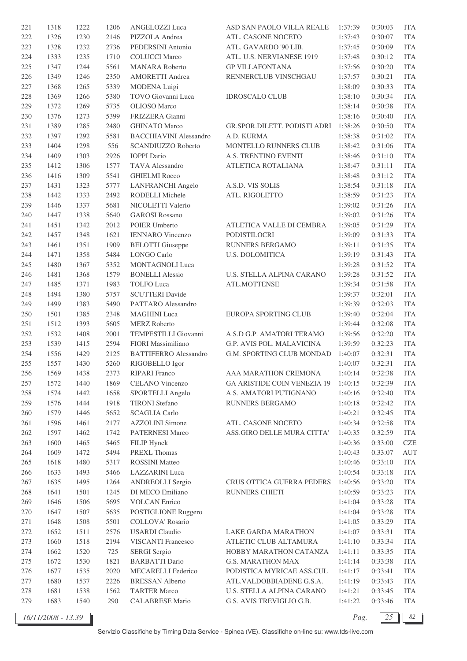| 221        | 1318         | 1222         | 1206        | ANGELOZZI Luca                | ASD SAN PAOLO VILLA REALE                       | 1:37:39            | 0:30:03            | <b>ITA</b>               |
|------------|--------------|--------------|-------------|-------------------------------|-------------------------------------------------|--------------------|--------------------|--------------------------|
| 222        | 1326         | 1230         | 2146        | PIZZOLA Andrea                | ATL. CASONE NOCETO                              | 1:37:43            | 0:30:07            | <b>ITA</b>               |
| 223        | 1328         | 1232         | 2736        | PEDERSINI Antonio             | ATL. GAVARDO '90 LIB.                           | 1:37:45            | 0:30:09            | <b>ITA</b>               |
| 224        | 1333         | 1235         | 1710        | <b>COLUCCI Marco</b>          | ATL. U.S. NERVIANESE 1919                       | 1:37:48            | 0:30:12            | <b>ITA</b>               |
| 225        | 1347         | 1244         | 5561        | <b>MANARA</b> Roberto         | <b>GP VILLAFONTANA</b>                          | 1:37:56            | 0:30:20            | <b>ITA</b>               |
| 226        | 1349         | 1246         | 2350        | <b>AMORETTI Andrea</b>        | RENNERCLUB VINSCHGAU                            | 1:37:57            | 0:30:21            | <b>ITA</b>               |
| 227        | 1368         | 1265         | 5339        | MODENA Luigi                  |                                                 | 1:38:09            | 0:30:33            | <b>ITA</b>               |
| 228        | 1369         | 1266         | 5380        | TOVO Giovanni Luca            | <b>IDROSCALO CLUB</b>                           | 1:38:10            | 0:30:34            | <b>ITA</b>               |
| 229        | 1372         | 1269         | 5735        | <b>OLIOSO</b> Marco           |                                                 | 1:38:14            | 0:30:38            | <b>ITA</b>               |
| 230        | 1376         | 1273         | 5399        | FRIZZERA Gianni               |                                                 | 1:38:16            | 0:30:40            | <b>ITA</b>               |
| 231        | 1389         | 1285         | 2480        | <b>GHINATO Marco</b>          | GR.SPOR.DILETT. PODISTI ADRI                    | 1:38:26            | 0:30:50            | <b>ITA</b>               |
| 232        | 1397         | 1292         | 5581        | <b>BACCHIAVINI Alessandro</b> | A.D. KURMA                                      | 1:38:38            | 0:31:02            | <b>ITA</b>               |
| 233        | 1404         | 1298         | 556         | SCANDIUZZO Roberto            | MONTELLO RUNNERS CLUB                           | 1:38:42            | 0:31:06            | <b>ITA</b>               |
| 234        | 1409         | 1303         | 2926        | <b>IOPPI</b> Dario            | A.S. TRENTINO EVENTI                            | 1:38:46            | 0:31:10            | <b>ITA</b>               |
| 235        | 1412         | 1306         | 1577        | TAVA Alessandro               | ATLETICA ROTALIANA                              | 1:38:47            | 0:31:11            | <b>ITA</b>               |
|            |              |              | 5541        |                               |                                                 |                    |                    | <b>ITA</b>               |
| 236        | 1416         | 1309         |             | <b>GHIELMI Rocco</b>          |                                                 | 1:38:48            | 0:31:12            |                          |
| 237        | 1431         | 1323         | 5777        | <b>LANFRANCHI</b> Angelo      | A.S.D. VIS SOLIS                                | 1:38:54            | 0:31:18            | <b>ITA</b>               |
| 238        | 1442         | 1333         | 2492        | RODELLI Michele               | ATL. RIGOLETTO                                  | 1:38:59            | 0:31:23            | <b>ITA</b>               |
| 239        | 1446         | 1337         | 5681        | NICOLETTI Valerio             |                                                 | 1:39:02            | 0:31:26            | <b>ITA</b>               |
| 240        | 1447         | 1338         | 5640        | <b>GAROSI</b> Rossano         |                                                 | 1:39:02            | 0:31:26            | <b>ITA</b>               |
| 241        | 1451         | 1342         | 2012        | POIER Umberto                 | ATLETICA VALLE DI CEMBRA                        | 1:39:05            | 0:31:29            | <b>ITA</b>               |
| 242        | 1457         | 1348         | 1621        | <b>IENNARO</b> Vincenzo       | PODISTILOCRI                                    | 1:39:09            | 0:31:33            | <b>ITA</b>               |
| 243        | 1461         | 1351         | 1909        | <b>BELOTTI</b> Giuseppe       | RUNNERS BERGAMO                                 | 1:39:11            | 0:31:35            | <b>ITA</b>               |
| 244        | 1471         | 1358         | 5484        | LONGO Carlo                   | <b>U.S. DOLOMITICA</b>                          | 1:39:19            | 0:31:43            | <b>ITA</b>               |
| 245        | 1480         | 1367         | 5352        | MONTAGNOLI Luca               |                                                 | 1:39:28            | 0:31:52            | <b>ITA</b>               |
| 246        | 1481         | 1368         | 1579        | <b>BONELLI Alessio</b>        | U.S. STELLA ALPINA CARANO                       | 1:39:28            | 0:31:52            | <b>ITA</b>               |
| 247        | 1485         | 1371         | 1983        | <b>TOLFO</b> Luca             | ATL.MOTTENSE                                    | 1:39:34            | 0:31:58            | <b>ITA</b>               |
| 248        | 1494         | 1380         | 5757        | <b>SCUTTERI</b> Davide        |                                                 | 1:39:37            | 0:32:01            | <b>ITA</b>               |
| 249        | 1499         | 1383         | 5490        | PATTARO Alessandro            |                                                 | 1:39:39            | 0:32:03            | <b>ITA</b>               |
| 250        | 1501         | 1385         | 2348        | <b>MAGHINI</b> Luca           | EUROPA SPORTING CLUB                            | 1:39:40            | 0:32:04            | <b>ITA</b>               |
| 251        | 1512         | 1393         | 5605        | <b>MERZ</b> Roberto           |                                                 | 1:39:44            | 0:32:08            | <b>ITA</b>               |
| 252        | 1532         | 1408         | 2001        | TEMPESTILLI Giovanni          | A.S.D G.P. AMATORI TERAMO                       | 1:39:56            | 0:32:20            | <b>ITA</b>               |
| 253        | 1539         | 1415         | 2594        | FIORI Massimiliano            | G.P. AVIS POL. MALAVICINA                       | 1:39:59            | 0:32:23            | <b>ITA</b>               |
| 254        | 1556         | 1429         | 2125        | <b>BATTIFERRO</b> Alessandro  | G.M. SPORTING CLUB MONDAD                       | 1:40:07            | 0:32:31            | <b>ITA</b>               |
| 255        | 1557         | 1430         | 5260        | RIGOBELLO Igor                |                                                 | 1:40:07            | 0:32:31            | <b>ITA</b>               |
| 256        | 1569         | 1438         | 2373        | RIPARI Franco                 | AAA MARATHON CREMONA                            | 1:40:14            | 0:32:38            | <b>ITA</b>               |
| 257        | 1572         | 1440         | 1869        | <b>CELANO</b> Vincenzo        | <b>GA ARISTIDE COIN VENEZIA 19</b>              | 1:40:15            | 0:32:39            | <b>ITA</b>               |
| 258        | 1574         | 1442         | 1658        | SPORTELLI Angelo              | A.S. AMATORI PUTIGNANO                          | 1:40:16            | 0:32:40            | <b>ITA</b>               |
| 259        | 1576         | 1444         | 1918        | <b>TIRONI</b> Stefano         | RUNNERS BERGAMO                                 | 1:40:18            | 0:32:42            | <b>ITA</b>               |
| 260        | 1579         | 1446         | 5652        | <b>SCAGLIA Carlo</b>          |                                                 | 1:40:21            | 0:32:45            | <b>ITA</b>               |
| 261        | 1596         | 1461         | 2177        | <b>AZZOLINI</b> Simone        | ATL. CASONE NOCETO                              | 1:40:34            | 0:32:58            | <b>ITA</b>               |
| 262        | 1597         | 1462         | 1742        | PATERNESI Marco               | ASS.GIRO DELLE MURA CITTA'                      | 1:40:35            | 0:32:59            | <b>ITA</b>               |
| 263        | 1600         | 1465         | 5465        | FILIP Hynek                   |                                                 | 1:40:36            | 0:33:00            | <b>CZE</b>               |
| 264        | 1609         | 1472         | 5494        | PREXL Thomas                  |                                                 | 1:40:43            | 0:33:07            | <b>AUT</b>               |
| 265        | 1618         | 1480         | 5317        | <b>ROSSINI Matteo</b>         |                                                 | 1:40:46            | 0:33:10            | <b>ITA</b>               |
| 266        | 1633         | 1493         | 5466        | LAZZARINI Luca                |                                                 | 1:40:54            | 0:33:18            | <b>ITA</b>               |
| 267        | 1635         | 1495         | 1264        | <b>ANDREOLLI Sergio</b>       | CRUS OTTICA GUERRA PEDERS                       | 1:40:56            | 0:33:20            | <b>ITA</b>               |
| 268        | 1641         | 1501         | 1245        | DI MECO Emiliano              | RUNNERS CHIETI                                  | 1:40:59            | 0:33:23            | <b>ITA</b>               |
| 269        | 1646         | 1506         | 5695        | <b>VOLCAN</b> Enrico          |                                                 | 1:41:04            | 0:33:28            | <b>ITA</b>               |
| 270        | 1647         | 1507         | 5635        | <b>POSTIGLIONE Ruggero</b>    |                                                 | 1:41:04            | 0:33:28            | <b>ITA</b>               |
| 271        | 1648         | 1508         | 5501        | COLLOVA' Rosario              |                                                 | 1:41:05            | 0:33:29            | <b>ITA</b>               |
| 272        | 1652         | 1511         | 2576        | <b>USARDI</b> Claudio         | LAKE GARDA MARATHON                             | 1:41:07            | 0:33:31            | <b>ITA</b>               |
|            |              |              |             | <b>VISCANTI Francesco</b>     |                                                 |                    |                    |                          |
| 273<br>274 | 1660<br>1662 | 1518<br>1520 | 2194<br>725 |                               | ATLETIC CLUB ALTAMURA<br>HOBBY MARATHON CATANZA | 1:41:10<br>1:41:11 | 0:33:34<br>0:33:35 | <b>ITA</b><br><b>ITA</b> |
|            |              |              |             | <b>SERGI</b> Sergio           |                                                 |                    |                    |                          |
| 275        | 1672         | 1530         | 1821        | <b>BARBATTI Dario</b>         | <b>G.S. MARATHON MAX</b>                        | 1:41:14            | 0:33:38            | <b>ITA</b>               |
| 276        | 1677         | 1535         | 2020        | <b>MECARELLI</b> Federico     | PODISTICA MYRICAE ASS.CUL                       | 1:41:17            | 0:33:41            | <b>ITA</b>               |
| 277        | 1680         | 1537         | 2226        | <b>BRESSAN Alberto</b>        | ATL.VALDOBBIADENE G.S.A.                        | 1:41:19            | 0:33:43            | <b>ITA</b>               |
| 278        | 1681         | 1538         | 1562        | <b>TARTER Marco</b>           | U.S. STELLA ALPINA CARANO                       | 1:41:21            | 0:33:45            | <b>ITA</b>               |
| 279        | 1683         | 1540         | 290         | <b>CALABRESE Mario</b>        | G.S. AVIS TREVIGLIO G.B.                        | 1:41:22            | 0:33:46            | <b>ITA</b>               |

*16/11/2008 - 13.39 Pag. 25 82*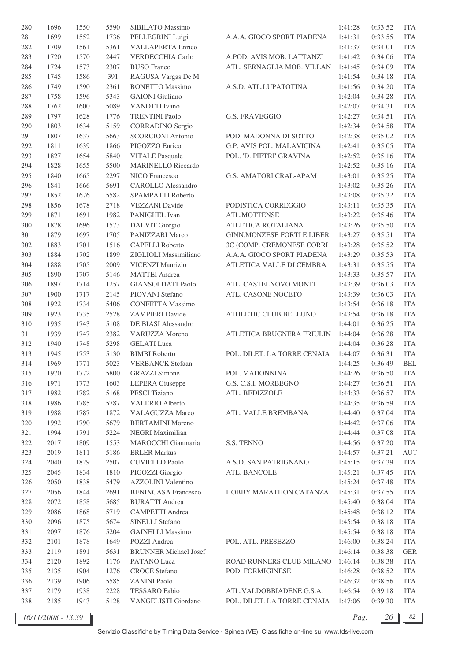| 280 | 1696 | 1550 | 5590 | SIBILATO Massimo             |                                   | 1:41:28 | 0:33:52 | <b>ITA</b> |
|-----|------|------|------|------------------------------|-----------------------------------|---------|---------|------------|
| 281 | 1699 | 1552 | 1736 | PELLEGRINI Luigi             | A.A.A. GIOCO SPORT PIADENA        | 1:41:31 | 0:33:55 | <b>ITA</b> |
| 282 | 1709 | 1561 | 5361 | <b>VALLAPERTA Enrico</b>     |                                   | 1:41:37 | 0:34:01 | <b>ITA</b> |
| 283 | 1720 | 1570 | 2447 | VERDECCHIA Carlo             | A.POD. AVIS MOB. LATTANZI         | 1:41:42 | 0:34:06 | <b>ITA</b> |
| 284 | 1724 | 1573 | 2307 | <b>BUSO</b> Franco           | ATL. SERNAGLIA MOB. VILLAN        | 1:41:45 | 0:34:09 | <b>ITA</b> |
| 285 | 1745 | 1586 | 391  | RAGUSA Vargas De M.          |                                   | 1:41:54 | 0:34:18 | <b>ITA</b> |
| 286 | 1749 | 1590 | 2361 | <b>BONETTO Massimo</b>       | A.S.D. ATL.LUPATOTINA             | 1:41:56 | 0:34:20 | <b>ITA</b> |
| 287 | 1758 | 1596 | 5343 | <b>GAIONI</b> Giuliano       |                                   | 1:42:04 | 0:34:28 | <b>ITA</b> |
| 288 | 1762 | 1600 | 5089 | VANOTTI Ivano                |                                   | 1:42:07 | 0:34:31 | <b>ITA</b> |
| 289 | 1797 | 1628 | 1776 | <b>TRENTINI Paolo</b>        | <b>G.S. FRAVEGGIO</b>             | 1:42:27 | 0:34:51 | <b>ITA</b> |
| 290 | 1803 | 1634 | 5159 | <b>CORRADINO</b> Sergio      |                                   | 1:42:34 | 0:34:58 | <b>ITA</b> |
|     |      |      |      |                              |                                   |         |         |            |
| 291 | 1807 | 1637 | 5663 | <b>SCORCIONI</b> Antonio     | POD. MADONNA DI SOTTO             | 1:42:38 | 0:35:02 | <b>ITA</b> |
| 292 | 1811 | 1639 | 1866 | PIGOZZO Enrico               | G.P. AVIS POL. MALAVICINA         | 1:42:41 | 0:35:05 | <b>ITA</b> |
| 293 | 1827 | 1654 | 5840 | <b>VITALE Pasquale</b>       | POL. 'D. PIETRI' GRAVINA          | 1:42:52 | 0:35:16 | <b>ITA</b> |
| 294 | 1828 | 1655 | 5500 | <b>MARINELLO Riccardo</b>    |                                   | 1:42:52 | 0:35:16 | <b>ITA</b> |
| 295 | 1840 | 1665 | 2297 | NICO Francesco               | G.S. AMATORI CRAL-APAM            | 1:43:01 | 0:35:25 | <b>ITA</b> |
| 296 | 1841 | 1666 | 5691 | <b>CAROLLO</b> Alessandro    |                                   | 1:43:02 | 0:35:26 | <b>ITA</b> |
| 297 | 1852 | 1676 | 5582 | SPAMPATTI Roberto            |                                   | 1:43:08 | 0:35:32 | <b>ITA</b> |
| 298 | 1856 | 1678 | 2718 | VEZZANI Davide               | PODISTICA CORREGGIO               | 1:43:11 | 0:35:35 | <b>ITA</b> |
| 299 | 1871 | 1691 | 1982 | PANIGHEL Ivan                | ATL.MOTTENSE                      | 1:43:22 | 0:35:46 | <b>ITA</b> |
| 300 | 1878 | 1696 | 1573 | <b>DALVIT</b> Giorgio        | ATLETICA ROTALIANA                | 1:43:26 | 0:35:50 | <b>ITA</b> |
| 301 | 1879 | 1697 | 1705 | PANIZZARI Marco              | <b>GINN.MONZESE FORTI E LIBER</b> | 1:43:27 | 0:35:51 | <b>ITA</b> |
| 302 | 1883 | 1701 | 1516 | <b>CAPELLI</b> Roberto       | 3C (COMP. CREMONESE CORRI         | 1:43:28 | 0:35:52 | <b>ITA</b> |
| 303 | 1884 | 1702 | 1899 | ZIGLIOLI Massimiliano        | A.A.A. GIOCO SPORT PIADENA        | 1:43:29 | 0:35:53 | <b>ITA</b> |
| 304 | 1888 | 1705 | 2009 | VICENZI Maurizio             | ATLETICA VALLE DI CEMBRA          | 1:43:31 | 0:35:55 | <b>ITA</b> |
| 305 | 1890 | 1707 | 5146 | <b>MATTEI</b> Andrea         |                                   | 1:43:33 | 0:35:57 | <b>ITA</b> |
| 306 | 1897 | 1714 | 1257 | <b>GIANSOLDATI Paolo</b>     | ATL. CASTELNOVO MONTI             | 1:43:39 | 0:36:03 | <b>ITA</b> |
| 307 | 1900 | 1717 | 2145 | PIOVANI Stefano              | ATL. CASONE NOCETO                | 1:43:39 | 0:36:03 | <b>ITA</b> |
| 308 | 1922 | 1734 | 5406 | <b>CONFETTA Massimo</b>      |                                   | 1:43:54 | 0:36:18 | <b>ITA</b> |
| 309 | 1923 | 1735 | 2528 | <b>ZAMPIERI</b> Davide       | ATHLETIC CLUB BELLUNO             | 1:43:54 | 0:36:18 | <b>ITA</b> |
| 310 | 1935 | 1743 | 5108 | DE BIASI Alessandro          |                                   | 1:44:01 | 0:36:25 | <b>ITA</b> |
| 311 | 1939 | 1747 | 2382 | VARUZZA Moreno               | ATLETICA BRUGNERA FRIULIN         | 1:44:04 | 0:36:28 | <b>ITA</b> |
| 312 | 1940 | 1748 | 5298 | <b>GELATI</b> Luca           |                                   | 1:44:04 | 0:36:28 | <b>ITA</b> |
|     |      |      |      | <b>BIMBI</b> Roberto         |                                   |         |         | <b>ITA</b> |
| 313 | 1945 | 1753 | 5130 |                              | POL. DILET. LA TORRE CENAIA       | 1:44:07 | 0:36:31 |            |
| 314 | 1969 | 1771 | 5023 | <b>VERBANCK Stefaan</b>      |                                   | 1:44:25 | 0:36:49 | <b>BEL</b> |
| 315 | 1970 | 1772 | 5800 | <b>GRAZZI</b> Simone         | POL. MADONNINA                    | 1:44:26 | 0:36:50 | <b>ITA</b> |
| 316 | 1971 | 1773 | 1603 | <b>LEPERA</b> Giuseppe       | G.S. C.S.I. MORBEGNO              | 1:44:27 | 0:36:51 | <b>ITA</b> |
| 317 | 1982 | 1782 | 5168 | PESCI Tiziano                | ATL. BEDIZZOLE                    | 1:44:33 | 0:36:57 | <b>ITA</b> |
| 318 | 1986 | 1785 | 5787 | <b>VALERIO Alberto</b>       |                                   | 1:44:35 | 0:36:59 | <b>ITA</b> |
| 319 | 1988 | 1787 | 1872 | <b>VALAGUZZA Marco</b>       | ATL. VALLE BREMBANA               | 1:44:40 | 0:37:04 | <b>ITA</b> |
| 320 | 1992 | 1790 | 5679 | <b>BERTAMINI Moreno</b>      |                                   | 1:44:42 | 0:37:06 | <b>ITA</b> |
| 321 | 1994 | 1791 | 5224 | NEGRI Maximilian             |                                   | 1:44:44 | 0:37:08 | <b>ITA</b> |
| 322 | 2017 | 1809 | 1553 | MAROCCHI Gianmaria           | S.S. TENNO                        | 1:44:56 | 0:37:20 | <b>ITA</b> |
| 323 | 2019 | 1811 | 5186 | <b>ERLER Markus</b>          |                                   | 1:44:57 | 0:37:21 | <b>AUT</b> |
| 324 | 2040 | 1829 | 2507 | <b>CUVIELLO Paolo</b>        | A.S.D. SAN PATRIGNANO             | 1:45:15 | 0:37:39 | <b>ITA</b> |
| 325 | 2045 | 1834 | 1810 | PIGOZZI Giorgio              | ATL. BANCOLE                      | 1:45:21 | 0:37:45 | <b>ITA</b> |
| 326 | 2050 | 1838 | 5479 | <b>AZZOLINI</b> Valentino    |                                   | 1:45:24 | 0:37:48 | <b>ITA</b> |
| 327 | 2056 | 1844 | 2691 | <b>BENINCASA Francesco</b>   | HOBBY MARATHON CATANZA            | 1:45:31 | 0:37:55 | <b>ITA</b> |
| 328 | 2072 | 1858 | 5685 | <b>BURATTI Andrea</b>        |                                   | 1:45:40 | 0:38:04 | <b>ITA</b> |
| 329 | 2086 | 1868 | 5719 | <b>CAMPETTI Andrea</b>       |                                   | 1:45:48 | 0:38:12 | <b>ITA</b> |
| 330 | 2096 | 1875 | 5674 | SINELLI Stefano              |                                   | 1:45:54 | 0:38:18 | <b>ITA</b> |
| 331 | 2097 | 1876 | 5204 | <b>GAINELLI Massimo</b>      |                                   | 1:45:54 | 0:38:18 | <b>ITA</b> |
| 332 | 2101 | 1878 | 1649 | POZZI Andrea                 | POL. ATL. PRESEZZO                | 1:46:00 | 0:38:24 | <b>ITA</b> |
| 333 | 2119 | 1891 | 5631 | <b>BRUNNER</b> Michael Josef |                                   | 1:46:14 | 0:38:38 | <b>GER</b> |
| 334 | 2120 | 1892 | 1176 | PATANO Luca                  | ROAD RUNNERS CLUB MILANO          | 1:46:14 | 0:38:38 | <b>ITA</b> |
| 335 | 2135 | 1904 | 1276 | <b>CROCE</b> Stefano         | POD. FORMIGINESE                  |         | 0:38:52 | <b>ITA</b> |
|     |      |      | 5585 |                              |                                   | 1:46:28 |         |            |
| 336 | 2139 | 1906 |      | <b>ZANINI Paolo</b>          |                                   | 1:46:32 | 0:38:56 | <b>ITA</b> |
| 337 | 2179 | 1938 | 2228 | <b>TESSARO</b> Fabio         | ATL.VALDOBBIADENE G.S.A.          | 1:46:54 | 0:39:18 | <b>ITA</b> |
| 338 | 2185 | 1943 | 5128 | VANGELISTI Giordano          | POL. DILET. LA TORRE CENAIA       | 1:47:06 | 0:39:30 | <b>ITA</b> |

*Pag.*  $\boxed{26}$  82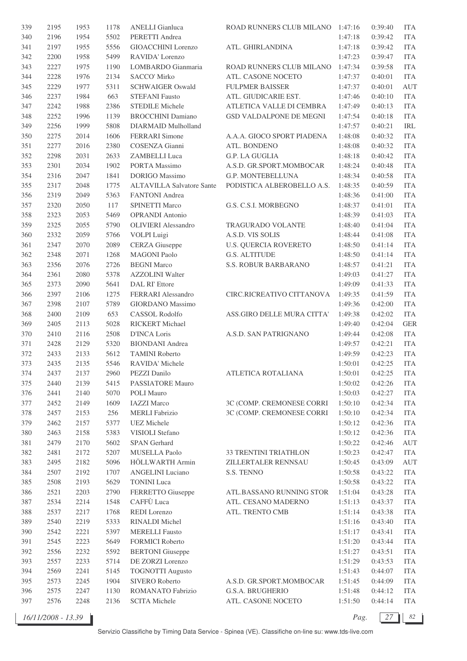| 339 | 2195 | 1953 | 1178 | <b>ANELLI</b> Gianluca           | ROAD RUNNERS CLUB MILANO 1:47:16 |         | 0:39:40 | <b>ITA</b>         |
|-----|------|------|------|----------------------------------|----------------------------------|---------|---------|--------------------|
| 340 | 2196 | 1954 | 5502 | PERETTI Andrea                   |                                  | 1:47:18 | 0:39:42 | <b>ITA</b>         |
| 341 | 2197 | 1955 | 5556 | GIOACCHINI Lorenzo               | ATL. GHIRLANDINA                 | 1:47:18 | 0:39:42 | <b>ITA</b>         |
| 342 | 2200 | 1958 | 5499 | RAVIDA' Lorenzo                  |                                  | 1:47:23 | 0:39:47 | <b>ITA</b>         |
| 343 | 2227 | 1975 | 1190 | LOMBARDO Gianmaria               | ROAD RUNNERS CLUB MILANO         | 1:47:34 | 0:39:58 | <b>ITA</b>         |
| 344 | 2228 | 1976 | 2134 | SACCO' Mirko                     | ATL. CASONE NOCETO               | 1:47:37 | 0:40:01 | <b>ITA</b>         |
| 345 | 2229 | 1977 | 5311 | <b>SCHWAIGER Oswald</b>          | <b>FULPMER BAISSER</b>           | 1:47:37 | 0:40:01 | <b>AUT</b>         |
| 346 | 2237 | 1984 | 663  | <b>STEFANI Fausto</b>            | ATL. GIUDICARIE EST.             | 1:47:46 | 0:40:10 | <b>ITA</b>         |
| 347 | 2242 | 1988 | 2386 | <b>STEDILE Michele</b>           | ATLETICA VALLE DI CEMBRA         | 1:47:49 | 0:40:13 | <b>ITA</b>         |
| 348 | 2252 | 1996 | 1139 | <b>BROCCHINI</b> Damiano         | GSD VALDALPONE DE MEGNI          | 1:47:54 | 0:40:18 | <b>ITA</b>         |
| 349 | 2256 | 1999 | 5808 | DIARMAID Mulholland              |                                  | 1:47:57 | 0:40:21 | IRL                |
| 350 | 2275 | 2014 | 1606 | <b>FERRARI</b> Simone            | A.A.A. GIOCO SPORT PIADENA       | 1:48:08 | 0:40:32 | <b>ITA</b>         |
| 351 | 2277 | 2016 | 2380 | COSENZA Gianni                   | ATL. BONDENO                     | 1:48:08 | 0:40:32 | <b>ITA</b>         |
|     | 2298 |      | 2633 |                                  |                                  |         |         |                    |
| 352 |      | 2031 |      | ZAMBELLI Luca                    | G.P. LA GUGLIA                   | 1:48:18 | 0:40:42 | <b>ITA</b>         |
| 353 | 2301 | 2034 | 1902 | PORTA Massimo                    | A.S.D. GR.SPORT.MOMBOCAR         | 1:48:24 | 0:40:48 | <b>ITA</b>         |
| 354 | 2316 | 2047 | 1841 | <b>DORIGO</b> Massimo            | G.P. MONTEBELLUNA                | 1:48:34 | 0:40:58 | <b>ITA</b>         |
| 355 | 2317 | 2048 | 1775 | <b>ALTAVILLA Salvatore Sante</b> | PODISTICA ALBEROBELLO A.S.       | 1:48:35 | 0:40:59 | <b>ITA</b>         |
| 356 | 2319 | 2049 | 5363 | FANTONI Andrea                   |                                  | 1:48:36 | 0:41:00 | <b>ITA</b>         |
| 357 | 2320 | 2050 | 117  | <b>SPINETTI Marco</b>            | G.S. C.S.I. MORBEGNO             | 1:48:37 | 0:41:01 | <b>ITA</b>         |
| 358 | 2323 | 2053 | 5469 | <b>OPRANDI</b> Antonio           |                                  | 1:48:39 | 0:41:03 | <b>ITA</b>         |
| 359 | 2325 | 2055 | 5790 | <b>OLIVIERI</b> Alessandro       | <b>TRAGURADO VOLANTE</b>         | 1:48:40 | 0:41:04 | <b>ITA</b>         |
| 360 | 2332 | 2059 | 5766 | VOLPI Luigi                      | A.S.D. VIS SOLIS                 | 1:48:44 | 0:41:08 | <b>ITA</b>         |
| 361 | 2347 | 2070 | 2089 | <b>CERZA</b> Giuseppe            | <b>U.S. QUERCIA ROVERETO</b>     | 1:48:50 | 0:41:14 | <b>ITA</b>         |
| 362 | 2348 | 2071 | 1268 | <b>MAGONI</b> Paolo              | <b>G.S. ALTITUDE</b>             | 1:48:50 | 0:41:14 | <b>ITA</b>         |
| 363 | 2356 | 2076 | 2726 | <b>BEGNI Marco</b>               | S.S. ROBUR BARBARANO             | 1:48:57 | 0:41:21 | <b>ITA</b>         |
| 364 | 2361 | 2080 | 5378 | <b>AZZOLINI</b> Walter           |                                  | 1:49:03 | 0:41:27 | <b>ITA</b>         |
| 365 | 2373 | 2090 | 5641 | DAL RI' Ettore                   |                                  | 1:49:09 | 0:41:33 | <b>ITA</b>         |
| 366 | 2397 | 2106 | 1275 | FERRARI Alessandro               | CIRC.RICREATIVO CITTANOVA        | 1:49:35 | 0:41:59 | <b>ITA</b>         |
| 367 | 2398 | 2107 | 5789 | GIORDANO Massimo                 |                                  | 1:49:36 | 0:42:00 | <b>ITA</b>         |
| 368 | 2400 | 2109 | 653  | CASSOL Rodolfo                   | ASS.GIRO DELLE MURA CITTA'       | 1:49:38 | 0:42:02 | <b>ITA</b>         |
| 369 | 2405 | 2113 | 5028 | RICKERT Michael                  |                                  | 1:49:40 | 0:42:04 | <b>GER</b>         |
| 370 | 2410 | 2116 | 2508 | D'INCA Loris                     | A.S.D. SAN PATRIGNANO            | 1:49:44 | 0:42:08 | <b>ITA</b>         |
| 371 | 2428 | 2129 | 5320 | <b>BIONDANI</b> Andrea           |                                  | 1:49:57 | 0:42:21 | <b>ITA</b>         |
| 372 | 2433 | 2133 | 5612 | <b>TAMINI Roberto</b>            |                                  | 1:49:59 | 0:42:23 | <b>ITA</b>         |
| 373 | 2435 | 2135 | 5546 | RAVIDA' Michele                  |                                  | 1:50:01 | 0:42:25 | <b>ITA</b>         |
| 374 | 2437 | 2137 | 2960 | PEZZI Danilo                     | ATLETICA ROTALIANA               | 1:50:01 | 0:42:25 | <b>ITA</b>         |
| 375 | 2440 | 2139 | 5415 | PASSIATORE Mauro                 |                                  | 1:50:02 | 0:42:26 | <b>ITA</b>         |
| 376 | 2441 | 2140 | 5070 | POLI Mauro                       |                                  | 1:50:03 | 0:42:27 | <b>ITA</b>         |
| 377 | 2452 | 2149 | 1609 | <b>IAZZI</b> Marco               | 3C (COMP. CREMONESE CORRI        | 1:50:10 | 0:42:34 | <b>ITA</b>         |
| 378 | 2457 | 2153 | 256  | <b>MERLI</b> Fabrizio            | 3C (COMP. CREMONESE CORRI        | 1:50:10 | 0:42:34 | <b>ITA</b>         |
| 379 | 2462 | 2157 | 5377 | <b>UEZ</b> Michele               |                                  | 1:50:12 | 0:42:36 | <b>ITA</b>         |
| 380 | 2463 | 2158 | 5383 | VISIOLI Stefano                  |                                  | 1:50:12 | 0:42:36 | <b>ITA</b>         |
| 381 | 2479 | 2170 | 5602 | <b>SPAN</b> Gerhard              |                                  | 1:50:22 | 0:42:46 | $\mathop{\rm AUT}$ |
| 382 | 2481 | 2172 | 5207 | MUSELLA Paolo                    | 33 TRENTINI TRIATHLON            | 1:50:23 | 0:42:47 | <b>ITA</b>         |
|     |      |      |      | HÖLLWARTH Armin                  |                                  |         |         |                    |
| 383 | 2495 | 2182 | 5096 | <b>ANGELINI</b> Luciano          | ZILLERTALER RENNSAU              | 1:50:45 | 0:43:09 | <b>AUT</b>         |
| 384 | 2507 | 2192 | 1707 |                                  | S.S. TENNO                       | 1:50:58 | 0:43:22 | <b>ITA</b>         |
| 385 | 2508 | 2193 | 5629 | <b>TONINI</b> Luca               |                                  | 1:50:58 | 0:43:22 | <b>ITA</b>         |
| 386 | 2521 | 2203 | 2790 | FERRETTO Giuseppe                | ATL.BASSANO RUNNING STOR         | 1:51:04 | 0:43:28 | <b>ITA</b>         |
| 387 | 2534 | 2214 | 1548 | CAFFÙ Luca                       | ATL. CESANO MADERNO              | 1:51:13 | 0:43:37 | <b>ITA</b>         |
| 388 | 2537 | 2217 | 1768 | REDI Lorenzo                     | ATL. TRENTO CMB                  | 1:51:14 | 0:43:38 | <b>ITA</b>         |
| 389 | 2540 | 2219 | 5333 | RINALDI Michel                   |                                  | 1:51:16 | 0:43:40 | <b>ITA</b>         |
| 390 | 2542 | 2221 | 5397 | <b>MERELLI</b> Fausto            |                                  | 1:51:17 | 0:43:41 | <b>ITA</b>         |
| 391 | 2545 | 2223 | 5649 | <b>FORMICI Roberto</b>           |                                  | 1:51:20 | 0:43:44 | <b>ITA</b>         |
| 392 | 2556 | 2232 | 5592 | <b>BERTONI</b> Giuseppe          |                                  | 1:51:27 | 0:43:51 | <b>ITA</b>         |
| 393 | 2557 | 2233 | 5714 | DE ZORZI Lorenzo                 |                                  | 1:51:29 | 0:43:53 | <b>ITA</b>         |
| 394 | 2569 | 2241 | 5145 | <b>TOGNOTTI Augusto</b>          |                                  | 1:51:43 | 0:44:07 | <b>ITA</b>         |
| 395 | 2573 | 2245 | 1904 | SIVERO Roberto                   | A.S.D. GR.SPORT.MOMBOCAR         | 1:51:45 | 0:44:09 | <b>ITA</b>         |
| 396 | 2575 | 2247 | 1130 | ROMANATO Fabrizio                | G.S.A. BRUGHERIO                 | 1:51:48 | 0:44:12 | <b>ITA</b>         |
| 397 | 2576 | 2248 | 2136 | <b>SCITA Michele</b>             | ATL. CASONE NOCETO               | 1:51:50 | 0:44:14 | <b>ITA</b>         |
|     |      |      |      |                                  |                                  |         |         |                    |

*16/11/2008 - 13.39 Pag. 27 82*

Servizio Classifiche by Timing Data Service - Spinea (VE). Classifiche on-line su: www.tds-live.com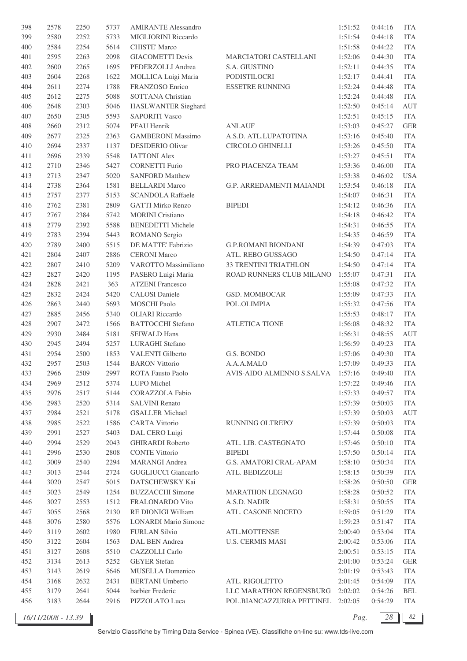| 398 | 2578 | 2250 | 5737 | <b>AMIRANTE Alessandro</b>  |                                   | 1:51:52 | 0:44:16 | <b>ITA</b> |
|-----|------|------|------|-----------------------------|-----------------------------------|---------|---------|------------|
| 399 | 2580 | 2252 | 5733 | <b>MIGLIORINI Riccardo</b>  |                                   | 1:51:54 | 0:44:18 | <b>ITA</b> |
| 400 | 2584 | 2254 | 5614 | <b>CHISTE' Marco</b>        |                                   | 1:51:58 | 0:44:22 | <b>ITA</b> |
| 401 | 2595 | 2263 | 2098 | <b>GIACOMETTI Devis</b>     | MARCIATORI CASTELLANI             | 1:52:06 | 0:44:30 | <b>ITA</b> |
| 402 | 2600 | 2265 | 1695 | PEDERZOLLI Andrea           | S.A. GIUSTINO                     | 1:52:11 | 0:44:35 | <b>ITA</b> |
| 403 | 2604 | 2268 | 1622 | MOLLICA Luigi Maria         | PODISTILOCRI                      | 1:52:17 | 0:44:41 | <b>ITA</b> |
| 404 | 2611 | 2274 | 1788 | FRANZOSO Enrico             | <b>ESSETRE RUNNING</b>            | 1:52:24 | 0:44:48 | <b>ITA</b> |
| 405 | 2612 | 2275 | 5088 | SOTTANA Christian           |                                   | 1:52:24 | 0:44:48 | <b>ITA</b> |
|     |      |      | 5046 |                             |                                   |         |         |            |
| 406 | 2648 | 2303 |      | HASLWANTER Sieghard         |                                   | 1:52:50 | 0:45:14 | <b>AUT</b> |
| 407 | 2650 | 2305 | 5593 | <b>SAPORITI Vasco</b>       |                                   | 1:52:51 | 0:45:15 | <b>ITA</b> |
| 408 | 2660 | 2312 | 5074 | PFAU Henrik                 | <b>ANLAUF</b>                     | 1:53:03 | 0:45:27 | <b>GER</b> |
| 409 | 2677 | 2325 | 2363 | <b>GAMBERONI Massimo</b>    | A.S.D. ATL.LUPATOTINA             | 1:53:16 | 0:45:40 | <b>ITA</b> |
| 410 | 2694 | 2337 | 1137 | <b>DESIDERIO Olivar</b>     | CIRCOLO GHINELLI                  | 1:53:26 | 0:45:50 | <b>ITA</b> |
| 411 | 2696 | 2339 | 5548 | <b>IATTONI Alex</b>         |                                   | 1:53:27 | 0:45:51 | <b>ITA</b> |
| 412 | 2710 | 2346 | 5427 | <b>CORNETTI Furio</b>       | PRO PIACENZA TEAM                 | 1:53:36 | 0:46:00 | <b>ITA</b> |
| 413 | 2713 | 2347 | 5020 | <b>SANFORD Matthew</b>      |                                   | 1:53:38 | 0:46:02 | <b>USA</b> |
| 414 | 2738 | 2364 | 1581 | <b>BELLARDI Marco</b>       | G.P. ARREDAMENTI MAIANDI          | 1:53:54 | 0:46:18 | <b>ITA</b> |
| 415 | 2757 | 2377 | 5153 | <b>SCANDOLA Raffaele</b>    |                                   | 1:54:07 | 0:46:31 | <b>ITA</b> |
| 416 | 2762 | 2381 | 2809 | <b>GATTI Mirko Renzo</b>    | <b>BIPEDI</b>                     | 1:54:12 | 0:46:36 | <b>ITA</b> |
| 417 | 2767 | 2384 | 5742 | <b>MORINI</b> Cristiano     |                                   | 1:54:18 | 0:46:42 | <b>ITA</b> |
| 418 | 2779 | 2392 | 5588 | <b>BENEDETTI Michele</b>    |                                   | 1:54:31 | 0:46:55 | <b>ITA</b> |
| 419 | 2783 | 2394 | 5443 | ROMANO Sergio               |                                   | 1:54:35 | 0:46:59 | <b>ITA</b> |
| 420 | 2789 | 2400 | 5515 | DE MATTE' Fabrizio          | <b>G.P.ROMANI BIONDANI</b>        | 1:54:39 | 0:47:03 | <b>ITA</b> |
| 421 | 2804 | 2407 | 2886 | <b>CERONI</b> Marco         | ATL. REBO GUSSAGO                 | 1:54:50 | 0:47:14 | <b>ITA</b> |
| 422 | 2807 | 2410 | 5209 | VAROTTO Massimiliano        | 33 TRENTINI TRIATHLON             | 1:54:50 | 0:47:14 | <b>ITA</b> |
| 423 | 2827 | 2420 | 1195 | PASERO Luigi Maria          | ROAD RUNNERS CLUB MILANO          | 1:55:07 | 0:47:31 | <b>ITA</b> |
| 424 |      |      | 363  | <b>ATZENI</b> Francesco     |                                   |         |         | <b>ITA</b> |
|     | 2828 | 2421 |      |                             |                                   | 1:55:08 | 0:47:32 |            |
| 425 | 2832 | 2424 | 5420 | <b>CALOSI</b> Daniele       | <b>GSD. MOMBOCAR</b>              | 1:55:09 | 0:47:33 | <b>ITA</b> |
| 426 | 2863 | 2440 | 5693 | MOSCHI Paolo                | POL.OLIMPIA                       | 1:55:32 | 0:47:56 | <b>ITA</b> |
| 427 | 2885 | 2456 | 5340 | <b>OLIARI</b> Riccardo      |                                   | 1:55:53 | 0:48:17 | <b>ITA</b> |
| 428 | 2907 | 2472 | 1566 | <b>BATTOCCHI</b> Stefano    | <b>ATLETICA TIONE</b>             | 1:56:08 | 0:48:32 | <b>ITA</b> |
| 429 | 2930 | 2484 | 5181 | <b>SEIWALD Hans</b>         |                                   | 1:56:31 | 0:48:55 | AUT        |
| 430 | 2945 | 2494 | 5257 | LURAGHI Stefano             |                                   | 1:56:59 | 0:49:23 | <b>ITA</b> |
| 431 | 2954 | 2500 | 1853 | VALENTI Gilberto            | G.S. BONDO                        | 1:57:06 | 0:49:30 | <b>ITA</b> |
| 432 | 2957 | 2503 | 1544 | <b>BARON Vittorio</b>       | A.A.A.MALO                        | 1:57:09 | 0:49:33 | <b>ITA</b> |
| 433 | 2966 | 2509 | 2997 | ROTA Fausto Paolo           | AVIS-AIDO ALMENNO S.SALVA 1:57:16 |         | 0:49:40 | <b>ITA</b> |
| 434 | 2969 | 2512 | 5374 | LUPO Michel                 |                                   | 1:57:22 | 0:49:46 | <b>ITA</b> |
| 435 | 2976 | 2517 | 5144 | <b>CORAZZOLA</b> Fabio      |                                   | 1:57:33 | 0:49:57 | <b>ITA</b> |
| 436 | 2983 | 2520 | 5314 | <b>SALVINI Renato</b>       |                                   | 1:57:39 | 0:50:03 | <b>ITA</b> |
| 437 | 2984 | 2521 | 5178 | <b>GSALLER Michael</b>      |                                   | 1:57:39 | 0:50:03 | AUT        |
| 438 | 2985 | 2522 | 1586 | <b>CARTA Vittorio</b>       | RUNNING OLTREPO'                  | 1:57:39 | 0:50:03 | <b>ITA</b> |
| 439 | 2991 | 2527 | 5403 | DAL CERO Luigi              |                                   | 1:57:44 | 0:50:08 | <b>ITA</b> |
| 440 | 2994 | 2529 | 2043 | <b>GHIRARDI Roberto</b>     | ATL. LIB. CASTEGNATO              | 1:57:46 | 0:50:10 | <b>ITA</b> |
| 441 | 2996 | 2530 | 2808 | <b>CONTE Vittorio</b>       | <b>BIPEDI</b>                     | 1:57:50 | 0:50:14 | <b>ITA</b> |
| 442 | 3009 | 2540 | 2294 | <b>MARANGI</b> Andrea       | <b>G.S. AMATORI CRAL-APAM</b>     | 1:58:10 | 0:50:34 | <b>ITA</b> |
| 443 | 3013 | 2544 | 2724 | <b>GUGLIUCCI</b> Giancarlo  | ATL. BEDIZZOLE                    | 1:58:15 | 0:50:39 | <b>ITA</b> |
| 444 | 3020 | 2547 | 5015 | DATSCHEWSKY Kai             |                                   | 1:58:26 | 0:50:50 | <b>GER</b> |
|     |      |      |      |                             |                                   |         |         |            |
| 445 | 3023 | 2549 | 1254 | <b>BUZZACCHI</b> Simone     | MARATHON LEGNAGO                  | 1:58:28 | 0:50:52 | <b>ITA</b> |
| 446 | 3027 | 2553 | 1512 | FRALONARDO Vito             | A.S.D. NADIR                      | 1:58:31 | 0:50:55 | <b>ITA</b> |
| 447 | 3055 | 2568 | 2130 | RE DIONIGI William          | ATL. CASONE NOCETO                | 1:59:05 | 0:51:29 | <b>ITA</b> |
| 448 | 3076 | 2580 | 5576 | <b>LONARDI</b> Mario Simone |                                   | 1:59:23 | 0:51:47 | <b>ITA</b> |
| 449 | 3119 | 2602 | 1980 | <b>FURLAN Silvio</b>        | ATL.MOTTENSE                      | 2:00:40 | 0:53:04 | <b>ITA</b> |
| 450 | 3122 | 2604 | 1563 | DAL BEN Andrea              | <b>U.S. CERMIS MASI</b>           | 2:00:42 | 0:53:06 | <b>ITA</b> |
| 451 | 3127 | 2608 | 5510 | CAZZOLLI Carlo              |                                   | 2:00:51 | 0:53:15 | <b>ITA</b> |
| 452 | 3134 | 2613 | 5252 | <b>GEYER</b> Stefan         |                                   | 2:01:00 | 0:53:24 | <b>GER</b> |
| 453 | 3143 | 2619 | 5646 | MUSELLA Domenico            |                                   | 2:01:19 | 0:53:43 | <b>ITA</b> |
| 454 | 3168 | 2632 | 2431 | <b>BERTANI</b> Umberto      | ATL. RIGOLETTO                    | 2:01:45 | 0:54:09 | <b>ITA</b> |
| 455 | 3179 | 2641 | 5044 | barbier Frederic            | LLC MARATHON REGENSBURG           | 2:02:02 | 0:54:26 | BEL        |
| 456 | 3183 | 2644 | 2916 | PIZZOLATO Luca              | POL.BIANCAZZURRA PETTINEL 2:02:05 |         | 0:54:29 | ITA        |
|     |      |      |      |                             |                                   |         |         |            |

*16/11/2008 - 13.39 Pag. 28 82*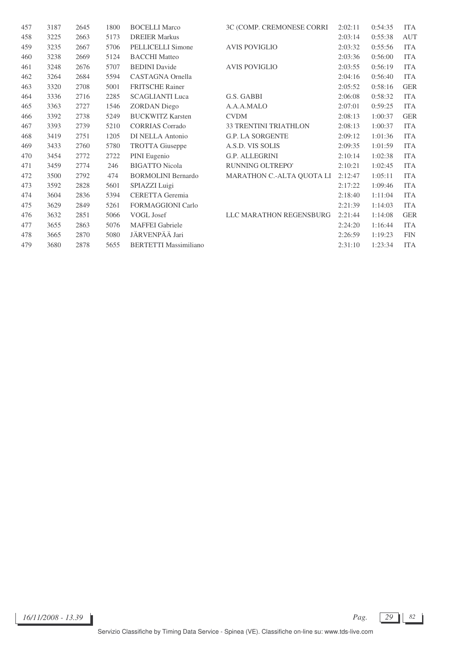| 457 | 3187 | 2645 | 1800 | <b>BOCELLI Marco</b>         | 3C (COMP. CREMONESE CORRI    | 2:02:11 | 0:54:35 | <b>ITA</b> |
|-----|------|------|------|------------------------------|------------------------------|---------|---------|------------|
| 458 | 3225 | 2663 | 5173 | <b>DREIER Markus</b>         |                              | 2:03:14 | 0:55:38 | <b>AUT</b> |
| 459 | 3235 | 2667 | 5706 | PELLICELLI Simone            | <b>AVIS POVIGLIO</b>         | 2:03:32 | 0:55:56 | <b>ITA</b> |
| 460 | 3238 | 2669 | 5124 | <b>BACCHI</b> Matteo         |                              | 2:03:36 | 0:56:00 | <b>ITA</b> |
| 461 | 3248 | 2676 | 5707 | <b>BEDINI</b> Davide         | <b>AVIS POVIGLIO</b>         | 2:03:55 | 0:56:19 | <b>ITA</b> |
| 462 | 3264 | 2684 | 5594 | CASTAGNA Ornella             |                              | 2:04:16 | 0:56:40 | <b>ITA</b> |
| 463 | 3320 | 2708 | 5001 | <b>FRITSCHE Rainer</b>       |                              | 2:05:52 | 0:58:16 | <b>GER</b> |
| 464 | 3336 | 2716 | 2285 | <b>SCAGLIANTI Luca</b>       | G.S. GABBI                   | 2:06:08 | 0:58:32 | <b>ITA</b> |
| 465 | 3363 | 2727 | 1546 | <b>ZORDAN</b> Diego          | A.A.A.MALO                   | 2:07:01 | 0:59:25 | <b>ITA</b> |
| 466 | 3392 | 2738 | 5249 | <b>BUCKWITZ Karsten</b>      | <b>CVDM</b>                  | 2:08:13 | 1:00:37 | <b>GER</b> |
| 467 | 3393 | 2739 | 5210 | <b>CORRIAS</b> Corrado       | <b>33 TRENTINI TRIATHLON</b> | 2:08:13 | 1:00:37 | <b>ITA</b> |
| 468 | 3419 | 2751 | 1205 | DI NELLA Antonio             | <b>G.P. LA SORGENTE</b>      | 2:09:12 | 1:01:36 | <b>ITA</b> |
| 469 | 3433 | 2760 | 5780 | <b>TROTTA</b> Giuseppe       | A.S.D. VIS SOLIS             | 2:09:35 | 1:01:59 | <b>ITA</b> |
| 470 | 3454 | 2772 | 2722 | PINI Eugenio                 | <b>G.P. ALLEGRINI</b>        | 2:10:14 | 1:02:38 | <b>ITA</b> |
| 471 | 3459 | 2774 | 246  | <b>BIGATTO Nicola</b>        | RUNNING OLTREPO'             | 2:10:21 | 1:02:45 | <b>ITA</b> |
| 472 | 3500 | 2792 | 474  | <b>BORMOLINI</b> Bernardo    | MARATHON C.-ALTA QUOTA LI    | 2:12:47 | 1:05:11 | <b>ITA</b> |
| 473 | 3592 | 2828 | 5601 | SPIAZZI Luigi                |                              | 2:17:22 | 1:09:46 | <b>ITA</b> |
| 474 | 3604 | 2836 | 5394 | CERETTA Geremia              |                              | 2:18:40 | 1:11:04 | <b>ITA</b> |
| 475 | 3629 | 2849 | 5261 | <b>FORMAGGIONI Carlo</b>     |                              | 2:21:39 | 1:14:03 | <b>ITA</b> |
| 476 | 3632 | 2851 | 5066 | VOGL Josef                   | LLC MARATHON REGENSBURG      | 2:21:44 | 1:14:08 | <b>GER</b> |
| 477 | 3655 | 2863 | 5076 | <b>MAFFEI</b> Gabriele       |                              | 2:24:20 | 1:16:44 | <b>ITA</b> |
| 478 | 3665 | 2870 | 5080 | JÄRVENPÄÄ Jari               |                              | 2:26:59 | 1:19:23 | <b>FIN</b> |
| 479 | 3680 | 2878 | 5655 | <b>BERTETTI Massimiliano</b> |                              | 2:31:10 | 1:23:34 | <b>ITA</b> |
|     |      |      |      |                              |                              |         |         |            |

Servizio Classifiche by Timing Data Service - Spinea (VE). Classifiche on-line su: www.tds-live.com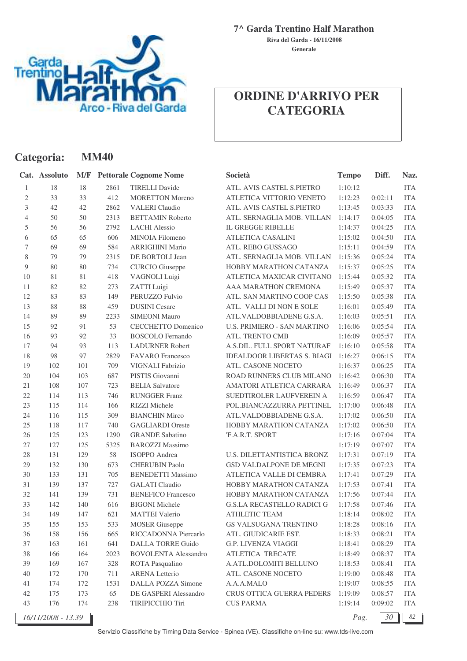

**Categoria: MM40**

**7^ Garda Trentino Half Marathon**

**Generale Riva del Garda - 16/11/2008**

## **ORDINE D'ARRIVO PER CATEGORIA**

|                | Cat. Assoluto      |     |      | <b>M/F</b> Pettorale Cognome Nome | Società                            | <b>Tempo</b> | Diff.   | Naz.       |
|----------------|--------------------|-----|------|-----------------------------------|------------------------------------|--------------|---------|------------|
| $\mathbf{1}$   | 18                 | 18  | 2861 | <b>TIRELLI Davide</b>             | ATL. AVIS CASTEL S.PIETRO          | 1:10:12      |         | <b>ITA</b> |
| $\mathbf{2}$   | 33                 | 33  | 412  | <b>MORETTON Moreno</b>            | ATLETICA VITTORIO VENETO           | 1:12:23      | 0:02:11 | <b>ITA</b> |
| 3              | 42                 | 42  | 2862 | <b>VALERI</b> Claudio             | ATL. AVIS CASTEL S.PIETRO          | 1:13:45      | 0:03:33 | <b>ITA</b> |
| $\overline{4}$ | 50                 | 50  | 2313 | <b>BETTAMIN Roberto</b>           | ATL. SERNAGLIA MOB. VILLAN         | 1:14:17      | 0:04:05 | <b>ITA</b> |
| 5              | 56                 | 56  | 2792 | <b>LACHI</b> Alessio              | <b>IL GREGGE RIBELLE</b>           | 1:14:37      | 0:04:25 | <b>ITA</b> |
| 6              | 65                 | 65  | 606  | MINOIA Filomeno                   | ATLETICA CASALINI                  | 1:15:02      | 0:04:50 | <b>ITA</b> |
| 7              | 69                 | 69  | 584  | <b>ARRIGHINI Mario</b>            | ATL. REBO GUSSAGO                  | 1:15:11      | 0:04:59 | <b>ITA</b> |
| 8              | 79                 | 79  | 2315 | DE BORTOLI Jean                   | ATL. SERNAGLIA MOB. VILLAN         | 1:15:36      | 0:05:24 | <b>ITA</b> |
| 9              | 80                 | 80  | 734  | <b>CURCIO</b> Giuseppe            | HOBBY MARATHON CATANZA             | 1:15:37      | 0:05:25 | <b>ITA</b> |
| 10             | 81                 | 81  | 418  | VAGNOLI Luigi                     | ATLETICA MAXICAR CIVITANO          | 1:15:44      | 0:05:32 | <b>ITA</b> |
| 11             | 82                 | 82  | 273  | ZATTI Luigi                       | AAA MARATHON CREMONA               | 1:15:49      | 0:05:37 | <b>ITA</b> |
| 12             | 83                 | 83  | 149  | PERUZZO Fulvio                    | ATL. SAN MARTINO COOP CAS          | 1:15:50      | 0:05:38 | <b>ITA</b> |
| 13             | 88                 | 88  | 459  | <b>DUSINI</b> Cesare              | ATL. VALLI DI NON E SOLE           | 1:16:01      | 0:05:49 | <b>ITA</b> |
| 14             | 89                 | 89  | 2233 | <b>SIMEONI Mauro</b>              | ATL.VALDOBBIADENE G.S.A.           | 1:16:03      | 0:05:51 | <b>ITA</b> |
| 15             | 92                 | 91  | 53   | <b>CECCHETTO Domenico</b>         | <b>U.S. PRIMIERO - SAN MARTINO</b> | 1:16:06      | 0:05:54 | <b>ITA</b> |
| 16             | 93                 | 92  | 33   | <b>BOSCOLO</b> Fernando           | ATL. TRENTO CMB                    | 1:16:09      | 0:05:57 | <b>ITA</b> |
| 17             | 94                 | 93  | 113  | <b>LADURNER Robert</b>            | A.S.DIL. FULL SPORT NATURAF        | 1:16:10      | 0:05:58 | <b>ITA</b> |
| 18             | 98                 | 97  | 2829 | <b>FAVARO</b> Francesco           | <b>IDEALDOOR LIBERTAS S. BIAGI</b> | 1:16:27      | 0:06:15 | <b>ITA</b> |
| 19             | 102                | 101 | 709  | VIGNALI Fabrizio                  | ATL. CASONE NOCETO                 | 1:16:37      | 0:06:25 | <b>ITA</b> |
| $20\,$         | 104                | 103 | 687  | PISTIS Giovanni                   | ROAD RUNNERS CLUB MILANO           | 1:16:42      | 0:06:30 | <b>ITA</b> |
| 21             | 108                | 107 | 723  | <b>BELIA Salvatore</b>            | AMATORI ATLETICA CARRARA           | 1:16:49      | 0:06:37 | <b>ITA</b> |
| 22             | 114                | 113 | 746  | <b>RUNGGER Franz</b>              | SUEDTIROLER LAUFVEREIN A           | 1:16:59      | 0:06:47 | <b>ITA</b> |
| 23             | 115                | 114 | 166  | RIZZI Michele                     | POL.BIANCAZZURRA PETTINEL          | 1:17:00      | 0:06:48 | <b>ITA</b> |
| 24             | 116                | 115 | 309  | <b>BIANCHIN Mirco</b>             | ATL.VALDOBBIADENE G.S.A.           | 1:17:02      | 0:06:50 | <b>ITA</b> |
| 25             | 118                | 117 | 740  | <b>GAGLIARDI</b> Oreste           | HOBBY MARATHON CATANZA             | 1:17:02      | 0:06:50 | <b>ITA</b> |
| 26             | 125                | 123 | 1290 | <b>GRANDE Sabatino</b>            | 'F.A.R.T. SPORT'                   | 1:17:16      | 0:07:04 | <b>ITA</b> |
| 27             | 127                | 125 | 5325 | <b>BAROZZI Massimo</b>            |                                    | 1:17:19      | 0:07:07 | <b>ITA</b> |
| 28             | 131                | 129 | 58   | <b>ISOPPO</b> Andrea              | U.S. DILETTANTISTICA BRONZ         | 1:17:31      | 0:07:19 | <b>ITA</b> |
| 29             | 132                | 130 | 673  | <b>CHERUBIN Paolo</b>             | <b>GSD VALDALPONE DE MEGNI</b>     | 1:17:35      | 0:07:23 | <b>ITA</b> |
| 30             | 133                | 131 | 705  | <b>BENEDETTI Massimo</b>          | ATLETICA VALLE DI CEMBRA           | 1:17:41      | 0:07:29 | <b>ITA</b> |
| 31             | 139                | 137 | 727  | <b>GALATI</b> Claudio             | HOBBY MARATHON CATANZA             | 1:17:53      | 0:07:41 | <b>ITA</b> |
| 32             | 141                | 139 | 731  | <b>BENEFICO Francesco</b>         | HOBBY MARATHON CATANZA             | 1:17:56      | 0:07:44 | <b>ITA</b> |
| 33             | 142                | 140 | 616  | <b>BIGONI</b> Michele             | <b>G.S.LA RECASTELLO RADICI G</b>  | 1:17:58      | 0:07:46 | <b>ITA</b> |
| 34             | 149                | 147 | 621  | <b>MATTEI Valerio</b>             | ATHLETIC TEAM                      | 1:18:14      | 0:08:02 | ITA        |
| 35             | 155                | 153 | 533  | <b>MOSER</b> Giuseppe             | GS VALSUGANA TRENTINO              | 1:18:28      | 0:08:16 | <b>ITA</b> |
| 36             | 158                | 156 | 665  | RICCADONNA Piercarlo              | ATL. GIUDICARIE EST.               | 1:18:33      | 0:08:21 | <b>ITA</b> |
| 37             | 163                | 161 | 641  | <b>DALLA TORRE Guido</b>          | G.P. LIVENZA VIAGGI                | 1:18:41      | 0:08:29 | <b>ITA</b> |
| 38             | 166                | 164 | 2023 | <b>BOVOLENTA Alessandro</b>       | ATLETICA TRECATE                   | 1:18:49      | 0:08:37 | <b>ITA</b> |
| 39             | 169                | 167 | 328  | ROTA Pasqualino                   | A.ATL.DOLOMITI BELLUNO             | 1:18:53      | 0:08:41 | <b>ITA</b> |
| 40             | 172                | 170 | 711  | <b>ARENA</b> Letterio             | ATL. CASONE NOCETO                 | 1:19:00      | 0:08:48 | <b>ITA</b> |
| 41             | 174                | 172 | 1531 | DALLA POZZA Simone                | A.A.A.MALO                         | 1:19:07      | 0:08:55 | <b>ITA</b> |
| 42             | 175                | 173 | 65   | DE GASPERI Alessandro             | CRUS OTTICA GUERRA PEDERS          | 1:19:09      | 0:08:57 | <b>ITA</b> |
| 43             | 176                | 174 | 238  | TIRIPICCHIO Tiri                  | <b>CUS PARMA</b>                   | 1:19:14      | 0:09:02 | <b>ITA</b> |
|                | 16/11/2008 - 13.39 |     |      |                                   |                                    | Pag.         | 30      | 82         |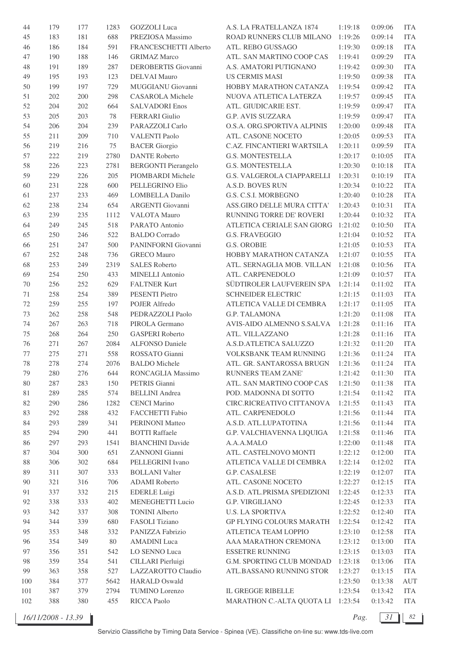| 44  | 179 | 177 | 1283   | <b>GOZZOLI</b> Luca          | A.S. LA FRATELLANZA 1874           | 1:19:18 | 0:09:06 | <b>ITA</b> |
|-----|-----|-----|--------|------------------------------|------------------------------------|---------|---------|------------|
| 45  | 183 | 181 | 688    | PREZIOSA Massimo             | ROAD RUNNERS CLUB MILANO           | 1:19:26 | 0:09:14 | <b>ITA</b> |
| 46  | 186 | 184 | 591    | <b>FRANCESCHETTI Alberto</b> | ATL. REBO GUSSAGO                  | 1:19:30 | 0:09:18 | <b>ITA</b> |
| 47  | 190 | 188 | 146    | <b>GRIMAZ Marco</b>          | ATL. SAN MARTINO COOP CAS          | 1:19:41 | 0:09:29 | <b>ITA</b> |
| 48  | 191 | 189 | 287    | DEROBERTIS Giovanni          | A.S. AMATORI PUTIGNANO             | 1:19:42 | 0:09:30 | <b>ITA</b> |
| 49  | 195 | 193 | 123    | <b>DELVAI Mauro</b>          | <b>US CERMIS MASI</b>              | 1:19:50 | 0:09:38 | <b>ITA</b> |
| 50  | 199 | 197 | 729    | MUGGIANU Giovanni            | HOBBY MARATHON CATANZA             | 1:19:54 | 0:09:42 | <b>ITA</b> |
| 51  | 202 | 200 | 298    | <b>CASAROLA</b> Michele      | NUOVA ATLETICA LATERZA             | 1:19:57 | 0:09:45 | <b>ITA</b> |
| 52  | 204 | 202 | 664    | <b>SALVADORI Enos</b>        | ATL. GIUDICARIE EST.               | 1:19:59 | 0:09:47 | <b>ITA</b> |
| 53  | 205 | 203 | 78     | <b>FERRARI</b> Giulio        | G.P. AVIS SUZZARA                  | 1:19:59 | 0:09:47 | <b>ITA</b> |
| 54  | 206 | 204 | 239    | PARAZZOLI Carlo              | O.S.A. ORG.SPORTIVA ALPINIS        | 1:20:00 | 0:09:48 | <b>ITA</b> |
| 55  | 211 | 209 | 710    | <b>VALENTI Paolo</b>         | ATL. CASONE NOCETO                 | 1:20:05 | 0:09:53 | <b>ITA</b> |
|     |     |     | 75     |                              |                                    |         | 0:09:59 | <b>ITA</b> |
| 56  | 219 | 216 |        | <b>BACER</b> Giorgio         | C.AZ. FINCANTIERI WARTSILA         | 1:20:11 |         |            |
| 57  | 222 | 219 | 2780   | <b>DANTE Roberto</b>         | <b>G.S. MONTESTELLA</b>            | 1:20:17 | 0:10:05 | <b>ITA</b> |
| 58  | 226 | 223 | 2781   | <b>BERGONTI Pierangelo</b>   | <b>G.S. MONTESTELLA</b>            | 1:20:30 | 0:10:18 | <b>ITA</b> |
| 59  | 229 | 226 | 205    | PIOMBARDI Michele            | G.S. VALGEROLA CIAPPARELLI         | 1:20:31 | 0:10:19 | <b>ITA</b> |
| 60  | 231 | 228 | 600    | PELLEGRINO Elio              | A.S.D. BOVES RUN                   | 1:20:34 | 0:10:22 | <b>ITA</b> |
| 61  | 237 | 233 | 469    | <b>LOMBELLA Danilo</b>       | G.S. C.S.I. MORBEGNO               | 1:20:40 | 0:10:28 | <b>ITA</b> |
| 62  | 238 | 234 | 654    | ARGENTI Giovanni             | ASS.GIRO DELLE MURA CITTA'         | 1:20:43 | 0:10:31 | <b>ITA</b> |
| 63  | 239 | 235 | 1112   | VALOTA Mauro                 | RUNNING TORRE DE' ROVERI           | 1:20:44 | 0:10:32 | <b>ITA</b> |
| 64  | 249 | 245 | 518    | PARATO Antonio               | ATLETICA CERIALE SAN GIORG 1:21:02 |         | 0:10:50 | <b>ITA</b> |
| 65  | 250 | 246 | 522    | <b>BALDO</b> Corrado         | <b>G.S. FRAVEGGIO</b>              | 1:21:04 | 0:10:52 | <b>ITA</b> |
| 66  | 251 | 247 | 500    | PANINFORNI Giovanni          | <b>G.S. OROBIE</b>                 | 1:21:05 | 0:10:53 | <b>ITA</b> |
| 67  | 252 | 248 | 736    | <b>GRECO</b> Mauro           | HOBBY MARATHON CATANZA             | 1:21:07 | 0:10:55 | <b>ITA</b> |
| 68  | 253 | 249 | 2319   | <b>SALES Roberto</b>         | ATL. SERNAGLIA MOB. VILLAN         | 1:21:08 | 0:10:56 | <b>ITA</b> |
| 69  | 254 | 250 | 433    | <b>MINELLI</b> Antonio       | ATL. CARPENEDOLO                   | 1:21:09 | 0:10:57 | <b>ITA</b> |
| 70  | 256 | 252 | 629    | <b>FALTNER Kurt</b>          | SÜDTIROLER LAUFVEREIN SPA          | 1:21:14 | 0:11:02 | <b>ITA</b> |
| 71  | 258 | 254 | 389    | PESENTI Pietro               | <b>SCHNEIDER ELECTRIC</b>          | 1:21:15 | 0:11:03 | <b>ITA</b> |
| 72  | 259 | 255 | 197    | POJER Alfredo                | ATLETICA VALLE DI CEMBRA           | 1:21:17 | 0:11:05 | <b>ITA</b> |
| 73  | 262 | 258 | 548    | PEDRAZZOLI Paolo             | G.P. TALAMONA                      | 1:21:20 | 0:11:08 | <b>ITA</b> |
| 74  | 267 | 263 | 718    | PIROLA Germano               | AVIS-AIDO ALMENNO S.SALVA          | 1:21:28 | 0:11:16 | <b>ITA</b> |
| 75  | 268 | 264 | 250    | <b>GASPERI</b> Roberto       | ATL. VILLAZZANO                    | 1:21:28 | 0:11:16 | <b>ITA</b> |
| 76  | 271 | 267 | 2084   | <b>ALFONSO Daniele</b>       | A.S.D.ATLETICA SALUZZO             | 1:21:32 | 0:11:20 | <b>ITA</b> |
| 77  | 275 | 271 | 558    | ROSSATO Gianni               | VOLKSBANK TEAM RUNNING             | 1:21:36 | 0:11:24 | <b>ITA</b> |
| 78  | 278 | 274 | 2076   | <b>BALDO</b> Michele         | ATL. GR. SANTAROSSA BRUGN          | 1:21:36 | 0:11:24 | <b>ITA</b> |
|     |     |     |        |                              | RUNNERS TEAM ZANE'                 |         |         |            |
| 79  | 280 | 276 | 644    | RONCAGLIA Massimo            |                                    | 1:21:42 | 0:11:30 | <b>ITA</b> |
| 80  | 287 | 283 | 150    | PETRIS Gianni                | ATL. SAN MARTINO COOP CAS          | 1:21:50 | 0:11:38 | <b>ITA</b> |
| 81  | 289 | 285 | 574    | <b>BELLINI</b> Andrea        | POD. MADONNA DI SOTTO              | 1:21:54 | 0:11:42 | <b>ITA</b> |
| 82  | 290 | 286 | 1282   | <b>CENCI Marino</b>          | CIRC.RICREATIVO CITTANOVA          | 1:21:55 | 0:11:43 | <b>ITA</b> |
| 83  | 292 | 288 | 432    | FACCHETTI Fabio              | ATL. CARPENEDOLO                   | 1:21:56 | 0:11:44 | <b>ITA</b> |
| 84  | 293 | 289 | 341    | PERINONI Matteo              | A.S.D. ATL.LUPATOTINA              | 1:21:56 | 0:11:44 | <b>ITA</b> |
| 85  | 294 | 290 | 441    | <b>BOTTI Raffaele</b>        | G.P. VALCHIAVENNA LIQUIGA          | 1:21:58 | 0:11:46 | <b>ITA</b> |
| 86  | 297 | 293 | 1541   | <b>BIANCHINI</b> Davide      | A.A.A.MALO                         | 1:22:00 | 0:11:48 | <b>ITA</b> |
| 87  | 304 | 300 | 651    | ZANNONI Gianni               | ATL. CASTELNOVO MONTI              | 1:22:12 | 0:12:00 | <b>ITA</b> |
| 88  | 306 | 302 | 684    | PELLEGRINI Ivano             | ATLETICA VALLE DI CEMBRA           | 1:22:14 | 0:12:02 | <b>ITA</b> |
| 89  | 311 | 307 | 333    | <b>BOLLANI</b> Valter        | G.P. CASALESE                      | 1:22:19 | 0:12:07 | <b>ITA</b> |
| 90  | 321 | 316 | 706    | <b>ADAMI</b> Roberto         | ATL. CASONE NOCETO                 | 1:22:27 | 0:12:15 | <b>ITA</b> |
| 91  | 337 | 332 | 215    | <b>EDERLE Luigi</b>          | A.S.D. ATL.PRISMA SPEDIZIONI       | 1:22:45 | 0:12:33 | <b>ITA</b> |
| 92  | 338 | 333 | 402    | MENEGHETTI Lucio             | G.P. VIRGILIANO                    | 1:22:45 | 0:12:33 | <b>ITA</b> |
| 93  | 342 | 337 | 308    | <b>TONINI Alberto</b>        | <b>U.S. LA SPORTIVA</b>            | 1:22:52 | 0:12:40 | <b>ITA</b> |
| 94  | 344 | 339 | 680    | FASOLI Tiziano               | <b>GP FLYING COLOURS MARATH</b>    | 1:22:54 | 0:12:42 | <b>ITA</b> |
| 95  | 353 | 348 | 332    | PANIZZA Fabrizio             | ATLETICA TEAM LOPPIO               | 1:23:10 | 0:12:58 | <b>ITA</b> |
| 96  | 354 | 349 | $80\,$ | <b>AMADINI</b> Luca          | AAA MARATHON CREMONA               | 1:23:12 | 0:13:00 | <b>ITA</b> |
| 97  | 356 | 351 | 542    | LO SENNO Luca                | <b>ESSETRE RUNNING</b>             | 1:23:15 | 0:13:03 | <b>ITA</b> |
| 98  | 359 | 354 | 541    | CILLARI Pierluigi            | G.M. SPORTING CLUB MONDAD          | 1:23:18 | 0:13:06 | <b>ITA</b> |
| 99  | 363 | 358 | 527    | LAZZAROTTO Claudio           | ATL.BASSANO RUNNING STOR           | 1:23:27 | 0:13:15 | <b>ITA</b> |
| 100 | 384 | 377 | 5642   | <b>HARALD Oswald</b>         |                                    | 1:23:50 | 0:13:38 | AUT        |
| 101 | 387 | 379 | 2794   | TUMINO Lorenzo               | IL GREGGE RIBELLE                  | 1:23:54 | 0:13:42 | ITA        |
| 102 | 388 |     | 455    | RICCA Paolo                  | MARATHON C.-ALTA QUOTA LI 1:23:54  |         |         | <b>ITA</b> |
|     |     | 380 |        |                              |                                    |         | 0:13:42 |            |

*16/11/2008 - 13.39 Pag. 31 82*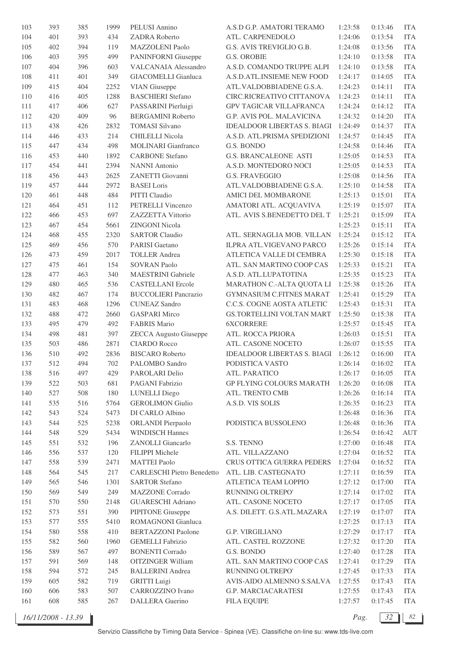| 103 | 393 | 385 | 1999 | PELUSI Annino                     | A.S.D G.P. AMATORI TERAMO          | 1:23:58 | 0:13:46 | <b>ITA</b> |
|-----|-----|-----|------|-----------------------------------|------------------------------------|---------|---------|------------|
| 104 | 401 | 393 | 434  | ZADRA Roberto                     | ATL. CARPENEDOLO                   | 1:24:06 | 0:13:54 | <b>ITA</b> |
| 105 | 402 | 394 | 119  | MAZZOLENI Paolo                   | G.S. AVIS TREVIGLIO G.B.           | 1:24:08 | 0:13:56 | <b>ITA</b> |
| 106 | 403 | 395 | 499  | <b>PANINFORNI</b> Giuseppe        | <b>G.S. OROBIE</b>                 | 1:24:10 | 0:13:58 | <b>ITA</b> |
| 107 | 404 | 396 | 603  | VALCANAIA Alessandro              | A.S.D. COMANDO TRUPPE ALPI         | 1:24:10 | 0:13:58 | <b>ITA</b> |
| 108 | 411 | 401 | 349  | <b>GIACOMELLI</b> Gianluca        | A.S.D.ATL.INSIEME NEW FOOD         | 1:24:17 | 0:14:05 | <b>ITA</b> |
| 109 | 415 | 404 | 2252 | <b>VIAN</b> Giuseppe              | ATL.VALDOBBIADENE G.S.A.           | 1:24:23 | 0:14:11 | <b>ITA</b> |
| 110 | 416 | 405 | 1288 | <b>BASCHIERI</b> Stefano          | CIRC.RICREATIVO CITTANOVA          | 1:24:23 | 0:14:11 | <b>ITA</b> |
| 111 | 417 | 406 | 627  | PASSARINI Pierluigi               | <b>GPV TAGICAR VILLAFRANCA</b>     | 1:24:24 | 0:14:12 | <b>ITA</b> |
| 112 | 420 | 409 | 96   | <b>BERGAMINI Roberto</b>          | G.P. AVIS POL. MALAVICINA          | 1:24:32 | 0:14:20 | <b>ITA</b> |
|     |     |     |      | <b>TOMASI Silvano</b>             | <b>IDEALDOOR LIBERTAS S. BIAGI</b> |         |         | <b>ITA</b> |
| 113 | 438 | 426 | 2832 |                                   |                                    | 1:24:49 | 0:14:37 |            |
| 114 | 446 | 433 | 214  | <b>CHILELLI Nicola</b>            | A.S.D. ATL.PRISMA SPEDIZIONI       | 1:24:57 | 0:14:45 | <b>ITA</b> |
| 115 | 447 | 434 | 498  | MOLINARI Gianfranco               | G.S. BONDO                         | 1:24:58 | 0:14:46 | <b>ITA</b> |
| 116 | 453 | 440 | 1892 | <b>CARBONE</b> Stefano            | <b>G.S. BRANCALEONE ASTI</b>       | 1:25:05 | 0:14:53 | <b>ITA</b> |
| 117 | 454 | 441 | 2394 | <b>NANNI</b> Antonio              | A.S.D. MONTEDORO NOCI              | 1:25:05 | 0:14:53 | <b>ITA</b> |
| 118 | 456 | 443 | 2625 | ZANETTI Giovanni                  | <b>G.S. FRAVEGGIO</b>              | 1:25:08 | 0:14:56 | <b>ITA</b> |
| 119 | 457 | 444 | 2972 | <b>BASEI</b> Loris                | ATL.VALDOBBIADENE G.S.A.           | 1:25:10 | 0:14:58 | <b>ITA</b> |
| 120 | 461 | 448 | 484  | PITTI Claudio                     | AMICI DEL MOMBARONE                | 1:25:13 | 0:15:01 | <b>ITA</b> |
| 121 | 464 | 451 | 112  | PETRELLI Vincenzo                 | AMATORI ATL. ACQUAVIVA             | 1:25:19 | 0:15:07 | <b>ITA</b> |
| 122 | 466 | 453 | 697  | ZAZZETTA Vittorio                 | ATL. AVIS S.BENEDETTO DEL T        | 1:25:21 | 0:15:09 | <b>ITA</b> |
| 123 | 467 | 454 | 5661 | <b>ZINGONI Nicola</b>             |                                    | 1:25:23 | 0:15:11 | <b>ITA</b> |
| 124 | 468 | 455 | 2320 | <b>SARTOR Claudio</b>             | ATL. SERNAGLIA MOB. VILLAN         | 1:25:24 | 0:15:12 | <b>ITA</b> |
| 125 | 469 | 456 | 570  | PARISI Gaetano                    | <b>ILPRA ATL.VIGEVANO PARCO</b>    | 1:25:26 | 0:15:14 | <b>ITA</b> |
| 126 | 473 | 459 | 2017 | <b>TOLLER</b> Andrea              | ATLETICA VALLE DI CEMBRA           | 1:25:30 | 0:15:18 | <b>ITA</b> |
| 127 | 475 | 461 | 154  | <b>SOVRAN Paolo</b>               | ATL. SAN MARTINO COOP CAS          | 1:25:33 | 0:15:21 | <b>ITA</b> |
| 128 | 477 | 463 | 340  | <b>MAESTRINI</b> Gabriele         | A.S.D. ATL.LUPATOTINA              | 1:25:35 | 0:15:23 | <b>ITA</b> |
| 129 | 480 | 465 | 536  | <b>CASTELLANI Ercole</b>          | MARATHON C.-ALTA QUOTA LI          | 1:25:38 | 0:15:26 | <b>ITA</b> |
| 130 | 482 | 467 | 174  | <b>BUCCOLIERI</b> Pancrazio       | <b>GYMNASIUM C.FITNES MARAT</b>    | 1:25:41 | 0:15:29 | <b>ITA</b> |
| 131 | 483 | 468 | 1296 | <b>CUNEAZ Sandro</b>              | C.C.S. COGNE AOSTA ATLETIC         | 1:25:43 | 0:15:31 | <b>ITA</b> |
| 132 | 488 | 472 | 2660 | <b>GASPARI Mirco</b>              | GS.TORTELLINI VOLTAN MART          | 1:25:50 | 0:15:38 | <b>ITA</b> |
| 133 | 495 | 479 | 492  | <b>FABRIS Mario</b>               | <b>6XCORRERE</b>                   | 1:25:57 | 0:15:45 | <b>ITA</b> |
| 134 | 498 | 481 | 397  | <b>ZECCA</b> Augusto Giuseppe     | ATL. ROCCA PRIORA                  | 1:26:03 | 0:15:51 | <b>ITA</b> |
| 135 | 503 | 486 | 2871 | <b>CIARDO Rocco</b>               | ATL. CASONE NOCETO                 | 1:26:07 | 0:15:55 | <b>ITA</b> |
|     | 510 |     |      |                                   |                                    |         |         | <b>ITA</b> |
| 136 |     | 492 | 2836 | <b>BISCARO</b> Roberto            | <b>IDEALDOOR LIBERTAS S. BIAGI</b> | 1:26:12 | 0:16:00 |            |
| 137 | 512 | 494 | 702  | PALOMBO Sandro                    | PODISTICA VASTO                    | 1:26:14 | 0:16:02 | <b>ITA</b> |
| 138 | 516 | 497 | 429  | PAROLARI Delio                    | ATL. PARATICO                      | 1:26:17 | 0:16:05 | <b>ITA</b> |
| 139 | 522 | 503 | 681  | PAGANI Fabrizio                   | <b>GP FLYING COLOURS MARATH</b>    | 1:26:20 | 0:16:08 | <b>ITA</b> |
| 140 | 527 | 508 | 180  | <b>LUNELLI</b> Diego              | ATL. TRENTO CMB                    | 1:26:26 | 0:16:14 | <b>ITA</b> |
| 141 | 535 | 516 | 5764 | <b>GEROLIMON Giulio</b>           | A.S.D. VIS SOLIS                   | 1:26:35 | 0:16:23 | <b>ITA</b> |
| 142 | 543 | 524 | 5473 | DI CARLO Albino                   |                                    | 1:26:48 | 0:16:36 | <b>ITA</b> |
| 143 | 544 | 525 | 5238 | <b>ORLANDI</b> Pierpaolo          | PODISTICA BUSSOLENO                | 1:26:48 | 0:16:36 | <b>ITA</b> |
| 144 | 548 | 529 | 5434 | <b>WINDISCH Hannes</b>            |                                    | 1:26:54 | 0:16:42 | <b>AUT</b> |
| 145 | 551 | 532 | 196  | ZANOLLI Giancarlo                 | S.S. TENNO                         | 1:27:00 | 0:16:48 | <b>ITA</b> |
| 146 | 556 | 537 | 120  | FILIPPI Michele                   | ATL. VILLAZZANO                    | 1:27:04 | 0:16:52 | <b>ITA</b> |
| 147 | 558 | 539 | 2471 | <b>MATTEI Paolo</b>               | CRUS OTTICA GUERRA PEDERS          | 1:27:04 | 0:16:52 | <b>ITA</b> |
| 148 | 564 | 545 | 217  | <b>CARLESCHI Pietro Benedetto</b> | ATL. LIB. CASTEGNATO               | 1:27:11 | 0:16:59 | <b>ITA</b> |
| 149 | 565 | 546 | 1301 | <b>SARTOR Stefano</b>             | ATLETICA TEAM LOPPIO               | 1:27:12 | 0:17:00 | <b>ITA</b> |
| 150 | 569 | 549 | 249  | <b>MAZZONE</b> Corrado            | RUNNING OLTREPO'                   | 1:27:14 | 0:17:02 | <b>ITA</b> |
| 151 | 570 | 550 | 2148 | <b>GUARESCHI Adriano</b>          | ATL. CASONE NOCETO                 | 1:27:17 | 0:17:05 | <b>ITA</b> |
| 152 | 573 | 551 | 390  | PIPITONE Giuseppe                 | A.S. DILETT. G.S.ATL.MAZARA        | 1:27:19 | 0:17:07 | <b>ITA</b> |
| 153 | 577 | 555 | 5410 | ROMAGNONI Gianluca                |                                    | 1:27:25 | 0:17:13 | <b>ITA</b> |
| 154 | 580 | 558 | 410  | <b>BERTAZZONI</b> Paolone         | <b>G.P. VIRGILIANO</b>             | 1:27:29 | 0:17:17 | <b>ITA</b> |
| 155 | 582 | 560 | 1960 | <b>GEMELLI</b> Fabrizio           | ATL. CASTEL ROZZONE                | 1:27:32 | 0:17:20 | <b>ITA</b> |
| 156 | 589 | 567 | 497  | <b>BONENTI</b> Corrado            | G.S. BONDO                         | 1:27:40 | 0:17:28 | <b>ITA</b> |
| 157 | 591 | 569 | 148  | <b>OITZINGER William</b>          | ATL. SAN MARTINO COOP CAS          | 1:27:41 | 0:17:29 | <b>ITA</b> |
| 158 | 594 | 572 | 245  | <b>BALLERINI</b> Andrea           | RUNNING OLTREPO'                   | 1:27:45 | 0:17:33 | <b>ITA</b> |
| 159 | 605 | 582 | 719  | <b>GRITTI</b> Luigi               | AVIS-AIDO ALMENNO S.SALVA          | 1:27:55 | 0:17:43 | <b>ITA</b> |
|     |     |     | 507  |                                   |                                    |         |         |            |
| 160 | 606 | 583 |      | CARROZZINO Ivano                  | G.P. MARCIACARATESI                | 1:27:55 | 0:17:43 | <b>ITA</b> |
| 161 | 608 | 585 | 267  | <b>DALLERA</b> Guerino            | <b>FILA EQUIPE</b>                 | 1:27:57 | 0:17:45 | <b>ITA</b> |

*16/11/2008 - 13.39 Pag. 32 82*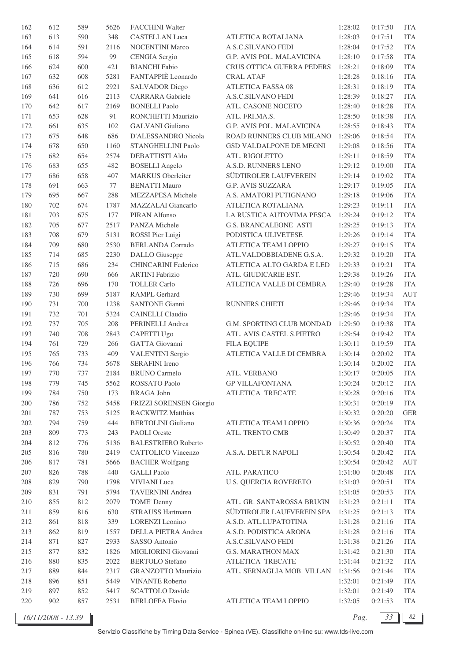| 162     | 612        | 589 | 5626 | FACCHINI Walter            |                              | 1:28:02 | 0:17:50 | <b>ITA</b> |
|---------|------------|-----|------|----------------------------|------------------------------|---------|---------|------------|
| 163     | 613        | 590 | 348  | <b>CASTELLAN Luca</b>      | ATLETICA ROTALIANA           | 1:28:03 | 0:17:51 | <b>ITA</b> |
| 164     | 614        | 591 | 2116 | <b>NOCENTINI Marco</b>     | A.S.C.SILVANO FEDI           | 1:28:04 | 0:17:52 | <b>ITA</b> |
| 165     | 618        | 594 | 99   | <b>CENGIA</b> Sergio       | G.P. AVIS POL. MALAVICINA    | 1:28:10 | 0:17:58 | <b>ITA</b> |
| 166     | 624        | 600 | 421  | <b>BIANCHI</b> Fabio       | CRUS OTTICA GUERRA PEDERS    | 1:28:21 | 0:18:09 | <b>ITA</b> |
| 167     | 632        | 608 | 5281 | FANTAPPIÈ Leonardo         | <b>CRAL ATAF</b>             | 1:28:28 | 0:18:16 | <b>ITA</b> |
| 168     | 636        | 612 | 2921 | <b>SALVADOR</b> Diego      | <b>ATLETICA FASSA 08</b>     | 1:28:31 | 0:18:19 | <b>ITA</b> |
| 169     | 641        | 616 | 2113 | <b>CARRARA</b> Gabriele    | A.S.C.SILVANO FEDI           | 1:28:39 | 0:18:27 | <b>ITA</b> |
| 170     | 642        | 617 | 2169 | <b>BONELLI Paolo</b>       | ATL. CASONE NOCETO           | 1:28:40 | 0:18:28 | <b>ITA</b> |
| 171     | 653        | 628 | 91   | RONCHETTI Maurizio         | ATL. FRI.MA.S.               | 1:28:50 | 0:18:38 | <b>ITA</b> |
| 172     | 661        | 635 | 102  | <b>GALVANI</b> Giuliano    | G.P. AVIS POL. MALAVICINA    | 1:28:55 | 0:18:43 | <b>ITA</b> |
| 173     | 675        | 648 | 686  | D'ALESSANDRO Nicola        | ROAD RUNNERS CLUB MILANO     | 1:29:06 | 0:18:54 | <b>ITA</b> |
| 174     | 678        | 650 | 1160 | STANGHELLINI Paolo         | GSD VALDALPONE DE MEGNI      | 1:29:08 | 0:18:56 | <b>ITA</b> |
| 175     | 682        | 654 | 2574 | DEBATTISTI Aldo            | ATL. RIGOLETTO               | 1:29:11 | 0:18:59 | <b>ITA</b> |
| 176     | 683        | 655 | 482  | <b>BOSELLI</b> Angelo      | A.S.D. RUNNERS LENO          | 1:29:12 | 0:19:00 | <b>ITA</b> |
| 177     | 686        | 658 | 407  | <b>MARKUS</b> Oberleiter   | SÜDTIROLER LAUFVEREIN        | 1:29:14 | 0:19:02 | <b>ITA</b> |
| 178     | 691        | 663 | 77   | <b>BENATTI Mauro</b>       | <b>G.P. AVIS SUZZARA</b>     | 1:29:17 | 0:19:05 | <b>ITA</b> |
| 179     | 695        | 667 | 288  | MEZZAPESA Michele          | A.S. AMATORI PUTIGNANO       | 1:29:18 | 0:19:06 | <b>ITA</b> |
| 180     | 702        | 674 | 1787 | MAZZALAI Giancarlo         | ATLETICA ROTALIANA           | 1:29:23 | 0:19:11 | <b>ITA</b> |
| 181     | 703        | 675 | 177  | PIRAN Alfonso              | LA RUSTICA AUTOVIMA PESCA    | 1:29:24 | 0:19:12 | <b>ITA</b> |
| 182     | 705        | 677 | 2517 | PANZA Michele              | <b>G.S. BRANCALEONE ASTI</b> | 1:29:25 | 0:19:13 | <b>ITA</b> |
| 183     | 708        | 679 | 5131 | ROSSI Pier Luigi           | PODISTICA ULIVETESE          | 1:29:26 | 0:19:14 | <b>ITA</b> |
| 184     | 709        | 680 | 2530 | <b>BERLANDA Corrado</b>    | ATLETICA TEAM LOPPIO         | 1:29:27 | 0:19:15 | <b>ITA</b> |
| 185     | 714        | 685 | 2230 | <b>DALLO</b> Giuseppe      | ATL.VALDOBBIADENE G.S.A.     | 1:29:32 | 0:19:20 | <b>ITA</b> |
| 186     | 715        | 686 | 234  | <b>CHINCARINI Federico</b> | ATLETICA ALTO GARDA E LED    | 1:29:33 | 0:19:21 | <b>ITA</b> |
| 187     | 720        | 690 | 666  | <b>ARTINI Fabrizio</b>     | ATL. GIUDICARIE EST.         | 1:29:38 | 0:19:26 | <b>ITA</b> |
| 188     | 726        | 696 | 170  | <b>TOLLER Carlo</b>        | ATLETICA VALLE DI CEMBRA     | 1:29:40 | 0:19:28 | <b>ITA</b> |
| 189     | 730        | 699 | 5187 | <b>RAMPL Gerhard</b>       |                              | 1:29:46 | 0:19:34 | <b>AUT</b> |
| 190     | 731        | 700 | 1238 | <b>SANTONE Gianni</b>      | RUNNERS CHIETI               | 1:29:46 | 0:19:34 | <b>ITA</b> |
| 191     | 732        | 701 | 5324 | <b>CAINELLI</b> Claudio    |                              | 1:29:46 | 0:19:34 | <b>ITA</b> |
| 192     | 737        | 705 | 208  | PERINELLI Andrea           | G.M. SPORTING CLUB MONDAD    | 1:29:50 | 0:19:38 | <b>ITA</b> |
| 193     | 740        | 708 | 2843 | <b>CAPETTI Ugo</b>         | ATL. AVIS CASTEL S.PIETRO    | 1:29:54 | 0:19:42 | <b>ITA</b> |
| 194     | 761        | 729 | 266  | GATTA Giovanni             | <b>FILA EQUIPE</b>           | 1:30:11 | 0:19:59 | <b>ITA</b> |
| 195     | 765        | 733 | 409  | <b>VALENTINI Sergio</b>    | ATLETICA VALLE DI CEMBRA     | 1:30:14 | 0:20:02 | <b>ITA</b> |
| 196     | 766        | 734 | 5678 | <b>SERAFINI</b> Ireno      |                              | 1:30:14 | 0:20:02 | <b>ITA</b> |
| 197     | 770        | 737 | 2184 | <b>BRUNO Carmelo</b>       | ATL. VERBANO                 | 1:30:17 | 0:20:05 | <b>ITA</b> |
| 198     | 779        | 745 | 5562 | ROSSATO Paolo              | <b>GP VILLAFONTANA</b>       | 1:30:24 | 0:20:12 | <b>ITA</b> |
| 199     | 784        | 750 | 173  | <b>BRAGA</b> John          | ATLETICA TRECATE             | 1:30:28 | 0:20:16 | <b>ITA</b> |
| 200     | 786        | 752 | 5458 | FRIZZI SORENSEN Giorgio    |                              | 1:30:31 | 0:20:19 | <b>ITA</b> |
| 201     | 787        | 753 | 5125 | <b>RACKWITZ Matthias</b>   |                              | 1:30:32 | 0:20:20 | <b>GER</b> |
| 202     | 794        | 759 | 444  | <b>BERTOLINI</b> Giuliano  | ATLETICA TEAM LOPPIO         | 1:30:36 | 0:20:24 | <b>ITA</b> |
| 203     | 809        | 773 | 243  | <b>PAOLI</b> Oreste        | ATL. TRENTO CMB              | 1:30:49 | 0:20:37 | <b>ITA</b> |
| 204     | 812        | 776 | 5136 | <b>BALESTRIERO Roberto</b> |                              | 1:30:52 | 0:20:40 | <b>ITA</b> |
| 205     | 816        | 780 | 2419 | CATTOLICO Vincenzo         | A.S.A. DETUR NAPOLI          | 1:30:54 | 0:20:42 | <b>ITA</b> |
| 206     | 817        | 781 | 5666 | <b>BACHER Wolfgang</b>     |                              | 1:30:54 | 0:20:42 | <b>AUT</b> |
| $207\,$ | 826        | 788 | 440  | <b>GALLI</b> Paolo         | ATL. PARATICO                | 1:31:00 | 0:20:48 | <b>ITA</b> |
| 208     | 829        | 790 | 1798 | <b>VIVIANI</b> Luca        | <b>U.S. QUERCIA ROVERETO</b> | 1:31:03 | 0:20:51 | <b>ITA</b> |
| 209     | 831        | 791 | 5794 | <b>TAVERNINI</b> Andrea    |                              | 1:31:05 | 0:20:53 | <b>ITA</b> |
| 210     | 855        | 812 | 2079 | TOME' Denny                | ATL. GR. SANTAROSSA BRUGN    | 1:31:23 | 0:21:11 | <b>ITA</b> |
|         | 859        |     | 630  | <b>STRAUSS Hartmann</b>    |                              |         |         |            |
| 211     |            | 816 | 339  |                            | SÜDTIROLER LAUFVEREIN SPA    | 1:31:25 | 0:21:13 | <b>ITA</b> |
| 212     | 861<br>862 | 818 |      | <b>LORENZI</b> Leonino     | A.S.D. ATL.LUPATOTINA        | 1:31:28 | 0:21:16 | <b>ITA</b> |
| 213     |            | 819 | 1557 | DELLA PIETRA Andrea        | A.S.D. PODISTICA ARONA       | 1:31:28 | 0:21:16 | <b>ITA</b> |
| 214     | 871        | 827 | 2933 | SASSO Antonio              | A.S.C.SILVANO FEDI           | 1:31:38 | 0:21:26 | <b>ITA</b> |
| 215     | 877        | 832 | 1826 | MIGLIORINI Giovanni        | <b>G.S. MARATHON MAX</b>     | 1:31:42 | 0:21:30 | <b>ITA</b> |
| 216     | 880        | 835 | 2022 | <b>BERTOLO</b> Stefano     | ATLETICA TRECATE             | 1:31:44 | 0:21:32 | <b>ITA</b> |
| 217     | 889        | 844 | 2317 | <b>GRANZOTTO Maurizio</b>  | ATL. SERNAGLIA MOB. VILLAN   | 1:31:56 | 0:21:44 | <b>ITA</b> |
| 218     | 896        | 851 | 5449 | <b>VINANTE Roberto</b>     |                              | 1:32:01 | 0:21:49 | <b>ITA</b> |
| 219     | 897        | 852 | 5417 | <b>SCATTOLO Davide</b>     |                              | 1:32:01 | 0:21:49 | <b>ITA</b> |
| 220     | 902        | 857 | 2531 | <b>BERLOFFA Flavio</b>     | ATLETICA TEAM LOPPIO         | 1:32:05 | 0:21:53 | <b>ITA</b> |

*16/11/2008 - 13.39 Pag. 33 82*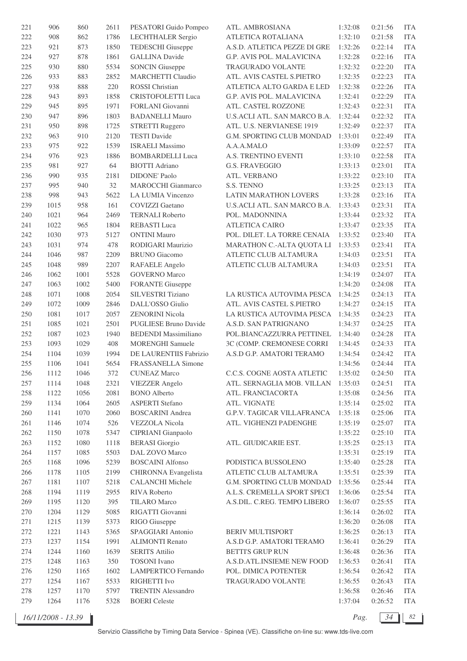| 221 | 906  | 860  | 2611 | PESATORI Guido Pompeo       | ATL. AMBROSIANA              | 1:32:08 | 0:21:56 | <b>ITA</b> |
|-----|------|------|------|-----------------------------|------------------------------|---------|---------|------------|
| 222 | 908  | 862  | 1786 | <b>LECHTHALER Sergio</b>    | ATLETICA ROTALIANA           | 1:32:10 | 0:21:58 | <b>ITA</b> |
| 223 | 921  | 873  | 1850 | <b>TEDESCHI</b> Giuseppe    | A.S.D. ATLETICA PEZZE DI GRE | 1:32:26 | 0:22:14 | <b>ITA</b> |
| 224 | 927  | 878  | 1861 | <b>GALLINA Davide</b>       | G.P. AVIS POL. MALAVICINA    | 1:32:28 | 0:22:16 | <b>ITA</b> |
| 225 | 930  | 880  | 5534 | <b>SONCIN</b> Giuseppe      | TRAGURADO VOLANTE            | 1:32:32 | 0:22:20 | <b>ITA</b> |
| 226 | 933  | 883  | 2852 | <b>MARCHETTI Claudio</b>    | ATL. AVIS CASTEL S.PIETRO    | 1:32:35 | 0:22:23 | <b>ITA</b> |
| 227 | 938  | 888  | 220  | <b>ROSSI</b> Christian      | ATLETICA ALTO GARDA E LED    | 1:32:38 | 0:22:26 | <b>ITA</b> |
| 228 | 943  | 893  | 1858 | CRISTOFOLETTI Luca          | G.P. AVIS POL. MALAVICINA    | 1:32:41 | 0:22:29 | <b>ITA</b> |
| 229 | 945  | 895  | 1971 | FORLANI Giovanni            | ATL. CASTEL ROZZONE          | 1:32:43 | 0:22:31 | <b>ITA</b> |
| 230 | 947  | 896  | 1803 | <b>BADANELLI Mauro</b>      | U.S.ACLI ATL. SAN MARCO B.A. | 1:32:44 | 0:22:32 | <b>ITA</b> |
| 231 | 950  | 898  | 1725 | <b>STRETTI Ruggero</b>      | ATL. U.S. NERVIANESE 1919    | 1:32:49 | 0:22:37 | <b>ITA</b> |
| 232 | 963  | 910  | 2120 | <b>TESTI Davide</b>         | G.M. SPORTING CLUB MONDAD    | 1:33:01 | 0:22:49 | <b>ITA</b> |
| 233 | 975  | 922  | 1539 | <b>ISRAELI Massimo</b>      | A.A.A.MALO                   | 1:33:09 | 0:22:57 | <b>ITA</b> |
| 234 | 976  | 923  | 1886 | <b>BOMBARDELLI Luca</b>     | A.S. TRENTINO EVENTI         | 1:33:10 | 0:22:58 | <b>ITA</b> |
| 235 | 981  | 927  | 64   | <b>BIOTTI Adriano</b>       | <b>G.S. FRAVEGGIO</b>        | 1:33:13 | 0:23:01 | <b>ITA</b> |
|     |      |      |      |                             |                              |         |         |            |
| 236 | 990  | 935  | 2181 | <b>DIDONE' Paolo</b>        | ATL. VERBANO                 | 1:33:22 | 0:23:10 | <b>ITA</b> |
| 237 | 995  | 940  | 32   | <b>MAROCCHI</b> Gianmarco   | S.S. TENNO                   | 1:33:25 | 0:23:13 | <b>ITA</b> |
| 238 | 998  | 943  | 5622 | LA LUMIA Vincenzo           | LATIN MARATHON LOVERS        | 1:33:28 | 0:23:16 | <b>ITA</b> |
| 239 | 1015 | 958  | 161  | <b>COVIZZI</b> Gaetano      | U.S.ACLI ATL. SAN MARCO B.A. | 1:33:43 | 0:23:31 | <b>ITA</b> |
| 240 | 1021 | 964  | 2469 | <b>TERNALI Roberto</b>      | POL. MADONNINA               | 1:33:44 | 0:23:32 | <b>ITA</b> |
| 241 | 1022 | 965  | 1804 | <b>REBASTI</b> Luca         | <b>ATLETICA CAIRO</b>        | 1:33:47 | 0:23:35 | <b>ITA</b> |
| 242 | 1030 | 973  | 5127 | <b>ONTINI Mauro</b>         | POL. DILET. LA TORRE CENAIA  | 1:33:52 | 0:23:40 | <b>ITA</b> |
| 243 | 1031 | 974  | 478  | RODIGARI Maurizio           | MARATHON C .- ALTA QUOTA LI  | 1:33:53 | 0:23:41 | <b>ITA</b> |
| 244 | 1046 | 987  | 2209 | <b>BRUNO</b> Giacomo        | ATLETIC CLUB ALTAMURA        | 1:34:03 | 0:23:51 | <b>ITA</b> |
| 245 | 1048 | 989  | 2207 | RAFAELE Angelo              | ATLETIC CLUB ALTAMURA        | 1:34:03 | 0:23:51 | <b>ITA</b> |
| 246 | 1062 | 1001 | 5528 | <b>GOVERNO</b> Marco        |                              | 1:34:19 | 0:24:07 | <b>ITA</b> |
| 247 | 1063 | 1002 | 5400 | <b>FORANTE Giuseppe</b>     |                              | 1:34:20 | 0:24:08 | <b>ITA</b> |
| 248 | 1071 | 1008 | 2054 | <b>SILVESTRI</b> Tiziano    | LA RUSTICA AUTOVIMA PESCA    | 1:34:25 | 0:24:13 | <b>ITA</b> |
| 249 | 1072 | 1009 | 2846 | DALL'OSSO Giulio            | ATL. AVIS CASTEL S.PIETRO    | 1:34:27 | 0:24:15 | <b>ITA</b> |
| 250 | 1081 | 1017 | 2057 | <b>ZENORINI Nicola</b>      | LA RUSTICA AUTOVIMA PESCA    | 1:34:35 | 0:24:23 | <b>ITA</b> |
| 251 | 1085 | 1021 | 2501 | PUGLIESE Bruno Davide       | A.S.D. SAN PATRIGNANO        | 1:34:37 | 0:24:25 | <b>ITA</b> |
| 252 | 1087 | 1023 | 1940 | <b>BEDENDI</b> Massimiliano | POL.BIANCAZZURRA PETTINEL    | 1:34:40 | 0:24:28 | <b>ITA</b> |
| 253 | 1093 | 1029 | 408  | <b>MORENGHI</b> Samuele     | 3C (COMP. CREMONESE CORRI    | 1:34:45 | 0:24:33 | <b>ITA</b> |
| 254 | 1104 | 1039 | 1994 | DE LAURENTIIS Fabrizio      | A.S.D G.P. AMATORI TERAMO    | 1:34:54 | 0:24:42 | <b>ITA</b> |
| 255 | 1106 | 1041 | 5654 | FRASSANELLA Simone          |                              | 1:34:56 | 0:24:44 | <b>ITA</b> |
| 256 | 1112 | 1046 | 372  | <b>CUNEAZ Marco</b>         | C.C.S. COGNE AOSTA ATLETIC   | 1:35:02 | 0:24:50 | ITA        |
| 257 | 1114 | 1048 | 2321 | <b>VIEZZER</b> Angelo       | ATL. SERNAGLIA MOB. VILLAN   | 1:35:03 | 0:24:51 | <b>ITA</b> |
| 258 | 1122 | 1056 | 2081 | <b>BONO</b> Alberto         | ATL. FRANCIACORTA            | 1:35:08 | 0:24:56 | <b>ITA</b> |
| 259 | 1134 | 1064 | 2605 | <b>ASPERTI Stefano</b>      | ATL. VIGNATE                 | 1:35:14 | 0:25:02 | <b>ITA</b> |
| 260 | 1141 | 1070 | 2060 | <b>BOSCARINI</b> Andrea     | G.P.V. TAGICAR VILLAFRANCA   | 1:35:18 | 0:25:06 | <b>ITA</b> |
| 261 | 1146 | 1074 | 526  | <b>VEZZOLA</b> Nicola       | ATL. VIGHENZI PADENGHE       | 1:35:19 | 0:25:07 | <b>ITA</b> |
| 262 | 1150 | 1078 | 5347 | CIPRIANI Gianpaolo          |                              | 1:35:22 | 0:25:10 | <b>ITA</b> |
| 263 | 1152 | 1080 | 1118 | <b>BERASI</b> Giorgio       | ATL. GIUDICARIE EST.         | 1:35:25 | 0:25:13 | <b>ITA</b> |
| 264 | 1157 | 1085 | 5503 | DAL ZOVO Marco              |                              | 1:35:31 | 0:25:19 | <b>ITA</b> |
| 265 | 1168 | 1096 | 5239 | <b>BOSCAINI Alfonso</b>     | PODISTICA BUSSOLENO          | 1:35:40 | 0:25:28 | <b>ITA</b> |
|     | 1178 | 1105 | 2199 |                             | ATLETIC CLUB ALTAMURA        | 1:35:51 | 0:25:39 | <b>ITA</b> |
| 266 |      |      |      | CHIRONNA Evangelista        |                              |         |         |            |
| 267 | 1181 | 1107 | 5218 | <b>CALANCHI Michele</b>     | G.M. SPORTING CLUB MONDAD    | 1:35:56 | 0:25:44 | <b>ITA</b> |
| 268 | 1194 | 1119 | 2955 | RIVA Roberto                | A.L.S. CREMELLA SPORT SPECI  | 1:36:06 | 0:25:54 | <b>ITA</b> |
| 269 | 1195 | 1120 | 395  | <b>TILARO</b> Marco         | A.S.DIL. C.REG. TEMPO LIBERO | 1:36:07 | 0:25:55 | <b>ITA</b> |
| 270 | 1204 | 1129 | 5085 | RIGATTI Giovanni            |                              | 1:36:14 | 0:26:02 | <b>ITA</b> |
| 271 | 1215 | 1139 | 5373 | RIGO Giuseppe               |                              | 1:36:20 | 0:26:08 | <b>ITA</b> |
| 272 | 1221 | 1143 | 5365 | SPAGGIARI Antonio           | <b>BERIV MULTISPORT</b>      | 1:36:25 | 0:26:13 | <b>ITA</b> |
| 273 | 1237 | 1154 | 1991 | <b>ALIMONTI Renato</b>      | A.S.D G.P. AMATORI TERAMO    | 1:36:41 | 0:26:29 | <b>ITA</b> |
| 274 | 1244 | 1160 | 1639 | <b>SERITS Attilio</b>       | <b>BETTI'S GRUP RUN</b>      | 1:36:48 | 0:26:36 | <b>ITA</b> |
| 275 | 1248 | 1163 | 350  | <b>TOSONI</b> Ivano         | A.S.D.ATL.INSIEME NEW FOOD   | 1:36:53 | 0:26:41 | <b>ITA</b> |
| 276 | 1250 | 1165 | 1602 | LAMPERTICO Fernando         | POL. DIMICA POTENTER         | 1:36:54 | 0:26:42 | <b>ITA</b> |
| 277 | 1254 | 1167 | 5533 | RIGHETTI Ivo                | TRAGURADO VOLANTE            | 1:36:55 | 0:26:43 | ITA        |
| 278 | 1257 | 1170 | 5797 | <b>TRENTIN Alessandro</b>   |                              | 1:36:58 | 0:26:46 | <b>ITA</b> |
| 279 | 1264 | 1176 | 5328 | <b>BOERI</b> Celeste        |                              | 1:37:04 | 0:26:52 | <b>ITA</b> |
|     |      |      |      |                             |                              |         |         |            |

*16/11/2008 - 13.39 Pag. 34 82*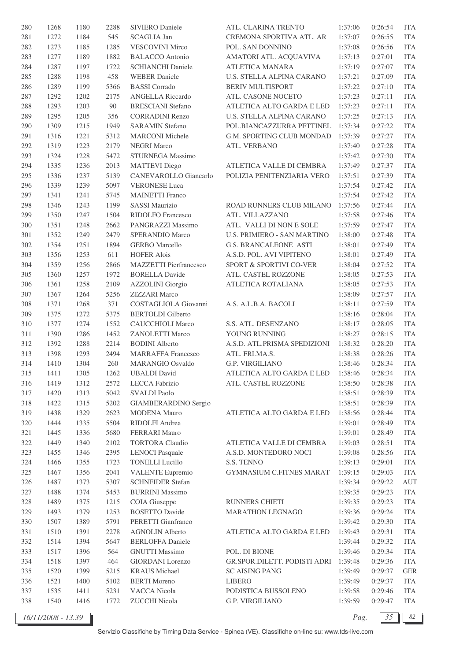| 280 | 1268 | 1180 | 2288 | <b>SIVIERO Daniele</b>    | ATL. CLARINA TRENTO                | 1:37:06 | 0:26:54            | <b>ITA</b> |
|-----|------|------|------|---------------------------|------------------------------------|---------|--------------------|------------|
| 281 | 1272 | 1184 | 545  | <b>SCAGLIA Jan</b>        | CREMONA SPORTIVA ATL. AR           | 1:37:07 | 0:26:55            | <b>ITA</b> |
| 282 | 1273 | 1185 | 1285 | VESCOVINI Mirco           | POL. SAN DONNINO                   | 1:37:08 | 0:26:56            | <b>ITA</b> |
| 283 | 1277 | 1189 | 1882 | <b>BALACCO</b> Antonio    | AMATORI ATL. ACQUAVIVA             | 1:37:13 | 0:27:01            | <b>ITA</b> |
| 284 | 1287 | 1197 | 1722 | <b>SCHIANCHI Daniele</b>  | <b>ATLETICA MANARA</b>             | 1:37:19 | 0:27:07            | <b>ITA</b> |
| 285 | 1288 | 1198 | 458  | <b>WEBER Daniele</b>      | U.S. STELLA ALPINA CARANO          | 1:37:21 | 0:27:09            | <b>ITA</b> |
| 286 | 1289 | 1199 | 5366 | <b>BASSI</b> Corrado      | <b>BERIV MULTISPORT</b>            | 1:37:22 | 0:27:10            | <b>ITA</b> |
| 287 | 1292 | 1202 | 2175 | <b>ANGELLA Riccardo</b>   | ATL. CASONE NOCETO                 | 1:37:23 | 0:27:11            | <b>ITA</b> |
| 288 | 1293 | 1203 | 90   | <b>BRESCIANI</b> Stefano  | ATLETICA ALTO GARDA E LED          | 1:37:23 | 0:27:11            | <b>ITA</b> |
| 289 | 1295 | 1205 | 356  | <b>CORRADINI Renzo</b>    | U.S. STELLA ALPINA CARANO          | 1:37:25 | 0:27:13            | <b>ITA</b> |
| 290 | 1309 | 1215 | 1949 | <b>SARAMIN Stefano</b>    | POL.BIANCAZZURRA PETTINEL          | 1:37:34 | 0:27:22            | <b>ITA</b> |
| 291 | 1316 | 1221 | 5312 | <b>MARCONI</b> Michele    | G.M. SPORTING CLUB MONDAD          | 1:37:39 | 0:27:27            | <b>ITA</b> |
| 292 | 1319 | 1223 | 2179 | <b>NEGRI Marco</b>        | ATL. VERBANO                       | 1:37:40 | 0:27:28            | <b>ITA</b> |
| 293 | 1324 | 1228 | 5472 | STURNEGA Massimo          |                                    | 1:37:42 | 0:27:30            | <b>ITA</b> |
| 294 | 1335 | 1236 | 2013 | <b>MATTEVI</b> Diego      | ATLETICA VALLE DI CEMBRA           | 1:37:49 | 0:27:37            | <b>ITA</b> |
| 295 | 1336 | 1237 | 5139 | CANEVAROLLO Giancarlo     | POLIZIA PENITENZIARIA VERO         | 1:37:51 | 0:27:39            | <b>ITA</b> |
| 296 |      | 1239 | 5097 | <b>VERONESE Luca</b>      |                                    |         |                    | <b>ITA</b> |
| 297 | 1339 |      | 5745 | <b>MAINETTI Franco</b>    |                                    | 1:37:54 | 0:27:42<br>0:27:42 | <b>ITA</b> |
|     | 1341 | 1241 |      |                           |                                    | 1:37:54 |                    |            |
| 298 | 1346 | 1243 | 1199 | <b>SASSI Maurizio</b>     | ROAD RUNNERS CLUB MILANO           | 1:37:56 | 0:27:44            | <b>ITA</b> |
| 299 | 1350 | 1247 | 1504 | RIDOLFO Francesco         | ATL. VILLAZZANO                    | 1:37:58 | 0:27:46            | <b>ITA</b> |
| 300 | 1351 | 1248 | 2662 | PANGRAZZI Massimo         | ATL. VALLI DI NON E SOLE           | 1:37:59 | 0:27:47            | <b>ITA</b> |
| 301 | 1352 | 1249 | 2479 | <b>SPERANDIO Marco</b>    | <b>U.S. PRIMIERO - SAN MARTINO</b> | 1:38:00 | 0:27:48            | <b>ITA</b> |
| 302 | 1354 | 1251 | 1894 | <b>GERBO</b> Marcello     | <b>G.S. BRANCALEONE ASTI</b>       | 1:38:01 | 0:27:49            | <b>ITA</b> |
| 303 | 1356 | 1253 | 611  | <b>HOFER Alois</b>        | A.S.D. POL. AVI VIPITENO           | 1:38:01 | 0:27:49            | <b>ITA</b> |
| 304 | 1359 | 1256 | 2866 | MAZZETTI Pierfrancesco    | SPORT & SPORTIVI CO-VER            | 1:38:04 | 0:27:52            | <b>ITA</b> |
| 305 | 1360 | 1257 | 1972 | <b>BORELLA Davide</b>     | ATL. CASTEL ROZZONE                | 1:38:05 | 0:27:53            | <b>ITA</b> |
| 306 | 1361 | 1258 | 2109 | <b>AZZOLINI</b> Giorgio   | ATLETICA ROTALIANA                 | 1:38:05 | 0:27:53            | <b>ITA</b> |
| 307 | 1367 | 1264 | 5256 | <b>ZIZZARI</b> Marco      |                                    | 1:38:09 | 0:27:57            | <b>ITA</b> |
| 308 | 1371 | 1268 | 371  | COSTAGLIOLA Giovanni      | A.S. A.L.B.A. BACOLI               | 1:38:11 | 0:27:59            | <b>ITA</b> |
| 309 | 1375 | 1272 | 5375 | <b>BERTOLDI</b> Gilberto  |                                    | 1:38:16 | 0:28:04            | <b>ITA</b> |
| 310 | 1377 | 1274 | 1552 | <b>CAUCCHIOLI Marco</b>   | S.S. ATL. DESENZANO                | 1:38:17 | 0:28:05            | <b>ITA</b> |
| 311 | 1390 | 1286 | 1452 | <b>ZANOLETTI Marco</b>    | YOUNG RUNNING                      | 1:38:27 | 0:28:15            | <b>ITA</b> |
| 312 | 1392 | 1288 | 2214 | <b>BODINI</b> Alberto     | A.S.D. ATL.PRISMA SPEDIZIONI       | 1:38:32 | 0:28:20            | <b>ITA</b> |
| 313 | 1398 | 1293 | 2494 | <b>MARRAFFA Francesco</b> | ATL. FRI.MA.S.                     | 1:38:38 | 0:28:26            | <b>ITA</b> |
| 314 | 1410 | 1304 | 260  | <b>MARANGIO Osvaldo</b>   | <b>G.P. VIRGILIANO</b>             | 1:38:46 | 0:28:34            | <b>ITA</b> |
| 315 | 1411 | 1305 | 1262 | <b>UBALDI</b> David       | ATLETICA ALTO GARDA E LED          | 1:38:46 | 0:28:34            | <b>ITA</b> |
| 316 | 1419 | 1312 | 2572 | LECCA Fabrizio            | ATL. CASTEL ROZZONE                | 1:38:50 | 0:28:38            | <b>ITA</b> |
| 317 | 1420 | 1313 | 5042 | <b>SVALDI Paolo</b>       |                                    | 1:38:51 | 0:28:39            | <b>ITA</b> |
| 318 | 1422 | 1315 | 5202 | GIAMBERARDINO Sergio      |                                    | 1:38:51 | 0:28:39            | <b>ITA</b> |
| 319 | 1438 | 1329 | 2623 | MODENA Mauro              | ATLETICA ALTO GARDA E LED          | 1:38:56 | 0:28:44            | <b>ITA</b> |
| 320 | 1444 | 1335 | 5504 | RIDOLFI Andrea            |                                    | 1:39:01 | 0:28:49            | <b>ITA</b> |
| 321 | 1445 | 1336 | 5680 | FERRARI Mauro             |                                    | 1:39:01 | 0:28:49            | <b>ITA</b> |
| 322 | 1449 | 1340 | 2102 | <b>TORTORA</b> Claudio    | ATLETICA VALLE DI CEMBRA           | 1:39:03 | 0:28:51            | <b>ITA</b> |
| 323 | 1455 | 1346 | 2395 | <b>LENOCI</b> Pasquale    | A.S.D. MONTEDORO NOCI              | 1:39:08 | 0:28:56            | <b>ITA</b> |
| 324 | 1466 | 1355 | 1723 | <b>TONELLI Lucillo</b>    | S.S. TENNO                         | 1:39:13 | 0:29:01            | <b>ITA</b> |
| 325 | 1467 | 1356 | 2041 | <b>VALENTE Eupremio</b>   | <b>GYMNASIUM C.FITNES MARAT</b>    | 1:39:15 | 0:29:03            | <b>ITA</b> |
| 326 | 1487 | 1373 | 5307 | <b>SCHNEIDER Stefan</b>   |                                    | 1:39:34 | 0:29:22            | AUT        |
| 327 | 1488 | 1374 | 5453 | <b>BURRINI</b> Massimo    |                                    | 1:39:35 | 0:29:23            | <b>ITA</b> |
| 328 | 1489 | 1375 | 1215 | COIA Giuseppe             | RUNNERS CHIETI                     | 1:39:35 | 0:29:23            | <b>ITA</b> |
| 329 | 1493 | 1379 | 1253 | <b>BOSETTO Davide</b>     | MARATHON LEGNAGO                   | 1:39:36 | 0:29:24            | <b>ITA</b> |
| 330 | 1507 | 1389 | 5791 | PERETTI Gianfranco        |                                    | 1:39:42 | 0:29:30            | <b>ITA</b> |
| 331 | 1510 | 1391 | 2278 | <b>AGNOLIN Alberto</b>    | ATLETICA ALTO GARDA E LED          | 1:39:43 | 0:29:31            | <b>ITA</b> |
| 332 | 1514 | 1394 | 5647 | <b>BERLOFFA Daniele</b>   |                                    | 1:39:44 | 0:29:32            | <b>ITA</b> |
| 333 | 1517 | 1396 | 564  | <b>GNUTTI Massimo</b>     | POL. DI BIONE                      | 1:39:46 | 0:29:34            | <b>ITA</b> |
| 334 | 1518 | 1397 | 464  | <b>GIORDANI</b> Lorenzo   | GR.SPOR.DILETT. PODISTI ADRI       | 1:39:48 | 0:29:36            | <b>ITA</b> |
| 335 | 1520 | 1399 | 5215 | <b>KRAUS</b> Michael      | <b>SC AISING PANG</b>              | 1:39:49 | 0:29:37            | <b>GER</b> |
| 336 | 1521 | 1400 | 5102 | <b>BERTI</b> Moreno       | <b>LIBERO</b>                      | 1:39:49 | 0:29:37            | <b>ITA</b> |
| 337 | 1535 | 1411 | 5231 | VACCA Nicola              | PODISTICA BUSSOLENO                | 1:39:58 | 0:29:46            | <b>ITA</b> |
| 338 | 1540 | 1416 | 1772 | ZUCCHI Nicola             | G.P. VIRGILIANO                    | 1:39:59 | 0:29:47            | <b>ITA</b> |
|     |      |      |      |                           |                                    |         |                    |            |

*16/11/2008 - 13.39 Pag. 35 82*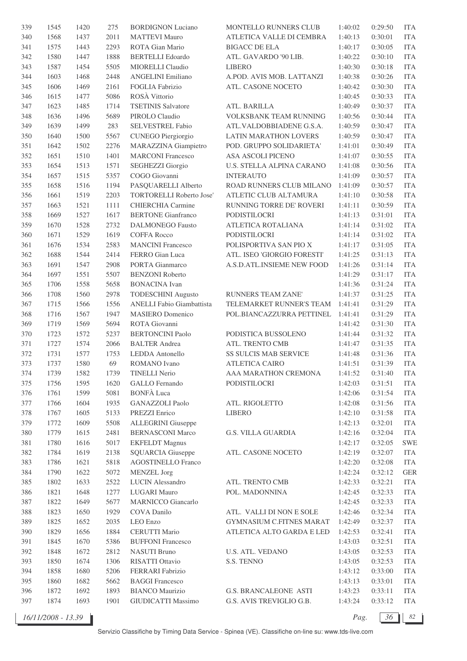| 339 | 1545 | 1420 | 275  | <b>BORDIGNON Luciano</b>  | MONTELLO RUNNERS CLUB        | 1:40:02 | 0:29:50 | <b>ITA</b> |
|-----|------|------|------|---------------------------|------------------------------|---------|---------|------------|
| 340 | 1568 | 1437 | 2011 | <b>MATTEVI Mauro</b>      | ATLETICA VALLE DI CEMBRA     | 1:40:13 | 0:30:01 | <b>ITA</b> |
| 341 | 1575 | 1443 | 2293 | ROTA Gian Mario           | <b>BIGACC DE ELA</b>         | 1:40:17 | 0:30:05 | <b>ITA</b> |
| 342 | 1580 | 1447 | 1888 | <b>BERTELLI</b> Edoardo   | ATL. GAVARDO '90 LIB.        | 1:40:22 | 0:30:10 | <b>ITA</b> |
| 343 | 1587 | 1454 | 5505 | MIORELLI Claudio          | <b>LIBERO</b>                | 1:40:30 | 0:30:18 | <b>ITA</b> |
| 344 | 1603 | 1468 | 2448 | <b>ANGELINI Emiliano</b>  | A.POD. AVIS MOB. LATTANZI    | 1:40:38 | 0:30:26 | <b>ITA</b> |
| 345 | 1606 | 1469 | 2161 | FOGLIA Fabrizio           | ATL. CASONE NOCETO           | 1:40:42 | 0:30:30 | <b>ITA</b> |
| 346 | 1615 | 1477 | 5086 | ROSÀ Vittorio             |                              | 1:40:45 | 0:30:33 | <b>ITA</b> |
| 347 | 1623 | 1485 | 1714 | <b>TSETINIS Salvatore</b> | ATL. BARILLA                 | 1:40:49 | 0:30:37 | <b>ITA</b> |
| 348 | 1636 | 1496 | 5689 | PIROLO Claudio            | VOLKSBANK TEAM RUNNING       | 1:40:56 | 0:30:44 | <b>ITA</b> |
| 349 | 1639 | 1499 | 283  | SELVESTREL Fabio          | ATL.VALDOBBIADENE G.S.A.     | 1:40:59 | 0:30:47 | <b>ITA</b> |
| 350 | 1640 | 1500 | 5567 | CUNEGO Piergiorgio        | LATIN MARATHON LOVERS        | 1:40:59 | 0:30:47 | <b>ITA</b> |
| 351 | 1642 | 1502 | 2276 | MARAZZINA Giampietro      | POD. GRUPPO SOLIDARIETA'     | 1:41:01 | 0:30:49 | <b>ITA</b> |
| 352 | 1651 | 1510 | 1401 | <b>MARCONI Francesco</b>  | ASA ASCOLI PICENO            | 1:41:07 | 0:30:55 | <b>ITA</b> |
| 353 | 1654 | 1513 | 1571 | SEGHEZZI Giorgio          | U.S. STELLA ALPINA CARANO    | 1:41:08 | 0:30:56 | <b>ITA</b> |
|     |      |      |      |                           |                              |         |         |            |
| 354 | 1657 | 1515 | 5357 | COGO Giovanni             | <b>INTERAUTO</b>             | 1:41:09 | 0:30:57 | <b>ITA</b> |
| 355 | 1658 | 1516 | 1194 | PASQUARELLI Alberto       | ROAD RUNNERS CLUB MILANO     | 1:41:09 | 0:30:57 | <b>ITA</b> |
| 356 | 1661 | 1519 | 2203 | TORTORELLI Roberto Jose'  | ATLETIC CLUB ALTAMURA        | 1:41:10 | 0:30:58 | <b>ITA</b> |
| 357 | 1663 | 1521 | 1111 | <b>CHIERCHIA</b> Carmine  | RUNNING TORRE DE' ROVERI     | 1:41:11 | 0:30:59 | <b>ITA</b> |
| 358 | 1669 | 1527 | 1617 | <b>BERTONE Gianfranco</b> | PODISTILOCRI                 | 1:41:13 | 0:31:01 | <b>ITA</b> |
| 359 | 1670 | 1528 | 2732 | <b>DALMONEGO Fausto</b>   | ATLETICA ROTALIANA           | 1:41:14 | 0:31:02 | <b>ITA</b> |
| 360 | 1671 | 1529 | 1619 | <b>COFFA Rocco</b>        | <b>PODISTILOCRI</b>          | 1:41:14 | 0:31:02 | <b>ITA</b> |
| 361 | 1676 | 1534 | 2583 | <b>MANCINI Francesco</b>  | POLISPORTIVA SAN PIO X       | 1:41:17 | 0:31:05 | <b>ITA</b> |
| 362 | 1688 | 1544 | 2414 | FERRO Gian Luca           | ATL. ISEO 'GIORGIO FORESTI'  | 1:41:25 | 0:31:13 | <b>ITA</b> |
| 363 | 1691 | 1547 | 2908 | PORTA Gianmarco           | A.S.D.ATL.INSIEME NEW FOOD   | 1:41:26 | 0:31:14 | <b>ITA</b> |
| 364 | 1697 | 1551 | 5507 | <b>BENZONI</b> Roberto    |                              | 1:41:29 | 0:31:17 | <b>ITA</b> |
| 365 | 1706 | 1558 | 5658 | <b>BONACINA</b> Ivan      |                              | 1:41:36 | 0:31:24 | <b>ITA</b> |
| 366 | 1708 | 1560 | 2978 | <b>TODESCHINI Augusto</b> | <b>RUNNERS TEAM ZANE'</b>    | 1:41:37 | 0:31:25 | <b>ITA</b> |
| 367 | 1715 | 1566 | 1556 | ANELLI Fabio Giambattista | TELEMARKET RUNNER'S TEAM     | 1:41:41 | 0:31:29 | <b>ITA</b> |
| 368 | 1716 | 1567 | 1947 | <b>MASIERO</b> Domenico   | POL.BIANCAZZURRA PETTINEL    | 1:41:41 | 0:31:29 | <b>ITA</b> |
| 369 | 1719 | 1569 | 5694 | ROTA Giovanni             |                              | 1:41:42 | 0:31:30 | <b>ITA</b> |
| 370 | 1723 | 1572 | 5237 | <b>BERTONCINI Paolo</b>   | PODISTICA BUSSOLENO          | 1:41:44 | 0:31:32 | <b>ITA</b> |
| 371 | 1727 | 1574 | 2066 | <b>BALTER</b> Andrea      | ATL. TRENTO CMB              | 1:41:47 | 0:31:35 | <b>ITA</b> |
| 372 | 1731 | 1577 | 1753 | LEDDA Antonello           | <b>SS SULCIS MAB SERVICE</b> | 1:41:48 | 0:31:36 | <b>ITA</b> |
| 373 | 1737 | 1580 | 69   | <b>ROMANO</b> Ivano       | <b>ATLETICA CAIRO</b>        | 1:41:51 | 0:31:39 | <b>ITA</b> |
| 374 | 1739 | 1582 | 1739 | <b>TINELLI Nerio</b>      | AAA MARATHON CREMONA         | 1:41:52 | 0:31:40 | ITA        |
| 375 | 1756 | 1595 | 1620 | <b>GALLO</b> Fernando     | PODISTILOCRI                 | 1:42:03 | 0:31:51 | <b>ITA</b> |
| 376 | 1761 | 1599 | 5081 | <b>BONFÀ Luca</b>         |                              | 1:42:06 | 0:31:54 | <b>ITA</b> |
| 377 | 1766 | 1604 | 1935 | <b>GANAZZOLI</b> Paolo    | ATL. RIGOLETTO               | 1:42:08 | 0:31:56 | <b>ITA</b> |
| 378 | 1767 | 1605 | 5133 | PREZZI Enrico             | <b>LIBERO</b>                | 1:42:10 | 0:31:58 | <b>ITA</b> |
| 379 | 1772 | 1609 | 5508 | <b>ALLEGRINI</b> Giuseppe |                              | 1:42:13 | 0:32:01 | <b>ITA</b> |
| 380 | 1779 | 1615 | 2481 | <b>BERNASCONI Marco</b>   | G.S. VILLA GUARDIA           | 1:42:16 | 0:32:04 | <b>ITA</b> |
| 381 | 1780 | 1616 | 5017 | <b>EKFELDT</b> Magnus     |                              | 1:42:17 | 0:32:05 | <b>SWE</b> |
| 382 | 1784 | 1619 | 2138 | <b>SQUARCIA Giuseppe</b>  | ATL. CASONE NOCETO           | 1:42:19 | 0:32:07 | <b>ITA</b> |
| 383 | 1786 | 1621 | 5818 | <b>AGOSTINELLO Franco</b> |                              | 1:42:20 | 0:32:08 | <b>ITA</b> |
| 384 | 1790 | 1622 | 5072 | <b>MENZEL</b> Jorg        |                              | 1:42:24 | 0:32:12 | <b>GER</b> |
| 385 | 1802 | 1633 | 2522 | <b>LUCIN</b> Alessandro   | ATL. TRENTO CMB              | 1:42:33 | 0:32:21 | ITA        |
| 386 | 1821 | 1648 | 1277 | <b>LUGARI Mauro</b>       | POL. MADONNINA               | 1:42:45 | 0:32:33 | <b>ITA</b> |
| 387 | 1822 | 1649 | 5677 | <b>MARNICCO</b> Giancarlo |                              | 1:42:45 | 0:32:33 | <b>ITA</b> |
| 388 |      |      |      |                           |                              |         | 0:32:34 |            |
|     | 1823 | 1650 | 1929 | COVA Danilo               | ATL. VALLI DI NON E SOLE     | 1:42:46 |         | <b>ITA</b> |
| 389 | 1825 | 1652 | 2035 | LEO Enzo                  | GYMNASIUM C.FITNES MARAT     | 1:42:49 | 0:32:37 | <b>ITA</b> |
| 390 | 1829 | 1656 | 1884 | <b>CERUTTI Mario</b>      | ATLETICA ALTO GARDA E LED    | 1:42:53 | 0:32:41 | <b>ITA</b> |
| 391 | 1845 | 1670 | 5386 | <b>BUFFONI Francesco</b>  |                              | 1:43:03 | 0:32:51 | <b>ITA</b> |
| 392 | 1848 | 1672 | 2812 | <b>NASUTI Bruno</b>       | U.S. ATL. VEDANO             | 1:43:05 | 0:32:53 | <b>ITA</b> |
| 393 | 1850 | 1674 | 1306 | RISATTI Ottavio           | S.S. TENNO                   | 1:43:05 | 0:32:53 | <b>ITA</b> |
| 394 | 1858 | 1680 | 5206 | FERRARI Fabrizio          |                              | 1:43:12 | 0:33:00 | <b>ITA</b> |
| 395 | 1860 | 1682 | 5662 | <b>BAGGI Francesco</b>    |                              | 1:43:13 | 0:33:01 | ITA        |
| 396 | 1872 | 1692 | 1893 | <b>BIANCO Maurizio</b>    | <b>G.S. BRANCALEONE ASTI</b> | 1:43:23 | 0:33:11 | <b>ITA</b> |
| 397 | 1874 | 1693 | 1901 | GIUDICATTI Massimo        | G.S. AVIS TREVIGLIO G.B.     | 1:43:24 | 0:33:12 | ITA        |
|     |      |      |      |                           |                              |         |         |            |

*16/11/2008 - 13.39 Pag. 36 82*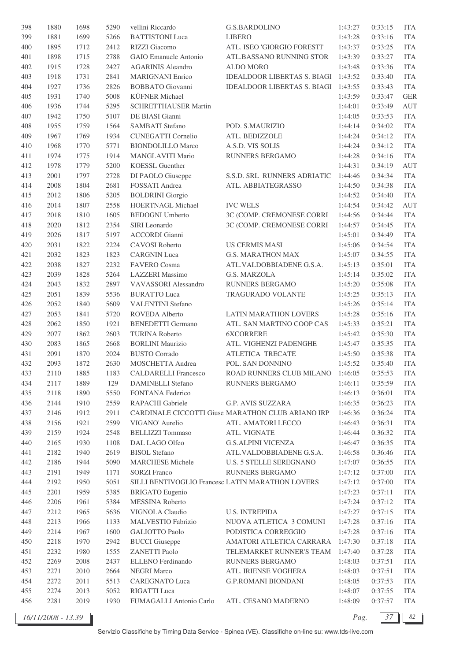| 398 | 1880 | 1698 | 5290 | vellini Riccardo            | <b>G.S.BARDOLINO</b>                              | 1:43:27 | 0:33:15 | <b>ITA</b> |
|-----|------|------|------|-----------------------------|---------------------------------------------------|---------|---------|------------|
| 399 | 1881 | 1699 | 5266 | <b>BATTISTONI</b> Luca      | <b>LIBERO</b>                                     | 1:43:28 | 0:33:16 | <b>ITA</b> |
| 400 | 1895 | 1712 | 2412 | RIZZI Giacomo               | ATL. ISEO 'GIORGIO FORESTI'                       | 1:43:37 | 0:33:25 | <b>ITA</b> |
| 401 | 1898 | 1715 | 2788 | GAIO Emanuele Antonio       | ATL.BASSANO RUNNING STOR                          | 1:43:39 | 0:33:27 | <b>ITA</b> |
| 402 | 1915 | 1728 | 2427 | <b>AGARINIS Aleandro</b>    | <b>ALDO MORO</b>                                  | 1:43:48 | 0:33:36 | <b>ITA</b> |
| 403 | 1918 | 1731 | 2841 | <b>MARIGNANI Enrico</b>     | IDEALDOOR LIBERTAS S. BIAGI 1:43:52               |         | 0:33:40 | <b>ITA</b> |
| 404 | 1927 | 1736 | 2826 | <b>BOBBATO</b> Giovanni     | IDEALDOOR LIBERTAS S. BIAGI 1:43:55               |         | 0:33:43 | <b>ITA</b> |
| 405 | 1931 | 1740 | 5008 | <b>KÜFNER</b> Michael       |                                                   | 1:43:59 | 0:33:47 | <b>GER</b> |
| 406 | 1936 | 1744 | 5295 | <b>SCHRETTHAUSER Martin</b> |                                                   | 1:44:01 | 0:33:49 | <b>AUT</b> |
| 407 | 1942 | 1750 | 5107 | DE BIASI Gianni             |                                                   | 1:44:05 | 0:33:53 | <b>ITA</b> |
| 408 | 1955 | 1759 | 1564 | <b>SAMBATI</b> Stefano      | POD. S.MAURIZIO                                   | 1:44:14 | 0:34:02 | <b>ITA</b> |
| 409 | 1967 | 1769 | 1934 | <b>CUNEGATTI Cornelio</b>   | ATL. BEDIZZOLE                                    | 1:44:24 | 0:34:12 | <b>ITA</b> |
| 410 | 1968 | 1770 | 5771 | <b>BIONDOLILLO Marco</b>    | A.S.D. VIS SOLIS                                  | 1:44:24 | 0:34:12 | <b>ITA</b> |
| 411 | 1974 | 1775 | 1914 | MANGLAVITI Mario            | RUNNERS BERGAMO                                   | 1:44:28 | 0:34:16 | <b>ITA</b> |
| 412 | 1978 | 1779 | 5200 | <b>KOESSL Guenther</b>      |                                                   | 1:44:31 | 0:34:19 | AUT        |
| 413 | 2001 | 1797 | 2728 |                             |                                                   |         |         | <b>ITA</b> |
|     |      |      |      | DI PAOLO Giuseppe           | S.S.D. SRL RUNNERS ADRIATIC                       | 1:44:46 | 0:34:34 |            |
| 414 | 2008 | 1804 | 2681 | FOSSATI Andrea              | ATL. ABBIATEGRASSO                                | 1:44:50 | 0:34:38 | <b>ITA</b> |
| 415 | 2012 | 1806 | 5205 | <b>BOLDRINI</b> Giorgio     |                                                   | 1:44:52 | 0:34:40 | <b>ITA</b> |
| 416 | 2014 | 1807 | 2558 | HOERTNAGL Michael           | <b>IVC WELS</b>                                   | 1:44:54 | 0:34:42 | <b>AUT</b> |
| 417 | 2018 | 1810 | 1605 | <b>BEDOGNI</b> Umberto      | 3C (COMP. CREMONESE CORRI                         | 1:44:56 | 0:34:44 | <b>ITA</b> |
| 418 | 2020 | 1812 | 2354 | SIRI Leonardo               | 3C (COMP. CREMONESE CORRI                         | 1:44:57 | 0:34:45 | <b>ITA</b> |
| 419 | 2026 | 1817 | 5197 | <b>ACCORDI Gianni</b>       |                                                   | 1:45:01 | 0:34:49 | <b>ITA</b> |
| 420 | 2031 | 1822 | 2224 | CAVOSI Roberto              | <b>US CERMIS MASI</b>                             | 1:45:06 | 0:34:54 | <b>ITA</b> |
| 421 | 2032 | 1823 | 1823 | <b>CARGNIN Luca</b>         | <b>G.S. MARATHON MAX</b>                          | 1:45:07 | 0:34:55 | <b>ITA</b> |
| 422 | 2038 | 1827 | 2232 | FAVERO Cosma                | ATL.VALDOBBIADENE G.S.A.                          | 1:45:13 | 0:35:01 | <b>ITA</b> |
| 423 | 2039 | 1828 | 5264 | <b>LAZZERI</b> Massimo      | G.S. MARZOLA                                      | 1:45:14 | 0:35:02 | <b>ITA</b> |
| 424 | 2043 | 1832 | 2897 | VAVASSORI Alessandro        | RUNNERS BERGAMO                                   | 1:45:20 | 0:35:08 | <b>ITA</b> |
| 425 | 2051 | 1839 | 5536 | <b>BURATTO Luca</b>         | TRAGURADO VOLANTE                                 | 1:45:25 | 0:35:13 | <b>ITA</b> |
| 426 | 2052 | 1840 | 5609 | <b>VALENTINI Stefano</b>    |                                                   | 1:45:26 | 0:35:14 | <b>ITA</b> |
| 427 | 2053 | 1841 | 5720 | ROVEDA Alberto              | LATIN MARATHON LOVERS                             | 1:45:28 | 0:35:16 | <b>ITA</b> |
| 428 | 2062 | 1850 | 1921 | <b>BENEDETTI</b> Germano    | ATL. SAN MARTINO COOP CAS                         | 1:45:33 | 0:35:21 | <b>ITA</b> |
| 429 | 2077 | 1862 | 2603 | <b>TURINA Roberto</b>       | <b>6XCORRERE</b>                                  | 1:45:42 | 0:35:30 | <b>ITA</b> |
| 430 | 2083 | 1865 | 2668 | <b>BORLINI</b> Maurizio     | ATL. VIGHENZI PADENGHE                            | 1:45:47 | 0:35:35 | <b>ITA</b> |
| 431 | 2091 | 1870 | 2024 | <b>BUSTO</b> Corrado        | ATLETICA TRECATE                                  | 1:45:50 | 0:35:38 | <b>ITA</b> |
| 432 | 2093 | 1872 | 2630 | MOSCHETTA Andrea            | POL. SAN DONNINO                                  | 1:45:52 | 0:35:40 | <b>ITA</b> |
| 433 | 2110 | 1885 | 1183 | <b>CALDARELLI</b> Francesco | ROAD RUNNERS CLUB MILANO 1:46:05                  |         | 0:35:53 | <b>ITA</b> |
| 434 | 2117 | 1889 | 129  | <b>DAMINELLI Stefano</b>    | RUNNERS BERGAMO                                   | 1:46:11 | 0:35:59 | <b>ITA</b> |
| 435 | 2118 | 1890 | 5550 | FONTANA Federico            |                                                   | 1:46:13 | 0:36:01 | <b>ITA</b> |
| 436 | 2144 | 1910 | 2559 | RAPACHI Gabriele            | <b>G.P. AVIS SUZZARA</b>                          | 1:46:35 | 0:36:23 | <b>ITA</b> |
| 437 | 2146 | 1912 | 2911 |                             | CARDINALE CICCOTTI Giuse MARATHON CLUB ARIANO IRP | 1:46:36 | 0:36:24 | <b>ITA</b> |
| 438 | 2156 | 1921 | 2599 | VIGANO' Aurelio             | ATL. AMATORI LECCO                                | 1:46:43 | 0:36:31 | <b>ITA</b> |
| 439 | 2159 | 1924 | 2548 | <b>BELLIZZI</b> Tommaso     | ATL. VIGNATE                                      | 1:46:44 | 0:36:32 | <b>ITA</b> |
| 440 | 2165 | 1930 | 1108 | DAL LAGO Olfeo              | <b>G.S.ALPINI VICENZA</b>                         | 1:46:47 | 0:36:35 | <b>ITA</b> |
| 441 | 2182 | 1940 | 2619 | <b>BISOL</b> Stefano        | ATL.VALDOBBIADENE G.S.A.                          | 1:46:58 | 0:36:46 | <b>ITA</b> |
| 442 | 2186 | 1944 | 5090 | <b>MARCHESE Michele</b>     | <b>U.S. 5 STELLE SEREGNANO</b>                    | 1:47:07 | 0:36:55 | <b>ITA</b> |
| 443 | 2191 | 1949 | 1171 | <b>SORZI Franco</b>         | RUNNERS BERGAMO                                   | 1:47:12 | 0:37:00 | <b>ITA</b> |
| 444 | 2192 | 1950 | 5051 |                             | SILLI BENTIVOGLIO Francesc LATIN MARATHON LOVERS  | 1:47:12 | 0:37:00 | <b>ITA</b> |
| 445 | 2201 | 1959 | 5385 | <b>BRIGATO</b> Eugenio      |                                                   | 1:47:23 | 0:37:11 | <b>ITA</b> |
| 446 | 2206 | 1961 | 5384 | MESSINA Roberto             |                                                   | 1:47:24 | 0:37:12 | <b>ITA</b> |
| 447 | 2212 | 1965 | 5636 | VIGNOLA Claudio             | <b>U.S. INTREPIDA</b>                             | 1:47:27 | 0:37:15 | <b>ITA</b> |
| 448 | 2213 | 1966 | 1133 | MALVESTIO Fabrizio          | NUOVA ATLETICA 3 COMUNI                           | 1:47:28 | 0:37:16 | <b>ITA</b> |
| 449 | 2214 | 1967 | 1600 | <b>GALIOTTO Paolo</b>       | PODISTICA CORREGGIO                               | 1:47:28 | 0:37:16 | <b>ITA</b> |
| 450 | 2218 | 1970 | 2942 | <b>BUCCI</b> Giuseppe       | AMATORI ATLETICA CARRARA                          | 1:47:30 | 0:37:18 | <b>ITA</b> |
| 451 | 2232 | 1980 | 1555 | <b>ZANETTI Paolo</b>        | TELEMARKET RUNNER'S TEAM                          | 1:47:40 | 0:37:28 | <b>ITA</b> |
| 452 | 2269 | 2008 | 2437 | ELLENO Ferdinando           | RUNNERS BERGAMO                                   | 1:48:03 | 0:37:51 | <b>ITA</b> |
| 453 | 2271 | 2010 | 2664 | <b>NEGRI Marco</b>          | ATL. IRIENSE VOGHERA                              | 1:48:03 | 0:37:51 | <b>ITA</b> |
| 454 | 2272 | 2011 | 5513 | <b>CAREGNATO Luca</b>       | <b>G.P.ROMANI BIONDANI</b>                        | 1:48:05 | 0:37:53 | <b>ITA</b> |
| 455 | 2274 | 2013 | 5052 | RIGATTI Luca                |                                                   | 1:48:07 | 0:37:55 | <b>ITA</b> |
| 456 | 2281 | 2019 | 1930 | FUMAGALLI Antonio Carlo     | ATL. CESANO MADERNO                               | 1:48:09 | 0:37:57 | ITA        |
|     |      |      |      |                             |                                                   |         |         |            |

*16/11/2008 - 13.39 Pag. 37 82*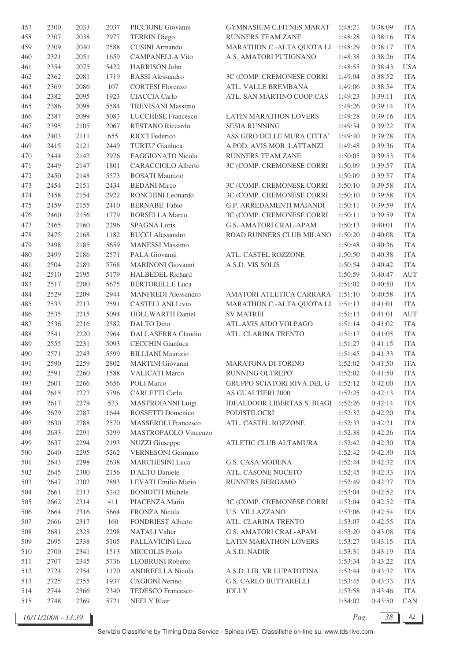| 457     | 2300 | 2033 | 2037 | PICCIONE Giovanni          | GYMNASIUM C.FITNES MARAT            | 1:48:21 | 0:38:09 | <b>ITA</b> |
|---------|------|------|------|----------------------------|-------------------------------------|---------|---------|------------|
| 458     | 2307 | 2038 | 2977 | <b>TERRIN Diego</b>        | <b>RUNNERS TEAM ZANE'</b>           | 1:48:28 | 0:38:16 | <b>ITA</b> |
| 459     | 2309 | 2040 | 2588 | <b>CUSINI</b> Armando      | MARATHON C .- ALTA QUOTA LI         | 1:48:29 | 0:38:17 | <b>ITA</b> |
| 460     | 2321 | 2051 | 1659 | <b>CAMPANELLA Vito</b>     | A.S. AMATORI PUTIGNANO              | 1:48:38 | 0:38:26 | <b>ITA</b> |
| 461     | 2354 | 2075 | 5422 | <b>HARRISON John</b>       |                                     | 1:48:55 | 0:38:43 | <b>USA</b> |
| 462     | 2362 | 2081 | 1719 | <b>BASSI</b> Alessandro    | 3C (COMP. CREMONESE CORRI           | 1:49:04 | 0:38:52 | <b>ITA</b> |
| 463     | 2369 | 2086 | 107  | <b>CORTESI Florenzo</b>    | ATL. VALLE BREMBANA                 | 1:49:06 | 0:38:54 | <b>ITA</b> |
| 464     | 2382 | 2095 | 1923 | CIACCIA Carlo              | ATL. SAN MARTINO COOP CAS           | 1:49:23 | 0:39:11 | <b>ITA</b> |
| 465     | 2386 | 2098 | 5584 | <b>TREVISANI Massimo</b>   |                                     | 1:49:26 | 0:39:14 | <b>ITA</b> |
| 466     | 2387 | 2099 | 5083 | LUCCHESE Francesco         | LATIN MARATHON LOVERS               | 1:49:28 | 0:39:16 | <b>ITA</b> |
| 467     | 2395 | 2105 | 2067 | <b>RESTANO Riccardo</b>    | <b>SESIA RUNNING</b>                | 1:49:34 | 0:39:22 | <b>ITA</b> |
|         |      |      |      |                            |                                     |         |         |            |
| 468     | 2403 | 2111 | 655  | <b>RICCI</b> Federico      | ASS.GIRO DELLE MURA CITTA'          | 1:49:40 | 0:39:28 | <b>ITA</b> |
| 469     | 2415 | 2121 | 2449 | TURTU' Gianluca            | A.POD. AVIS MOB. LATTANZI           | 1:49:48 | 0:39:36 | <b>ITA</b> |
| 470     | 2444 | 2142 | 2976 | FAGGIONATO Nicola          | RUNNERS TEAM ZANE'                  | 1:50:05 | 0:39:53 | <b>ITA</b> |
| 471     | 2449 | 2147 | 1801 | <b>CARACCIOLO Alberto</b>  | 3C (COMP. CREMONESE CORRI           | 1:50:09 | 0:39:57 | <b>ITA</b> |
| 472     | 2450 | 2148 | 5573 | ROSATI Maurizio            |                                     | 1:50:09 | 0:39:57 | <b>ITA</b> |
| 473     | 2454 | 2151 | 2434 | <b>BEDANI Mirco</b>        | 3C (COMP. CREMONESE CORRI           | 1:50:10 | 0:39:58 | <b>ITA</b> |
| 474     | 2458 | 2154 | 2922 | RONCHINI Leonardo          | 3C (COMP. CREMONESE CORRI           | 1:50:10 | 0:39:58 | <b>ITA</b> |
| 475     | 2459 | 2155 | 2410 | <b>BERNABE' Fabio</b>      | G.P. ARREDAMENTI MAIANDI            | 1:50:11 | 0:39:59 | <b>ITA</b> |
| 476     | 2460 | 2156 | 1779 | <b>BORSELLA Marco</b>      | 3C (COMP. CREMONESE CORRI           | 1:50:11 | 0:39:59 | <b>ITA</b> |
| 477     | 2465 | 2160 | 2296 | SPAGNA Loris               | G.S. AMATORI CRAL-APAM              | 1:50:13 | 0:40:01 | <b>ITA</b> |
| 478     | 2475 | 2168 | 1182 | <b>BUCCI</b> Alessandro    | ROAD RUNNERS CLUB MILANO            | 1:50:20 | 0:40:08 | <b>ITA</b> |
| 479     | 2498 | 2185 | 5659 | <b>MANESSI Massimo</b>     |                                     | 1:50:48 | 0:40:36 | <b>ITA</b> |
| 480     | 2499 | 2186 | 2571 | PALA Giovanni              | ATL. CASTEL ROZZONE                 | 1:50:50 | 0:40:38 | <b>ITA</b> |
| 481     | 2504 | 2189 | 5768 | <b>MARINONI</b> Giovanni   | A.S.D. VIS SOLIS                    | 1:50:54 | 0:40:42 | <b>ITA</b> |
| 482     | 2510 | 2195 | 5179 | HALBEDEL Richard           |                                     | 1:50:59 | 0:40:47 | AUT        |
| 483     | 2517 | 2200 | 5675 | <b>BERTORELLE Luca</b>     |                                     | 1:51:02 | 0:40:50 | <b>ITA</b> |
| 484     | 2529 | 2209 | 2944 | <b>MANFREDI</b> Alessandro | AMATORI ATLETICA CARRARA            | 1:51:10 | 0:40:58 | <b>ITA</b> |
| 485     | 2533 | 2213 | 2591 | <b>CASTELLANI</b> Livio    | MARATHON C.-ALTA QUOTA LI           | 1:51:13 | 0:41:01 | <b>ITA</b> |
| 486     | 2535 | 2215 | 5094 | HÖLLWARTH Daniel           | <b>SV MATREI</b>                    | 1:51:13 | 0:41:01 | AUT        |
| 487     | 2536 | 2216 | 2582 | DALTO Dino                 | ATL.AVIS AIDO VOLPAGO               | 1:51:14 | 0:41:02 | <b>ITA</b> |
| 488     | 2541 | 2220 | 2964 | DALLASERRA Claudio         | ATL. CLARINA TRENTO                 | 1:51:17 | 0:41:05 | <b>ITA</b> |
|         |      |      |      |                            |                                     |         |         |            |
| 489     | 2555 | 2231 | 5093 | <b>CECCHIN</b> Gianluca    |                                     | 1:51:27 | 0:41:15 | <b>ITA</b> |
| 490     | 2571 | 2243 | 5599 | <b>BILLIANI</b> Maurizio   |                                     | 1:51:45 | 0:41:33 | <b>ITA</b> |
| 491     | 2590 | 2259 | 2802 | <b>MARTINI</b> Giovanni    | <b>MARATONA DI TORINO</b>           | 1:52:02 | 0:41:50 | <b>ITA</b> |
| 492     | 2591 | 2260 | 1588 | <b>VALICATI Marco</b>      | RUNNING OLTREPO'                    | 1:52:02 | 0:41:50 | <b>ITA</b> |
| 493     | 2601 | 2266 | 5656 | POLI Marco                 | <b>GRUPPO SCIATORI RIVA DEL G</b>   | 1:52:12 | 0:42:00 | <b>ITA</b> |
| 494     | 2615 | 2277 | 5796 | <b>CARLETTI Carlo</b>      | <b>AS.GUALTIERI 2000</b>            | 1:52:25 | 0:42:13 | <b>ITA</b> |
| 495     | 2617 | 2279 | 573  | MASTROIANNI Luigi          | IDEALDOOR LIBERTAS S. BIAGI 1:52:26 |         | 0:42:14 | <b>ITA</b> |
| 496     | 2629 | 2287 | 1644 | ROSSETTI Domenico          | PODISTILOCRI                        | 1:52:32 | 0:42:20 | <b>ITA</b> |
| 497     | 2630 | 2288 | 2570 | <b>MASSEROLI Francesco</b> | ATL. CASTEL ROZZONE                 | 1:52:33 | 0:42:21 | <b>ITA</b> |
| 498     | 2633 | 2291 | 5299 | MASTROPAOLO Vincenzo       |                                     | 1:52:38 | 0:42:26 | <b>ITA</b> |
| 499     | 2637 | 2294 | 2193 | <b>NUZZI</b> Giuseppe      | ATLETIC CLUB ALTAMURA               | 1:52:42 | 0:42:30 | <b>ITA</b> |
| $500\,$ | 2640 | 2295 | 5262 | <b>VERNESONI</b> Germano   |                                     | 1:52:42 | 0:42:30 | <b>ITA</b> |
| 501     | 2643 | 2298 | 2638 | <b>MARCHESINI</b> Luca     | <b>G.S. CASA MODENA</b>             | 1:52:44 | 0:42:32 | <b>ITA</b> |
| 502     | 2645 | 2300 | 2156 | D'ALTO Daniele             | ATL. CASONE NOCETO                  | 1:52:45 | 0:42:33 | <b>ITA</b> |
| 503     | 2647 | 2302 | 2893 | LEVATI Emilio Mario        | RUNNERS BERGAMO                     | 1:52:49 | 0:42:37 | <b>ITA</b> |
| 504     | 2661 | 2313 | 5242 | <b>BONIOTTI Michele</b>    |                                     | 1:53:04 | 0:42:52 | <b>ITA</b> |
| 505     | 2662 | 2314 | 411  | PIACENZA Mario             | 3C (COMP. CREMONESE CORRI           | 1:53:04 | 0:42:52 | <b>ITA</b> |
| 506     | 2664 | 2316 | 5664 | FRONZA Nicola              | <b>U.S. VILLAZZANO</b>              | 1:53:06 | 0:42:54 | <b>ITA</b> |
| 507     | 2666 | 2317 | 160  | FONDRIEST Alberto          | ATL. CLARINA TRENTO                 | 1:53:07 | 0:42:55 | <b>ITA</b> |
| 508     | 2681 | 2328 | 2298 | <b>NATALI</b> Valter       | G.S. AMATORI CRAL-APAM              | 1:53:20 | 0:43:08 | <b>ITA</b> |
| 509     | 2695 | 2338 | 5105 | PALLAVICINI Luca           | LATIN MARATHON LOVERS               | 1:53:27 | 0:43:15 | <b>ITA</b> |
| 510     | 2700 | 2341 | 1513 | MICCOLIS Paolo             | A.S.D. NADIR                        | 1:53:31 | 0:43:19 | <b>ITA</b> |
| 511     | 2707 | 2345 | 5736 | <b>LEOBRUNI Roberto</b>    |                                     | 1:53:34 | 0:43:22 | <b>ITA</b> |
|         |      |      |      | ANDREELLA Nicola           |                                     |         |         |            |
| 512     | 2724 | 2354 | 1170 |                            | A.S.D. LIB. VR LUPATOTINA           | 1:53:44 | 0:43:32 | <b>ITA</b> |
| 513     | 2725 | 2355 | 1937 | <b>CAGIONI Nerino</b>      | G.S. CARLO BUTTARELLI               | 1:53:45 | 0:43:33 | <b>ITA</b> |
| 514     | 2744 | 2366 | 2340 | TEDESCO Francesco          | <b>JOLLY</b>                        | 1:53:58 | 0:43:46 | <b>ITA</b> |
| 515     | 2748 | 2369 | 5721 | <b>NEELY Blair</b>         |                                     | 1:54:02 | 0:43:50 | CAN        |

*16/11/2008 - 13.39 Pag. 38 82*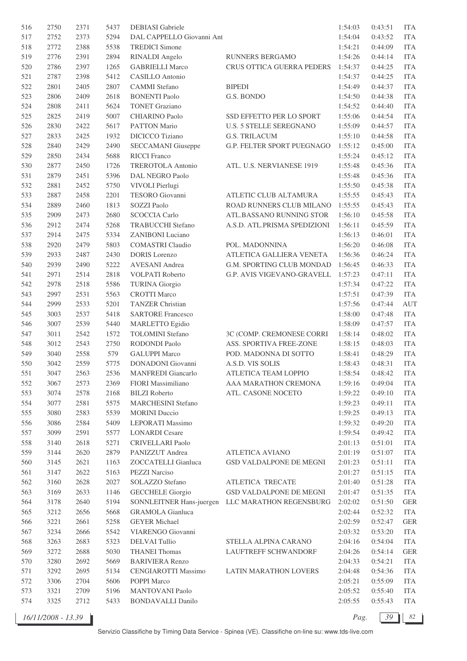| 516 | 2750 | 2371 | 5437 | DEBIASI Gabriele           |                                                  | 1:54:03 | 0:43:51 | <b>ITA</b>  |
|-----|------|------|------|----------------------------|--------------------------------------------------|---------|---------|-------------|
| 517 | 2752 | 2373 | 5294 | DAL CAPPELLO Giovanni Ant  |                                                  | 1:54:04 | 0:43:52 | <b>ITA</b>  |
| 518 | 2772 | 2388 | 5538 | <b>TREDICI Simone</b>      |                                                  | 1:54:21 | 0:44:09 | <b>ITA</b>  |
| 519 | 2776 | 2391 | 2894 | <b>RINALDI</b> Angelo      | <b>RUNNERS BERGAMO</b>                           | 1:54:26 | 0:44:14 | <b>ITA</b>  |
| 520 | 2786 | 2397 | 1265 | <b>GABRIELLI Marco</b>     | CRUS OTTICA GUERRA PEDERS                        | 1:54:37 | 0:44:25 | <b>ITA</b>  |
| 521 | 2787 | 2398 | 5412 | <b>CASILLO</b> Antonio     |                                                  | 1:54:37 | 0:44:25 | <b>ITA</b>  |
| 522 | 2801 | 2405 | 2807 | <b>CAMMI</b> Stefano       | <b>BIPEDI</b>                                    | 1:54:49 | 0:44:37 | <b>ITA</b>  |
| 523 | 2806 | 2409 | 2618 | <b>BONENTI Paolo</b>       | G.S. BONDO                                       | 1:54:50 | 0:44:38 | <b>ITA</b>  |
| 524 | 2808 | 2411 | 5624 | <b>TONET Graziano</b>      |                                                  | 1:54:52 | 0:44:40 | <b>ITA</b>  |
| 525 | 2825 | 2419 | 5007 | <b>CHIARINO Paolo</b>      | SSD EFFETTO PER LO SPORT                         | 1:55:06 | 0:44:54 | <b>ITA</b>  |
| 526 | 2830 | 2422 | 5617 | PATTON Mario               | <b>U.S. 5 STELLE SEREGNANO</b>                   | 1:55:09 | 0:44:57 | <b>ITA</b>  |
| 527 | 2833 | 2425 | 1932 | DICICCO Tiziano            | <b>G.S. TRILACUM</b>                             | 1:55:10 | 0:44:58 | <b>ITA</b>  |
| 528 | 2840 | 2429 | 2490 | <b>SECCAMANI</b> Giuseppe  | G.P. FELTER SPORT PUEGNAGO                       | 1:55:12 | 0:45:00 | <b>ITA</b>  |
| 529 | 2850 | 2434 | 5688 | <b>RICCI</b> Franco        |                                                  | 1:55:24 | 0:45:12 | <b>ITA</b>  |
| 530 | 2877 | 2450 | 1726 | TREROTOLA Antonio          | ATL. U.S. NERVIANESE 1919                        | 1:55:48 | 0:45:36 | <b>ITA</b>  |
|     |      |      |      |                            |                                                  |         |         |             |
| 531 | 2879 | 2451 | 5396 | DAL NEGRO Paolo            |                                                  | 1:55:48 | 0:45:36 | <b>ITA</b>  |
| 532 | 2881 | 2452 | 5750 | VIVOLI Pierlugi            |                                                  | 1:55:50 | 0:45:38 | <b>ITA</b>  |
| 533 | 2887 | 2458 | 2201 | TESORO Giovanni            | ATLETIC CLUB ALTAMURA                            | 1:55:55 | 0:45:43 | <b>ITA</b>  |
| 534 | 2889 | 2460 | 1813 | SOZZI Paolo                | ROAD RUNNERS CLUB MILANO                         | 1:55:55 | 0:45:43 | <b>ITA</b>  |
| 535 | 2909 | 2473 | 2680 | <b>SCOCCIA Carlo</b>       | ATL.BASSANO RUNNING STOR                         | 1:56:10 | 0:45:58 | <b>ITA</b>  |
| 536 | 2912 | 2474 | 5268 | <b>TRABUCCHI</b> Stefano   | A.S.D. ATL.PRISMA SPEDIZIONI                     | 1:56:11 | 0:45:59 | <b>ITA</b>  |
| 537 | 2914 | 2475 | 5334 | <b>ZANIBONI</b> Luciano    |                                                  | 1:56:13 | 0:46:01 | <b>ITA</b>  |
| 538 | 2920 | 2479 | 5803 | <b>COMASTRI Claudio</b>    | POL. MADONNINA                                   | 1:56:20 | 0:46:08 | <b>ITA</b>  |
| 539 | 2933 | 2487 | 2430 | <b>DORIS</b> Lorenzo       | ATLETICA GALLIERA VENETA                         | 1:56:36 | 0:46:24 | <b>ITA</b>  |
| 540 | 2939 | 2490 | 5222 | <b>AVESANI</b> Andrea      | G.M. SPORTING CLUB MONDAD                        | 1:56:45 | 0:46:33 | <b>ITA</b>  |
| 541 | 2971 | 2514 | 2818 | VOLPATI Roberto            | G.P. AVIS VIGEVANO-GRAVELL                       | 1:57:23 | 0:47:11 | <b>ITA</b>  |
| 542 | 2978 | 2518 | 5586 | <b>TURINA</b> Giorgio      |                                                  | 1:57:34 | 0:47:22 | <b>ITA</b>  |
| 543 | 2997 | 2531 | 5563 | <b>CROTTI Marco</b>        |                                                  | 1:57:51 | 0:47:39 | <b>ITA</b>  |
| 544 | 2999 | 2533 | 5201 | <b>TANZER Christian</b>    |                                                  | 1:57:56 | 0:47:44 | <b>AUT</b>  |
| 545 | 3003 | 2537 | 5418 | <b>SARTORE Francesco</b>   |                                                  | 1:58:00 | 0:47:48 | <b>ITA</b>  |
| 546 | 3007 | 2539 | 5440 | <b>MARLETTO</b> Egidio     |                                                  | 1:58:09 | 0:47:57 | <b>ITA</b>  |
| 547 | 3011 | 2542 | 1572 | <b>TOLOMINI</b> Stefano    | 3C (COMP. CREMONESE CORRI                        | 1:58:14 | 0:48:02 | <b>ITA</b>  |
| 548 | 3012 | 2543 | 2750 | RODONDI Paolo              | ASS. SPORTIVA FREE-ZONE                          | 1:58:15 | 0:48:03 | <b>ITA</b>  |
| 549 | 3040 | 2558 | 579  | <b>GALUPPI Marco</b>       | POD. MADONNA DI SOTTO                            | 1:58:41 | 0:48:29 | <b>ITA</b>  |
| 550 | 3042 | 2559 | 5775 | <b>DONADONI</b> Giovanni   | A.S.D. VIS SOLIS                                 | 1:58:43 | 0:48:31 | <b>ITA</b>  |
| 551 | 3047 | 2563 | 2536 | <b>MANFREDI</b> Giancarlo  | ATLETICA TEAM LOPPIO                             | 1:58:54 | 0:48:42 | <b>ITA</b>  |
| 552 | 3067 | 2573 | 2369 | FIORI Massimiliano         | AAA MARATHON CREMONA                             | 1:59:16 | 0:49:04 | <b>ITA</b>  |
| 553 | 3074 | 2578 | 2168 | <b>BILZI</b> Roberto       | ATL. CASONE NOCETO                               | 1:59:22 | 0:49:10 | <b>ITA</b>  |
| 554 | 3077 | 2581 | 5575 | <b>MARCHESINI Stefano</b>  |                                                  | 1:59:23 | 0:49:11 | <b>ITA</b>  |
| 555 | 3080 | 2583 | 5539 | <b>MORINI</b> Duccio       |                                                  | 1:59:25 | 0:49:13 | <b>ITA</b>  |
| 556 | 3086 | 2584 | 5409 | LEPORATI Massimo           |                                                  | 1:59:32 | 0:49:20 | <b>ITA</b>  |
| 557 | 3099 | 2591 | 5577 | <b>LONARDI</b> Cesare      |                                                  | 1:59:54 | 0:49:42 | <b>ITA</b>  |
| 558 | 3140 | 2618 | 5271 | <b>CRIVELLARI Paolo</b>    |                                                  | 2:01:13 | 0:51:01 | <b>ITA</b>  |
| 559 | 3144 | 2620 | 2879 | PANIZZUT Andrea            | ATLETICA AVIANO                                  | 2:01:19 | 0:51:07 | <b>ITA</b>  |
| 560 | 3145 | 2621 | 1163 | ZOCCATELLI Gianluca        | GSD VALDALPONE DE MEGNI                          | 2:01:23 | 0:51:11 | <b>ITA</b>  |
| 561 | 3147 | 2622 | 5163 | PEZZI Narciso              |                                                  | 2:01:27 | 0:51:15 | <b>ITA</b>  |
| 562 | 3160 | 2628 | 2027 | SOLAZZO Stefano            | ATLETICA TRECATE                                 | 2:01:40 | 0:51:28 | <b>ITA</b>  |
| 563 | 3169 | 2633 | 1146 | <b>GECCHELE Giorgio</b>    | GSD VALDALPONE DE MEGNI                          | 2:01:47 | 0:51:35 | <b>ITA</b>  |
| 564 | 3178 | 2640 | 5194 |                            | SONNLEITNER Hans-juergen LLC MARATHON REGENSBURG | 2:02:02 | 0:51:50 | <b>GER</b>  |
| 565 | 3212 | 2656 | 5668 | <b>GRAMOLA</b> Gianluca    |                                                  | 2:02:44 | 0:52:32 | <b>ITA</b>  |
| 566 | 3221 | 2661 | 5258 | <b>GEYER Michael</b>       |                                                  | 2:02:59 | 0:52:47 | <b>GER</b>  |
| 567 | 3234 | 2666 | 5542 | VIARENGO Giovanni          |                                                  | 2:03:32 | 0:53:20 | <b>ITA</b>  |
| 568 | 3263 | 2683 | 5323 | <b>DELVAI Tullio</b>       | STELLA ALPINA CARANO                             | 2:04:16 | 0:54:04 | <b>ITA</b>  |
| 569 | 3272 | 2688 | 5030 | <b>THANEI Thomas</b>       | LAUFTREFF SCHWANDORF                             | 2:04:26 | 0:54:14 | ${\tt GER}$ |
| 570 | 3280 | 2692 | 5669 | <b>BARIVIERA Renzo</b>     |                                                  | 2:04:33 | 0:54:21 | <b>ITA</b>  |
| 571 | 3292 | 2695 | 5134 | <b>CENGIAROTTI Massimo</b> | LATIN MARATHON LOVERS                            | 2:04:48 | 0:54:36 | <b>ITA</b>  |
| 572 | 3306 | 2704 | 5606 | POPPI Marco                |                                                  | 2:05:21 | 0:55:09 | <b>ITA</b>  |
| 573 | 3321 | 2709 | 5196 | <b>MANTOVANI Paolo</b>     |                                                  | 2:05:52 | 0:55:40 | <b>ITA</b>  |
| 574 | 3325 | 2712 | 5433 | <b>BONDAVALLI Danilo</b>   |                                                  | 2:05:55 | 0:55:43 | <b>ITA</b>  |
|     |      |      |      |                            |                                                  |         |         |             |

*16/11/2008 - 13.39 Pag. 39 82*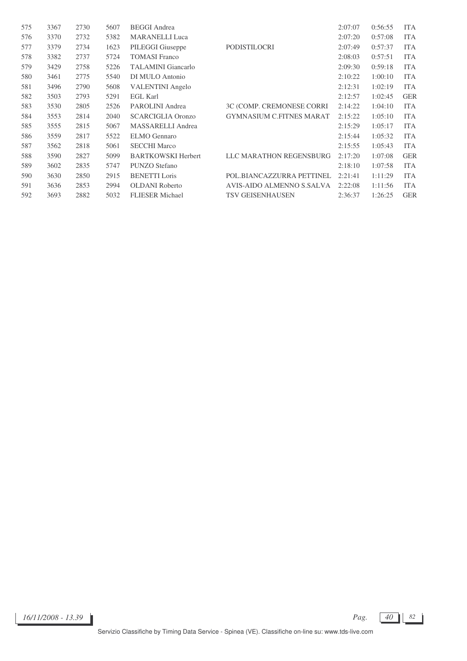| 3367 | 2730 | 5607 | <b>BEGGI</b> Andrea       |                                 | 2:07:07 | 0:56:55 | <b>ITA</b> |
|------|------|------|---------------------------|---------------------------------|---------|---------|------------|
| 3370 | 2732 | 5382 | <b>MARANELLI Luca</b>     |                                 | 2:07:20 | 0:57:08 | <b>ITA</b> |
| 3379 | 2734 | 1623 | PILEGGI Giuseppe          | PODISTILOCRI                    | 2:07:49 | 0:57:37 | <b>ITA</b> |
| 3382 | 2737 | 5724 | <b>TOMASI</b> Franco      |                                 | 2:08:03 | 0:57:51 | <b>ITA</b> |
| 3429 | 2758 | 5226 | <b>TALAMINI</b> Giancarlo |                                 | 2:09:30 | 0:59:18 | <b>ITA</b> |
| 3461 | 2775 | 5540 | DI MULO Antonio           |                                 | 2:10:22 | 1:00:10 | <b>ITA</b> |
| 3496 | 2790 | 5608 | <b>VALENTINI</b> Angelo   |                                 | 2:12:31 | 1:02:19 | <b>ITA</b> |
| 3503 | 2793 | 5291 | <b>EGL Karl</b>           |                                 | 2:12:57 | 1:02:45 | <b>GER</b> |
| 3530 | 2805 | 2526 | PAROLINI Andrea           | 3C (COMP. CREMONESE CORRI       | 2:14:22 | 1:04:10 | <b>ITA</b> |
| 3553 | 2814 | 2040 | <b>SCARCIGLIA Oronzo</b>  | <b>GYMNASIUM C.FITNES MARAT</b> | 2:15:22 | 1:05:10 | <b>ITA</b> |
| 3555 | 2815 | 5067 | MASSARELLI Andrea         |                                 | 2:15:29 | 1:05:17 | <b>ITA</b> |
| 3559 | 2817 | 5522 | <b>ELMO</b> Gennaro       |                                 | 2:15:44 | 1:05:32 | <b>ITA</b> |
| 3562 | 2818 | 5061 | <b>SECCHI Marco</b>       |                                 | 2:15:55 | 1:05:43 | <b>ITA</b> |
| 3590 | 2827 | 5099 | <b>BARTKOWSKI Herbert</b> | LLC MARATHON REGENSBURG         | 2:17:20 | 1:07:08 | <b>GER</b> |
| 3602 | 2835 | 5747 | PUNZO Stefano             |                                 | 2:18:10 | 1:07:58 | <b>ITA</b> |
| 3630 | 2850 | 2915 | <b>BENETTI</b> Loris      | POL.BIANCAZZURRA PETTINEL       | 2:21:41 | 1:11:29 | <b>ITA</b> |
| 3636 | 2853 | 2994 | <b>OLDANI</b> Roberto     | AVIS-AIDO ALMENNO S.SALVA       | 2:22:08 | 1:11:56 | <b>ITA</b> |
| 3693 | 2882 | 5032 | <b>FLIESER</b> Michael    | <b>TSV GEISENHAUSEN</b>         | 2:36:37 | 1:26:25 | <b>GER</b> |
|      |      |      |                           |                                 |         |         |            |

 $16/11/2008 - 13.39$  **Pag.**  $\boxed{40}$  82

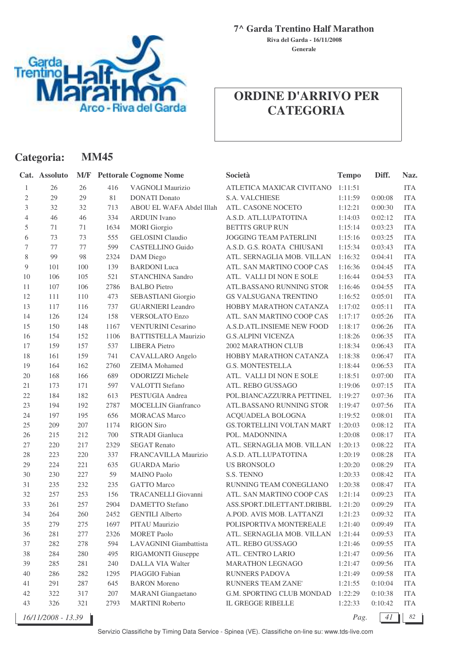

**Generale Riva del Garda - 16/11/2008**

# **ORDINE D'ARRIVO PER CATEGORIA**

|                | Categoria:         |        | <b>MM45</b> |                               |                               |              |         |            |
|----------------|--------------------|--------|-------------|-------------------------------|-------------------------------|--------------|---------|------------|
|                | Cat. Assoluto      | M/F    |             | <b>Pettorale Cognome Nome</b> | Società                       | <b>Tempo</b> | Diff.   | Naz.       |
| 1              | 26                 | 26     | 416         | VAGNOLI Maurizio              | ATLETICA MAXICAR CIVITANO     | 1:11:51      |         | <b>ITA</b> |
| $\mathfrak{2}$ | 29                 | 29     | 81          | <b>DONATI</b> Donato          | S.A. VALCHIESE                | 1:11:59      | 0:00:08 | <b>ITA</b> |
| 3              | 32                 | 32     | 713         | ABOU EL WAFA Abdel Illah      | ATL. CASONE NOCETO            | 1:12:21      | 0:00:30 | <b>ITA</b> |
| $\overline{4}$ | 46                 | 46     | 334         | <b>ARDUIN</b> Ivano           | A.S.D. ATL.LUPATOTINA         | 1:14:03      | 0:02:12 | <b>ITA</b> |
| $\mathfrak s$  | 71                 | 71     | 1634        | <b>MORI</b> Giorgio           | <b>BETTI'S GRUP RUN</b>       | 1:15:14      | 0:03:23 | <b>ITA</b> |
| 6              | 73                 | 73     | 555         | <b>GELOSINI</b> Claudio       | <b>JOGGING TEAM PATERLINI</b> | 1:15:16      | 0:03:25 | <b>ITA</b> |
| $\tau$         | 77                 | $77\,$ | 599         | <b>CASTELLINO Guido</b>       | A.S.D. G.S. ROATA CHIUSANI    | 1:15:34      | 0:03:43 | <b>ITA</b> |
| 8              | 99                 | 98     | 2324        | DAM Diego                     | ATL. SERNAGLIA MOB. VILLAN    | 1:16:32      | 0:04:41 | <b>ITA</b> |
| 9              | 101                | 100    | 139         | <b>BARDONI</b> Luca           | ATL. SAN MARTINO COOP CAS     | 1:16:36      | 0:04:45 | <b>ITA</b> |
| 10             | 106                | 105    | 521         | <b>STANCHINA Sandro</b>       | ATL. VALLI DI NON E SOLE      | 1:16:44      | 0:04:53 | <b>ITA</b> |
| 11             | 107                | 106    | 2786        | <b>BALBO</b> Pietro           | ATL.BASSANO RUNNING STOR      | 1:16:46      | 0:04:55 | <b>ITA</b> |
| 12             | 111                | 110    | 473         | SEBASTIANI Giorgio            | GS VALSUGANA TRENTINO         | 1:16:52      | 0:05:01 | <b>ITA</b> |
| 13             | 117                | 116    | 737         | <b>GUARNIERI</b> Leandro      | HOBBY MARATHON CATANZA        | 1:17:02      | 0:05:11 | <b>ITA</b> |
| 14             | 126                | 124    | 158         | <b>VERSOLATO Enzo</b>         | ATL. SAN MARTINO COOP CAS     | 1:17:17      | 0:05:26 | <b>ITA</b> |
| 15             | 150                | 148    | 1167        | <b>VENTURINI Cesarino</b>     | A.S.D.ATL.INSIEME NEW FOOD    | 1:18:17      | 0:06:26 | <b>ITA</b> |
| 16             | 154                | 152    | 1106        | <b>BATTISTELLA Maurizio</b>   | <b>G.S.ALPINI VICENZA</b>     | 1:18:26      | 0:06:35 | <b>ITA</b> |
| 17             | 159                | 157    | 537         | <b>LIBERA</b> Pietro          | 2002 MARATHON CLUB            | 1:18:34      | 0:06:43 | <b>ITA</b> |
| 18             | 161                | 159    | 741         | CAVALLARO Angelo              | HOBBY MARATHON CATANZA        | 1:18:38      | 0:06:47 | <b>ITA</b> |
| 19             | 164                | 162    | 2760        | <b>ZEIMA</b> Mohamed          | <b>G.S. MONTESTELLA</b>       | 1:18:44      | 0:06:53 | <b>ITA</b> |
| 20             | 168                | 166    | 689         | ODORIZZI Michele              | ATL. VALLI DI NON E SOLE      | 1:18:51      | 0:07:00 | <b>ITA</b> |
| $21\,$         | 173                | 171    | 597         | VALOTTI Stefano               | ATL. REBO GUSSAGO             | 1:19:06      | 0:07:15 | <b>ITA</b> |
| 22             | 184                | 182    | 613         | PESTUGIA Andrea               | POL.BIANCAZZURRA PETTINEL     | 1:19:27      | 0:07:36 | <b>ITA</b> |
| 23             | 194                | 192    | 2787        | <b>MOCELLIN</b> Gianfranco    | ATL.BASSANO RUNNING STOR      | 1:19:47      | 0:07:56 | <b>ITA</b> |
| 24             | 197                | 195    | 656         | <b>MORACAS</b> Marco          | ACQUADELA BOLOGNA             | 1:19:52      | 0:08:01 | <b>ITA</b> |
| 25             | 209                | 207    | 1174        | <b>RIGON Siro</b>             | GS.TORTELLINI VOLTAN MART     | 1:20:03      | 0:08:12 | <b>ITA</b> |
| 26             | 215                | 212    | 700         | STRADI Gianluca               | POL. MADONNINA                | 1:20:08      | 0:08:17 | <b>ITA</b> |
| 27             | 220                | 217    | 2329        | <b>SEGAT Renato</b>           | ATL. SERNAGLIA MOB. VILLAN    | 1:20:13      | 0:08:22 | <b>ITA</b> |
| 28             | 223                | 220    | 337         | FRANCAVILLA Maurizio          | A.S.D. ATL.LUPATOTINA         | 1:20:19      | 0:08:28 | <b>ITA</b> |
| 29             | 224                | 221    | 635         | <b>GUARDA</b> Mario           | <b>US BRONSOLO</b>            | 1:20:20      | 0:08:29 | <b>ITA</b> |
| 30             | 230                | 227    | 59          | <b>MAINO Paolo</b>            | S.S. TENNO                    | 1:20:33      | 0:08:42 | <b>ITA</b> |
| 31             | 235                | 232    | 235         | <b>GATTO Marco</b>            | RUNNING TEAM CONEGLIANO       | 1:20:38      | 0:08:47 | <b>ITA</b> |
| 32             | 257                | 253    | 156         | TRACANELLI Giovanni           | ATL. SAN MARTINO COOP CAS     | 1:21:14      | 0:09:23 | <b>ITA</b> |
| 33             | 261                | 257    | 2904        | DAMETTO Stefano               | ASS.SPORT.DILETTANT.DRIBBL    | 1:21:20      | 0:09:29 | <b>ITA</b> |
| 34             | 264                | 260    | 2452        | <b>GENTILI Alberto</b>        | A.POD. AVIS MOB. LATTANZI     | 1:21:23      | 0:09:32 | <b>ITA</b> |
| 35             | 279                | 275    | 1697        | PITAU Maurizio                | POLISPORTIVA MONTEREALE       | 1:21:40      | 0:09:49 | <b>ITA</b> |
| 36             | 281                | 277    | 2326        | <b>MORET Paolo</b>            | ATL. SERNAGLIA MOB. VILLAN    | 1:21:44      | 0:09:53 | <b>ITA</b> |
| 37             | 282                | 278    | 594         | LAVAGNINI Giambattista        | ATL. REBO GUSSAGO             | 1:21:46      | 0:09:55 | <b>ITA</b> |
| 38             | 284                | 280    | 495         | RIGAMONTI Giuseppe            | ATL. CENTRO LARIO             | 1:21:47      | 0:09:56 | <b>ITA</b> |
| 39             | 285                | 281    | 240         | DALLA VIA Walter              | <b>MARATHON LEGNAGO</b>       | 1:21:47      | 0:09:56 | <b>ITA</b> |
| 40             | 286                | 282    | 1295        | PIAGGIO Fabian                | RUNNERS PADOVA                | 1:21:49      | 0:09:58 | <b>ITA</b> |
| 41             | 291                | 287    | 645         | <b>BARON</b> Moreno           | RUNNERS TEAM ZANE'            | 1:21:55      | 0:10:04 | <b>ITA</b> |
| 42             | 322                | 317    | 207         | <b>MARANI</b> Giangaetano     | G.M. SPORTING CLUB MONDAD     | 1:22:29      | 0:10:38 | <b>ITA</b> |
| 43             | 326                | 321    | 2793        | <b>MARTINI Roberto</b>        | IL GREGGE RIBELLE             | 1:22:33      | 0:10:42 | <b>ITA</b> |
|                | 16/11/2008 - 13.39 |        |             |                               |                               | Pag.         | 41      | 82         |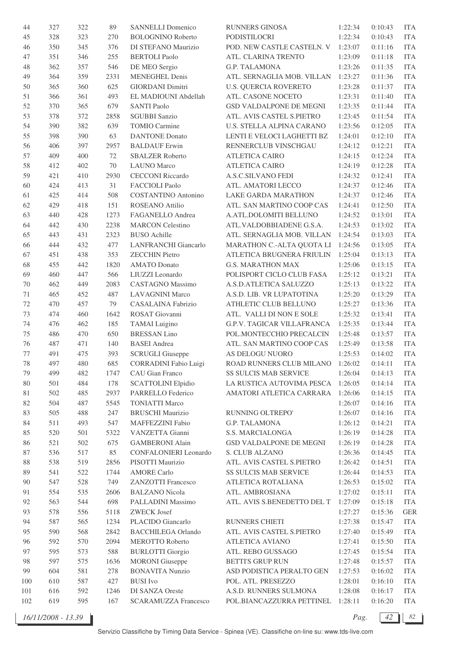| 44     | 327 | 322 | 89     | <b>SANNELLI Domenico</b>     | <b>RUNNERS GINOSA</b>             | 1:22:34 | 0:10:43 | <b>ITA</b> |
|--------|-----|-----|--------|------------------------------|-----------------------------------|---------|---------|------------|
| 45     | 328 | 323 | 270    | <b>BOLOGNINO Roberto</b>     | PODISTILOCRI                      | 1:22:34 | 0:10:43 | <b>ITA</b> |
| 46     | 350 | 345 | 376    | DI STEFANO Maurizio          | POD. NEW CASTLE CASTELN. V        | 1:23:07 | 0:11:16 | <b>ITA</b> |
| 47     | 351 | 346 | 255    | <b>BERTOLI</b> Paolo         | ATL. CLARINA TRENTO               | 1:23:09 | 0:11:18 | <b>ITA</b> |
| 48     | 362 | 357 | 546    | DE MEO Sergio                | <b>G.P. TALAMONA</b>              | 1:23:26 | 0:11:35 | <b>ITA</b> |
| 49     | 364 | 359 | 2331   | <b>MENEGHEL Denis</b>        | ATL. SERNAGLIA MOB. VILLAN        | 1:23:27 | 0:11:36 | <b>ITA</b> |
| 50     | 365 | 360 | 625    | <b>GIORDANI Dimitri</b>      | <b>U.S. QUERCIA ROVERETO</b>      | 1:23:28 | 0:11:37 | <b>ITA</b> |
| 51     | 366 | 361 | 493    | EL MADIOUNI Abdellah         | ATL. CASONE NOCETO                | 1:23:31 | 0:11:40 | <b>ITA</b> |
| 52     | 370 | 365 | 679    | <b>SANTI Paolo</b>           | GSD VALDALPONE DE MEGNI           | 1:23:35 | 0:11:44 | <b>ITA</b> |
|        |     |     |        | <b>SGUBBI Sanzio</b>         |                                   | 1:23:45 | 0:11:54 | <b>ITA</b> |
| 53     | 378 | 372 | 2858   |                              | ATL. AVIS CASTEL S.PIETRO         |         |         |            |
| 54     | 390 | 382 | 639    | <b>TOMIO Carmine</b>         | U.S. STELLA ALPINA CARANO         | 1:23:56 | 0:12:05 | <b>ITA</b> |
| 55     | 398 | 390 | 63     | <b>DANTONE</b> Donato        | LENTI E VELOCI LAGHETTI BZ        | 1:24:01 | 0:12:10 | <b>ITA</b> |
| 56     | 406 | 397 | 2957   | <b>BALDAUF</b> Erwin         | RENNERCLUB VINSCHGAU              | 1:24:12 | 0:12:21 | <b>ITA</b> |
| 57     | 409 | 400 | $72\,$ | <b>SBALZER Roberto</b>       | <b>ATLETICA CAIRO</b>             | 1:24:15 | 0:12:24 | <b>ITA</b> |
| 58     | 412 | 402 | 70     | <b>LAUNO</b> Marco           | <b>ATLETICA CAIRO</b>             | 1:24:19 | 0:12:28 | <b>ITA</b> |
| 59     | 421 | 410 | 2930   | <b>CECCONI Riccardo</b>      | A.S.C.SILVANO FEDI                | 1:24:32 | 0:12:41 | <b>ITA</b> |
| 60     | 424 | 413 | 31     | <b>FACCIOLI Paolo</b>        | ATL. AMATORI LECCO                | 1:24:37 | 0:12:46 | <b>ITA</b> |
| 61     | 425 | 414 | 508    | <b>COSTANTINO Antonino</b>   | <b>LAKE GARDA MARATHON</b>        | 1:24:37 | 0:12:46 | <b>ITA</b> |
| 62     | 429 | 418 | 151    | ROSEANO Attilio              | ATL. SAN MARTINO COOP CAS         | 1:24:41 | 0:12:50 | <b>ITA</b> |
| 63     | 440 | 428 | 1273   | FAGANELLO Andrea             | A.ATL.DOLOMITI BELLUNO            | 1:24:52 | 0:13:01 | <b>ITA</b> |
| 64     | 442 | 430 | 2238   | <b>MARCON Celestino</b>      | ATL.VALDOBBIADENE G.S.A.          | 1:24:53 | 0:13:02 | <b>ITA</b> |
| 65     | 443 | 431 | 2323   | <b>BUSO</b> Achille          | ATL. SERNAGLIA MOB. VILLAN        | 1:24:54 | 0:13:03 | <b>ITA</b> |
| 66     | 444 | 432 | 477    | <b>LANFRANCHI</b> Giancarlo  | MARATHON C.-ALTA QUOTA LI         | 1:24:56 | 0:13:05 | <b>ITA</b> |
| 67     | 451 | 438 | 353    | <b>ZECCHIN</b> Pietro        | ATLETICA BRUGNERA FRIULIN         | 1:25:04 | 0:13:13 | <b>ITA</b> |
| 68     | 455 | 442 | 1820   | <b>AMATO</b> Donato          | <b>G.S. MARATHON MAX</b>          | 1:25:06 | 0:13:15 | <b>ITA</b> |
| 69     | 460 | 447 | 566    | LIUZZI Leonardo              | POLISPORT CICLO CLUB FASA         | 1:25:12 | 0:13:21 | <b>ITA</b> |
| 70     | 462 | 449 | 2083   | <b>CASTAGNO</b> Massimo      | A.S.D.ATLETICA SALUZZO            | 1:25:13 | 0:13:22 | <b>ITA</b> |
| 71     | 465 | 452 | 487    | <b>LAVAGNINI Marco</b>       | A.S.D. LIB. VR LUPATOTINA         | 1:25:20 | 0:13:29 | <b>ITA</b> |
| 72     | 470 | 457 | 79     | CASALAINA Fabrizio           | ATHLETIC CLUB BELLUNO             | 1:25:27 | 0:13:36 | <b>ITA</b> |
|        |     |     |        |                              |                                   |         |         |            |
| 73     | 474 | 460 | 1642   | ROSAT Giovanni               | ATL. VALLI DI NON E SOLE          | 1:25:32 | 0:13:41 | <b>ITA</b> |
| 74     | 476 | 462 | 185    | <b>TAMAI</b> Luigino         | G.P.V. TAGICAR VILLAFRANCA        | 1:25:35 | 0:13:44 | <b>ITA</b> |
| 75     | 486 | 470 | 650    | <b>BRESSAN Lino</b>          | POL.MONTECCHIO PRECALCIN          | 1:25:48 | 0:13:57 | <b>ITA</b> |
| 76     | 487 | 471 | 140    | <b>BASEI</b> Andrea          | ATL. SAN MARTINO COOP CAS         | 1:25:49 | 0:13:58 | <b>ITA</b> |
| 77     | 491 | 475 | 393    | <b>SCRUGLI Giuseppe</b>      | AS DELOGU NUORO                   | 1:25:53 | 0:14:02 | <b>ITA</b> |
| 78     | 497 | 480 | 685    | <b>CORRADINI Fabio Luigi</b> | ROAD RUNNERS CLUB MILANO          | 1:26:02 | 0:14:11 | <b>ITA</b> |
| 79     | 499 | 482 | 1747   | CAU Gian Franco              | <b>SS SULCIS MAB SERVICE</b>      | 1:26:04 | 0:14:13 | ITA        |
| 80     | 501 | 484 | 178    | <b>SCATTOLINI Elpidio</b>    | LA RUSTICA AUTOVIMA PESCA 1:26:05 |         | 0:14:14 | <b>ITA</b> |
| 81     | 502 | 485 | 2937   | PARRELLO Federico            | AMATORI ATLETICA CARRARA          | 1:26:06 | 0:14:15 | <b>ITA</b> |
| 82     | 504 | 487 | 5545   | <b>TONIATTI Marco</b>        |                                   | 1:26:07 | 0:14:16 | <b>ITA</b> |
| 83     | 505 | 488 | 247    | <b>BRUSCHI</b> Maurizio      | RUNNING OLTREPO'                  | 1:26:07 | 0:14:16 | <b>ITA</b> |
| 84     | 511 | 493 | 547    | MAFFEZZINI Fabio             | G.P. TALAMONA                     | 1:26:12 | 0:14:21 | <b>ITA</b> |
| 85     | 520 | 501 | 5322   | VANZETTA Gianni              | S.S. MARCIALONGA                  | 1:26:19 | 0:14:28 | <b>ITA</b> |
| 86     | 521 | 502 | 675    | <b>GAMBERONI Alain</b>       | GSD VALDALPONE DE MEGNI           | 1:26:19 | 0:14:28 | <b>ITA</b> |
| $87\,$ | 536 | 517 | 85     | <b>CONFALONIERI</b> Leonardo | S. CLUB ALZANO                    | 1:26:36 | 0:14:45 | <b>ITA</b> |
| 88     | 538 | 519 | 2856   | PISOTTI Maurizio             | ATL. AVIS CASTEL S.PIETRO         | 1:26:42 | 0:14:51 | <b>ITA</b> |
| 89     | 541 | 522 | 1744   | <b>AMORE Carlo</b>           | SS SULCIS MAB SERVICE             | 1:26:44 | 0:14:53 | <b>ITA</b> |
| 90     | 547 | 528 | 749    | <b>ZANZOTTI Francesco</b>    | ATLETICA ROTALIANA                | 1:26:53 | 0:15:02 | <b>ITA</b> |
| 91     | 554 | 535 | 2606   | <b>BALZANO</b> Nicola        | ATL. AMBROSIANA                   | 1:27:02 | 0:15:11 | <b>ITA</b> |
| 92     | 563 | 544 | 698    | PALLADINI Massimo            | ATL. AVIS S.BENEDETTO DEL T       | 1:27:09 | 0:15:18 | <b>ITA</b> |
| 93     | 578 | 556 | 5118   | <b>ZWECK Josef</b>           |                                   | 1:27:27 | 0:15:36 | <b>GER</b> |
|        |     |     |        |                              |                                   |         |         |            |
| 94     | 587 | 565 | 1234   | PLACIDO Giancarlo            | RUNNERS CHIETI                    | 1:27:38 | 0:15:47 | <b>ITA</b> |
| 95     | 590 | 568 | 2842   | <b>BACCHILEGA Orlando</b>    | ATL. AVIS CASTEL S.PIETRO         | 1:27:40 | 0:15:49 | <b>ITA</b> |
| 96     | 592 | 570 | 2094   | MEROTTO Roberto              | <b>ATLETICA AVIANO</b>            | 1:27:41 | 0:15:50 | <b>ITA</b> |
| 97     | 595 | 573 | 588    | <b>BURLOTTI Giorgio</b>      | ATL. REBO GUSSAGO                 | 1:27:45 | 0:15:54 | <b>ITA</b> |
| 98     | 597 | 575 | 1636   | <b>MORONI</b> Giuseppe       | <b>BETTI'S GRUP RUN</b>           | 1:27:48 | 0:15:57 | <b>ITA</b> |
| 99     | 604 | 581 | 278    | <b>BONAVITA Nunzio</b>       | ASD PODISTICA PERALTO GEN         | 1:27:53 | 0:16:02 | <b>ITA</b> |
| 100    | 610 | 587 | 427    | <b>BUSI</b> Ivo              | POL. ATL. PRESEZZO                | 1:28:01 | 0:16:10 | <b>ITA</b> |
| 101    | 616 | 592 | 1246   | DI SANZA Oreste              | A.S.D. RUNNERS SULMONA            | 1:28:08 | 0:16:17 | <b>ITA</b> |
| 102    | 619 | 595 | 167    | <b>SCARAMUZZA Francesco</b>  | POL.BIANCAZZURRA PETTINEL         | 1:28:11 | 0:16:20 | <b>ITA</b> |

*16/11/2008 - 13.39 Pag. 42 82*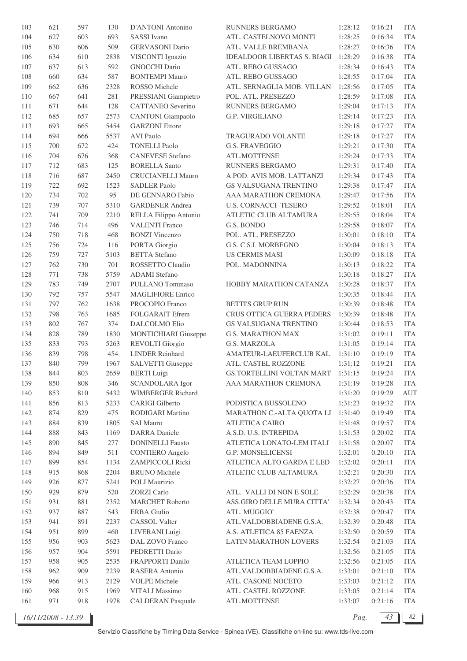| 103 | 621 | 597 | 130  | D'ANTONI Antonino           | RUNNERS BERGAMO                    | 1:28:12 | 0:16:21 | <b>ITA</b> |
|-----|-----|-----|------|-----------------------------|------------------------------------|---------|---------|------------|
| 104 | 627 | 603 | 693  | SASSI Ivano                 | ATL. CASTELNOVO MONTI              | 1:28:25 | 0:16:34 | <b>ITA</b> |
| 105 | 630 | 606 | 509  | <b>GERVASONI</b> Dario      | ATL. VALLE BREMBANA                | 1:28:27 | 0:16:36 | <b>ITA</b> |
| 106 | 634 | 610 | 2838 | VISCONTI Ignazio            | <b>IDEALDOOR LIBERTAS S. BIAGI</b> | 1:28:29 | 0:16:38 | <b>ITA</b> |
| 107 | 637 | 613 | 592  | <b>GNOCCHI Dario</b>        | ATL. REBO GUSSAGO                  | 1:28:34 | 0:16:43 | <b>ITA</b> |
| 108 | 660 | 634 | 587  | <b>BONTEMPI Mauro</b>       | ATL. REBO GUSSAGO                  | 1:28:55 | 0:17:04 | <b>ITA</b> |
| 109 | 662 | 636 | 2328 | ROSSO Michele               | ATL. SERNAGLIA MOB. VILLAN         | 1:28:56 | 0:17:05 | <b>ITA</b> |
| 110 | 667 | 641 | 281  | PRESSIANI Giampietro        | POL. ATL. PRESEZZO                 | 1:28:59 | 0:17:08 | <b>ITA</b> |
| 111 | 671 | 644 | 128  | <b>CATTANEO</b> Severino    | RUNNERS BERGAMO                    | 1:29:04 | 0:17:13 | <b>ITA</b> |
| 112 | 685 | 657 | 2573 | <b>CANTONI</b> Giampaolo    | <b>G.P. VIRGILIANO</b>             | 1:29:14 | 0:17:23 | <b>ITA</b> |
| 113 | 693 | 665 | 5454 | <b>GARZONI</b> Ettore       |                                    | 1:29:18 | 0:17:27 | <b>ITA</b> |
| 114 | 694 | 666 | 5537 | <b>AVI Paolo</b>            | <b>TRAGURADO VOLANTE</b>           | 1:29:18 | 0:17:27 | <b>ITA</b> |
| 115 | 700 | 672 | 424  | <b>TONELLI Paolo</b>        | G.S. FRAVEGGIO                     | 1:29:21 | 0:17:30 | <b>ITA</b> |
| 116 | 704 | 676 | 368  | <b>CANEVESE Stefano</b>     | ATL.MOTTENSE                       | 1:29:24 | 0:17:33 | <b>ITA</b> |
| 117 | 712 | 683 | 125  | <b>BORELLA Santo</b>        | RUNNERS BERGAMO                    | 1:29:31 | 0:17:40 | <b>ITA</b> |
| 118 | 716 | 687 | 2450 | <b>CRUCIANELLI Mauro</b>    | A.POD. AVIS MOB. LATTANZI          | 1:29:34 | 0:17:43 | <b>ITA</b> |
|     |     |     |      |                             |                                    | 1:29:38 |         |            |
| 119 | 722 | 692 | 1523 | <b>SADLER Paolo</b>         | <b>GS VALSUGANA TRENTINO</b>       |         | 0:17:47 | <b>ITA</b> |
| 120 | 734 | 702 | 95   | DE GENNARO Fabio            | AAA MARATHON CREMONA               | 1:29:47 | 0:17:56 | <b>ITA</b> |
| 121 | 739 | 707 | 5310 | <b>GARDENER Andrea</b>      | <b>U.S. CORNACCI TESERO</b>        | 1:29:52 | 0:18:01 | <b>ITA</b> |
| 122 | 741 | 709 | 2210 | RELLA Filippo Antonio       | ATLETIC CLUB ALTAMURA              | 1:29:55 | 0:18:04 | <b>ITA</b> |
| 123 | 746 | 714 | 496  | <b>VALENTI Franco</b>       | G.S. BONDO                         | 1:29:58 | 0:18:07 | <b>ITA</b> |
| 124 | 750 | 718 | 468  | <b>BONZI</b> Vincenzo       | POL. ATL. PRESEZZO                 | 1:30:01 | 0:18:10 | <b>ITA</b> |
| 125 | 756 | 724 | 116  | PORTA Giorgio               | G.S. C.S.I. MORBEGNO               | 1:30:04 | 0:18:13 | <b>ITA</b> |
| 126 | 759 | 727 | 5103 | <b>BETTA</b> Stefano        | <b>US CERMIS MASI</b>              | 1:30:09 | 0:18:18 | <b>ITA</b> |
| 127 | 762 | 730 | 701  | ROSSETTO Claudio            | POL. MADONNINA                     | 1:30:13 | 0:18:22 | <b>ITA</b> |
| 128 | 771 | 738 | 5759 | <b>ADAMI</b> Stefano        |                                    | 1:30:18 | 0:18:27 | <b>ITA</b> |
| 129 | 783 | 749 | 2707 | PULLANO Tommaso             | HOBBY MARATHON CATANZA             | 1:30:28 | 0:18:37 | <b>ITA</b> |
| 130 | 792 | 757 | 5547 | <b>MAGLIFIORE Enrico</b>    |                                    | 1:30:35 | 0:18:44 | <b>ITA</b> |
| 131 | 797 | 762 | 1638 | PROCOPIO Franco             | <b>BETTI'S GRUP RUN</b>            | 1:30:39 | 0:18:48 | <b>ITA</b> |
| 132 | 798 | 763 | 1685 | FOLGARAIT Efrem             | CRUS OTTICA GUERRA PEDERS          | 1:30:39 | 0:18:48 | <b>ITA</b> |
| 133 | 802 | 767 | 374  | DALCOLMO Elio               | GS VALSUGANA TRENTINO              | 1:30:44 | 0:18:53 | <b>ITA</b> |
| 134 | 828 | 789 | 1830 | <b>MONTICHIARI</b> Giuseppe | <b>G.S. MARATHON MAX</b>           | 1:31:02 | 0:19:11 | <b>ITA</b> |
| 135 | 833 | 793 | 5263 | <b>REVOLTI</b> Giorgio      | G.S. MARZOLA                       | 1:31:05 | 0:19:14 | <b>ITA</b> |
| 136 | 839 | 798 | 454  | <b>LINDER Reinhard</b>      | AMATEUR-LAEUFERCLUB KAL            | 1:31:10 | 0:19:19 | <b>ITA</b> |
| 137 | 840 | 799 | 1967 | SALVETTI Giuseppe           | ATL. CASTEL ROZZONE                | 1:31:12 | 0:19:21 | <b>ITA</b> |
| 138 | 844 | 803 | 2659 | <b>BERTI Luigi</b>          | GS.TORTELLINI VOLTAN MART          | 1:31:15 | 0:19:24 | ITA        |
| 139 | 850 | 808 | 346  | <b>SCANDOLARA</b> Igor      | AAA MARATHON CREMONA               | 1:31:19 | 0:19:28 | <b>ITA</b> |
| 140 | 853 | 810 | 5432 | <b>WIMBERGER Richard</b>    |                                    | 1:31:20 | 0:19:29 | AUT        |
| 141 | 856 | 813 | 5233 | CARIGI Gilberto             | PODISTICA BUSSOLENO                | 1:31:23 | 0:19:32 | <b>ITA</b> |
| 142 | 874 | 829 | 475  | RODIGARI Martino            | MARATHON C.-ALTA QUOTA LI          | 1:31:40 | 0:19:49 | <b>ITA</b> |
| 143 | 884 | 839 | 1805 | <b>SAI Mauro</b>            | <b>ATLETICA CAIRO</b>              | 1:31:48 | 0:19:57 | <b>ITA</b> |
| 144 | 888 | 843 | 1169 | <b>DARRA</b> Daniele        | A.S.D. U.S. INTREPIDA              | 1:31:53 | 0:20:02 | <b>ITA</b> |
| 145 | 890 | 845 | 277  | <b>DONINELLI Fausto</b>     | ATLETICA LONATO-LEM ITALI          | 1:31:58 | 0:20:07 | <b>ITA</b> |
| 146 | 894 | 849 | 511  | <b>CONTIERO</b> Angelo      | G.P. MONSELICENSI                  | 1:32:01 | 0:20:10 | <b>ITA</b> |
| 147 | 899 | 854 | 1134 | ZAMPICCOLI Ricki            | ATLETICA ALTO GARDA E LED          | 1:32:02 | 0:20:11 | <b>ITA</b> |
| 148 | 915 | 868 | 2204 | <b>BRUNO</b> Michele        | ATLETIC CLUB ALTAMURA              | 1:32:21 | 0:20:30 | <b>ITA</b> |
| 149 | 926 | 877 | 5241 | POLI Maurizio               |                                    | 1:32:27 | 0:20:36 | <b>ITA</b> |
| 150 | 929 | 879 | 520  | <b>ZORZI</b> Carlo          | ATL. VALLI DI NON E SOLE           | 1:32:29 | 0:20:38 | <b>ITA</b> |
| 151 | 931 | 881 | 2352 | <b>MARCHET</b> Roberto      | ASS.GIRO DELLE MURA CITTA'         | 1:32:34 | 0:20:43 | <b>ITA</b> |
| 152 | 937 | 887 | 543  | <b>ERBA</b> Giulio          | ATL. MUGGIO`                       | 1:32:38 | 0:20:47 | <b>ITA</b> |
| 153 | 941 | 891 | 2237 | CASSOL Valter               | ATL.VALDOBBIADENE G.S.A.           | 1:32:39 | 0:20:48 | <b>ITA</b> |
| 154 | 951 | 899 | 460  | LIVERANI Luigi              | A.S. ATLETICA 85 FAENZA            | 1:32:50 | 0:20:59 | <b>ITA</b> |
| 155 | 956 | 903 | 5623 | DAL ZOVO Franco             | LATIN MARATHON LOVERS              | 1:32:54 | 0:21:03 | <b>ITA</b> |
| 156 | 957 | 904 | 5591 | PEDRETTI Dario              |                                    | 1:32:56 | 0:21:05 | <b>ITA</b> |
| 157 | 958 | 905 | 2535 | FRAPPORTI Danilo            | ATLETICA TEAM LOPPIO               | 1:32:56 | 0:21:05 | <b>ITA</b> |
| 158 | 962 | 909 | 2239 | RASERA Antonio              | ATL.VALDOBBIADENE G.S.A.           | 1:33:01 | 0:21:10 | <b>ITA</b> |
| 159 | 966 | 913 | 2129 | <b>VOLPE Michele</b>        | ATL. CASONE NOCETO                 |         |         |            |
|     |     |     |      |                             |                                    | 1:33:03 | 0:21:12 | ITA        |
| 160 | 968 | 915 | 1969 | VITALI Massimo              | ATL. CASTEL ROZZONE                | 1:33:05 | 0:21:14 | <b>ITA</b> |
| 161 | 971 | 918 | 1978 | <b>CALDERAN</b> Pasquale    | ATL.MOTTENSE                       | 1:33:07 | 0:21:16 | ITA        |

*16/11/2008 - 13.39 Pag. 43 82*

Servizio Classifiche by Timing Data Service - Spinea (VE). Classifiche on-line su: www.tds-live.com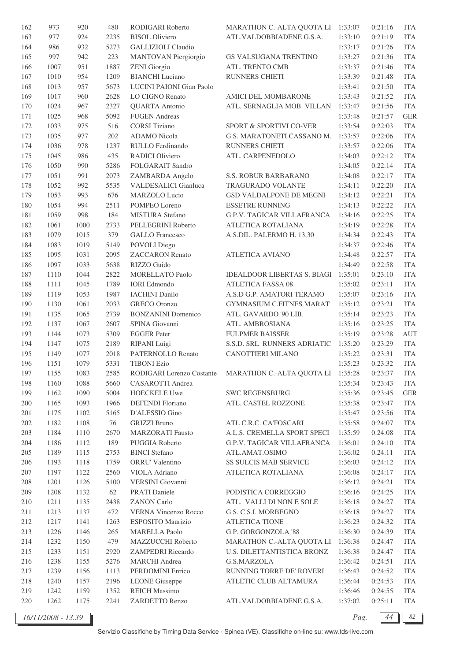| 162     | 973  | 920  | 480  | RODIGARI Roberto                 | MARATHON C.-ALTA QUOTA LI 1:33:07  |         | 0:21:16 | <b>ITA</b>  |
|---------|------|------|------|----------------------------------|------------------------------------|---------|---------|-------------|
| 163     | 977  | 924  | 2235 | <b>BISOL Oliviero</b>            | ATL.VALDOBBIADENE G.S.A.           | 1:33:10 | 0:21:19 | <b>ITA</b>  |
| 164     | 986  | 932  | 5273 | <b>GALLIZIOLI Claudio</b>        |                                    | 1:33:17 | 0:21:26 | <b>ITA</b>  |
| 165     | 997  | 942  | 223  | MANTOVAN Piergiorgio             | GS VALSUGANA TRENTINO              | 1:33:27 | 0:21:36 | <b>ITA</b>  |
| 166     | 1007 | 951  | 1887 | <b>ZENI</b> Giorgio              | ATL. TRENTO CMB                    | 1:33:37 | 0:21:46 | <b>ITA</b>  |
| 167     | 1010 | 954  | 1209 | <b>BIANCHI</b> Luciano           | <b>RUNNERS CHIETI</b>              | 1:33:39 | 0:21:48 | <b>ITA</b>  |
| 168     | 1013 | 957  | 5673 | LUCINI PAIONI Gian Paolo         |                                    | 1:33:41 | 0:21:50 | <b>ITA</b>  |
| 169     | 1017 | 960  | 2628 | LO CIGNO Renato                  | AMICI DEL MOMBARONE                | 1:33:43 | 0:21:52 | <b>ITA</b>  |
| 170     | 1024 | 967  | 2327 | <b>QUARTA</b> Antonio            | ATL. SERNAGLIA MOB. VILLAN         | 1:33:47 | 0:21:56 | <b>ITA</b>  |
| 171     | 1025 | 968  | 5092 | <b>FUGEN</b> Andreas             |                                    | 1:33:48 | 0:21:57 | <b>GER</b>  |
|         |      |      |      |                                  |                                    |         |         |             |
| 172     | 1033 | 975  | 516  | <b>CORSI</b> Tiziano             | SPORT & SPORTIVI CO-VER            | 1:33:54 | 0:22:03 | <b>ITA</b>  |
| 173     | 1035 | 977  | 202  | <b>ADAMO</b> Nicola              | G.S. MARATONETI CASSANO M.         | 1:33:57 | 0:22:06 | <b>ITA</b>  |
| 174     | 1036 | 978  | 1237 | RULLO Ferdinando                 | RUNNERS CHIETI                     | 1:33:57 | 0:22:06 | <b>ITA</b>  |
| 175     | 1045 | 986  | 435  | RADICI Oliviero                  | ATL. CARPENEDOLO                   | 1:34:03 | 0:22:12 | <b>ITA</b>  |
| 176     | 1050 | 990  | 5286 | FOLGARAIT Sandro                 |                                    | 1:34:05 | 0:22:14 | <b>ITA</b>  |
| 177     | 1051 | 991  | 2073 | ZAMBARDA Angelo                  | S.S. ROBUR BARBARANO               | 1:34:08 | 0:22:17 | <b>ITA</b>  |
| 178     | 1052 | 992  | 5535 | VALDESALICI Gianluca             | TRAGURADO VOLANTE                  | 1:34:11 | 0:22:20 | <b>ITA</b>  |
| 179     | 1053 | 993  | 676  | MARZOLO Lucio                    | GSD VALDALPONE DE MEGNI            | 1:34:12 | 0:22:21 | <b>ITA</b>  |
| 180     | 1054 | 994  | 2511 | POMPEO Loreno                    | <b>ESSETRE RUNNING</b>             | 1:34:13 | 0:22:22 | <b>ITA</b>  |
| 181     | 1059 | 998  | 184  | MISTURA Stefano                  | <b>G.P.V. TAGICAR VILLAFRANCA</b>  | 1:34:16 | 0:22:25 | <b>ITA</b>  |
| 182     | 1061 | 1000 | 2733 | PELLEGRINI Roberto               | ATLETICA ROTALIANA                 | 1:34:19 | 0:22:28 | <b>ITA</b>  |
| 183     | 1079 | 1015 | 379  | <b>GALLO</b> Francesco           | A.S.DIL. PALERMO H. 13,30          | 1:34:34 | 0:22:43 | <b>ITA</b>  |
| 184     | 1083 | 1019 | 5149 | POVOLI Diego                     |                                    | 1:34:37 | 0:22:46 | <b>ITA</b>  |
| 185     | 1095 | 1031 | 2095 | <b>ZACCARON</b> Renato           | <b>ATLETICA AVIANO</b>             | 1:34:48 | 0:22:57 | <b>ITA</b>  |
| 186     | 1097 | 1033 | 5638 | RIZZO Guido                      |                                    | 1:34:49 | 0:22:58 | <b>ITA</b>  |
| 187     | 1110 | 1044 | 2822 | MORELLATO Paolo                  | <b>IDEALDOOR LIBERTAS S. BIAGI</b> | 1:35:01 | 0:23:10 | <b>ITA</b>  |
| 188     | 1111 | 1045 | 1789 | <b>IORI</b> Edmondo              | <b>ATLETICA FASSA 08</b>           | 1:35:02 | 0:23:11 | <b>ITA</b>  |
| 189     |      |      | 1987 | <b>IACHINI</b> Danilo            |                                    |         |         | <b>ITA</b>  |
|         | 1119 | 1053 |      |                                  | A.S.D G.P. AMATORI TERAMO          | 1:35:07 | 0:23:16 |             |
| 190     | 1130 | 1061 | 2033 | <b>GRECO</b> Oronzo              | GYMNASIUM C.FITNES MARAT           | 1:35:12 | 0:23:21 | <b>ITA</b>  |
| 191     | 1135 | 1065 | 2739 | <b>BONZANINI</b> Domenico        | ATL. GAVARDO '90 LIB.              | 1:35:14 | 0:23:23 | <b>ITA</b>  |
| 192     | 1137 | 1067 | 2607 | SPINA Giovanni                   | ATL. AMBROSIANA                    | 1:35:16 | 0:23:25 | <b>ITA</b>  |
| 193     | 1144 | 1073 | 5309 | <b>EGGER</b> Peter               | <b>FULPMER BAISSER</b>             | 1:35:19 | 0:23:28 | <b>AUT</b>  |
| 194     | 1147 | 1075 | 2189 | RIPANI Luigi                     | S.S.D. SRL RUNNERS ADRIATIC        | 1:35:20 | 0:23:29 | <b>ITA</b>  |
| 195     | 1149 | 1077 | 2018 | PATERNOLLO Renato                | CANOTTIERI MILANO                  | 1:35:22 | 0:23:31 | <b>ITA</b>  |
| 196     | 1151 | 1079 | 5331 | <b>TIBONI Ezio</b>               |                                    | 1:35:23 | 0:23:32 | <b>ITA</b>  |
| 197     | 1155 | 1083 | 2585 | <b>RODIGARI</b> Lorenzo Costante | MARATHON C.-ALTA QUOTA LI          | 1:35:28 | 0:23:37 | ITA         |
| 198     | 1160 | 1088 | 5660 | CASAROTTI Andrea                 |                                    | 1:35:34 | 0:23:43 | <b>ITA</b>  |
| 199     | 1162 | 1090 | 5004 | <b>HOECKELE Uwe</b>              | <b>SWC REGENSBURG</b>              | 1:35:36 | 0:23:45 | ${\tt GER}$ |
| 200     | 1165 | 1093 | 1966 | <b>DEFENDI</b> Floriano          | ATL. CASTEL ROZZONE                | 1:35:38 | 0:23:47 | <b>ITA</b>  |
| 201     | 1175 | 1102 | 5165 | D'ALESSIO Gino                   |                                    | 1:35:47 | 0:23:56 | <b>ITA</b>  |
| 202     | 1182 | 1108 | 76   | <b>GRIZZI Bruno</b>              | ATL C.R.C. CA'FOSCARI              | 1:35:58 | 0:24:07 | <b>ITA</b>  |
| 203     | 1184 | 1110 | 2670 | <b>MARZORATI</b> Fausto          | A.L.S. CREMELLA SPORT SPECI        | 1:35:59 | 0:24:08 | <b>ITA</b>  |
| 204     | 1186 | 1112 | 189  | PUGGIA Roberto                   | <b>G.P.V. TAGICAR VILLAFRANCA</b>  | 1:36:01 | 0:24:10 | <b>ITA</b>  |
| $205\,$ | 1189 | 1115 | 2753 | <b>BINCI</b> Stefano             | ATL.AMAT.OSIMO                     | 1:36:02 | 0:24:11 | <b>ITA</b>  |
| 206     | 1193 | 1118 | 1759 | ORRU' Valentino                  | SS SULCIS MAB SERVICE              | 1:36:03 | 0:24:12 | <b>ITA</b>  |
| 207     | 1197 | 1122 | 2560 | VIOLA Adriano                    | ATLETICA ROTALIANA                 | 1:36:08 | 0:24:17 | <b>ITA</b>  |
|         |      |      |      |                                  |                                    |         |         |             |
| 208     | 1201 | 1126 | 5100 | VERSINI Giovanni                 |                                    | 1:36:12 | 0:24:21 | ITA         |
| 209     | 1208 | 1132 | 62   | <b>PRATI</b> Daniele             | PODISTICA CORREGGIO                | 1:36:16 | 0:24:25 | <b>ITA</b>  |
| 210     | 1211 | 1135 | 2438 | <b>ZANON Carlo</b>               | ATL. VALLI DI NON E SOLE           | 1:36:18 | 0:24:27 | <b>ITA</b>  |
| 211     | 1213 | 1137 | 472  | <b>VERNA Vincenzo Rocco</b>      | G.S. C.S.I. MORBEGNO               | 1:36:18 | 0:24:27 | <b>ITA</b>  |
| 212     | 1217 | 1141 | 1263 | ESPOSITO Maurizio                | <b>ATLETICA TIONE</b>              | 1:36:23 | 0:24:32 | <b>ITA</b>  |
| 213     | 1226 | 1146 | 265  | <b>MARELLA Paolo</b>             | G.P. GORGONZOLA '88                | 1:36:30 | 0:24:39 | <b>ITA</b>  |
| 214     | 1232 | 1150 | 479  | MAZZUCCHI Roberto                | MARATHON C.-ALTA QUOTA LI          | 1:36:38 | 0:24:47 | <b>ITA</b>  |
| 215     | 1233 | 1151 | 2920 | <b>ZAMPEDRI</b> Riccardo         | U.S. DILETTANTISTICA BRONZ         | 1:36:38 | 0:24:47 | <b>ITA</b>  |
| 216     | 1238 | 1155 | 5276 | <b>MARCHI</b> Andrea             | G.S.MARZOLA                        | 1:36:42 | 0:24:51 | <b>ITA</b>  |
| 217     | 1239 | 1156 | 1113 | PERDOMINI Enrico                 | RUNNING TORRE DE' ROVERI           | 1:36:43 | 0:24:52 | <b>ITA</b>  |
| 218     | 1240 | 1157 | 2196 | <b>LEONE</b> Giuseppe            | ATLETIC CLUB ALTAMURA              | 1:36:44 | 0:24:53 | <b>ITA</b>  |
| 219     | 1242 | 1159 | 1352 | <b>REICH Massimo</b>             |                                    | 1:36:46 | 0:24:55 | <b>ITA</b>  |
| 220     | 1262 | 1175 | 2241 | ZARDETTO Renzo                   | ATL.VALDOBBIADENE G.S.A.           | 1:37:02 | 0:25:11 | <b>ITA</b>  |
|         |      |      |      |                                  |                                    |         |         |             |

*16/11/2008 - 13.39 Pag. 44 82*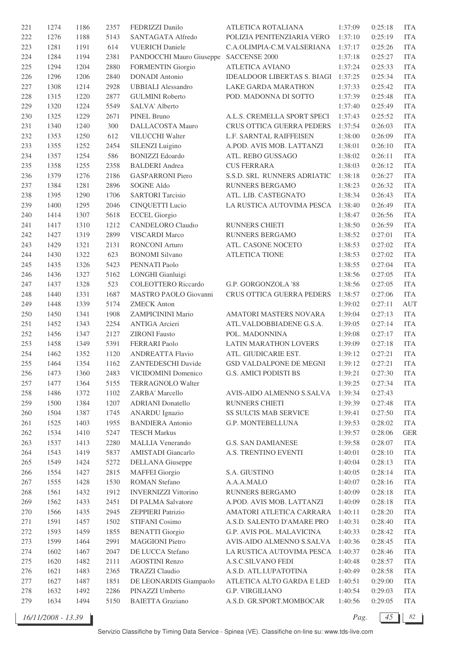| 221 | 1274 | 1186 | 2357 | FEDRIZZI Danilo             | ATLETICA ROTALIANA                 | 1:37:09 | 0:25:18 | <b>ITA</b> |
|-----|------|------|------|-----------------------------|------------------------------------|---------|---------|------------|
| 222 | 1276 | 1188 | 5143 | SANTAGATA Alfredo           | POLIZIA PENITENZIARIA VERO         | 1:37:10 | 0:25:19 | <b>ITA</b> |
| 223 | 1281 | 1191 | 614  | <b>VUERICH Daniele</b>      | C.A.OLIMPIA-C.M.VALSERIANA         | 1:37:17 | 0:25:26 | <b>ITA</b> |
| 224 | 1284 | 1194 | 2381 | PANDOCCHI Mauro Giuseppe    | SACCENSE 2000                      | 1:37:18 | 0:25:27 | <b>ITA</b> |
| 225 | 1294 | 1204 | 2880 | <b>FORMENTIN Giorgio</b>    | <b>ATLETICA AVIANO</b>             | 1:37:24 | 0:25:33 | <b>ITA</b> |
| 226 | 1296 | 1206 | 2840 | <b>DONADI</b> Antonio       | <b>IDEALDOOR LIBERTAS S. BIAGI</b> | 1:37:25 | 0:25:34 | <b>ITA</b> |
| 227 | 1308 | 1214 | 2928 | <b>UBBIALI</b> Alessandro   | LAKE GARDA MARATHON                | 1:37:33 | 0:25:42 | <b>ITA</b> |
| 228 | 1315 | 1220 | 2877 | <b>GULMINI Roberto</b>      | POD. MADONNA DI SOTTO              | 1:37:39 | 0:25:48 | <b>ITA</b> |
| 229 |      |      | 5549 |                             |                                    |         |         | <b>ITA</b> |
|     | 1320 | 1224 |      | SALVA' Alberto              | A.L.S. CREMELLA SPORT SPECI        | 1:37:40 | 0:25:49 | <b>ITA</b> |
| 230 | 1325 | 1229 | 2671 | PINEL Bruno                 |                                    | 1:37:43 | 0:25:52 |            |
| 231 | 1340 | 1240 | 300  | DALLACOSTA Mauro            | CRUS OTTICA GUERRA PEDERS          | 1:37:54 | 0:26:03 | <b>ITA</b> |
| 232 | 1353 | 1250 | 612  | VILUCCHI Walter             | L.F. SARNTAL RAIFFEISEN            | 1:38:00 | 0:26:09 | <b>ITA</b> |
| 233 | 1355 | 1252 | 2454 | SILENZI Luigino             | A.POD. AVIS MOB. LATTANZI          | 1:38:01 | 0:26:10 | <b>ITA</b> |
| 234 | 1357 | 1254 | 586  | <b>BONIZZI</b> Edoardo      | ATL. REBO GUSSAGO                  | 1:38:02 | 0:26:11 | <b>ITA</b> |
| 235 | 1358 | 1255 | 2358 | <b>BALDERI</b> Andrea       | <b>CUS FERRARA</b>                 | 1:38:03 | 0:26:12 | <b>ITA</b> |
| 236 | 1379 | 1276 | 2186 | <b>GASPARRONI Piero</b>     | S.S.D. SRL RUNNERS ADRIATIC        | 1:38:18 | 0:26:27 | <b>ITA</b> |
| 237 | 1384 | 1281 | 2896 | <b>SOGNE Aldo</b>           | RUNNERS BERGAMO                    | 1:38:23 | 0:26:32 | <b>ITA</b> |
| 238 | 1395 | 1290 | 1706 | <b>SARTORI</b> Tarcisio     | ATL. LIB. CASTEGNATO               | 1:38:34 | 0:26:43 | <b>ITA</b> |
| 239 | 1400 | 1295 | 2046 | <b>CINQUETTI</b> Lucio      | LA RUSTICA AUTOVIMA PESCA          | 1:38:40 | 0:26:49 | <b>ITA</b> |
| 240 | 1414 | 1307 | 5618 | <b>ECCEL Giorgio</b>        |                                    | 1:38:47 | 0:26:56 | <b>ITA</b> |
| 241 | 1417 | 1310 | 1212 | CANDELORO Claudio           | RUNNERS CHIETI                     | 1:38:50 | 0:26:59 | <b>ITA</b> |
| 242 | 1427 | 1319 | 2899 | <b>VISCARDI</b> Marco       | RUNNERS BERGAMO                    | 1:38:52 | 0:27:01 | <b>ITA</b> |
| 243 | 1429 | 1321 | 2131 | <b>RONCONI</b> Arturo       | ATL. CASONE NOCETO                 | 1:38:53 | 0:27:02 | <b>ITA</b> |
| 244 | 1430 | 1322 | 623  | <b>BONOMI</b> Silvano       | <b>ATLETICA TIONE</b>              | 1:38:53 | 0:27:02 | <b>ITA</b> |
| 245 | 1435 | 1326 | 5423 | PENNATI Paolo               |                                    | 1:38:55 | 0:27:04 | <b>ITA</b> |
| 246 | 1436 | 1327 | 5162 | LONGHI Gianluigi            |                                    | 1:38:56 | 0:27:05 | <b>ITA</b> |
| 247 | 1437 | 1328 | 523  | <b>COLEOTTERO</b> Riccardo  | G.P. GORGONZOLA '88                | 1:38:56 | 0:27:05 | <b>ITA</b> |
| 248 | 1440 | 1331 | 1687 | MASTRO PAOLO Giovanni       | CRUS OTTICA GUERRA PEDERS          | 1:38:57 | 0:27:06 | <b>ITA</b> |
| 249 | 1448 | 1339 | 5174 | <b>ZMECK Anton</b>          |                                    | 1:39:02 | 0:27:11 | <b>AUT</b> |
|     |      |      |      |                             |                                    |         | 0:27:13 | <b>ITA</b> |
| 250 | 1450 | 1341 | 1908 | ZAMPICININI Mario           | AMATORI MASTERS NOVARA             | 1:39:04 |         |            |
| 251 | 1452 | 1343 | 2254 | <b>ANTIGA</b> Arcieri       | ATL.VALDOBBIADENE G.S.A.           | 1:39:05 | 0:27:14 | <b>ITA</b> |
| 252 | 1456 | 1347 | 2127 | <b>ZIRONI</b> Fausto        | POL. MADONNINA                     | 1:39:08 | 0:27:17 | <b>ITA</b> |
| 253 | 1458 | 1349 | 5391 | <b>FERRARI</b> Paolo        | LATIN MARATHON LOVERS              | 1:39:09 | 0:27:18 | <b>ITA</b> |
| 254 | 1462 | 1352 | 1120 | <b>ANDREATTA Flavio</b>     | ATL. GIUDICARIE EST.               | 1:39:12 | 0:27:21 | <b>ITA</b> |
| 255 | 1464 | 1354 | 1162 | ZANTEDESCHI Davide          | <b>GSD VALDALPONE DE MEGNI</b>     | 1:39:12 | 0:27:21 | <b>ITA</b> |
| 256 | 1473 | 1360 | 2483 | VICIDOMINI Domenico         | G.S. AMICI PODISTI BS              | 1:39:21 | 0:27:30 | <b>ITA</b> |
| 257 | 1477 | 1364 | 5155 | TERRAGNOLO Walter           |                                    | 1:39:25 | 0:27:34 | <b>ITA</b> |
| 258 | 1486 | 1372 | 1102 | ZARBA' Marcello             | AVIS-AIDO ALMENNO S.SALVA          | 1:39:34 | 0:27:43 |            |
| 259 | 1500 | 1384 | 1207 | <b>ADRIANI</b> Donatello    | RUNNERS CHIETI                     | 1:39:39 | 0:27:48 | <b>ITA</b> |
| 260 | 1504 | 1387 | 1745 | <b>ANARDU</b> Ignazio       | SS SULCIS MAB SERVICE              | 1:39:41 | 0:27:50 | <b>ITA</b> |
| 261 | 1525 | 1403 | 1955 | <b>BANDIERA</b> Antonio     | G.P. MONTEBELLUNA                  | 1:39:53 | 0:28:02 | <b>ITA</b> |
| 262 | 1534 | 1410 | 5247 | <b>TESCH Markus</b>         |                                    | 1:39:57 | 0:28:06 | <b>GER</b> |
| 263 | 1537 | 1413 | 2280 | <b>MALLIA Venerando</b>     | <b>G.S. SAN DAMIANESE</b>          | 1:39:58 | 0:28:07 | <b>ITA</b> |
| 264 | 1543 | 1419 | 5837 | AMISTADI Giancarlo          | A.S. TRENTINO EVENTI               | 1:40:01 | 0:28:10 | <b>ITA</b> |
| 265 | 1549 | 1424 | 5272 | <b>DELLANA</b> Giuseppe     |                                    | 1:40:04 | 0:28:13 | <b>ITA</b> |
| 266 | 1554 | 1427 | 2815 | <b>MAFFEI</b> Giorgio       | S.A. GIUSTINO                      | 1:40:05 | 0:28:14 | <b>ITA</b> |
| 267 | 1555 | 1428 | 1530 | <b>ROMAN Stefano</b>        | A.A.A.MALO                         | 1:40:07 | 0:28:16 | <b>ITA</b> |
| 268 | 1561 | 1432 | 1912 | <b>INVERNIZZI Vittorino</b> | RUNNERS BERGAMO                    | 1:40:09 | 0:28:18 | <b>ITA</b> |
| 269 | 1562 | 1433 | 2451 | DI PALMA Salvatore          | A.POD. AVIS MOB. LATTANZI          | 1:40:09 | 0:28:18 | <b>ITA</b> |
| 270 | 1566 | 1435 | 2945 | <b>ZEPPIERI</b> Patrizio    | AMATORI ATLETICA CARRARA           | 1:40:11 | 0:28:20 | <b>ITA</b> |
| 271 | 1591 | 1457 | 1502 | STIFANI Cosimo              | A.S.D. SALENTO D'AMARE PRO         | 1:40:31 | 0:28:40 | <b>ITA</b> |
|     |      |      |      |                             |                                    |         |         |            |
| 272 | 1593 | 1459 | 1855 | <b>BENATTI</b> Giorgio      | G.P. AVIS POL. MALAVICINA          | 1:40:33 | 0:28:42 | <b>ITA</b> |
| 273 | 1599 | 1464 | 2991 | <b>MAGGIONI Pietro</b>      | AVIS-AIDO ALMENNO S.SALVA          | 1:40:36 | 0:28:45 | <b>ITA</b> |
| 274 | 1602 | 1467 | 2047 | DE LUCCA Stefano            | LA RUSTICA AUTOVIMA PESCA          | 1:40:37 | 0:28:46 | <b>ITA</b> |
| 275 | 1620 | 1482 | 2111 | <b>AGOSTINI Renzo</b>       | A.S.C.SILVANO FEDI                 | 1:40:48 | 0:28:57 | <b>ITA</b> |
| 276 | 1621 | 1483 | 2365 | <b>TRAZZI</b> Claudio       | A.S.D. ATL.LUPATOTINA              | 1:40:49 | 0:28:58 | <b>ITA</b> |
| 277 | 1627 | 1487 | 1851 | DE LEONARDIS Giampaolo      | ATLETICA ALTO GARDA E LED          | 1:40:51 | 0:29:00 | <b>ITA</b> |
| 278 | 1632 | 1492 | 2286 | PINAZZI Umberto             | <b>G.P. VIRGILIANO</b>             | 1:40:54 | 0:29:03 | <b>ITA</b> |
| 279 | 1634 | 1494 | 5150 | <b>BAIETTA Graziano</b>     | A.S.D. GR.SPORT.MOMBOCAR           | 1:40:56 | 0:29:05 | <b>ITA</b> |

*16/11/2008 - 13.39 Pag. 45 82*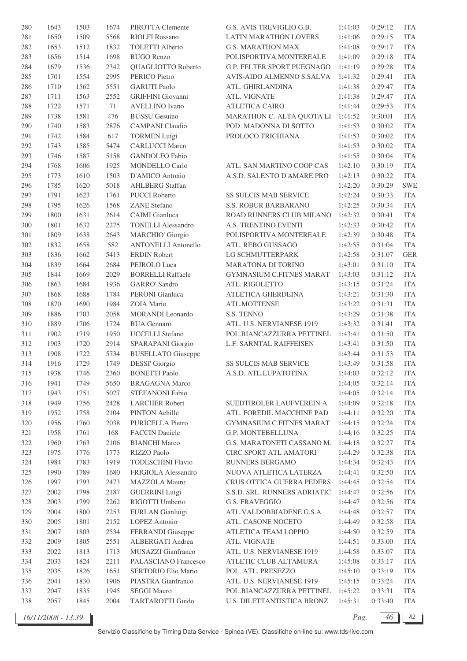| 280 | 1643 | 1503 | 1674 | PIROTTA Clemente           | G.S. AVIS TREVIGLIO G.B.        | 1:41:03 | 0:29:12 | <b>ITA</b> |
|-----|------|------|------|----------------------------|---------------------------------|---------|---------|------------|
| 281 | 1650 | 1509 | 5568 | <b>RIOLFI Rossano</b>      | LATIN MARATHON LOVERS           | 1:41:06 | 0:29:15 | <b>ITA</b> |
| 282 | 1653 | 1512 | 1832 | <b>TOLETTI</b> Alberto     | <b>G.S. MARATHON MAX</b>        | 1:41:08 | 0:29:17 | <b>ITA</b> |
| 283 | 1656 | 1514 | 1698 | RUGO Renzo                 | POLISPORTIVA MONTEREALE         | 1:41:09 | 0:29:18 | <b>ITA</b> |
| 284 | 1679 | 1536 | 2342 | QUAGLIOTTO Roberto         | G.P. FELTER SPORT PUEGNAGO      | 1:41:19 | 0:29:28 | <b>ITA</b> |
| 285 | 1701 | 1554 | 2995 | PERICO Pietro              | AVIS-AIDO ALMENNO S.SALVA       | 1:41:32 | 0:29:41 | <b>ITA</b> |
| 286 | 1710 | 1562 | 5551 | <b>GARUTI Paolo</b>        | ATL. GHIRLANDINA                | 1:41:38 | 0:29:47 | <b>ITA</b> |
| 287 | 1711 | 1563 | 2552 | <b>GRIFFINI</b> Giovanni   | ATL. VIGNATE                    | 1:41:38 | 0:29:47 | <b>ITA</b> |
| 288 | 1722 | 1571 | 71   | <b>AVELLINO</b> Ivano      | <b>ATLETICA CAIRO</b>           | 1:41:44 | 0:29:53 | <b>ITA</b> |
| 289 | 1738 | 1581 | 476  | <b>BUSSU</b> Gesuino       | MARATHON C.-ALTA QUOTA LI       | 1:41:52 | 0:30:01 | <b>ITA</b> |
| 290 | 1740 | 1583 | 2876 | <b>CAMPANI</b> Claudio     | POD. MADONNA DI SOTTO           | 1:41:53 | 0:30:02 | <b>ITA</b> |
| 291 |      |      |      |                            |                                 |         |         |            |
|     | 1742 | 1584 | 617  | <b>TORMEN Luigi</b>        | PROLOCO TRICHIANA               | 1:41:53 | 0:30:02 | <b>ITA</b> |
| 292 | 1743 | 1585 | 5474 | <b>CARLUCCI Marco</b>      |                                 | 1:41:53 | 0:30:02 | <b>ITA</b> |
| 293 | 1746 | 1587 | 5158 | <b>GANDOLFO</b> Fabio      |                                 | 1:41:55 | 0:30:04 | <b>ITA</b> |
| 294 | 1768 | 1606 | 1925 | <b>MONDELLO Carlo</b>      | ATL. SAN MARTINO COOP CAS       | 1:42:10 | 0:30:19 | <b>ITA</b> |
| 295 | 1773 | 1610 | 1503 | D'AMICO Antonio            | A.S.D. SALENTO D'AMARE PRO      | 1:42:13 | 0:30:22 | <b>ITA</b> |
| 296 | 1785 | 1620 | 5018 | <b>AHLBERG</b> Staffan     |                                 | 1:42:20 | 0:30:29 | <b>SWE</b> |
| 297 | 1791 | 1623 | 1761 | <b>PUCCI</b> Roberto       | SS SULCIS MAB SERVICE           | 1:42:24 | 0:30:33 | <b>ITA</b> |
| 298 | 1795 | 1626 | 1568 | <b>ZANE</b> Stefano        | S.S. ROBUR BARBARANO            | 1:42:25 | 0:30:34 | <b>ITA</b> |
| 299 | 1800 | 1631 | 2614 | CAIMI Gianluca             | ROAD RUNNERS CLUB MILANO        | 1:42:32 | 0:30:41 | <b>ITA</b> |
| 300 | 1801 | 1632 | 2275 | <b>TONELLI Alessandro</b>  | A.S. TRENTINO EVENTI            | 1:42:33 | 0:30:42 | <b>ITA</b> |
| 301 | 1809 | 1638 | 2643 | <b>MARCHIO' Giorgio</b>    | POLISPORTIVA MONTEREALE         | 1:42:39 | 0:30:48 | <b>ITA</b> |
| 302 | 1832 | 1658 | 582  | <b>ANTONELLI Antonello</b> | ATL. REBO GUSSAGO               | 1:42:55 | 0:31:04 | <b>ITA</b> |
| 303 | 1836 | 1662 | 5413 | <b>ERDIN Robert</b>        | LG SCHMUTTERPARK                | 1:42:58 | 0:31:07 | <b>GER</b> |
| 304 | 1839 | 1664 | 2684 | PEJROLO Luca               | MARATONA DI TORINO              | 1:43:01 | 0:31:10 | <b>ITA</b> |
| 305 | 1844 | 1669 | 2029 | <b>BORRELLI Raffaele</b>   | <b>GYMNASIUM C.FITNES MARAT</b> | 1:43:03 | 0:31:12 | <b>ITA</b> |
| 306 | 1863 | 1684 | 1936 | <b>GARRO'</b> Sandro       | ATL. RIGOLETTO                  | 1:43:15 | 0:31:24 | <b>ITA</b> |
| 307 | 1868 | 1688 | 1784 | PERONI Gianluca            | ATLETICA GHERDEINA              | 1:43:21 | 0:31:30 | <b>ITA</b> |
| 308 | 1870 | 1690 | 1984 | ZOIA Mario                 | ATL.MOTTENSE                    | 1:43:22 | 0:31:31 | <b>ITA</b> |
| 309 | 1886 | 1703 | 2058 | MORANDI Leonardo           | S.S. TENNO                      | 1:43:29 | 0:31:38 | <b>ITA</b> |
| 310 | 1889 | 1706 | 1724 | <b>BUA</b> Gennaro         | ATL. U.S. NERVIANESE 1919       | 1:43:32 | 0:31:41 | <b>ITA</b> |
| 311 | 1902 | 1719 | 1950 | <b>UCCELLI</b> Stefano     | POL.BIANCAZZURRA PETTINEL       | 1:43:41 | 0:31:50 | <b>ITA</b> |
| 312 | 1903 | 1720 | 2914 | SPARAPANI Giorgio          | L.F. SARNTAL RAIFFEISEN         | 1:43:41 | 0:31:50 | <b>ITA</b> |
| 313 | 1908 | 1722 | 5734 | <b>BUSELLATO</b> Giuseppe  |                                 | 1:43:44 | 0:31:53 | <b>ITA</b> |
| 314 | 1916 | 1729 | 1749 | <b>DESSI'</b> Giorgio      | <b>SS SULCIS MAB SERVICE</b>    | 1:43:49 | 0:31:58 | <b>ITA</b> |
| 315 | 1938 | 1746 | 2360 | <b>BONETTI Paolo</b>       | A.S.D. ATL.LUPATOTINA           | 1:44:03 | 0:32:12 | <b>ITA</b> |
| 316 | 1941 | 1749 | 5650 | <b>BRAGAGNA Marco</b>      |                                 | 1:44:05 | 0:32:14 | <b>ITA</b> |
|     |      |      |      |                            |                                 |         |         |            |
| 317 | 1943 | 1751 | 5027 | <b>STEFANONI Fabio</b>     |                                 | 1:44:05 | 0:32:14 | <b>ITA</b> |
| 318 | 1949 | 1756 | 2428 | <b>LARCHER Robert</b>      | SUEDTIROLER LAUFVEREIN A        | 1:44:09 | 0:32:18 | <b>ITA</b> |
| 319 | 1952 | 1758 | 2104 | PINTON Achille             | ATL. FOREDIL MACCHINE PAD       | 1:44:11 | 0:32:20 | <b>ITA</b> |
| 320 | 1956 | 1760 | 2038 | PURICELLA Pietro           | <b>GYMNASIUM C.FITNES MARAT</b> | 1:44:15 | 0:32:24 | <b>ITA</b> |
| 321 | 1958 | 1761 | 168  | <b>FACCIN</b> Daniele      | G.P. MONTEBELLUNA               | 1:44:16 | 0:32:25 | <b>ITA</b> |
| 322 | 1960 | 1763 | 2106 | <b>BIANCHI Marco</b>       | G.S. MARATONETI CASSANO M.      | 1:44:18 | 0:32:27 | <b>ITA</b> |
| 323 | 1975 | 1776 | 1773 | RIZZO Paolo                | CIRC SPORT ATL AMATORI          | 1:44:29 | 0:32:38 | <b>ITA</b> |
| 324 | 1984 | 1783 | 1919 | <b>TODESCHINI Flavio</b>   | RUNNERS BERGAMO                 | 1:44:34 | 0:32:43 | <b>ITA</b> |
| 325 | 1990 | 1789 | 1680 | FRIGIOLA Alessandro        | NUOVA ATLETICA LATERZA          | 1:44:41 | 0:32:50 | <b>ITA</b> |
| 326 | 1997 | 1793 | 2473 | MAZZOLA Mauro              | CRUS OTTICA GUERRA PEDERS       | 1:44:45 | 0:32:54 | <b>ITA</b> |
| 327 | 2002 | 1798 | 2187 | <b>GUERRINI</b> Luigi      | S.S.D. SRL RUNNERS ADRIATIC     | 1:44:47 | 0:32:56 | <b>ITA</b> |
| 328 | 2003 | 1799 | 2262 | RIGOTTI Umberto            | <b>G.S. FRAVEGGIO</b>           | 1:44:47 | 0:32:56 | <b>ITA</b> |
| 329 | 2004 | 1800 | 2253 | FURLAN Gianluigi           | ATL.VALDOBBIADENE G.S.A.        | 1:44:48 | 0:32:57 | <b>ITA</b> |
| 330 | 2005 | 1801 | 2152 | <b>LOPEZ</b> Antonio       | ATL. CASONE NOCETO              | 1:44:49 | 0:32:58 | <b>ITA</b> |
| 331 | 2007 | 1803 | 2534 | FERRANDI Giuseppe          | ATLETICA TEAM LOPPIO            | 1:44:50 | 0:32:59 | <b>ITA</b> |
| 332 | 2009 | 1805 | 2551 | ALBERGATI Andrea           | ATL. VIGNATE                    | 1:44:51 | 0:33:00 | <b>ITA</b> |
| 333 | 2022 | 1813 | 1713 | MUSAZZI Gianfranco         | ATL. U.S. NERVIANESE 1919       | 1:44:58 | 0:33:07 | <b>ITA</b> |
| 334 | 2033 | 1824 | 2211 | PALASCIANO Francesco       | ATLETIC CLUB ALTAMURA           | 1:45:08 | 0:33:17 | <b>ITA</b> |
| 335 | 2035 | 1826 | 1651 | SERTORIO Elio Mario        | POL. ATL. PRESEZZO              | 1:45:10 | 0:33:19 | <b>ITA</b> |
| 336 | 2041 | 1830 | 1906 | PIASTRA Gianfranco         | ATL. U.S. NERVIANESE 1919       | 1:45:15 | 0:33:24 | <b>ITA</b> |
| 337 | 2047 | 1835 | 1945 | <b>SEGGI Mauro</b>         | POL.BIANCAZZURRA PETTINEL       | 1:45:22 | 0:33:31 | <b>ITA</b> |
| 338 | 2057 | 1845 | 2004 | TARTAROTTI Guido           | U.S. DILETTANTISTICA BRONZ      | 1:45:31 | 0:33:40 | <b>ITA</b> |
|     |      |      |      |                            |                                 |         |         |            |

*Pag.*  $\boxed{46}$  82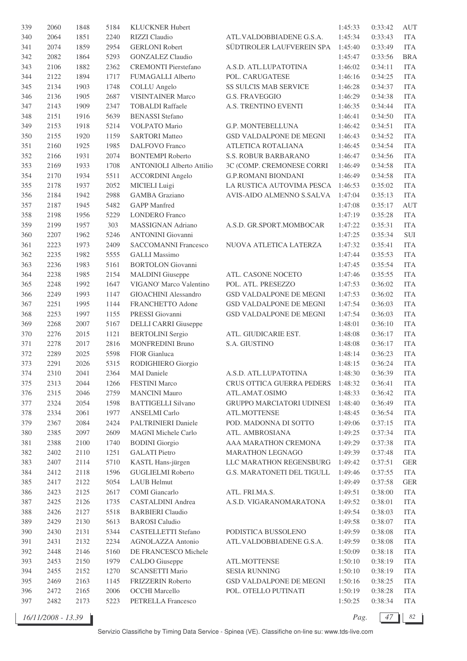| 339 | 2060 | 1848 | 5184 | <b>KLUCKNER Hubert</b>           |                                | 1:45:33 | 0:33:42 | <b>AUT</b>   |
|-----|------|------|------|----------------------------------|--------------------------------|---------|---------|--------------|
| 340 | 2064 | 1851 | 2240 | RIZZI Claudio                    | ATL.VALDOBBIADENE G.S.A.       | 1:45:34 | 0:33:43 | <b>ITA</b>   |
| 341 | 2074 | 1859 | 2954 | <b>GERLONI Robert</b>            | SÜDTIROLER LAUFVEREIN SPA      | 1:45:40 | 0:33:49 | <b>ITA</b>   |
| 342 | 2082 | 1864 | 5293 | <b>GONZALEZ Claudio</b>          |                                | 1:45:47 | 0:33:56 | <b>BRA</b>   |
| 343 | 2106 | 1882 | 2362 | <b>CREMONTI Pierstefano</b>      | A.S.D. ATL.LUPATOTINA          | 1:46:02 | 0:34:11 | <b>ITA</b>   |
| 344 | 2122 | 1894 | 1717 | <b>FUMAGALLI Alberto</b>         | POL. CARUGATESE                | 1:46:16 | 0:34:25 | <b>ITA</b>   |
| 345 | 2134 | 1903 | 1748 | <b>COLLU</b> Angelo              | SS SULCIS MAB SERVICE          | 1:46:28 | 0:34:37 | <b>ITA</b>   |
| 346 | 2136 | 1905 | 2687 | <b>VISINTAINER Marco</b>         | <b>G.S. FRAVEGGIO</b>          | 1:46:29 | 0:34:38 | <b>ITA</b>   |
| 347 | 2143 | 1909 | 2347 | <b>TOBALDI</b> Raffaele          | A.S. TRENTINO EVENTI           | 1:46:35 | 0:34:44 | <b>ITA</b>   |
| 348 |      |      | 5639 |                                  |                                | 1:46:41 | 0:34:50 | <b>ITA</b>   |
|     | 2151 | 1916 |      | <b>BENASSI</b> Stefano           |                                |         |         |              |
| 349 | 2153 | 1918 | 5214 | VOLPATO Mario                    | G.P. MONTEBELLUNA              | 1:46:42 | 0:34:51 | <b>ITA</b>   |
| 350 | 2155 | 1920 | 1159 | <b>SARTORI</b> Matteo            | GSD VALDALPONE DE MEGNI        | 1:46:43 | 0:34:52 | <b>ITA</b>   |
| 351 | 2160 | 1925 | 1985 | <b>DALFOVO</b> Franco            | ATLETICA ROTALIANA             | 1:46:45 | 0:34:54 | <b>ITA</b>   |
| 352 | 2166 | 1931 | 2074 | <b>BONTEMPI Roberto</b>          | S.S. ROBUR BARBARANO           | 1:46:47 | 0:34:56 | <b>ITA</b>   |
| 353 | 2169 | 1933 | 1708 | <b>ANTONIOLI Alberto Attilio</b> | 3C (COMP. CREMONESE CORRI      | 1:46:49 | 0:34:58 | <b>ITA</b>   |
| 354 | 2170 | 1934 | 5511 | <b>ACCORDINI</b> Angelo          | <b>G.P.ROMANI BIONDANI</b>     | 1:46:49 | 0:34:58 | <b>ITA</b>   |
| 355 | 2178 | 1937 | 2052 | MICIELI Luigi                    | LA RUSTICA AUTOVIMA PESCA      | 1:46:53 | 0:35:02 | <b>ITA</b>   |
| 356 | 2184 | 1942 | 2988 | <b>GAMBA</b> Graziano            | AVIS-AIDO ALMENNO S.SALVA      | 1:47:04 | 0:35:13 | <b>ITA</b>   |
| 357 | 2187 | 1945 | 5482 | <b>GAPP</b> Manfred              |                                | 1:47:08 | 0:35:17 | <b>AUT</b>   |
| 358 | 2198 | 1956 | 5229 | <b>LONDERO</b> Franco            |                                | 1:47:19 | 0:35:28 | <b>ITA</b>   |
| 359 | 2199 | 1957 | 303  | MASSIGNAN Adriano                | A.S.D. GR.SPORT.MOMBOCAR       | 1:47:22 | 0:35:31 | <b>ITA</b>   |
| 360 | 2207 | 1962 | 5246 | <b>ANTONINI</b> Giovanni         |                                | 1:47:25 | 0:35:34 | $\mbox{SUI}$ |
| 361 | 2223 | 1973 | 2409 | <b>SACCOMANNI Francesco</b>      | NUOVA ATLETICA LATERZA         | 1:47:32 | 0:35:41 | <b>ITA</b>   |
| 362 | 2235 | 1982 | 5555 | <b>GALLI Massimo</b>             |                                | 1:47:44 | 0:35:53 | <b>ITA</b>   |
| 363 | 2236 | 1983 | 5161 | <b>BORTOLON</b> Giovanni         |                                | 1:47:45 | 0:35:54 | <b>ITA</b>   |
| 364 | 2238 | 1985 | 2154 | <b>MALDINI</b> Giuseppe          | ATL. CASONE NOCETO             | 1:47:46 | 0:35:55 | <b>ITA</b>   |
|     |      |      |      |                                  |                                |         |         |              |
| 365 | 2248 | 1992 | 1647 | VIGANO' Marco Valentino          | POL. ATL. PRESEZZO             | 1:47:53 | 0:36:02 | <b>ITA</b>   |
| 366 | 2249 | 1993 | 1147 | <b>GIOACHINI</b> Alessandro      | <b>GSD VALDALPONE DE MEGNI</b> | 1:47:53 | 0:36:02 | <b>ITA</b>   |
| 367 | 2251 | 1995 | 1144 | FRANCHETTO Adone                 | GSD VALDALPONE DE MEGNI        | 1:47:54 | 0:36:03 | <b>ITA</b>   |
| 368 | 2253 | 1997 | 1155 | PRESSI Giovanni                  | GSD VALDALPONE DE MEGNI        | 1:47:54 | 0:36:03 | <b>ITA</b>   |
| 369 | 2268 | 2007 | 5167 | <b>DELLI CARRI Giuseppe</b>      |                                | 1:48:01 | 0:36:10 | <b>ITA</b>   |
| 370 | 2276 | 2015 | 1121 | <b>BERTOLINI</b> Sergio          | ATL. GIUDICARIE EST.           | 1:48:08 | 0:36:17 | <b>ITA</b>   |
| 371 | 2278 | 2017 | 2816 | <b>MONFREDINI Bruno</b>          | S.A. GIUSTINO                  | 1:48:08 | 0:36:17 | <b>ITA</b>   |
| 372 | 2289 | 2025 | 5598 | FIOR Gianluca                    |                                | 1:48:14 | 0:36:23 | <b>ITA</b>   |
| 373 | 2291 | 2026 | 5315 | RODIGHIERO Giorgio               |                                | 1:48:15 | 0:36:24 | <b>ITA</b>   |
| 374 | 2310 | 2041 | 2364 | <b>MAI</b> Daniele               | A.S.D. ATL.LUPATOTINA          | 1:48:30 | 0:36:39 | <b>ITA</b>   |
| 375 | 2313 | 2044 | 1266 | <b>FESTINI</b> Marco             | CRUS OTTICA GUERRA PEDERS      | 1:48:32 | 0:36:41 | <b>ITA</b>   |
| 376 | 2315 | 2046 | 2759 | <b>MANCINI Mauro</b>             | ATL.AMAT.OSIMO                 | 1:48:33 | 0:36:42 | <b>ITA</b>   |
| 377 | 2324 | 2054 | 1598 | <b>BATTIGELLI Silvano</b>        | GRUPPO MARCIATORI UDINESI      | 1:48:40 | 0:36:49 | <b>ITA</b>   |
| 378 | 2334 | 2061 | 1977 | <b>ANSELMI</b> Carlo             | ATL.MOTTENSE                   | 1:48:45 | 0:36:54 | <b>ITA</b>   |
| 379 | 2367 | 2084 | 2424 | PALTRINIERI Daniele              | POD. MADONNA DI SOTTO          | 1:49:06 | 0:37:15 | <b>ITA</b>   |
| 380 | 2385 | 2097 | 2609 | MAGNI Michele Carlo              | ATL. AMBROSIANA                | 1:49:25 | 0:37:34 | <b>ITA</b>   |
| 381 | 2388 | 2100 | 1740 | <b>BODINI</b> Giorgio            | AAA MARATHON CREMONA           | 1:49:29 | 0:37:38 | <b>ITA</b>   |
| 382 | 2402 | 2110 | 1251 | <b>GALATI</b> Pietro             | MARATHON LEGNAGO               | 1:49:39 | 0:37:48 | <b>ITA</b>   |
| 383 | 2407 | 2114 | 5710 | KASTL Hans-jürgen                | LLC MARATHON REGENSBURG        | 1:49:42 | 0:37:51 | <b>GER</b>   |
| 384 | 2412 | 2118 | 1596 | <b>GUGLIELMI</b> Roberto         | G.S. MARATONETI DEL TIGULL     | 1:49:46 | 0:37:55 | <b>ITA</b>   |
|     |      |      |      |                                  |                                |         |         |              |
| 385 | 2417 | 2122 | 5054 | LAUB Helmut                      |                                | 1:49:49 | 0:37:58 | <b>GER</b>   |
| 386 | 2423 | 2125 | 2617 | COMI Giancarlo                   | ATL. FRI.MA.S.                 | 1:49:51 | 0:38:00 | <b>ITA</b>   |
| 387 | 2425 | 2126 | 1735 | CASTALDINI Andrea                | A.S.D. VIGARANOMARATONA        | 1:49:52 | 0:38:01 | <b>ITA</b>   |
| 388 | 2426 | 2127 | 5518 | <b>BARBIERI</b> Claudio          |                                | 1:49:54 | 0:38:03 | <b>ITA</b>   |
| 389 | 2429 | 2130 | 5613 | <b>BAROSI</b> Caludio            |                                | 1:49:58 | 0:38:07 | <b>ITA</b>   |
| 390 | 2430 | 2131 | 5344 | CASTELLETTI Stefano              | PODISTICA BUSSOLENO            | 1:49:59 | 0:38:08 | <b>ITA</b>   |
| 391 | 2431 | 2132 | 2234 | AGNOLAZZA Antonio                | ATL.VALDOBBIADENE G.S.A.       | 1:49:59 | 0:38:08 | <b>ITA</b>   |
| 392 | 2448 | 2146 | 5160 | DE FRANCESCO Michele             |                                | 1:50:09 | 0:38:18 | <b>ITA</b>   |
| 393 | 2453 | 2150 | 1979 | <b>CALDO</b> Giuseppe            | ATL.MOTTENSE                   | 1:50:10 | 0:38:19 | <b>ITA</b>   |
| 394 | 2455 | 2152 | 1270 | <b>SCANSETTI Mario</b>           | <b>SESIA RUNNING</b>           | 1:50:10 | 0:38:19 | <b>ITA</b>   |
| 395 | 2469 | 2163 | 1145 | FRIZZERIN Roberto                | GSD VALDALPONE DE MEGNI        | 1:50:16 | 0:38:25 | <b>ITA</b>   |
| 396 | 2472 | 2165 | 2006 | <b>OCCHI</b> Marcello            | POL. OTELLO PUTINATI           | 1:50:19 | 0:38:28 | <b>ITA</b>   |
| 397 | 2482 | 2173 | 5223 | PETRELLA Francesco               |                                | 1:50:25 | 0:38:34 | <b>ITA</b>   |
|     |      |      |      |                                  |                                |         |         |              |

*16/11/2008 - 13.39 Pag. 47 82*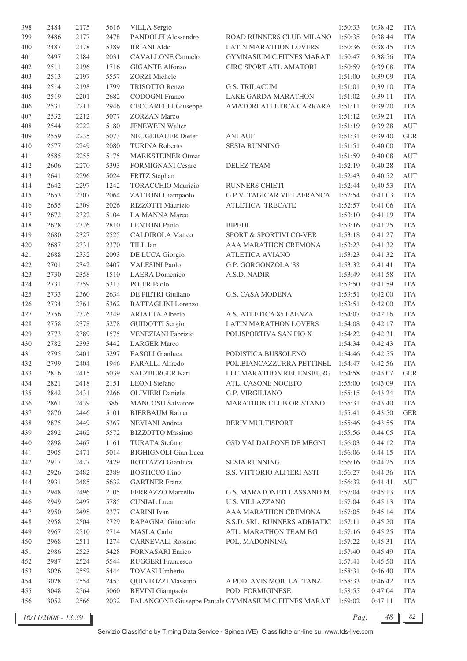| 398 | 2484 | 2175 | 5616 | <b>VILLA</b> Sergio         |                                                     | 1:50:33 | 0:38:42            | <b>ITA</b> |
|-----|------|------|------|-----------------------------|-----------------------------------------------------|---------|--------------------|------------|
| 399 | 2486 | 2177 | 2478 | PANDOLFI Alessandro         | ROAD RUNNERS CLUB MILANO                            | 1:50:35 | 0:38:44            | <b>ITA</b> |
| 400 | 2487 | 2178 | 5389 | <b>BRIANI Aldo</b>          | <b>LATIN MARATHON LOVERS</b>                        | 1:50:36 | 0:38:45            | <b>ITA</b> |
| 401 | 2497 | 2184 | 2031 | <b>CAVALLONE</b> Carmelo    | <b>GYMNASIUM C.FITNES MARAT</b>                     | 1:50:47 | 0:38:56            | <b>ITA</b> |
| 402 | 2511 | 2196 | 1716 | <b>GIGANTE Alfonso</b>      | CIRC SPORT ATL AMATORI                              | 1:50:59 | 0:39:08            | <b>ITA</b> |
| 403 | 2513 | 2197 | 5557 | <b>ZORZI Michele</b>        |                                                     | 1:51:00 | 0:39:09            | <b>ITA</b> |
| 404 | 2514 | 2198 | 1799 | TRISOTTO Renzo              | <b>G.S. TRILACUM</b>                                | 1:51:01 | 0:39:10            | <b>ITA</b> |
| 405 | 2519 | 2201 | 2682 | CODOGNI Franco              | LAKE GARDA MARATHON                                 | 1:51:02 | 0:39:11            | <b>ITA</b> |
| 406 | 2531 | 2211 | 2946 | <b>CECCARELLI</b> Giuseppe  | AMATORI ATLETICA CARRARA                            | 1:51:11 | 0:39:20            | <b>ITA</b> |
| 407 | 2532 | 2212 | 5077 | <b>ZORZAN Marco</b>         |                                                     | 1:51:12 | 0:39:21            | <b>ITA</b> |
| 408 | 2544 | 2222 | 5180 | <b>JENEWEIN Walter</b>      |                                                     | 1:51:19 | 0:39:28            | <b>AUT</b> |
| 409 | 2559 | 2235 | 5073 | <b>NEUGEBAUER Dieter</b>    | ANLAUF                                              | 1:51:31 | 0:39:40            | <b>GER</b> |
| 410 | 2577 | 2249 | 2080 | <b>TURINA Roberto</b>       | <b>SESIA RUNNING</b>                                | 1:51:51 | 0:40:00            | <b>ITA</b> |
|     |      |      |      |                             |                                                     |         |                    |            |
| 411 | 2585 | 2255 | 5175 | <b>MARKSTEINER Otmar</b>    |                                                     | 1:51:59 | 0:40:08            | <b>AUT</b> |
| 412 | 2606 | 2270 | 5393 | <b>FORMIGNANI Cesare</b>    | <b>DELEZ TEAM</b>                                   | 1:52:19 | 0:40:28            | <b>ITA</b> |
| 413 | 2641 | 2296 | 5024 | FRITZ Stephan               |                                                     | 1:52:43 | 0:40:52            | <b>AUT</b> |
| 414 | 2642 | 2297 | 1242 | <b>TORACCHIO Maurizio</b>   | <b>RUNNERS CHIETI</b>                               | 1:52:44 | 0:40:53            | <b>ITA</b> |
| 415 | 2653 | 2307 | 2064 | <b>ZATTONI</b> Giampaolo    | <b>G.P.V. TAGICAR VILLAFRANCA</b>                   | 1:52:54 | 0:41:03            | <b>ITA</b> |
| 416 | 2655 | 2309 | 2026 | RIZZOTTI Maurizio           | ATLETICA TRECATE                                    | 1:52:57 | 0:41:06            | <b>ITA</b> |
| 417 | 2672 | 2322 | 5104 | <b>LA MANNA Marco</b>       |                                                     | 1:53:10 | 0:41:19            | <b>ITA</b> |
| 418 | 2678 | 2326 | 2810 | <b>LENTONI</b> Paolo        | <b>BIPEDI</b>                                       | 1:53:16 | 0:41:25            | <b>ITA</b> |
| 419 | 2680 | 2327 | 2525 | <b>CALDIROLA Matteo</b>     | SPORT & SPORTIVI CO-VER                             | 1:53:18 | 0:41:27            | <b>ITA</b> |
| 420 | 2687 | 2331 | 2370 | TILL Ian                    | AAA MARATHON CREMONA                                | 1:53:23 | 0:41:32            | <b>ITA</b> |
| 421 | 2688 | 2332 | 2093 | DE LUCA Giorgio             | <b>ATLETICA AVIANO</b>                              | 1:53:23 | 0:41:32            | <b>ITA</b> |
| 422 | 2701 | 2342 | 2407 | <b>VALESINI Paolo</b>       | G.P. GORGONZOLA '88                                 | 1:53:32 | 0:41:41            | <b>ITA</b> |
| 423 | 2730 | 2358 | 1510 | <b>LAERA</b> Domenico       | A.S.D. NADIR                                        | 1:53:49 | 0:41:58            | <b>ITA</b> |
| 424 | 2731 | 2359 | 5313 | <b>POJER Paolo</b>          |                                                     | 1:53:50 | 0:41:59            | <b>ITA</b> |
| 425 | 2733 | 2360 | 2634 | DE PIETRI Giuliano          | <b>G.S. CASA MODENA</b>                             | 1:53:51 | 0:42:00            | <b>ITA</b> |
| 426 | 2734 | 2361 | 5362 | <b>BATTAGLINI</b> Lorenzo   |                                                     | 1:53:51 | 0:42:00            | <b>ITA</b> |
| 427 | 2756 | 2376 | 2349 | <b>ARIATTA Alberto</b>      | A.S. ATLETICA 85 FAENZA                             | 1:54:07 | 0:42:16            | <b>ITA</b> |
| 428 | 2758 | 2378 | 5278 | <b>GUIDOTTI</b> Sergio      | LATIN MARATHON LOVERS                               | 1:54:08 | 0:42:17            | <b>ITA</b> |
| 429 | 2773 | 2389 | 1575 | <b>VENEZIANI Fabrizio</b>   | POLISPORTIVA SAN PIO X                              | 1:54:22 | 0:42:31            | <b>ITA</b> |
| 430 | 2782 | 2393 | 5442 | <b>LARGER Marco</b>         |                                                     | 1:54:34 | 0:42:43            | <b>ITA</b> |
| 431 | 2795 | 2401 | 5297 | FASOLI Gianluca             | PODISTICA BUSSOLENO                                 | 1:54:46 | 0:42:55            | <b>ITA</b> |
| 432 | 2799 | 2404 | 1946 | FARALLI Alfredo             | POL.BIANCAZZURRA PETTINEL                           | 1:54:47 | 0:42:56            | <b>ITA</b> |
| 433 | 2816 | 2415 | 5039 | <b>SALZBERGER Karl</b>      | LLC MARATHON REGENSBURG                             | 1:54:58 | 0:43:07            | <b>GER</b> |
| 434 | 2821 | 2418 | 2151 | <b>LEONI</b> Stefano        | ATL. CASONE NOCETO                                  | 1:55:00 | 0:43:09            | <b>ITA</b> |
| 435 | 2842 | 2431 | 2266 | <b>OLIVIERI</b> Daniele     | <b>G.P. VIRGILIANO</b>                              | 1:55:15 |                    | <b>ITA</b> |
|     |      |      |      |                             |                                                     |         | 0:43:24<br>0:43:40 |            |
| 436 | 2861 | 2439 | 386  | <b>MANCOSU Salvatore</b>    | MARATHON CLUB ORISTANO                              | 1:55:31 |                    | <b>ITA</b> |
| 437 | 2870 | 2446 | 5101 | <b>BIERBAUM Rainer</b>      |                                                     | 1:55:41 | 0:43:50            | <b>GER</b> |
| 438 | 2875 | 2449 | 5367 | NEVIANI Andrea              | BERIV MULTISPORT                                    | 1:55:46 | 0:43:55            | <b>ITA</b> |
| 439 | 2892 | 2462 | 5572 | <b>BIZZOTTO</b> Massimo     |                                                     | 1:55:56 | 0:44:05            | <b>ITA</b> |
| 440 | 2898 | 2467 | 1161 | <b>TURATA Stefano</b>       | GSD VALDALPONE DE MEGNI                             | 1:56:03 | 0:44:12            | <b>ITA</b> |
| 441 | 2905 | 2471 | 5014 | <b>BIGHIGNOLI Gian Luca</b> |                                                     | 1:56:06 | 0:44:15            | <b>ITA</b> |
| 442 | 2917 | 2477 | 2429 | <b>BOTTAZZI</b> Gianluca    | <b>SESIA RUNNING</b>                                | 1:56:16 | 0:44:25            | <b>ITA</b> |
| 443 | 2926 | 2482 | 2389 | <b>BOSTICCO</b> Irino       | S.S. VITTORIO ALFIERI ASTI                          | 1:56:27 | 0:44:36            | <b>ITA</b> |
| 444 | 2931 | 2485 | 5632 | <b>GARTNER Franz</b>        |                                                     | 1:56:32 | 0:44:41            | AUT        |
| 445 | 2948 | 2496 | 2105 | FERRAZZO Marcello           | G.S. MARATONETI CASSANO M.                          | 1:57:04 | 0:45:13            | <b>ITA</b> |
| 446 | 2949 | 2497 | 5785 | <b>CUNIAL</b> Luca          | <b>U.S. VILLAZZANO</b>                              | 1:57:04 | 0:45:13            | <b>ITA</b> |
| 447 | 2950 | 2498 | 2377 | <b>CARINI</b> Ivan          | AAA MARATHON CREMONA                                | 1:57:05 | 0:45:14            | <b>ITA</b> |
| 448 | 2958 | 2504 | 2729 | RAPAGNA' Giancarlo          | S.S.D. SRL RUNNERS ADRIATIC                         | 1:57:11 | 0:45:20            | <b>ITA</b> |
| 449 | 2967 | 2510 | 2714 | <b>MASLA Carlo</b>          | ATL. MARATHON TEAM BG                               | 1:57:16 | 0:45:25            | <b>ITA</b> |
| 450 | 2968 | 2511 | 1274 | <b>CARNEVALI Rossano</b>    | POL. MADONNINA                                      | 1:57:22 | 0:45:31            | <b>ITA</b> |
| 451 | 2986 | 2523 | 5428 | <b>FORNASARI</b> Enrico     |                                                     | 1:57:40 | 0:45:49            | <b>ITA</b> |
| 452 | 2987 | 2524 | 5544 | RUGGERI Francesco           |                                                     | 1:57:41 | 0:45:50            | <b>ITA</b> |
| 453 | 3026 | 2552 | 5444 | <b>TOMASI Umberto</b>       |                                                     | 1:58:31 | 0:46:40            | <b>ITA</b> |
| 454 | 3028 | 2554 | 2453 | QUINTOZZI Massimo           | A.POD. AVIS MOB. LATTANZI                           | 1:58:33 | 0:46:42            | <b>ITA</b> |
| 455 | 3048 | 2564 | 5060 | <b>BEVINI</b> Giampaolo     | POD. FORMIGINESE                                    | 1:58:55 | 0:47:04            | <b>ITA</b> |
| 456 | 3052 | 2566 | 2032 |                             | FALANGONE Giuseppe Pantale GYMNASIUM C.FITNES MARAT | 1:59:02 | 0:47:11            | <b>ITA</b> |
|     |      |      |      |                             |                                                     |         |                    |            |

*16/11/2008 - 13.39 Pag. 48 82*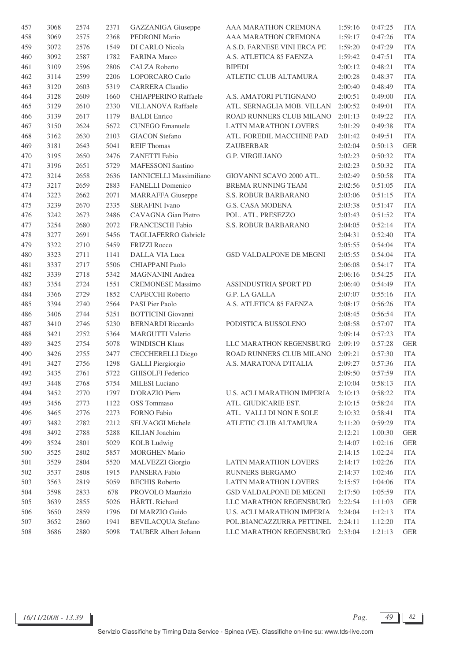| 457 | 3068 | 2574 | 2371 | GAZZANIGA Giuseppe        | AAA MARATHON CREMONA              | 1:59:16 | 0:47:25 | <b>ITA</b>                         |
|-----|------|------|------|---------------------------|-----------------------------------|---------|---------|------------------------------------|
| 458 | 3069 | 2575 | 2368 | PEDRONI Mario             | AAA MARATHON CREMONA              | 1:59:17 | 0:47:26 | <b>ITA</b>                         |
| 459 | 3072 | 2576 | 1549 | DI CARLO Nicola           | A.S.D. FARNESE VINI ERCA PE       | 1:59:20 | 0:47:29 | <b>ITA</b>                         |
| 460 | 3092 | 2587 | 1782 | <b>FARINA Marco</b>       | A.S. ATLETICA 85 FAENZA           | 1:59:42 | 0:47:51 | <b>ITA</b>                         |
| 461 | 3109 | 2596 | 2806 | CALZA Roberto             | <b>BIPEDI</b>                     | 2:00:12 | 0:48:21 | <b>ITA</b>                         |
| 462 | 3114 | 2599 | 2206 | LOPORCARO Carlo           | ATLETIC CLUB ALTAMURA             | 2:00:28 | 0:48:37 | <b>ITA</b>                         |
| 463 | 3120 | 2603 | 5319 | <b>CARRERA</b> Claudio    |                                   | 2:00:40 | 0:48:49 | <b>ITA</b>                         |
| 464 | 3128 | 2609 | 1660 | CHIAPPERINO Raffaele      | A.S. AMATORI PUTIGNANO            | 2:00:51 | 0:49:00 | <b>ITA</b>                         |
| 465 | 3129 | 2610 | 2330 | <b>VILLANOVA Raffaele</b> | ATL. SERNAGLIA MOB. VILLAN        | 2:00:52 | 0:49:01 | <b>ITA</b>                         |
| 466 | 3139 | 2617 | 1179 | <b>BALDI</b> Enrico       | ROAD RUNNERS CLUB MILANO          | 2:01:13 | 0:49:22 | <b>ITA</b>                         |
| 467 | 3150 | 2624 | 5672 | <b>CUNEGO</b> Emanuele    | LATIN MARATHON LOVERS             | 2:01:29 | 0:49:38 | <b>ITA</b>                         |
| 468 | 3162 | 2630 | 2103 | <b>GIACON</b> Stefano     | ATL. FOREDIL MACCHINE PAD         | 2:01:42 | 0:49:51 | <b>ITA</b>                         |
| 469 | 3181 | 2643 | 5041 | <b>REIF Thomas</b>        | ZAUBERBAR                         | 2:02:04 | 0:50:13 | <b>GER</b>                         |
| 470 | 3195 | 2650 | 2476 | ZANETTI Fabio             | <b>G.P. VIRGILIANO</b>            | 2:02:23 | 0:50:32 | <b>ITA</b>                         |
| 471 | 3196 | 2651 | 5729 | <b>MAFESSONI</b> Santino  |                                   | 2:02:23 | 0:50:32 | <b>ITA</b>                         |
| 472 | 3214 | 2658 | 2636 | IANNICELLI Massimiliano   | GIOVANNI SCAVO 2000 ATL.          | 2:02:49 | 0:50:58 | <b>ITA</b>                         |
| 473 | 3217 | 2659 | 2883 | <b>FANELLI</b> Domenico   | BREMA RUNNING TEAM                | 2:02:56 | 0:51:05 | <b>ITA</b>                         |
| 474 | 3223 | 2662 | 2071 | <b>MARRAFFA Giuseppe</b>  | S.S. ROBUR BARBARANO              | 2:03:06 | 0:51:15 | <b>ITA</b>                         |
| 475 | 3239 | 2670 | 2335 | <b>SERAFINI</b> Ivano     | G.S. CASA MODENA                  | 2:03:38 | 0:51:47 | <b>ITA</b>                         |
| 476 | 3242 | 2673 | 2486 | CAVAGNA Gian Pietro       | POL. ATL. PRESEZZO                | 2:03:43 | 0:51:52 | <b>ITA</b>                         |
| 477 | 3254 | 2680 | 2072 | FRANCESCHI Fabio          | S.S. ROBUR BARBARANO              | 2:04:05 | 0:52:14 | $\ensuremath{\mathsf{ITA}}\xspace$ |
| 478 | 3277 | 2691 | 5456 | TAGLIAFERRO Gabriele      |                                   | 2:04:31 | 0:52:40 | <b>ITA</b>                         |
| 479 | 3322 | 2710 | 5459 | <b>FRIZZI Rocco</b>       |                                   | 2:05:55 | 0:54:04 | <b>ITA</b>                         |
| 480 | 3323 | 2711 | 1141 | <b>DALLA VIA Luca</b>     | <b>GSD VALDALPONE DE MEGNI</b>    | 2:05:55 | 0:54:04 | <b>ITA</b>                         |
| 481 | 3337 | 2717 | 5506 | CHIAPPANI Paolo           |                                   | 2:06:08 | 0:54:17 | <b>ITA</b>                         |
| 482 | 3339 | 2718 | 5342 | MAGNANINI Andrea          |                                   | 2:06:16 | 0:54:25 | <b>ITA</b>                         |
| 483 | 3354 | 2724 | 1551 | <b>CREMONESE Massimo</b>  | ASSINDUSTRIA SPORT PD             | 2:06:40 | 0:54:49 | <b>ITA</b>                         |
| 484 | 3366 | 2729 | 1852 | CAPECCHI Roberto          | G.P. LA GALLA                     | 2:07:07 | 0:55:16 | <b>ITA</b>                         |
| 485 | 3394 | 2740 | 2564 | PASI Pier Paolo           | A.S. ATLETICA 85 FAENZA           | 2:08:17 | 0:56:26 | <b>ITA</b>                         |
| 486 | 3406 | 2744 | 5251 | <b>BOTTICINI</b> Giovanni |                                   | 2:08:45 | 0:56:54 | <b>ITA</b>                         |
| 487 | 3410 | 2746 | 5230 | <b>BERNARDI</b> Riccardo  | PODISTICA BUSSOLENO               | 2:08:58 | 0:57:07 | <b>ITA</b>                         |
| 488 | 3421 | 2752 | 5364 | <b>MARGUTTI Valerio</b>   |                                   | 2:09:14 | 0:57:23 | <b>ITA</b>                         |
| 489 | 3425 | 2754 | 5078 | <b>WINDISCH Klaus</b>     | LLC MARATHON REGENSBURG           | 2:09:19 | 0:57:28 | <b>GER</b>                         |
| 490 | 3426 | 2755 | 2477 | <b>CECCHERELLI Diego</b>  | ROAD RUNNERS CLUB MILANO          | 2:09:21 | 0:57:30 | <b>ITA</b>                         |
| 491 | 3427 | 2756 | 1298 | <b>GALLI</b> Piergiorgio  | A.S. MARATONA D'ITALIA            | 2:09:27 | 0:57:36 | <b>ITA</b>                         |
| 492 | 3435 | 2761 | 5722 | <b>GHISOLFI</b> Federico  |                                   | 2:09:50 | 0:57:59 | <b>ITA</b>                         |
| 493 | 3448 | 2768 | 5754 | MILESI Luciano            |                                   | 2:10:04 | 0:58:13 | <b>ITA</b>                         |
| 494 | 3452 | 2770 | 1797 | D'ORAZIO Piero            | <b>U.S. ACLI MARATHON IMPERIA</b> | 2:10:13 | 0:58:22 | <b>ITA</b>                         |
| 495 | 3456 | 2773 | 1122 | OSS Tommaso               | ATL. GIUDICARIE EST.              | 2:10:15 | 0:58:24 | <b>ITA</b>                         |
| 496 | 3465 | 2776 | 2273 | FORNO Fabio               | ATL. VALLI DI NON E SOLE          | 2:10:32 | 0:58:41 | <b>ITA</b>                         |
| 497 | 3482 | 2782 | 2212 | SELVAGGI Michele          | ATLETIC CLUB ALTAMURA             | 2:11:20 | 0:59:29 | <b>ITA</b>                         |
| 498 | 3492 | 2788 | 5288 | KILIAN Joachim            |                                   | 2:12:21 | 1:00:30 | <b>GER</b>                         |
| 499 | 3524 | 2801 | 5029 | <b>KOLB</b> Ludwig        |                                   | 2:14:07 | 1:02:16 | <b>GER</b>                         |
| 500 | 3525 | 2802 | 5857 | <b>MORGHEN Mario</b>      |                                   | 2:14:15 | 1:02:24 | <b>ITA</b>                         |
| 501 | 3529 | 2804 | 5520 | <b>MALVEZZI</b> Giorgio   | LATIN MARATHON LOVERS             | 2:14:17 | 1:02:26 | <b>ITA</b>                         |
| 502 | 3537 | 2808 | 1915 | PANSERA Fabio             | RUNNERS BERGAMO                   | 2:14:37 | 1:02:46 | <b>ITA</b>                         |
| 503 | 3563 | 2819 | 5059 | <b>BECHIS Roberto</b>     | LATIN MARATHON LOVERS             | 2:15:57 | 1:04:06 | <b>ITA</b>                         |
| 504 | 3598 | 2833 | 678  | PROVOLO Maurizio          | GSD VALDALPONE DE MEGNI           | 2:17:50 | 1:05:59 | <b>ITA</b>                         |
| 505 | 3639 | 2855 | 5026 | HÄRTL Richard             | LLC MARATHON REGENSBURG           | 2:22:54 | 1:11:03 | <b>GER</b>                         |
| 506 | 3650 | 2859 | 1796 | DI MARZIO Guido           | U.S. ACLI MARATHON IMPERIA        | 2:24:04 | 1:12:13 | <b>ITA</b>                         |
| 507 | 3652 | 2860 | 1941 | <b>BEVILACQUA Stefano</b> | POL.BIANCAZZURRA PETTINEL         | 2:24:11 | 1:12:20 | <b>ITA</b>                         |
| 508 | 3686 | 2880 | 5098 | TAUBER Albert Johann      | LLC MARATHON REGENSBURG           | 2:33:04 | 1:21:13 | <b>GER</b>                         |
|     |      |      |      |                           |                                   |         |         |                                    |

*16/11/2008 - 13.39 Pag. 49 82*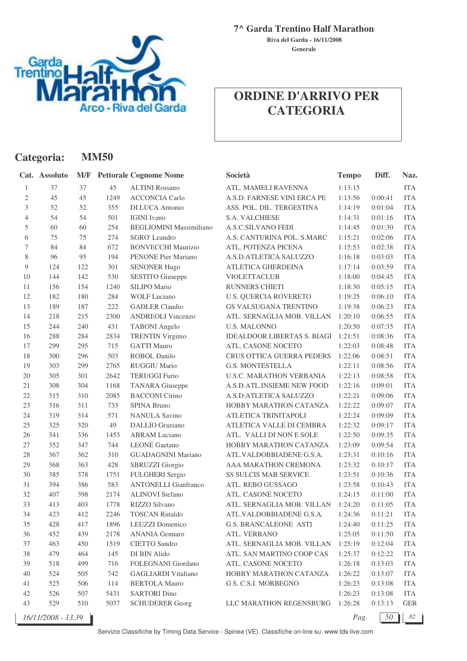

**Categoria: MM50**

**7^ Garda Trentino Half Marathon**

**Generale Riva del Garda - 16/11/2008**

# **ORDINE D'ARRIVO PER CATEGORIA**

|                | Cat. Assoluto      |     |      | <b>M/F</b> Pettorale Cognome Nome | Società                            | <b>Tempo</b> | Diff.   | Naz.       |
|----------------|--------------------|-----|------|-----------------------------------|------------------------------------|--------------|---------|------------|
| 1              | 37                 | 37  | 45   | <b>ALTINI Rossano</b>             | ATL. MAMELI RAVENNA                | 1:13:15      |         | <b>ITA</b> |
| 2              | 45                 | 45  | 1249 | <b>ACCONCIA Carlo</b>             | A.S.D. FARNESE VINI ERCA PE        | 1:13:56      | 0:00:41 | <b>ITA</b> |
| 3              | 52                 | 52  | 355  | <b>DI LUCA Antonio</b>            | ASS. POL. DIL. TERGESTINA          | 1:14:19      | 0:01:04 | <b>ITA</b> |
| $\overline{4}$ | 54                 | 54  | 501  | <b>IGINI</b> Ivano                | <b>S.A. VALCHIESE</b>              | 1:14:31      | 0:01:16 | <b>ITA</b> |
| 5              | 60                 | 60  | 254  | <b>BEGLIOMINI Massimiliano</b>    | A.S.C.SILVANO FEDI                 | 1:14:45      | 0:01:30 | <b>ITA</b> |
| 6              | 75                 | 75  | 274  | <b>SGRO'</b> Leandro              | A.S. CANTURINA POL. S.MARC         | 1:15:21      | 0:02:06 | <b>ITA</b> |
| 7              | 84                 | 84  | 672  | <b>BONVECCHI Maurizio</b>         | ATL. POTENZA PICENA                | 1:15:53      | 0:02:38 | <b>ITA</b> |
| 8              | 96                 | 95  | 194  | PENONE Pier Mariano               | A.S.D.ATLETICA SALUZZO             | 1:16:18      | 0:03:03 | <b>ITA</b> |
| 9              | 124                | 122 | 301  | <b>SENONER Hugo</b>               | ATLETICA GHERDEINA                 | 1:17:14      | 0:03:59 | <b>ITA</b> |
| 10             | 144                | 142 | 530  | <b>SESTITO</b> Giuseppe           | <b>VIOLETTACLUB</b>                | 1:18:00      | 0:04:45 | <b>ITA</b> |
| 11             | 156                | 154 | 1240 | SILIPO Mario                      | RUNNERS CHIETI                     | 1:18:30      | 0:05:15 | <b>ITA</b> |
| 12             | 182                | 180 | 284  | <b>WOLF Luciano</b>               | <b>U.S. QUERCIA ROVERETO</b>       | 1:19:25      | 0:06:10 | <b>ITA</b> |
| 13             | 189                | 187 | 222  | <b>GADLER Claudio</b>             | GS VALSUGANA TRENTINO              | 1:19:38      | 0:06:23 | <b>ITA</b> |
| 14             | 218                | 215 | 2300 | <b>ANDREOLI Vincenzo</b>          | ATL. SERNAGLIA MOB. VILLAN         | 1:20:10      | 0:06:55 | <b>ITA</b> |
| 15             | 244                | 240 | 431  | <b>TABONI</b> Angelo              | U.S. MALONNO                       | 1:20:50      | 0:07:35 | <b>ITA</b> |
| 16             | 288                | 284 | 2834 | <b>TRENTIN Virginio</b>           | <b>IDEALDOOR LIBERTAS S. BIAGI</b> | 1:21:51      | 0:08:36 | <b>ITA</b> |
| 17             | 299                | 295 | 715  | <b>GATTI Mauro</b>                | ATL. CASONE NOCETO                 | 1:22:03      | 0:08:48 | <b>ITA</b> |
| 18             | 300                | 296 | 503  | <b>ROBOL Danilo</b>               | CRUS OTTICA GUERRA PEDERS          | 1:22:06      | 0:08:51 | <b>ITA</b> |
| 19             | 303                | 299 | 2765 | <b>RUGGIU Mario</b>               | <b>G.S. MONTESTELLA</b>            | 1:22:11      | 0:08:56 | <b>ITA</b> |
| 20             | 305                | 301 | 2642 | <b>TERUGGI Furio</b>              | <b>U.S.C. MARATHON VERBANIA</b>    | 1:22:13      | 0:08:58 | <b>ITA</b> |
| 21             | 308                | 304 | 1168 | <b>TANARA</b> Giuseppe            | A.S.D.ATL.INSIEME NEW FOOD         | 1:22:16      | 0:09:01 | <b>ITA</b> |
| 22             | 315                | 310 | 2085 | <b>BACCONI</b> Cirino             | A.S.D.ATLETICA SALUZZO             | 1:22:21      | 0:09:06 | <b>ITA</b> |
| 23             | 316                | 311 | 733  | <b>SPINA Bruno</b>                | HOBBY MARATHON CATANZA             | 1:22:22      | 0:09:07 | <b>ITA</b> |
| 24             | 319                | 314 | 571  | <b>NANULA Savino</b>              | ATLETICA TRINITAPOLI               | 1:22:24      | 0:09:09 | <b>ITA</b> |
| 25             | 325                | 320 | 49   | <b>DALLIO</b> Graziano            | ATLETICA VALLE DI CEMBRA           | 1:22:32      | 0:09:17 | <b>ITA</b> |
| 26             | 341                | 336 | 1453 | <b>ABRAM</b> Luciano              | ATL. VALLI DI NON E SOLE           | 1:22:50      | 0:09:35 | <b>ITA</b> |
| 27             | 352                | 347 | 744  | <b>LEONE</b> Gaetano              | HOBBY MARATHON CATANZA             | 1:23:09      | 0:09:54 | <b>ITA</b> |
| 28             | 367                | 362 | 310  | <b>GUADAGNINI Mariano</b>         | ATL.VALDOBBIADENE G.S.A.           | 1:23:31      | 0:10:16 | <b>ITA</b> |
| 29             | 368                | 363 | 428  | <b>SBRUZZI</b> Giorgio            | AAA MARATHON CREMONA               | 1:23:32      | 0:10:17 | <b>ITA</b> |
| 30             | 385                | 378 | 1751 | <b>FULGHERI</b> Sergio            | <b>SS SULCIS MAB SERVICE</b>       | 1:23:51      | 0:10:36 | <b>ITA</b> |
| 31             | 394                | 386 | 583  | <b>ANTONELLI Gianfranco</b>       | ATL. REBO GUSSAGO                  | 1:23:58      | 0:10:43 | <b>ITA</b> |
| 32             | 407                | 398 | 2174 | <b>ALINOVI</b> Stefano            | ATL. CASONE NOCETO                 | 1:24:15      | 0:11:00 | <b>ITA</b> |
| 33             | 413                | 403 | 1778 | RIZZO Silvano                     | ATL. SERNAGLIA MOB. VILLAN         | 1:24:20      | 0:11:05 | <b>ITA</b> |
| 34             | 423                | 412 | 2246 | <b>TOSCAN Rinaldo</b>             | ATL.VALDOBBIADENE G.S.A.           | 1:24:36      | 0:11:21 | <b>ITA</b> |
| 35             | 428                | 417 | 1896 | <b>LEUZZI</b> Domenico            | G.S. BRANCALEONE ASTI              | 1:24:40      | 0:11:25 | <b>ITA</b> |
| 36             | 452                | 439 | 2178 | <b>ANANIA Gennaro</b>             | ATL. VERBANO                       | 1:25:05      | 0:11:50 | <b>ITA</b> |
| 37             | 463                | 450 | 1519 | <b>CIETTO Sandro</b>              | ATL. SERNAGLIA MOB. VILLAN         | 1:25:19      | 0:12:04 | ITA        |
| 38             | 479                | 464 | 145  | DI BIN Alido                      | ATL. SAN MARTINO COOP CAS          | 1:25:37      | 0:12:22 | <b>ITA</b> |
| 39             | 518                | 499 | 716  | FOLEGNANI Giordano                | ATL. CASONE NOCETO                 | 1:26:18      | 0:13:03 | <b>ITA</b> |
| 40             | 524                | 505 | 742  | <b>GAGLIARDI</b> Vitaliano        | HOBBY MARATHON CATANZA             | 1:26:22      | 0:13:07 | <b>ITA</b> |
| 41             | 525                | 506 | 114  | <b>BERTOLA Mauro</b>              | G.S. C.S.I. MORBEGNO               | 1:26:23      | 0:13:08 | <b>ITA</b> |
| 42             | 526                | 507 | 5431 | <b>SARTORI</b> Dino               |                                    | 1:26:23      | 0:13:08 | <b>ITA</b> |
| 43             | 529                | 510 | 5037 | <b>SCHUDERER Georg</b>            | LLC MARATHON REGENSBURG            | 1:26:28      | 0:13:13 | <b>GER</b> |
|                | 16/11/2008 - 13.39 |     |      |                                   |                                    | Pag.         | 50      | 82         |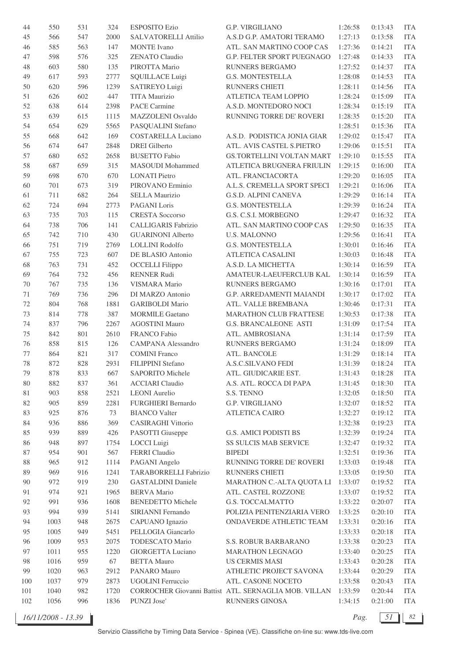| 44     | 550  | 531 | 324  | <b>ESPOSITO Ezio</b>       | <b>G.P. VIRGILIANO</b>                                        | 1:26:58 | 0:13:43 | <b>ITA</b> |
|--------|------|-----|------|----------------------------|---------------------------------------------------------------|---------|---------|------------|
| 45     | 566  | 547 | 2000 | SALVATORELLI Attilio       | A.S.D G.P. AMATORI TERAMO                                     | 1:27:13 | 0:13:58 | <b>ITA</b> |
| 46     | 585  | 563 | 147  | <b>MONTE</b> Ivano         | ATL. SAN MARTINO COOP CAS                                     | 1:27:36 | 0:14:21 | <b>ITA</b> |
| 47     | 598  | 576 | 325  | <b>ZENATO Claudio</b>      | G.P. FELTER SPORT PUEGNAGO                                    | 1:27:48 | 0:14:33 | <b>ITA</b> |
| 48     | 603  | 580 | 135  | PIROTTA Mario              | RUNNERS BERGAMO                                               | 1:27:52 | 0:14:37 | <b>ITA</b> |
| 49     | 617  | 593 | 2777 | <b>SQUILLACE Luigi</b>     | <b>G.S. MONTESTELLA</b>                                       | 1:28:08 | 0:14:53 | <b>ITA</b> |
| 50     | 620  | 596 | 1239 | SATIREYO Luigi             | RUNNERS CHIETI                                                | 1:28:11 | 0:14:56 | <b>ITA</b> |
| 51     | 626  | 602 | 447  | <b>TITA Maurizio</b>       | ATLETICA TEAM LOPPIO                                          | 1:28:24 | 0:15:09 | <b>ITA</b> |
| 52     | 638  | 614 | 2398 | <b>PACE Carmine</b>        | A.S.D. MONTEDORO NOCI                                         | 1:28:34 | 0:15:19 | <b>ITA</b> |
| 53     | 639  | 615 | 1115 | MAZZOLENI Osvaldo          | RUNNING TORRE DE' ROVERI                                      | 1:28:35 | 0:15:20 | <b>ITA</b> |
| 54     | 654  | 629 | 5565 | PASQUALINI Stefano         |                                                               | 1:28:51 | 0:15:36 | <b>ITA</b> |
| 55     | 668  | 642 | 169  | <b>COSTARELLA Luciano</b>  | A.S.D. PODISTICA JONIA GIAR                                   | 1:29:02 | 0:15:47 | <b>ITA</b> |
| 56     | 674  | 647 | 2848 | <b>DREI</b> Gilberto       | ATL. AVIS CASTEL S.PIETRO                                     | 1:29:06 | 0:15:51 | <b>ITA</b> |
| 57     | 680  | 652 | 2658 | <b>BUSETTO Fabio</b>       | GS.TORTELLINI VOLTAN MART                                     | 1:29:10 | 0:15:55 | <b>ITA</b> |
| 58     | 687  | 659 | 315  | MASOUDI Mohammed           | ATLETICA BRUGNERA FRIULIN                                     | 1:29:15 | 0:16:00 | <b>ITA</b> |
|        |      |     |      |                            |                                                               |         |         |            |
| 59     | 698  | 670 | 670  | <b>LONATI</b> Pietro       | ATL. FRANCIACORTA                                             | 1:29:20 | 0:16:05 | <b>ITA</b> |
| 60     | 701  | 673 | 319  | PIROVANO Erminio           | A.L.S. CREMELLA SPORT SPECI                                   | 1:29:21 | 0:16:06 | <b>ITA</b> |
| 61     | 711  | 682 | 264  | SELLA Maurizio             | G.S.D. ALPINI CANEVA                                          | 1:29:29 | 0:16:14 | <b>ITA</b> |
| 62     | 724  | 694 | 2773 | <b>PAGANI</b> Loris        | <b>G.S. MONTESTELLA</b>                                       | 1:29:39 | 0:16:24 | <b>ITA</b> |
| 63     | 735  | 703 | 115  | <b>CRESTA</b> Soccorso     | G.S. C.S.I. MORBEGNO                                          | 1:29:47 | 0:16:32 | <b>ITA</b> |
| 64     | 738  | 706 | 141  | <b>CALLIGARIS Fabrizio</b> | ATL. SAN MARTINO COOP CAS                                     | 1:29:50 | 0:16:35 | <b>ITA</b> |
| 65     | 742  | 710 | 430  | <b>GUARINONI Alberto</b>   | <b>U.S. MALONNO</b>                                           | 1:29:56 | 0:16:41 | <b>ITA</b> |
| 66     | 751  | 719 | 2769 | <b>LOLLINI Rodolfo</b>     | <b>G.S. MONTESTELLA</b>                                       | 1:30:01 | 0:16:46 | <b>ITA</b> |
| 67     | 755  | 723 | 607  | DE BLASIO Antonio          | ATLETICA CASALINI                                             | 1:30:03 | 0:16:48 | <b>ITA</b> |
| 68     | 763  | 731 | 452  | <b>OCCELLI</b> Filippo     | A.S.D. LA MICHETTA                                            | 1:30:14 | 0:16:59 | <b>ITA</b> |
| 69     | 764  | 732 | 456  | <b>RENNER Rudi</b>         | AMATEUR-LAEUFERCLUB KAL                                       | 1:30:14 | 0:16:59 | <b>ITA</b> |
| 70     | 767  | 735 | 136  | VISMARA Mario              | RUNNERS BERGAMO                                               | 1:30:16 | 0:17:01 | <b>ITA</b> |
| 71     | 769  | 736 | 296  | DI MARZO Antonio           | G.P. ARREDAMENTI MAIANDI                                      | 1:30:17 | 0:17:02 | <b>ITA</b> |
| 72     | 804  | 768 | 1881 | <b>GARIBOLDI</b> Mario     | ATL. VALLE BREMBANA                                           | 1:30:46 | 0:17:31 | <b>ITA</b> |
| 73     | 814  | 778 | 387  | <b>MORMILE Gaetano</b>     | <b>MARATHON CLUB FRATTESE</b>                                 | 1:30:53 | 0:17:38 | <b>ITA</b> |
| 74     | 837  | 796 | 2267 | <b>AGOSTINI Mauro</b>      | <b>G.S. BRANCALEONE ASTI</b>                                  | 1:31:09 | 0:17:54 | <b>ITA</b> |
| 75     | 842  | 801 | 2610 | FRANCO Fabio               | ATL. AMBROSIANA                                               | 1:31:14 | 0:17:59 | <b>ITA</b> |
| 76     | 858  | 815 | 126  | CAMPANA Alessandro         | RUNNERS BERGAMO                                               | 1:31:24 | 0:18:09 | <b>ITA</b> |
| 77     | 864  | 821 | 317  | <b>COMINI</b> Franco       | ATL. BANCOLE                                                  | 1:31:29 | 0:18:14 | <b>ITA</b> |
| 78     | 872  | 828 | 2931 | FILIPPINI Stefano          | <b>A.S.C.SILVANO FEDI</b>                                     | 1:31:39 | 0:18:24 | <b>ITA</b> |
| 79     | 878  | 833 | 667  | SAPORITO Michele           | ATL. GIUDICARIE EST.                                          | 1:31:43 | 0:18:28 | <b>ITA</b> |
| 80     | 882  | 837 | 361  | <b>ACCIARI</b> Claudio     | A.S. ATL. ROCCA DI PAPA                                       | 1:31:45 | 0:18:30 | <b>ITA</b> |
| 81     | 903  | 858 | 2521 | <b>LEONI</b> Aurelio       | S.S. TENNO                                                    | 1:32:05 | 0:18:50 | <b>ITA</b> |
| 82     | 905  | 859 | 2281 | <b>FURGHIERI Bernardo</b>  | G.P. VIRGILIANO                                               | 1:32:07 | 0:18:52 | <b>ITA</b> |
| 83     | 925  | 876 | 73   | <b>BIANCO Valter</b>       | <b>ATLETICA CAIRO</b>                                         | 1:32:27 | 0:19:12 | <b>ITA</b> |
| 84     | 936  | 886 | 369  | <b>CASIRAGHI Vittorio</b>  |                                                               | 1:32:38 | 0:19:23 | <b>ITA</b> |
| 85     | 939  | 889 | 426  | PASOTTI Giuseppe           | G.S. AMICI PODISTI BS                                         | 1:32:39 | 0:19:24 | <b>ITA</b> |
| 86     | 948  | 897 | 1754 | LOCCI Luigi                | SS SULCIS MAB SERVICE                                         | 1:32:47 | 0:19:32 | <b>ITA</b> |
| 87     | 954  | 901 | 567  | FERRI Claudio              | <b>BIPEDI</b>                                                 | 1:32:51 | 0:19:36 | <b>ITA</b> |
| $88\,$ | 965  | 912 | 1114 | PAGANI Angelo              | RUNNING TORRE DE' ROVERI                                      | 1:33:03 | 0:19:48 | <b>ITA</b> |
| 89     | 969  | 916 | 1241 | TARABORRELLI Fabrizio      | RUNNERS CHIETI                                                | 1:33:05 | 0:19:50 | <b>ITA</b> |
| 90     | 972  | 919 | 230  | <b>GASTALDINI Daniele</b>  | MARATHON C.-ALTA QUOTA LI                                     | 1:33:07 | 0:19:52 | <b>ITA</b> |
| 91     | 974  | 921 | 1965 | <b>BERVA</b> Mario         | ATL. CASTEL ROZZONE                                           | 1:33:07 | 0:19:52 | <b>ITA</b> |
| 92     | 991  | 936 | 1608 | <b>BENEDETTO Michele</b>   | G.S. TOCCALMATTO                                              | 1:33:22 | 0:20:07 | <b>ITA</b> |
| 93     | 994  | 939 | 5141 | SIRIANNI Fernando          | POLIZIA PENITENZIARIA VERO                                    | 1:33:25 | 0:20:10 | <b>ITA</b> |
| 94     | 1003 | 948 | 2675 | CAPUANO Ignazio            | ONDAVERDE ATHLETIC TEAM                                       | 1:33:31 | 0:20:16 | <b>ITA</b> |
| 95     | 1005 | 949 | 5451 | PELLOGIA Giancarlo         |                                                               | 1:33:33 | 0:20:18 | <b>ITA</b> |
| 96     | 1009 | 953 | 2075 | TODESCATO Mario            | S.S. ROBUR BARBARANO                                          | 1:33:38 | 0:20:23 | <b>ITA</b> |
| 97     | 1011 | 955 | 1220 | GIORGETTA Luciano          | MARATHON LEGNAGO                                              | 1:33:40 | 0:20:25 | <b>ITA</b> |
| 98     | 1016 | 959 | 67   | <b>BETTA Mauro</b>         | <b>US CERMIS MASI</b>                                         | 1:33:43 | 0:20:28 | <b>ITA</b> |
| 99     | 1020 | 963 | 2912 | PANARO Mauro               | ATHLETIC PROJECT SAVONA                                       | 1:33:44 | 0:20:29 | <b>ITA</b> |
| 100    | 1037 | 979 | 2873 | UGOLINI Ferruccio          | ATL. CASONE NOCETO                                            | 1:33:58 | 0:20:43 | <b>ITA</b> |
| 101    | 1040 | 982 | 1720 |                            | CORROCHER Giovanni Battist ATL. SERNAGLIA MOB. VILLAN 1:33:59 |         | 0:20:44 | <b>ITA</b> |
| 102    | 1056 | 996 | 1836 | PUNZI Jose'                | RUNNERS GINOSA                                                | 1:34:15 | 0:21:00 | <b>ITA</b> |
|        |      |     |      |                            |                                                               |         |         |            |

*16/11/2008 - 13.39 Pag. 51 82*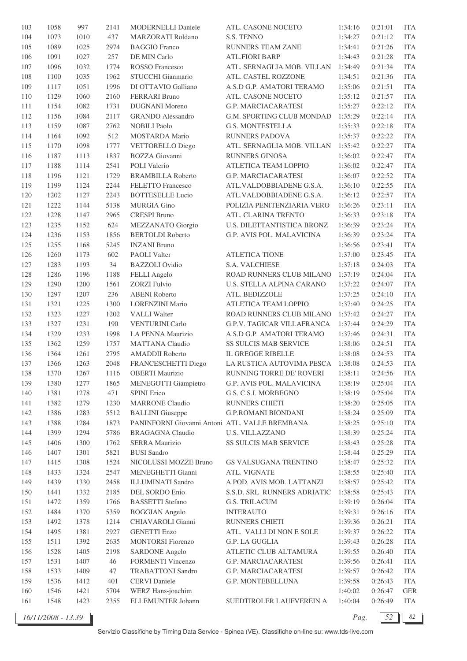| 103        | 1058 | 997  | 2141   | <b>MODERNELLI Daniele</b>                      | ATL. CASONE NOCETO                                | 1:34:16            | 0:21:01 | <b>ITA</b> |
|------------|------|------|--------|------------------------------------------------|---------------------------------------------------|--------------------|---------|------------|
| 104        | 1073 | 1010 | 437    | MARZORATI Roldano                              | S.S. TENNO                                        | 1:34:27            | 0:21:12 | <b>ITA</b> |
| 105        | 1089 | 1025 | 2974   | <b>BAGGIO Franco</b>                           | RUNNERS TEAM ZANE'                                | 1:34:41            | 0:21:26 | <b>ITA</b> |
| 106        | 1091 | 1027 | 257    | DE MIN Carlo                                   | <b>ATL.FIORI BARP</b>                             | 1:34:43            | 0:21:28 | <b>ITA</b> |
| 107        | 1096 | 1032 | 1774   | <b>ROSSO</b> Francesco                         | ATL. SERNAGLIA MOB. VILLAN                        | 1:34:49            | 0:21:34 | <b>ITA</b> |
| 108        | 1100 | 1035 | 1962   | STUCCHI Gianmario                              | ATL. CASTEL ROZZONE                               | 1:34:51            | 0:21:36 | <b>ITA</b> |
| 109        | 1117 | 1051 | 1996   | DI OTTAVIO Galliano                            | A.S.D G.P. AMATORI TERAMO                         | 1:35:06            | 0:21:51 | <b>ITA</b> |
| 110        | 1129 | 1060 | 2160   | <b>FERRARI</b> Bruno                           | ATL. CASONE NOCETO                                | 1:35:12            | 0:21:57 | <b>ITA</b> |
| 111        | 1154 | 1082 | 1731   | <b>DUGNANI</b> Moreno                          | <b>G.P. MARCIACARATESI</b>                        | 1:35:27            | 0:22:12 | <b>ITA</b> |
| 112        | 1156 | 1084 | 2117   | <b>GRANDO</b> Alessandro                       | G.M. SPORTING CLUB MONDAD                         | 1:35:29            | 0:22:14 | <b>ITA</b> |
| 113        | 1159 | 1087 | 2762   | <b>NOBILI Paolo</b>                            | <b>G.S. MONTESTELLA</b>                           | 1:35:33            | 0:22:18 | <b>ITA</b> |
| 114        | 1164 | 1092 | 512    | <b>MOSTARDA</b> Mario                          | RUNNERS PADOVA                                    | 1:35:37            | 0:22:22 | <b>ITA</b> |
| 115        | 1170 | 1098 | 1777   | VETTORELLO Diego                               | ATL. SERNAGLIA MOB. VILLAN                        | 1:35:42            | 0:22:27 | <b>ITA</b> |
| 116        | 1187 | 1113 | 1837   | <b>BOZZA</b> Giovanni                          | RUNNERS GINOSA                                    | 1:36:02            | 0:22:47 | <b>ITA</b> |
| $117\,$    | 1188 | 1114 | 2541   | POLI Valerio                                   | ATLETICA TEAM LOPPIO                              | 1:36:02            | 0:22:47 | <b>ITA</b> |
| 118        | 1196 | 1121 | 1729   | <b>BRAMBILLA Roberto</b>                       | G.P. MARCIACARATESI                               | 1:36:07            | 0:22:52 | <b>ITA</b> |
| 119        | 1199 | 1124 | 2244   | FELETTO Francesco                              | ATL.VALDOBBIADENE G.S.A.                          | 1:36:10            | 0:22:55 | <b>ITA</b> |
| 120        | 1202 | 1127 | 2243   | <b>BOTTESELLE Lucio</b>                        | ATL.VALDOBBIADENE G.S.A.                          | 1:36:12            | 0:22:57 | <b>ITA</b> |
|            |      |      | 5138   |                                                |                                                   |                    | 0:23:11 | <b>ITA</b> |
| 121<br>122 | 1222 | 1144 |        | <b>MURGIA Gino</b><br><b>CRESPI Bruno</b>      | POLIZIA PENITENZIARIA VERO<br>ATL. CLARINA TRENTO | 1:36:26<br>1:36:33 |         | <b>ITA</b> |
|            | 1228 | 1147 | 2965   |                                                |                                                   |                    | 0:23:18 |            |
| 123        | 1235 | 1152 | 624    | MEZZANATO Giorgio                              | U.S. DILETTANTISTICA BRONZ                        | 1:36:39            | 0:23:24 | <b>ITA</b> |
| 124        | 1236 | 1153 | 1856   | <b>BERTOLDI</b> Roberto                        | G.P. AVIS POL. MALAVICINA                         | 1:36:39            | 0:23:24 | <b>ITA</b> |
| 125        | 1255 | 1168 | 5245   | <b>INZANI</b> Bruno                            |                                                   | 1:36:56            | 0:23:41 | <b>ITA</b> |
| 126        | 1260 | 1173 | 602    | <b>PAOLI</b> Valter                            | <b>ATLETICA TIONE</b>                             | 1:37:00            | 0:23:45 | <b>ITA</b> |
| 127        | 1283 | 1193 | 34     | <b>BAZZOLI</b> Ovidio                          | <b>S.A. VALCHIESE</b>                             | 1:37:18            | 0:24:03 | <b>ITA</b> |
| 128        | 1286 | 1196 | 1188   | FELLI Angelo                                   | ROAD RUNNERS CLUB MILANO                          | 1:37:19            | 0:24:04 | <b>ITA</b> |
| 129        | 1290 | 1200 | 1561   | <b>ZORZI Fulvio</b>                            | U.S. STELLA ALPINA CARANO                         | 1:37:22            | 0:24:07 | <b>ITA</b> |
| 130        | 1297 | 1207 | 236    | <b>ABENI</b> Roberto                           | ATL. BEDIZZOLE                                    | 1:37:25            | 0:24:10 | <b>ITA</b> |
| 131        | 1321 | 1225 | 1300   | <b>LORENZINI Mario</b>                         | ATLETICA TEAM LOPPIO                              | 1:37:40            | 0:24:25 | <b>ITA</b> |
| 132        | 1323 | 1227 | 1202   | <b>VALLI</b> Walter                            | ROAD RUNNERS CLUB MILANO                          | 1:37:42            | 0:24:27 | <b>ITA</b> |
| 133        | 1327 | 1231 | 190    | <b>VENTURINI Carlo</b>                         | <b>G.P.V. TAGICAR VILLAFRANCA</b>                 | 1:37:44            | 0:24:29 | <b>ITA</b> |
| 134        | 1329 | 1233 | 1998   | LA PENNA Maurizio                              | A.S.D G.P. AMATORI TERAMO                         | 1:37:46            | 0:24:31 | <b>ITA</b> |
| 135        | 1362 | 1259 | 1757   | <b>MATTANA Claudio</b>                         | SS SULCIS MAB SERVICE                             | 1:38:06            | 0:24:51 | <b>ITA</b> |
| 136        | 1364 | 1261 | 2795   | <b>AMADDII</b> Roberto                         | IL GREGGE RIBELLE                                 | 1:38:08            | 0:24:53 | <b>ITA</b> |
| 137        | 1366 | 1263 | 2048   | FRANCESCHETTI Diego                            | LA RUSTICA AUTOVIMA PESCA                         | 1:38:08            | 0:24:53 | <b>ITA</b> |
| 138        | 1370 | 1267 | 1116   | <b>OBERTI Maurizio</b>                         | RUNNING TORRE DE' ROVERI                          | 1:38:11            | 0:24:56 | ITA        |
| 139        | 1380 | 1277 | 1865   | <b>MENEGOTTI Giampietro</b>                    | G.P. AVIS POL. MALAVICINA                         | 1:38:19            | 0:25:04 | <b>ITA</b> |
| 140        | 1381 | 1278 | 471    | <b>SPINI</b> Erico                             | G.S. C.S.I. MORBEGNO                              | 1:38:19            | 0:25:04 | <b>ITA</b> |
| 141        | 1382 | 1279 | 1230   | <b>MARRONE Claudio</b>                         | RUNNERS CHIETI                                    | 1:38:20            | 0:25:05 | <b>ITA</b> |
| 142        | 1386 | 1283 | 5512   | <b>BALLINI</b> Giuseppe                        | <b>G.P.ROMANI BIONDANI</b>                        | 1:38:24            | 0:25:09 | <b>ITA</b> |
| 143        | 1388 | 1284 | 1873   | PANINFORNI Giovanni Antoni ATL. VALLE BREMBANA |                                                   | 1:38:25            | 0:25:10 | <b>ITA</b> |
| 144        | 1399 | 1294 | 5786   | <b>BRAGAGNA Claudio</b>                        | <b>U.S. VILLAZZANO</b>                            | 1:38:39            | 0:25:24 | <b>ITA</b> |
| 145        | 1406 | 1300 | 1762   | <b>SERRA Maurizio</b>                          | SS SULCIS MAB SERVICE                             | 1:38:43            | 0:25:28 | <b>ITA</b> |
| 146        | 1407 | 1301 | 5821   | <b>BUSI</b> Sandro                             |                                                   | 1:38:44            | 0:25:29 | <b>ITA</b> |
| 147        | 1415 | 1308 | 1524   | NICOLUSSI MOZZE Bruno                          | GS VALSUGANA TRENTINO                             | 1:38:47            | 0:25:32 | <b>ITA</b> |
| 148        | 1433 | 1324 | 2547   | MENEGHETTI Gianni                              | ATL. VIGNATE                                      | 1:38:55            | 0:25:40 | <b>ITA</b> |
| 149        | 1439 | 1330 | 2458   | <b>ILLUMINATI Sandro</b>                       | A.POD. AVIS MOB. LATTANZI                         | 1:38:57            | 0:25:42 | <b>ITA</b> |
| 150        | 1441 | 1332 | 2185   | DEL SORDO Enio                                 | S.S.D. SRL RUNNERS ADRIATIC                       | 1:38:58            | 0:25:43 | <b>ITA</b> |
| 151        | 1472 | 1359 | 1766   | <b>BASSETTI</b> Stefano                        | <b>G.S. TRILACUM</b>                              | 1:39:19            | 0:26:04 | <b>ITA</b> |
| 152        | 1484 | 1370 | 5359   | <b>BOGGIAN</b> Angelo                          | <b>INTERAUTO</b>                                  | 1:39:31            | 0:26:16 | <b>ITA</b> |
| 153        | 1492 | 1378 | 1214   | CHIAVAROLI Gianni                              | RUNNERS CHIETI                                    | 1:39:36            | 0:26:21 | <b>ITA</b> |
| 154        | 1495 | 1381 | 2927   | <b>GENETTI Enzo</b>                            | ATL. VALLI DI NON E SOLE                          | 1:39:37            | 0:26:22 | <b>ITA</b> |
| 155        | 1511 | 1392 | 2635   | <b>MONTORSI</b> Fiorenzo                       | G.P. LA GUGLIA                                    | 1:39:43            | 0:26:28 | <b>ITA</b> |
| 156        | 1528 | 1405 | 2198   | <b>SARDONE</b> Angelo                          | ATLETIC CLUB ALTAMURA                             | 1:39:55            | 0:26:40 | <b>ITA</b> |
| 157        | 1531 | 1407 | 46     | FORMENTI Vincenzo                              | G.P. MARCIACARATESI                               | 1:39:56            | 0:26:41 | <b>ITA</b> |
| 158        | 1533 | 1409 | $47\,$ | <b>TRABATTONI</b> Sandro                       | G.P. MARCIACARATESI                               | 1:39:57            | 0:26:42 | <b>ITA</b> |
| 159        | 1536 | 1412 | 401    | <b>CERVI</b> Daniele                           | G.P. MONTEBELLUNA                                 | 1:39:58            | 0:26:43 | <b>ITA</b> |
| 160        | 1546 | 1421 | 5704   | WERZ Hans-joachim                              |                                                   | 1:40:02            | 0:26:47 | <b>GER</b> |
| 161        | 1548 | 1423 | 2355   | ELLEMUNTER Johann                              | SUEDTIROLER LAUFVEREIN A                          | 1:40:04            | 0:26:49 | <b>ITA</b> |
|            |      |      |        |                                                |                                                   |                    |         |            |

*16/11/2008 - 13.39 Pag. 52 82*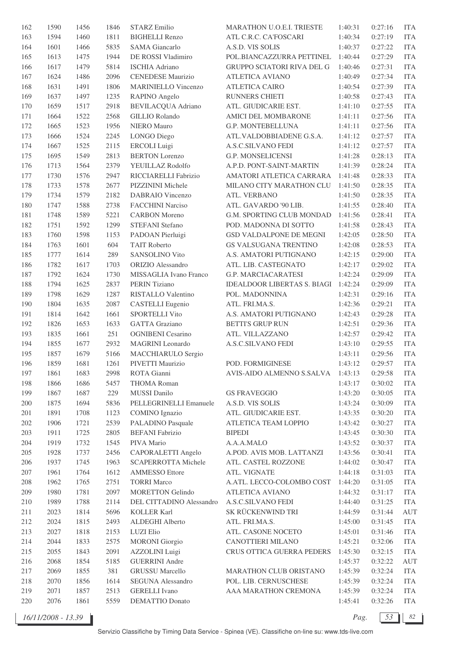| 162     | 1590 | 1456 | 1846 | <b>STARZ Emilio</b>        | MARATHON U.O.E.I. TRIESTE          | 1:40:31            | 0:27:16 | <b>ITA</b> |
|---------|------|------|------|----------------------------|------------------------------------|--------------------|---------|------------|
| 163     | 1594 | 1460 | 1811 | <b>BIGHELLI Renzo</b>      | ATL C.R.C. CA'FOSCARI              | 1:40:34            | 0:27:19 | <b>ITA</b> |
| 164     | 1601 | 1466 | 5835 | <b>SAMA</b> Giancarlo      | A.S.D. VIS SOLIS                   | 1:40:37            | 0:27:22 | <b>ITA</b> |
| 165     | 1613 | 1475 | 1944 | DE ROSSI Vladimiro         | POL.BIANCAZZURRA PETTINEL          | 1:40:44            | 0:27:29 | <b>ITA</b> |
| 166     | 1617 | 1479 | 5814 | <b>ISCHIA Adriano</b>      | GRUPPO SCIATORI RIVA DEL G         | 1:40:46            | 0:27:31 | <b>ITA</b> |
| 167     | 1624 | 1486 | 2096 | <b>CENEDESE Maurizio</b>   | <b>ATLETICA AVIANO</b>             | 1:40:49            | 0:27:34 | <b>ITA</b> |
| 168     | 1631 | 1491 | 1806 | MARINIELLO Vincenzo        | <b>ATLETICA CAIRO</b>              | 1:40:54            | 0:27:39 | <b>ITA</b> |
| 169     | 1637 | 1497 | 1235 | RAPINO Angelo              | RUNNERS CHIETI                     | 1:40:58            | 0:27:43 | <b>ITA</b> |
| 170     | 1659 | 1517 | 2918 | <b>BEVILACQUA Adriano</b>  | ATL. GIUDICARIE EST.               | 1:41:10            | 0:27:55 | <b>ITA</b> |
| 171     | 1664 | 1522 | 2568 | <b>GILLIO Rolando</b>      | AMICI DEL MOMBARONE                | 1:41:11            | 0:27:56 | <b>ITA</b> |
| 172     | 1665 | 1523 | 1956 | NIERO Mauro                | <b>G.P. MONTEBELLUNA</b>           | 1:41:11            | 0:27:56 | <b>ITA</b> |
| 173     | 1666 | 1524 | 2245 | LONGO Diego                | ATL.VALDOBBIADENE G.S.A.           | 1:41:12            | 0:27:57 | <b>ITA</b> |
| 174     | 1667 | 1525 | 2115 | <b>ERCOLI</b> Luigi        | A.S.C.SILVANO FEDI                 | 1:41:12            | 0:27:57 | <b>ITA</b> |
| 175     | 1695 | 1549 | 2813 | <b>BERTON</b> Lorenzo      | G.P. MONSELICENSI                  | 1:41:28            | 0:28:13 | <b>ITA</b> |
| 176     | 1713 | 1564 | 2379 | YEUILLAZ Rodolfo           | A.P.D. PONT-SAINT-MARTIN           | 1:41:39            | 0:28:24 | <b>ITA</b> |
|         |      | 1576 | 2947 |                            |                                    |                    |         | <b>ITA</b> |
| 177     | 1730 |      |      | RICCIARELLI Fabrizio       | AMATORI ATLETICA CARRARA           | 1:41:48<br>1:41:50 | 0:28:33 |            |
| 178     | 1733 | 1578 | 2677 | PIZZININI Michele          | MILANO CITY MARATHON CLU           |                    | 0:28:35 | <b>ITA</b> |
| 179     | 1734 | 1579 | 2182 | DABRAIO Vincenzo           | ATL. VERBANO                       | 1:41:50            | 0:28:35 | <b>ITA</b> |
| 180     | 1747 | 1588 | 2738 | <b>FACCHINI Narciso</b>    | ATL. GAVARDO '90 LIB.              | 1:41:55            | 0:28:40 | <b>ITA</b> |
| 181     | 1748 | 1589 | 5221 | <b>CARBON</b> Moreno       | G.M. SPORTING CLUB MONDAD          | 1:41:56            | 0:28:41 | <b>ITA</b> |
| 182     | 1751 | 1592 | 1299 | STEFANI Stefano            | POD. MADONNA DI SOTTO              | 1:41:58            | 0:28:43 | <b>ITA</b> |
| 183     | 1760 | 1598 | 1153 | PADOAN Pierluigi           | GSD VALDALPONE DE MEGNI            | 1:42:05            | 0:28:50 | <b>ITA</b> |
| 184     | 1763 | 1601 | 604  | <b>TAIT Roberto</b>        | GS VALSUGANA TRENTINO              | 1:42:08            | 0:28:53 | <b>ITA</b> |
| 185     | 1777 | 1614 | 289  | SANSOLINO Vito             | A.S. AMATORI PUTIGNANO             | 1:42:15            | 0:29:00 | <b>ITA</b> |
| 186     | 1782 | 1617 | 1703 | ORIZIO Alessandro          | ATL. LIB. CASTEGNATO               | 1:42:17            | 0:29:02 | <b>ITA</b> |
| 187     | 1792 | 1624 | 1730 | MISSAGLIA Ivano Franco     | G.P. MARCIACARATESI                | 1:42:24            | 0:29:09 | <b>ITA</b> |
| 188     | 1794 | 1625 | 2837 | <b>PERIN</b> Tiziano       | <b>IDEALDOOR LIBERTAS S. BIAGI</b> | 1:42:24            | 0:29:09 | <b>ITA</b> |
| 189     | 1798 | 1629 | 1287 | RISTALLO Valentino         | POL. MADONNINA                     | 1:42:31            | 0:29:16 | <b>ITA</b> |
| 190     | 1804 | 1635 | 2087 | <b>CASTELLI</b> Eugenio    | ATL. FRI.MA.S.                     | 1:42:36            | 0:29:21 | <b>ITA</b> |
| 191     | 1814 | 1642 | 1661 | <b>SPORTELLI Vito</b>      | A.S. AMATORI PUTIGNANO             | 1:42:43            | 0:29:28 | <b>ITA</b> |
| 192     | 1826 | 1653 | 1633 | <b>GATTA</b> Graziano      | <b>BETTI'S GRUP RUN</b>            | 1:42:51            | 0:29:36 | <b>ITA</b> |
| 193     | 1835 | 1661 | 251  | <b>OGNIBENI</b> Cesarino   | ATL. VILLAZZANO                    | 1:42:57            | 0:29:42 | <b>ITA</b> |
| 194     | 1855 | 1677 | 2932 | MAGRINI Leonardo           | A.S.C.SILVANO FEDI                 | 1:43:10            | 0:29:55 | <b>ITA</b> |
| 195     | 1857 | 1679 | 5166 | MACCHIARULO Sergio         |                                    | 1:43:11            | 0:29:56 | <b>ITA</b> |
| 196     | 1859 | 1681 | 1261 | PIVETTI Maurizio           | POD. FORMIGINESE                   | 1:43:12            | 0:29:57 | <b>ITA</b> |
| 197     | 1861 | 1683 | 2998 | ROTA Gianni                | AVIS-AIDO ALMENNO S.SALVA 1:43:13  |                    | 0:29:58 | <b>ITA</b> |
| 198     | 1866 | 1686 | 5457 | <b>THOMA Roman</b>         |                                    | 1:43:17            | 0:30:02 | <b>ITA</b> |
| 199     | 1867 | 1687 | 229  | <b>MUSSI</b> Danilo        | <b>GS FRAVEGGIO</b>                | 1:43:20            | 0:30:05 | <b>ITA</b> |
| 200     | 1875 | 1694 | 5836 | PELLEGRINELLI Emanuele     | A.S.D. VIS SOLIS                   | 1:43:24            | 0:30:09 | <b>ITA</b> |
| 201     | 1891 | 1708 | 1123 | <b>COMINO</b> Ignazio      | ATL. GIUDICARIE EST.               | 1:43:35            | 0:30:20 | <b>ITA</b> |
| 202     | 1906 | 1721 | 2539 | PALADINO Pasquale          | ATLETICA TEAM LOPPIO               | 1:43:42            | 0:30:27 | <b>ITA</b> |
| 203     | 1911 | 1725 | 2805 | <b>BEFANI</b> Fabrizio     | <b>BIPEDI</b>                      | 1:43:45            | 0:30:30 | <b>ITA</b> |
| 204     | 1919 | 1732 | 1545 | PIVA Mario                 | A.A.A.MALO                         | 1:43:52            | 0:30:37 | <b>ITA</b> |
| 205     | 1928 | 1737 | 2456 | CAPORALETTI Angelo         | A.POD. AVIS MOB. LATTANZI          | 1:43:56            | 0:30:41 | <b>ITA</b> |
| 206     | 1937 | 1745 | 1963 | <b>SCAPERROTTA Michele</b> | ATL. CASTEL ROZZONE                | 1:44:02            | 0:30:47 | <b>ITA</b> |
| $207\,$ | 1961 | 1764 | 1612 | <b>AMMESSO Ettore</b>      | ATL. VIGNATE                       | 1:44:18            | 0:31:03 | <b>ITA</b> |
| 208     | 1962 | 1765 | 2751 | <b>TORRI Marco</b>         | A.ATL. LECCO-COLOMBO COST          | 1:44:20            | 0:31:05 | <b>ITA</b> |
| 209     | 1980 | 1781 | 2097 | <b>MORETTON Gelindo</b>    | <b>ATLETICA AVIANO</b>             | 1:44:32            | 0:31:17 | <b>ITA</b> |
| 210     | 1989 | 1788 | 2114 | DEL CITTADINO Alessandro   | A.S.C.SILVANO FEDI                 | 1:44:40            | 0:31:25 | <b>ITA</b> |
| 211     | 2023 | 1814 | 5696 | <b>KOLLER Karl</b>         | SK RÜCKENWIND TRI                  | 1:44:59            | 0:31:44 | <b>AUT</b> |
| 212     | 2024 | 1815 | 2493 | ALDEGHI Alberto            | ATL. FRI.MA.S.                     | 1:45:00            | 0:31:45 | <b>ITA</b> |
| 213     | 2027 | 1818 | 2153 | <b>LUZI Elio</b>           | ATL. CASONE NOCETO                 | 1:45:01            | 0:31:46 | <b>ITA</b> |
| 214     | 2044 | 1833 | 2575 | <b>MORONI</b> Giorgio      | CANOTTIERI MILANO                  | 1:45:21            | 0:32:06 | <b>ITA</b> |
| 215     | 2055 | 1843 | 2091 | <b>AZZOLINI</b> Luigi      | CRUS OTTICA GUERRA PEDERS          | 1:45:30            | 0:32:15 | <b>ITA</b> |
| 216     | 2068 | 1854 | 5185 | <b>GUERRINI</b> Andre      |                                    | 1:45:37            | 0:32:22 | AUT        |
| 217     | 2069 | 1855 | 381  | <b>GRUSSU Marcello</b>     | MARATHON CLUB ORISTANO             | 1:45:39            | 0:32:24 | <b>ITA</b> |
| 218     | 2070 | 1856 | 1614 | SEGUNA Alessandro          | POL. LIB. CERNUSCHESE              | 1:45:39            | 0:32:24 | <b>ITA</b> |
| 219     | 2071 | 1857 | 2513 | <b>GERELLI</b> Ivano       | AAA MARATHON CREMONA               | 1:45:39            | 0:32:24 | <b>ITA</b> |
| 220     | 2076 | 1861 | 5559 | DEMATTIO Donato            |                                    | 1:45:41            | 0:32:26 | <b>ITA</b> |
|         |      |      |      |                            |                                    |                    |         |            |

*16/11/2008 - 13.39 Pag. 53 82*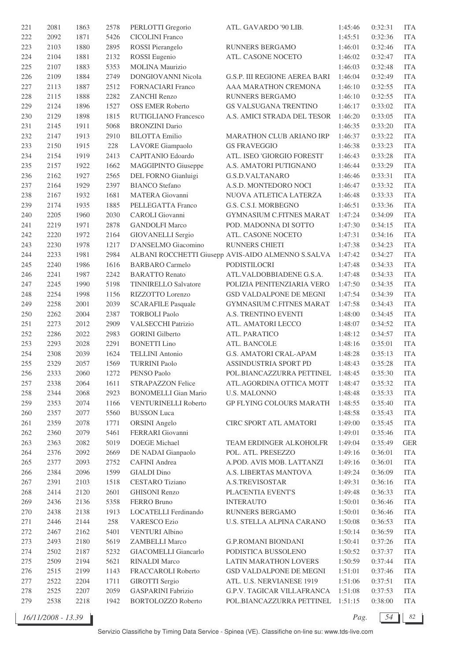| 221     | 2081 | 1863 | 2578 | PERLOTTI Gregorio           | ATL. GAVARDO '90 LIB.                              | 1:45:46 | 0:32:31 | <b>ITA</b> |
|---------|------|------|------|-----------------------------|----------------------------------------------------|---------|---------|------------|
| 222     | 2092 | 1871 | 5426 | <b>CICOLINI</b> Franco      |                                                    | 1:45:51 | 0:32:36 | <b>ITA</b> |
| 223     | 2103 | 1880 | 2895 | <b>ROSSI</b> Pierangelo     | RUNNERS BERGAMO                                    | 1:46:01 | 0:32:46 | <b>ITA</b> |
| 224     | 2104 | 1881 | 2132 | <b>ROSSI</b> Eugenio        | ATL. CASONE NOCETO                                 | 1:46:02 | 0:32:47 | <b>ITA</b> |
| 225     | 2107 | 1883 | 5353 | <b>MOLINA Maurizio</b>      |                                                    | 1:46:03 | 0:32:48 | <b>ITA</b> |
| 226     | 2109 | 1884 | 2749 | DONGIOVANNI Nicola          | <b>G.S.P. III REGIONE AEREA BARI</b>               | 1:46:04 | 0:32:49 | <b>ITA</b> |
| 227     | 2113 | 1887 | 2512 | <b>FORNACIARI Franco</b>    | AAA MARATHON CREMONA                               | 1:46:10 | 0:32:55 | <b>ITA</b> |
| 228     | 2115 | 1888 | 2282 | ZANCHI Renzo                | RUNNERS BERGAMO                                    | 1:46:10 | 0:32:55 | <b>ITA</b> |
| 229     | 2124 | 1896 | 1527 | <b>OSS EMER Roberto</b>     | GS VALSUGANA TRENTINO                              | 1:46:17 | 0:33:02 | <b>ITA</b> |
| 230     | 2129 | 1898 | 1815 | <b>RUTIGLIANO Francesco</b> | A.S. AMICI STRADA DEL TESOR                        | 1:46:20 | 0:33:05 | <b>ITA</b> |
|         |      |      |      |                             |                                                    |         |         | <b>ITA</b> |
| 231     | 2145 | 1911 | 5068 | <b>BRONZINI</b> Dario       |                                                    | 1:46:35 | 0:33:20 |            |
| 232     | 2147 | 1913 | 2910 | <b>BILOTTA Emilio</b>       | MARATHON CLUB ARIANO IRP                           | 1:46:37 | 0:33:22 | <b>ITA</b> |
| 233     | 2150 | 1915 | 228  | LAVORE Giampaolo            | <b>GS FRAVEGGIO</b>                                | 1:46:38 | 0:33:23 | <b>ITA</b> |
| 234     | 2154 | 1919 | 2413 | <b>CAPITANIO Edoardo</b>    | ATL. ISEO 'GIORGIO FORESTI'                        | 1:46:43 | 0:33:28 | <b>ITA</b> |
| 235     | 2157 | 1922 | 1662 | <b>MAGGIPINTO Giuseppe</b>  | A.S. AMATORI PUTIGNANO                             | 1:46:44 | 0:33:29 | <b>ITA</b> |
| 236     | 2162 | 1927 | 2565 | DEL FORNO Gianluigi         | G.S.D.VALTANARO                                    | 1:46:46 | 0:33:31 | <b>ITA</b> |
| 237     | 2164 | 1929 | 2397 | <b>BIANCO</b> Stefano       | A.S.D. MONTEDORO NOCI                              | 1:46:47 | 0:33:32 | <b>ITA</b> |
| 238     | 2167 | 1932 | 1681 | MATERA Giovanni             | NUOVA ATLETICA LATERZA                             | 1:46:48 | 0:33:33 | <b>ITA</b> |
| 239     | 2174 | 1935 | 1885 | PELLEGATTA Franco           | G.S. C.S.I. MORBEGNO                               | 1:46:51 | 0:33:36 | <b>ITA</b> |
| $240\,$ | 2205 | 1960 | 2030 | <b>CAROLI</b> Giovanni      | <b>GYMNASIUM C.FITNES MARAT</b>                    | 1:47:24 | 0:34:09 | <b>ITA</b> |
| 241     | 2219 | 1971 | 2878 | <b>GANDOLFI Marco</b>       | POD. MADONNA DI SOTTO                              | 1:47:30 | 0:34:15 | <b>ITA</b> |
| 242     | 2220 | 1972 | 2164 | <b>GIOVANELLI Sergio</b>    | ATL. CASONE NOCETO                                 | 1:47:31 | 0:34:16 | <b>ITA</b> |
| 243     | 2230 | 1978 | 1217 | D'ANSELMO Giacomino         | RUNNERS CHIETI                                     | 1:47:38 | 0:34:23 | <b>ITA</b> |
| $244\,$ | 2233 | 1981 | 2984 |                             | ALBANI ROCCHETTI Giusepp AVIS-AIDO ALMENNO S.SALVA | 1:47:42 | 0:34:27 | <b>ITA</b> |
| 245     | 2240 | 1986 | 1616 | <b>BARBARO</b> Carmelo      | PODISTILOCRI                                       | 1:47:48 | 0:34:33 | <b>ITA</b> |
| 246     | 2241 | 1987 | 2242 | <b>BARATTO Renato</b>       | ATL.VALDOBBIADENE G.S.A.                           | 1:47:48 | 0:34:33 | <b>ITA</b> |
| 247     | 2245 | 1990 | 5198 | <b>TINNIRELLO Salvatore</b> | POLIZIA PENITENZIARIA VERO                         | 1:47:50 | 0:34:35 | <b>ITA</b> |
| 248     | 2254 | 1998 | 1156 | RIZZOTTO Lorenzo            | GSD VALDALPONE DE MEGNI                            | 1:47:54 | 0:34:39 | <b>ITA</b> |
| 249     | 2258 | 2001 | 2039 | <b>SCARAFILE Pasquale</b>   | <b>GYMNASIUM C.FITNES MARAT</b>                    | 1:47:58 | 0:34:43 | <b>ITA</b> |
| 250     | 2262 | 2004 | 2387 | <b>TORBOLI Paolo</b>        | A.S. TRENTINO EVENTI                               | 1:48:00 | 0:34:45 | <b>ITA</b> |
| 251     | 2273 | 2012 | 2909 | <b>VALSECCHI Patrizio</b>   | ATL. AMATORI LECCO                                 | 1:48:07 | 0:34:52 | <b>ITA</b> |
|         |      |      | 2983 |                             |                                                    |         | 0:34:57 | <b>ITA</b> |
| 252     | 2286 | 2022 |      | <b>GORINI</b> Gilberto      | ATL. PARATICO                                      | 1:48:12 |         |            |
| 253     | 2293 | 2028 | 2291 | <b>BONETTI</b> Lino         | ATL. BANCOLE                                       | 1:48:16 | 0:35:01 | <b>ITA</b> |
| 254     | 2308 | 2039 | 1624 | <b>TELLINI</b> Antonio      | G.S. AMATORI CRAL-APAM                             | 1:48:28 | 0:35:13 | <b>ITA</b> |
| 255     | 2329 | 2057 | 1569 | <b>TURRINI Paolo</b>        | ASSINDUSTRIA SPORT PD                              | 1:48:43 | 0:35:28 | <b>ITA</b> |
| 256     | 2333 | 2060 | 1272 | PENSO Paolo                 | POL.BIANCAZZURRA PETTINEL                          | 1:48:45 | 0:35:30 | ITA        |
| 257     | 2338 | 2064 | 1611 | STRAPAZZON Felice           | ATL.AGORDINA OTTICA MOTT                           | 1:48:47 | 0:35:32 | <b>ITA</b> |
| 258     | 2344 | 2068 | 2923 | <b>BONOMELLI</b> Gian Mario | <b>U.S. MALONNO</b>                                | 1:48:48 | 0:35:33 | <b>ITA</b> |
| 259     | 2353 | 2074 | 1166 | <b>VENTURINELLI Roberto</b> | <b>GP FLYING COLOURS MARATH</b>                    | 1:48:55 | 0:35:40 | <b>ITA</b> |
| 260     | 2357 | 2077 | 5560 | <b>BUSSON</b> Luca          |                                                    | 1:48:58 | 0:35:43 | <b>ITA</b> |
| 261     | 2359 | 2078 | 1771 | <b>ORSINI</b> Angelo        | <b>CIRC SPORT ATL AMATORI</b>                      | 1:49:00 | 0:35:45 | <b>ITA</b> |
| 262     | 2360 | 2079 | 5461 | FERRARI Giovanni            |                                                    | 1:49:01 | 0:35:46 | <b>ITA</b> |
| 263     | 2363 | 2082 | 5019 | <b>DOEGE</b> Michael        | TEAM ERDINGER ALKOHOLFR                            | 1:49:04 | 0:35:49 | <b>GER</b> |
| 264     | 2376 | 2092 | 2669 | DE NADAI Gianpaolo          | POL. ATL. PRESEZZO                                 | 1:49:16 | 0:36:01 | <b>ITA</b> |
| 265     | 2377 | 2093 | 2752 | <b>CAFINI</b> Andrea        | A.POD. AVIS MOB. LATTANZI                          | 1:49:16 | 0:36:01 | <b>ITA</b> |
| 266     | 2384 | 2096 | 1599 | <b>GIALDI</b> Dino          | A.S. LIBERTAS MANTOVA                              | 1:49:24 | 0:36:09 | <b>ITA</b> |
| 267     | 2391 | 2103 | 1518 | <b>CESTARO</b> Tiziano      | A.S.TREVISOSTAR                                    | 1:49:31 | 0:36:16 | <b>ITA</b> |
| 268     | 2414 | 2120 | 2601 | <b>GHISONI Renzo</b>        | PLACENTIA EVENT'S                                  | 1:49:48 | 0:36:33 | <b>ITA</b> |
| 269     | 2436 | 2136 | 5358 | FERRO Bruno                 | <b>INTERAUTO</b>                                   | 1:50:01 | 0:36:46 | <b>ITA</b> |
| 270     | 2438 | 2138 | 1913 | LOCATELLI Ferdinando        | RUNNERS BERGAMO                                    | 1:50:01 | 0:36:46 | <b>ITA</b> |
| 271     | 2446 | 2144 | 258  | <b>VARESCO Ezio</b>         | U.S. STELLA ALPINA CARANO                          | 1:50:08 | 0:36:53 | <b>ITA</b> |
|         | 2467 | 2162 | 5401 | <b>VENTURI</b> Albino       |                                                    | 1:50:14 | 0:36:59 | <b>ITA</b> |
| 272     |      |      | 5619 |                             |                                                    |         |         |            |
| 273     | 2493 | 2180 |      | <b>ZAMBELLI Marco</b>       | <b>G.P.ROMANI BIONDANI</b>                         | 1:50:41 | 0:37:26 | <b>ITA</b> |
| 274     | 2502 | 2187 | 5232 | <b>GIACOMELLI</b> Giancarlo | PODISTICA BUSSOLENO                                | 1:50:52 | 0:37:37 | <b>ITA</b> |
| 275     | 2509 | 2194 | 5621 | <b>RINALDI Marco</b>        | <b>LATIN MARATHON LOVERS</b>                       | 1:50:59 | 0:37:44 | <b>ITA</b> |
| 276     | 2515 | 2199 | 1143 | FRACCAROLI Roberto          | GSD VALDALPONE DE MEGNI                            | 1:51:01 | 0:37:46 | <b>ITA</b> |
| 277     | 2522 | 2204 | 1711 | <b>GIROTTI</b> Sergio       | ATL. U.S. NERVIANESE 1919                          | 1:51:06 | 0:37:51 | <b>ITA</b> |
| 278     | 2525 | 2207 | 2059 | <b>GASPARINI Fabrizio</b>   | <b>G.P.V. TAGICAR VILLAFRANCA</b>                  | 1:51:08 | 0:37:53 | <b>ITA</b> |
| 279     | 2538 | 2218 | 1942 | BORTOLOZZO Roberto          | POL.BIANCAZZURRA PETTINEL                          | 1:51:15 | 0:38:00 | <b>ITA</b> |

*16/11/2008 - 13.39 Pag. 54 82*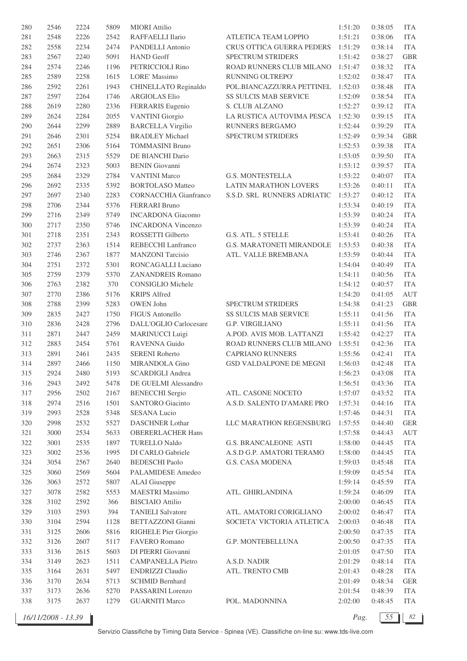| 280 | 2546 | 2224 | 5809 | <b>MIORI</b> Attilio      |                                  | 1:51:20 | 0:38:05 | <b>ITA</b> |
|-----|------|------|------|---------------------------|----------------------------------|---------|---------|------------|
| 281 | 2548 | 2226 | 2542 | RAFFAELLI Ilario          | ATLETICA TEAM LOPPIO             | 1:51:21 | 0:38:06 | <b>ITA</b> |
| 282 | 2558 | 2234 | 2474 | PANDELLI Antonio          | CRUS OTTICA GUERRA PEDERS        | 1:51:29 | 0:38:14 | <b>ITA</b> |
| 283 | 2567 | 2240 | 5091 | <b>HAND</b> Geoff         | SPECTRUM STRIDERS                | 1:51:42 | 0:38:27 | <b>GBR</b> |
| 284 | 2574 | 2246 | 1196 | PETRICCIOLI Rino          | ROAD RUNNERS CLUB MILANO         | 1:51:47 | 0:38:32 | <b>ITA</b> |
| 285 | 2589 | 2258 | 1615 | <b>LORE'</b> Massimo      | RUNNING OLTREPO'                 | 1:52:02 | 0:38:47 | <b>ITA</b> |
| 286 | 2592 | 2261 | 1943 | CHINELLATO Reginaldo      | POL.BIANCAZZURRA PETTINEL        | 1:52:03 | 0:38:48 | <b>ITA</b> |
| 287 | 2597 | 2264 | 1746 | <b>ARGIOLAS Elio</b>      | SS SULCIS MAB SERVICE            | 1:52:09 | 0:38:54 | <b>ITA</b> |
| 288 | 2619 | 2280 | 2336 | FERRARIS Eugenio          | S. CLUB ALZANO                   | 1:52:27 | 0:39:12 | <b>ITA</b> |
| 289 | 2624 | 2284 | 2055 | <b>VANTINI</b> Giorgio    | LA RUSTICA AUTOVIMA PESCA        | 1:52:30 | 0:39:15 | <b>ITA</b> |
| 290 | 2644 | 2299 | 2889 | <b>BARCELLA Virgilio</b>  | <b>RUNNERS BERGAMO</b>           | 1:52:44 | 0:39:29 | <b>ITA</b> |
| 291 | 2646 | 2301 | 5254 | <b>BRADLEY Michael</b>    | SPECTRUM STRIDERS                | 1:52:49 | 0:39:34 | <b>GBR</b> |
| 292 | 2651 | 2306 | 5164 | <b>TOMMASINI Bruno</b>    |                                  | 1:52:53 | 0:39:38 | <b>ITA</b> |
| 293 | 2663 | 2315 | 5529 | DE BIANCHI Dario          |                                  | 1:53:05 | 0:39:50 | <b>ITA</b> |
| 294 | 2674 | 2323 | 5003 | <b>BENIN</b> Giovanni     |                                  | 1:53:12 | 0:39:57 | <b>ITA</b> |
| 295 | 2684 | 2329 | 2784 | <b>VANTINI Marco</b>      | <b>G.S. MONTESTELLA</b>          | 1:53:22 | 0:40:07 | <b>ITA</b> |
| 296 | 2692 | 2335 | 5392 | <b>BORTOLASO</b> Matteo   | <b>LATIN MARATHON LOVERS</b>     | 1:53:26 | 0:40:11 | <b>ITA</b> |
| 297 | 2697 | 2340 | 2283 | CORNACCHIA Gianfranco     | S.S.D. SRL RUNNERS ADRIATIC      | 1:53:27 | 0:40:12 | <b>ITA</b> |
| 298 | 2706 | 2344 | 5376 | <b>FERRARI</b> Bruno      |                                  | 1:53:34 | 0:40:19 | <b>ITA</b> |
| 299 | 2716 | 2349 | 5749 | <b>INCARDONA</b> Giacomo  |                                  | 1:53:39 | 0:40:24 | <b>ITA</b> |
| 300 | 2717 | 2350 | 5746 | <b>INCARDONA Vincenzo</b> |                                  | 1:53:39 | 0:40:24 | <b>ITA</b> |
| 301 | 2718 | 2351 | 2343 | ROSSETTI Gilberto         | G.S. ATL. 5 STELLE               | 1:53:41 | 0:40:26 | <b>ITA</b> |
| 302 | 2737 | 2363 | 1514 | REBECCHI Lanfranco        | <b>G.S. MARATONETI MIRANDOLE</b> | 1:53:53 | 0:40:38 | <b>ITA</b> |
| 303 | 2746 | 2367 | 1877 | <b>MANZONI</b> Tarcisio   | ATL. VALLE BREMBANA              | 1:53:59 | 0:40:44 | <b>ITA</b> |
| 304 | 2751 | 2372 | 5301 | RONCAGALLI Luciano        |                                  | 1:54:04 | 0:40:49 | <b>ITA</b> |
| 305 | 2759 | 2379 | 5370 | <b>ZANANDREIS Romano</b>  |                                  | 1:54:11 | 0:40:56 | <b>ITA</b> |
| 306 | 2763 | 2382 | 370  | <b>CONSIGLIO Michele</b>  |                                  | 1:54:12 | 0:40:57 | <b>ITA</b> |
| 307 | 2770 | 2386 | 5176 | <b>KRIPS</b> Alfred       |                                  | 1:54:20 | 0:41:05 | AUT        |
| 308 | 2788 | 2399 | 5283 | OWEN John                 | SPECTRUM STRIDERS                | 1:54:38 | 0:41:23 | <b>GBR</b> |
| 309 | 2835 | 2427 | 1750 | FIGUS Antonello           | SS SULCIS MAB SERVICE            | 1:55:11 | 0:41:56 | <b>ITA</b> |
| 310 | 2836 | 2428 | 2796 | DALL'OGLIO Carlocesare    | G.P. VIRGILIANO                  | 1:55:11 | 0:41:56 | <b>ITA</b> |
| 311 | 2871 | 2447 | 2459 | <b>MARINUCCI Luigi</b>    | A.POD. AVIS MOB. LATTANZI        | 1:55:42 | 0:42:27 | <b>ITA</b> |
| 312 | 2883 | 2454 | 5761 | RAVENNA Guido             | ROAD RUNNERS CLUB MILANO         | 1:55:51 | 0:42:36 | <b>ITA</b> |
| 313 | 2891 | 2461 | 2435 | <b>SERENI Roberto</b>     | <b>CAPRIANO RUNNERS</b>          | 1:55:56 | 0:42:41 | <b>ITA</b> |
| 314 | 2897 | 2466 | 1150 | MIRANDOLA Gino            | GSD VALDALPONE DE MEGNI          | 1:56:03 | 0:42:48 | <b>ITA</b> |
| 315 | 2924 | 2480 | 5193 | <b>SCARDIGLI Andrea</b>   |                                  | 1:56:23 | 0:43:08 | ITA        |
| 316 | 2943 | 2492 | 5478 | DE GUELMI Alessandro      |                                  | 1:56:51 | 0:43:36 | <b>ITA</b> |
| 317 | 2956 | 2502 | 2167 | <b>BENECCHI</b> Sergio    | ATL. CASONE NOCETO               | 1:57:07 | 0:43:52 | <b>ITA</b> |
| 318 | 2974 | 2516 | 1501 | <b>SANTORO</b> Giacinto   | A.S.D. SALENTO D'AMARE PRO       | 1:57:31 | 0:44:16 | <b>ITA</b> |
| 319 | 2993 | 2528 | 5348 | <b>SESANA Lucio</b>       |                                  | 1:57:46 | 0:44:31 | <b>ITA</b> |
| 320 | 2998 | 2532 | 5527 | <b>DASCHNER Lothar</b>    | LLC MARATHON REGENSBURG          | 1:57:55 | 0:44:40 | <b>GER</b> |
| 321 | 3000 | 2534 | 5633 | <b>OBERERLACHER Hans</b>  |                                  | 1:57:58 | 0:44:43 | AUT        |
| 322 | 3001 | 2535 | 1897 | <b>TURELLO Naldo</b>      | <b>G.S. BRANCALEONE ASTI</b>     | 1:58:00 | 0:44:45 | <b>ITA</b> |
| 323 | 3002 | 2536 | 1995 | DI CARLO Gabriele         | A.S.D G.P. AMATORI TERAMO        | 1:58:00 | 0:44:45 | <b>ITA</b> |
| 324 | 3054 | 2567 | 2640 | <b>BEDESCHI Paolo</b>     | G.S. CASA MODENA                 | 1:59:03 | 0:45:48 | <b>ITA</b> |
| 325 | 3060 | 2569 | 5604 | PALAMIDESE Amedeo         |                                  | 1:59:09 | 0:45:54 | <b>ITA</b> |
| 326 | 3063 | 2572 | 5807 | <b>ALAI</b> Giuseppe      |                                  | 1:59:14 | 0:45:59 | <b>ITA</b> |
| 327 | 3078 | 2582 | 5553 | <b>MAESTRI</b> Massimo    | ATL. GHIRLANDINA                 | 1:59:24 | 0:46:09 | <b>ITA</b> |
| 328 | 3102 | 2592 | 366  | <b>BISCIAIO</b> Attilio   |                                  | 2:00:00 | 0:46:45 | <b>ITA</b> |
| 329 | 3103 | 2593 | 394  | <b>TANIELI Salvatore</b>  | ATL. AMATORI CORIGLIANO          | 2:00:02 | 0:46:47 | <b>ITA</b> |
| 330 | 3104 | 2594 | 1128 | <b>BETTAZZONI</b> Gianni  | SOCIETA' VICTORIA ATLETICA       | 2:00:03 | 0:46:48 | <b>ITA</b> |
| 331 | 3125 | 2606 | 5816 | RIGHELE Pier Giorgio      |                                  | 2:00:50 | 0:47:35 | <b>ITA</b> |
| 332 | 3126 | 2607 | 5117 | FAVERO Romano             | G.P. MONTEBELLUNA                | 2:00:50 | 0:47:35 | <b>ITA</b> |
| 333 | 3136 | 2615 | 5603 | DI PIERRI Giovanni        |                                  | 2:01:05 | 0:47:50 | <b>ITA</b> |
| 334 | 3149 | 2623 | 1511 | <b>CAMPANELLA Pietro</b>  | A.S.D. NADIR                     | 2:01:29 | 0:48:14 | <b>ITA</b> |
| 335 | 3164 | 2631 | 5497 | ENDRIZZI Claudio          | ATL. TRENTO CMB                  | 2:01:43 | 0:48:28 | <b>ITA</b> |
| 336 | 3170 | 2634 | 5713 | <b>SCHMID Bernhard</b>    |                                  | 2:01:49 | 0:48:34 | <b>GER</b> |
| 337 | 3173 | 2636 | 5270 | PASSARINI Lorenzo         |                                  | 2:01:54 | 0:48:39 | <b>ITA</b> |
| 338 | 3175 | 2637 | 1279 | <b>GUARNITI Marco</b>     | POL. MADONNINA                   | 2:02:00 | 0:48:45 | <b>ITA</b> |
|     |      |      |      |                           |                                  |         |         |            |

*16/11/2008 - 13.39 Pag. 55 82*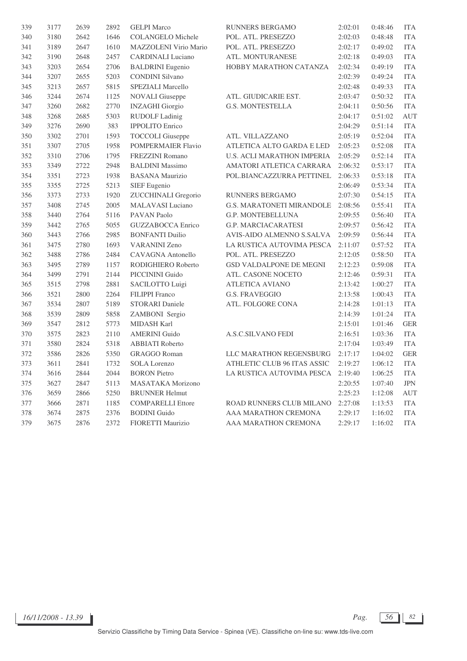| 339 | 3177 | 2639 | 2892 | <b>GELPI</b> Marco         | RUNNERS BERGAMO                   | 2:02:01 | 0:48:46 | <b>ITA</b> |
|-----|------|------|------|----------------------------|-----------------------------------|---------|---------|------------|
| 340 | 3180 | 2642 | 1646 | <b>COLANGELO Michele</b>   | POL. ATL. PRESEZZO                | 2:02:03 | 0:48:48 | <b>ITA</b> |
| 341 | 3189 | 2647 | 1610 | MAZZOLENI Virio Mario      | POL. ATL. PRESEZZO                | 2:02:17 | 0:49:02 | <b>ITA</b> |
| 342 | 3190 | 2648 | 2457 | <b>CARDINALI</b> Luciano   | ATL. MONTURANESE                  | 2:02:18 | 0:49:03 | <b>ITA</b> |
| 343 | 3203 | 2654 | 2706 | <b>BALDRINI</b> Eugenio    | HOBBY MARATHON CATANZA            | 2:02:34 | 0:49:19 | <b>ITA</b> |
| 344 | 3207 | 2655 | 5203 | <b>CONDINI Silvano</b>     |                                   | 2:02:39 | 0:49:24 | <b>ITA</b> |
| 345 | 3213 | 2657 | 5815 | SPEZIALI Marcello          |                                   | 2:02:48 | 0:49:33 | <b>ITA</b> |
| 346 | 3244 | 2674 | 1125 | <b>NOVALI</b> Giuseppe     | ATL. GIUDICARIE EST.              | 2:03:47 | 0:50:32 | <b>ITA</b> |
| 347 | 3260 | 2682 | 2770 | <b>INZAGHI</b> Giorgio     | <b>G.S. MONTESTELLA</b>           | 2:04:11 | 0:50:56 | <b>ITA</b> |
| 348 | 3268 | 2685 | 5303 | <b>RUDOLF Ladinig</b>      |                                   | 2:04:17 | 0:51:02 | <b>AUT</b> |
| 349 | 3276 | 2690 | 383  | <b>IPPOLITO</b> Enrico     |                                   | 2:04:29 | 0:51:14 | <b>ITA</b> |
| 350 | 3302 | 2701 | 1593 | <b>TOCCOLI</b> Giuseppe    | ATL. VILLAZZANO                   | 2:05:19 | 0:52:04 | <b>ITA</b> |
| 351 | 3307 | 2705 | 1958 | <b>POMPERMAIER Flavio</b>  | ATLETICA ALTO GARDA E LED         | 2:05:23 | 0:52:08 | <b>ITA</b> |
| 352 | 3310 | 2706 | 1795 | <b>FREZZINI Romano</b>     | <b>U.S. ACLI MARATHON IMPERIA</b> | 2:05:29 | 0:52:14 | <b>ITA</b> |
| 353 | 3349 | 2722 | 2948 | <b>BALDINI</b> Massimo     | AMATORI ATLETICA CARRARA          | 2:06:32 | 0:53:17 | <b>ITA</b> |
| 354 | 3351 | 2723 | 1938 | <b>BASANA</b> Maurizio     | POL.BIANCAZZURRA PETTINEL         | 2:06:33 | 0:53:18 | <b>ITA</b> |
| 355 | 3355 | 2725 | 5213 | SIEF Eugenio               |                                   | 2:06:49 | 0:53:34 | <b>ITA</b> |
| 356 | 3373 | 2733 | 1920 | <b>ZUCCHINALI Gregorio</b> | RUNNERS BERGAMO                   | 2:07:30 | 0:54:15 | <b>ITA</b> |
| 357 | 3408 | 2745 | 2005 | <b>MALAVASI</b> Luciano    | <b>G.S. MARATONETI MIRANDOLE</b>  | 2:08:56 | 0:55:41 | <b>ITA</b> |
| 358 | 3440 | 2764 | 5116 | PAVAN Paolo                | <b>G.P. MONTEBELLUNA</b>          | 2:09:55 | 0:56:40 | <b>ITA</b> |
| 359 | 3442 | 2765 | 5055 | <b>GUZZABOCCA Enrico</b>   | <b>G.P. MARCIACARATESI</b>        | 2:09:57 | 0:56:42 | <b>ITA</b> |
| 360 | 3443 | 2766 | 2985 | <b>BONFANTI Duilio</b>     | AVIS-AIDO ALMENNO S.SALVA         | 2:09:59 | 0:56:44 | <b>ITA</b> |
| 361 | 3475 | 2780 | 1693 | <b>VARANINI Zeno</b>       | LA RUSTICA AUTOVIMA PESCA         | 2:11:07 | 0:57:52 | <b>ITA</b> |
| 362 | 3488 | 2786 | 2484 | CAVAGNA Antonello          | POL. ATL. PRESEZZO                | 2:12:05 | 0:58:50 | <b>ITA</b> |
| 363 | 3495 | 2789 | 1157 | RODIGHIERO Roberto         | GSD VALDALPONE DE MEGNI           | 2:12:23 | 0:59:08 | <b>ITA</b> |
| 364 | 3499 | 2791 | 2144 | PICCININI Guido            | ATL. CASONE NOCETO                | 2:12:46 | 0:59:31 | <b>ITA</b> |
| 365 | 3515 | 2798 | 2881 | SACILOTTO Luigi            | <b>ATLETICA AVIANO</b>            | 2:13:42 | 1:00:27 | <b>ITA</b> |
| 366 | 3521 | 2800 | 2264 | <b>FILIPPI</b> Franco      | <b>G.S. FRAVEGGIO</b>             | 2:13:58 | 1:00:43 | <b>ITA</b> |
| 367 | 3534 | 2807 | 5189 | <b>STORARI</b> Daniele     | ATL. FOLGORE CONA                 | 2:14:28 | 1:01:13 | <b>ITA</b> |
| 368 | 3539 | 2809 | 5858 | ZAMBONI Sergio             |                                   | 2:14:39 | 1:01:24 | <b>ITA</b> |
| 369 | 3547 | 2812 | 5773 | <b>MIDASH Karl</b>         |                                   | 2:15:01 | 1:01:46 | <b>GER</b> |
| 370 | 3575 | 2823 | 2110 | <b>AMERINI</b> Guido       | <b>A.S.C.SILVANO FEDI</b>         | 2:16:51 | 1:03:36 | <b>ITA</b> |
| 371 | 3580 | 2824 | 5318 | <b>ABBIATI</b> Roberto     |                                   | 2:17:04 | 1:03:49 | <b>ITA</b> |
| 372 | 3586 | 2826 | 5350 | <b>GRAGGO Roman</b>        | LLC MARATHON REGENSBURG           | 2:17:17 | 1:04:02 | <b>GER</b> |
| 373 | 3611 | 2841 | 1732 | <b>SOLA Lorenzo</b>        | ATHLETIC CLUB 96 ITAS ASSIC       | 2:19:27 | 1:06:12 | <b>ITA</b> |
| 374 | 3616 | 2844 | 2044 | <b>BORON</b> Pietro        | LA RUSTICA AUTOVIMA PESCA         | 2:19:40 | 1:06:25 | <b>ITA</b> |
| 375 | 3627 | 2847 | 5113 | MASATAKA Morizono          |                                   | 2:20:55 | 1:07:40 | <b>JPN</b> |
| 376 | 3659 | 2866 | 5250 | <b>BRUNNER Helmut</b>      |                                   | 2:25:23 | 1:12:08 | AUT        |
| 377 | 3666 | 2871 | 1185 | <b>COMPARELLI Ettore</b>   | ROAD RUNNERS CLUB MILANO          | 2:27:08 | 1:13:53 | <b>ITA</b> |
| 378 | 3674 | 2875 | 2376 | <b>BODINI</b> Guido        | AAA MARATHON CREMONA              | 2:29:17 | 1:16:02 | <b>ITA</b> |
| 379 | 3675 | 2876 | 2372 | FIORETTI Maurizio          | AAA MARATHON CREMONA              | 2:29:17 | 1:16:02 | <b>ITA</b> |

*16/11/2008 - 13.39 Pag. 56 82*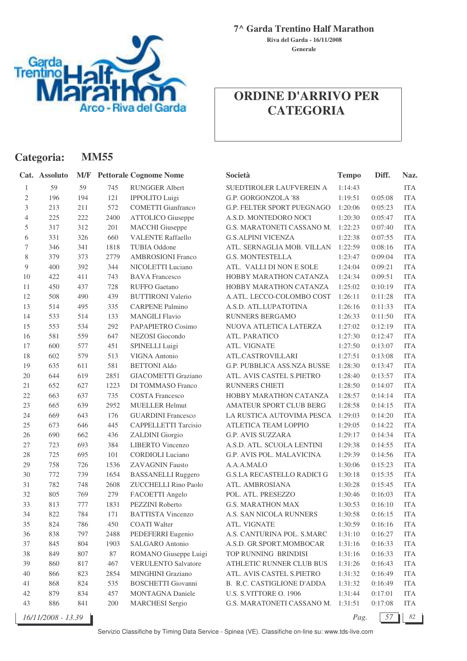

**7^ Garda Trentino Half Marathon**

**Generale Riva del Garda - 16/11/2008**

# **ORDINE D'ARRIVO PER CATEGORIA**

| Categoria:   |                    |     | <b>MM55</b> |                               |                                   |              |         |            |
|--------------|--------------------|-----|-------------|-------------------------------|-----------------------------------|--------------|---------|------------|
|              | Cat. Assoluto      | M/F |             | <b>Pettorale Cognome Nome</b> | Società                           | <b>Tempo</b> | Diff.   | Naz.       |
| 1            | 59                 | 59  | 745         | <b>RUNGGER Albert</b>         | SUEDTIROLER LAUFVEREIN A          | 1:14:43      |         | <b>ITA</b> |
| $\mathbf{2}$ | 196                | 194 | 121         | IPPOLITO Luigi                | G.P. GORGONZOLA '88               | 1:19:51      | 0:05:08 | <b>ITA</b> |
| 3            | 213                | 211 | 572         | <b>COMETTI Gianfranco</b>     | <b>G.P. FELTER SPORT PUEGNAGO</b> | 1:20:06      | 0:05:23 | <b>ITA</b> |
| 4            | 225                | 222 | 2400        | <b>ATTOLICO</b> Giuseppe      | A.S.D. MONTEDORO NOCI             | 1:20:30      | 0:05:47 | <b>ITA</b> |
| 5            | 317                | 312 | 201         | <b>MACCHI</b> Giuseppe        | G.S. MARATONETI CASSANO M.        | 1:22:23      | 0:07:40 | <b>ITA</b> |
| 6            | 331                | 326 | 660         | <b>VALENTE Raffaello</b>      | <b>G.S.ALPINI VICENZA</b>         | 1:22:38      | 0:07:55 | <b>ITA</b> |
| 7            | 346                | 341 | 1818        | <b>TUBIA Oddone</b>           | ATL. SERNAGLIA MOB. VILLAN        | 1:22:59      | 0:08:16 | <b>ITA</b> |
| 8            | 379                | 373 | 2779        | <b>AMBROSIONI Franco</b>      | <b>G.S. MONTESTELLA</b>           | 1:23:47      | 0:09:04 | <b>ITA</b> |
| 9            | 400                | 392 | 344         | NICOLETTI Luciano             | ATL. VALLI DI NON E SOLE          | 1:24:04      | 0:09:21 | <b>ITA</b> |
| 10           | 422                | 411 | 743         | <b>BAVA</b> Francesco         | HOBBY MARATHON CATANZA            | 1:24:34      | 0:09:51 | <b>ITA</b> |
| 11           | 450                | 437 | 728         | <b>RUFFO</b> Gaetano          | HOBBY MARATHON CATANZA            | 1:25:02      | 0:10:19 | <b>ITA</b> |
| 12           | 508                | 490 | 439         | <b>BUTTIRONI Valerio</b>      | A.ATL. LECCO-COLOMBO COST         | 1:26:11      | 0:11:28 | <b>ITA</b> |
| 13           | 514                | 495 | 335         | <b>CARPENE Palmino</b>        | A.S.D. ATL.LUPATOTINA             | 1:26:16      | 0:11:33 | <b>ITA</b> |
| 14           | 533                | 514 | 133         | <b>MANGILI Flavio</b>         | <b>RUNNERS BERGAMO</b>            | 1:26:33      | 0:11:50 | <b>ITA</b> |
| 15           | 553                | 534 | 292         | PAPAPIETRO Cosimo             | NUOVA ATLETICA LATERZA            | 1:27:02      | 0:12:19 | <b>ITA</b> |
| 16           | 581                | 559 | 647         | <b>NEZOSI</b> Giocondo        | ATL. PARATICO                     | 1:27:30      | 0:12:47 | <b>ITA</b> |
| 17           | 600                | 577 | 451         | SPINELLI Luigi                | ATL. VIGNATE                      | 1:27:50      | 0:13:07 | <b>ITA</b> |
| 18           | 602                | 579 | 513         | VIGNA Antonio                 | ATL.CASTROVILLARI                 | 1:27:51      | 0:13:08 | <b>ITA</b> |
| 19           | 635                | 611 | 581         | <b>BETTONI Aldo</b>           | G.P. PUBBLICA ASS.NZA BUSSE       | 1:28:30      | 0:13:47 | <b>ITA</b> |
| 20           | 644                | 619 | 2851        | <b>GIACOMETTI Graziano</b>    | ATL. AVIS CASTEL S.PIETRO         | 1:28:40      | 0:13:57 | <b>ITA</b> |
| 21           | 652                | 627 | 1223        | DI TOMMASO Franco             | RUNNERS CHIETI                    | 1:28:50      | 0:14:07 | <b>ITA</b> |
| 22           | 663                | 637 | 735         | <b>COSTA Francesco</b>        | HOBBY MARATHON CATANZA            | 1:28:57      | 0:14:14 | <b>ITA</b> |
| 23           | 665                | 639 | 2952        | <b>MUELLER Helmut</b>         | AMATEUR SPORT CLUB BERG           | 1:28:58      | 0:14:15 | <b>ITA</b> |
| 24           | 669                | 643 | 176         | <b>GUARDINI Francesco</b>     | LA RUSTICA AUTOVIMA PESCA         | 1:29:03      | 0:14:20 | <b>ITA</b> |
| 25           | 673                | 646 | 445         | CAPPELLETTI Tarcisio          | ATLETICA TEAM LOPPIO              | 1:29:05      | 0:14:22 | <b>ITA</b> |
| 26           | 690                | 662 | 436         | <b>ZALDINI</b> Giorgio        | <b>G.P. AVIS SUZZARA</b>          | 1:29:17      | 0:14:34 | <b>ITA</b> |
| 27           | 723                | 693 | 384         | LIBERTO Vincenzo              | A.S.D. ATL. SCUOLA LENTINI        | 1:29:38      | 0:14:55 | <b>ITA</b> |
| 28           | 725                | 695 | 101         | <b>CORDIOLI</b> Luciano       | G.P. AVIS POL. MALAVICINA         | 1:29:39      | 0:14:56 | <b>ITA</b> |
| 29           | 758                | 726 | 1536        | <b>ZAVAGNIN Fausto</b>        | A.A.A.MALO                        | 1:30:06      | 0:15:23 | <b>ITA</b> |
| 30           | 772                | 739 | 1654        | <b>BASSANELLI Ruggero</b>     | <b>G.S.LA RECASTELLO RADICI G</b> | 1:30:18      | 0:15:35 | <b>ITA</b> |
| 31           | 782                | 748 | 2608        | ZUCCHELLI Rino Paolo          | ATL. AMBROSIANA                   | 1:30:28      | 0:15:45 | <b>ITA</b> |
| 32           | 805                | 769 | 279         | FACOETTI Angelo               | POL. ATL. PRESEZZO                | 1:30:46      | 0:16:03 | <b>ITA</b> |
| 33           | 813                | 777 | 1831        | PEZZINI Roberto               | <b>G.S. MARATHON MAX</b>          | 1:30:53      | 0:16:10 | <b>ITA</b> |
| 34           | 822                | 784 | 171         | <b>BATTISTA Vincenzo</b>      | A.S. SAN NICOLA RUNNERS           | 1:30:58      | 0:16:15 | <b>ITA</b> |
| 35           | 824                | 786 | 450         | <b>COATI</b> Walter           | ATL. VIGNATE                      | 1:30:59      | 0:16:16 | <b>ITA</b> |
| 36           | 838                | 797 | 2488        | PEDEFERRI Eugenio             | A.S. CANTURINA POL. S.MARC        | 1:31:10      | 0:16:27 | <b>ITA</b> |
| 37           | 845                | 804 | 1903        | SALGARO Antonio               | A.S.D. GR.SPORT.MOMBOCAR          | 1:31:16      | 0:16:33 | <b>ITA</b> |
| 38           | 849                | 807 | 87          | ROMANO Giuseppe Luigi         | TOP RUNNING BRINDISI              | 1:31:16      | 0:16:33 | <b>ITA</b> |
| 39           | 860                | 817 | 467         | <b>VERULENTO Salvatore</b>    | ATHLETIC RUNNER CLUB BUS          | 1:31:26      | 0:16:43 | <b>ITA</b> |
| 40           | 866                | 823 | 2854        | MINGHINI Graziano             | ATL. AVIS CASTEL S.PIETRO         | 1:31:32      | 0:16:49 | <b>ITA</b> |
| 41           | 868                | 824 | 535         | <b>BOSCHETTI</b> Giovanni     | B. R.C. CASTIGLIONE D'ADDA        | 1:31:32      | 0:16:49 | <b>ITA</b> |
| 42           | 879                | 834 | 457         | MONTAGNA Daniele              | U.S. S.VITTORE O. 1906            | 1:31:44      | 0:17:01 | <b>ITA</b> |
| 43           | 886                | 841 | 200         | <b>MARCHESI</b> Sergio        | G.S. MARATONETI CASSANO M.        | 1:31:51      | 0:17:08 | <b>ITA</b> |
|              | 16/11/2008 - 13.39 |     |             |                               |                                   | Pag.         | 57      | 82         |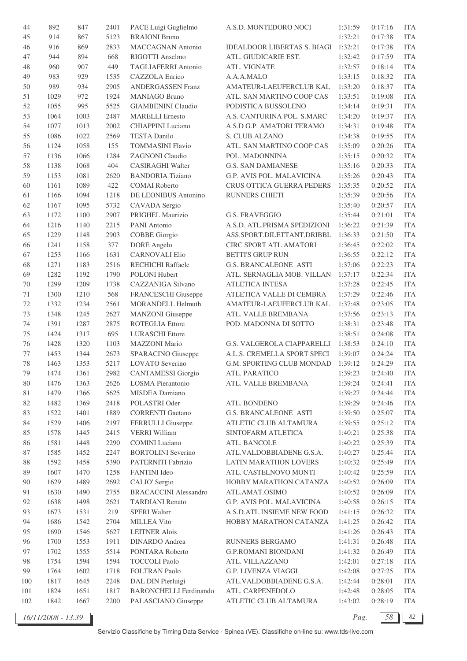| 44     | 892  | 847  | 2401 | PACE Luigi Guglielmo          | A.S.D. MONTEDORO NOCI              | 1:31:59 | 0:17:16 | <b>ITA</b> |
|--------|------|------|------|-------------------------------|------------------------------------|---------|---------|------------|
| 45     | 914  | 867  | 5123 | <b>BRAIONI Bruno</b>          |                                    | 1:32:21 | 0:17:38 | <b>ITA</b> |
| 46     | 916  | 869  | 2833 | <b>MACCAGNAN Antonio</b>      | <b>IDEALDOOR LIBERTAS S. BIAGI</b> | 1:32:21 | 0:17:38 | <b>ITA</b> |
| 47     | 944  | 894  | 668  | RIGOTTI Anselmo               | ATL. GIUDICARIE EST.               | 1:32:42 | 0:17:59 | <b>ITA</b> |
| 48     | 960  | 907  | 449  | TAGLIAFERRI Antonio           | ATL. VIGNATE                       | 1:32:57 | 0:18:14 | <b>ITA</b> |
| 49     | 983  | 929  | 1535 | CAZZOLA Enrico                | A.A.A.MALO                         | 1:33:15 | 0:18:32 | <b>ITA</b> |
| 50     | 989  | 934  | 2905 | <b>ANDERGASSEN Franz</b>      | AMATEUR-LAEUFERCLUB KAL            | 1:33:20 | 0:18:37 | <b>ITA</b> |
| 51     | 1029 | 972  | 1924 | <b>MANIAGO Bruno</b>          | ATL. SAN MARTINO COOP CAS          | 1:33:51 | 0:19:08 | <b>ITA</b> |
| 52     | 1055 | 995  | 5525 | <b>GIAMBENINI Claudio</b>     | PODISTICA BUSSOLENO                | 1:34:14 | 0:19:31 | <b>ITA</b> |
| 53     | 1064 | 1003 | 2487 | <b>MARELLI</b> Ernesto        | A.S. CANTURINA POL. S.MARC         | 1:34:20 | 0:19:37 | <b>ITA</b> |
| 54     | 1077 | 1013 | 2002 | CHIAPPINI Luciano             | A.S.D G.P. AMATORI TERAMO          | 1:34:31 | 0:19:48 | <b>ITA</b> |
| 55     | 1086 | 1022 | 2569 | TESTA Danilo                  | S. CLUB ALZANO                     | 1:34:38 | 0:19:55 | <b>ITA</b> |
| 56     | 1124 | 1058 | 155  | <b>TOMMASINI Flavio</b>       | ATL. SAN MARTINO COOP CAS          | 1:35:09 | 0:20:26 | <b>ITA</b> |
| 57     | 1136 | 1066 | 1284 | <b>ZAGNONI</b> Claudio        | POL. MADONNINA                     | 1:35:15 | 0:20:32 | <b>ITA</b> |
| 58     | 1138 | 1068 | 404  | <b>CASIRAGHI Walter</b>       | <b>G.S. SAN DAMIANESE</b>          | 1:35:16 | 0:20:33 | <b>ITA</b> |
|        |      | 1081 | 2620 | <b>BANDORIA Tiziano</b>       |                                    |         | 0:20:43 | <b>ITA</b> |
| 59     | 1153 |      |      |                               | G.P. AVIS POL. MALAVICINA          | 1:35:26 |         |            |
| 60     | 1161 | 1089 | 422  | <b>COMAI</b> Roberto          | CRUS OTTICA GUERRA PEDERS          | 1:35:35 | 0:20:52 | <b>ITA</b> |
| 61     | 1166 | 1094 | 1218 | DE LEONIBUS Antonino          | RUNNERS CHIETI                     | 1:35:39 | 0:20:56 | <b>ITA</b> |
| 62     | 1167 | 1095 | 5732 | CAVADA Sergio                 |                                    | 1:35:40 | 0:20:57 | <b>ITA</b> |
| 63     | 1172 | 1100 | 2907 | PRIGHEL Maurizio              | <b>G.S. FRAVEGGIO</b>              | 1:35:44 | 0:21:01 | <b>ITA</b> |
| 64     | 1216 | 1140 | 2215 | PANI Antonio                  | A.S.D. ATL.PRISMA SPEDIZIONI       | 1:36:22 | 0:21:39 | <b>ITA</b> |
| 65     | 1229 | 1148 | 2903 | <b>COBBE Giorgio</b>          | ASS.SPORT.DILETTANT.DRIBBL         | 1:36:33 | 0:21:50 | <b>ITA</b> |
| 66     | 1241 | 1158 | 377  | <b>DORE</b> Angelo            | CIRC SPORT ATL AMATORI             | 1:36:45 | 0:22:02 | <b>ITA</b> |
| 67     | 1253 | 1166 | 1631 | <b>CARNOVALI Elio</b>         | <b>BETTI'S GRUP RUN</b>            | 1:36:55 | 0:22:12 | <b>ITA</b> |
| 68     | 1271 | 1183 | 2516 | RECHICHI Raffaele             | <b>G.S. BRANCALEONE ASTI</b>       | 1:37:06 | 0:22:23 | <b>ITA</b> |
| 69     | 1282 | 1192 | 1790 | POLONI Hubert                 | ATL. SERNAGLIA MOB. VILLAN         | 1:37:17 | 0:22:34 | <b>ITA</b> |
| 70     | 1299 | 1209 | 1738 | CAZZANIGA Silvano             | <b>ATLETICA INTESA</b>             | 1:37:28 | 0:22:45 | <b>ITA</b> |
| 71     | 1300 | 1210 | 568  | FRANCESCHI Giuseppe           | ATLETICA VALLE DI CEMBRA           | 1:37:29 | 0:22:46 | <b>ITA</b> |
| 72     | 1332 | 1234 | 2561 | <b>MORANDELL Helmuth</b>      | AMATEUR-LAEUFERCLUB KAL            | 1:37:48 | 0:23:05 | <b>ITA</b> |
| 73     | 1348 | 1245 | 2627 | <b>MANZONI</b> Giuseppe       | ATL. VALLE BREMBANA                | 1:37:56 | 0:23:13 | <b>ITA</b> |
| 74     | 1391 | 1287 | 2875 | ROTEGLIA Ettore               | POD. MADONNA DI SOTTO              | 1:38:31 | 0:23:48 | <b>ITA</b> |
| 75     | 1424 | 1317 | 695  | <b>LURASCHI</b> Ettore        |                                    | 1:38:51 | 0:24:08 | <b>ITA</b> |
| 76     | 1428 | 1320 | 1103 | MAZZONI Mario                 | G.S. VALGEROLA CIAPPARELLI         | 1:38:53 | 0:24:10 | <b>ITA</b> |
| 77     | 1453 | 1344 | 2673 | SPARACINO Giuseppe            | A.L.S. CREMELLA SPORT SPECI        | 1:39:07 | 0:24:24 | <b>ITA</b> |
| 78     | 1463 | 1353 | 5217 | LOVATO Severino               | G.M. SPORTING CLUB MONDAD          | 1:39:12 | 0:24:29 | <b>ITA</b> |
| 79     | 1474 | 1361 | 2982 | <b>CANTAMESSI</b> Giorgio     | ATL. PARATICO                      | 1:39:23 | 0:24:40 | <b>ITA</b> |
| 80     | 1476 | 1363 | 2626 | LOSMA Pierantonio             | ATL. VALLE BREMBANA                | 1:39:24 | 0:24:41 | <b>ITA</b> |
| 81     | 1479 | 1366 | 5625 | MISDEA Damiano                |                                    | 1:39:27 | 0:24:44 | <b>ITA</b> |
| 82     | 1482 | 1369 | 2418 | POLASTRI Oder                 | ATL. BONDENO                       | 1:39:29 | 0:24:46 | <b>ITA</b> |
| 83     | 1522 | 1401 | 1889 | <b>CORRENTI Gaetano</b>       | <b>G.S. BRANCALEONE ASTI</b>       | 1:39:50 | 0:25:07 | <b>ITA</b> |
| 84     | 1529 | 1406 | 2197 | FERRULLI Giuseppe             | ATLETIC CLUB ALTAMURA              | 1:39:55 | 0:25:12 | <b>ITA</b> |
| 85     | 1578 | 1445 | 2415 | <b>VERRI</b> William          | SINTOFARM ATLETICA                 | 1:40:21 | 0:25:38 | <b>ITA</b> |
| 86     | 1581 | 1448 | 2290 | <b>COMINI</b> Luciano         | ATL. BANCOLE                       | 1:40:22 | 0:25:39 | <b>ITA</b> |
| 87     | 1585 | 1452 | 2247 | <b>BORTOLINI</b> Severino     | ATL.VALDOBBIADENE G.S.A.           | 1:40:27 | 0:25:44 | <b>ITA</b> |
| $88\,$ | 1592 | 1458 | 5390 | PATERNITI Fabrizio            | LATIN MARATHON LOVERS              | 1:40:32 | 0:25:49 | <b>ITA</b> |
| 89     | 1607 | 1470 | 1258 | FANTINI Ideo                  | ATL. CASTELNOVO MONTI              | 1:40:42 | 0:25:59 | <b>ITA</b> |
| 90     | 1629 | 1489 | 2692 | CALIO' Sergio                 | HOBBY MARATHON CATANZA             | 1:40:52 | 0:26:09 | <b>ITA</b> |
| 91     | 1630 | 1490 | 2755 | <b>BRACACCINI Alessandro</b>  | ATL.AMAT.OSIMO                     | 1:40:52 | 0:26:09 | <b>ITA</b> |
| 92     | 1638 | 1498 | 2621 | <b>TARDIANI Renato</b>        | G.P. AVIS POL. MALAVICINA          | 1:40:58 | 0:26:15 | <b>ITA</b> |
| 93     | 1673 | 1531 | 219  | <b>SPERI</b> Walter           | A.S.D.ATL.INSIEME NEW FOOD         | 1:41:15 | 0:26:32 | <b>ITA</b> |
| 94     | 1686 | 1542 | 2704 | <b>MILLEA Vito</b>            | HOBBY MARATHON CATANZA             | 1:41:25 | 0:26:42 | <b>ITA</b> |
| 95     | 1690 | 1546 | 5627 | <b>LEITNER Alois</b>          |                                    | 1:41:26 | 0:26:43 | <b>ITA</b> |
| 96     | 1700 | 1553 | 1911 | <b>DINARDO</b> Andrea         | RUNNERS BERGAMO                    | 1:41:31 | 0:26:48 | <b>ITA</b> |
| 97     | 1702 | 1555 | 5514 | PONTARA Roberto               | <b>G.P.ROMANI BIONDANI</b>         | 1:41:32 | 0:26:49 | <b>ITA</b> |
| 98     | 1754 | 1594 | 1594 | <b>TOCCOLI Paolo</b>          | ATL. VILLAZZANO                    | 1:42:01 | 0:27:18 | ITA        |
| 99     | 1764 | 1602 | 1718 | <b>FOLTRAN Paolo</b>          | G.P. LIVENZA VIAGGI                | 1:42:08 | 0:27:25 | ITA        |
| 100    | 1817 | 1645 | 2248 | DAL DIN Pierluigi             | ATL.VALDOBBIADENE G.S.A.           | 1:42:44 | 0:28:01 | <b>ITA</b> |
| 101    | 1824 | 1651 | 1817 | <b>BARONCHELLI Ferdinando</b> | ATL. CARPENEDOLO                   | 1:42:48 | 0:28:05 | ITA        |
| 102    | 1842 | 1667 | 2200 | PALASCIANO Giuseppe           | ATLETIC CLUB ALTAMURA              | 1:43:02 | 0:28:19 | <b>ITA</b> |
|        |      |      |      |                               |                                    |         |         |            |

*16/11/2008 - 13.39 Pag. 58 82*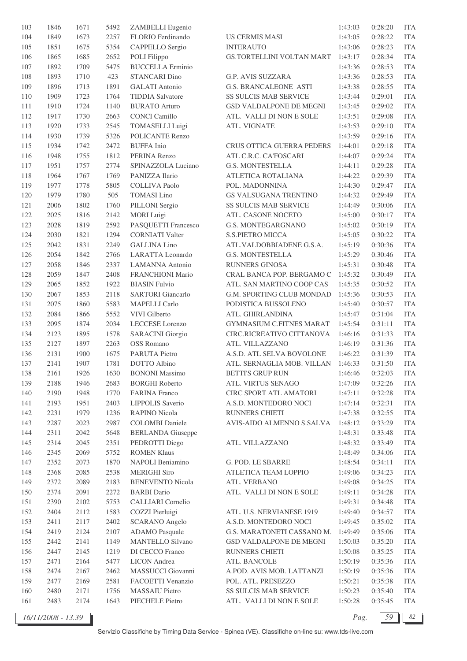| 103 | 1846 | 1671 | 5492 | ZAMBELLI Eugenio         |                              | 1:43:03 | 0:28:20 | <b>ITA</b> |
|-----|------|------|------|--------------------------|------------------------------|---------|---------|------------|
| 104 | 1849 | 1673 | 2257 | FLORIO Ferdinando        | <b>US CERMIS MASI</b>        | 1:43:05 | 0:28:22 | <b>ITA</b> |
| 105 | 1851 | 1675 | 5354 | CAPPELLO Sergio          | <b>INTERAUTO</b>             | 1:43:06 | 0:28:23 | <b>ITA</b> |
| 106 | 1865 | 1685 | 2652 | POLI Filippo             | GS.TORTELLINI VOLTAN MART    | 1:43:17 | 0:28:34 | <b>ITA</b> |
| 107 | 1892 | 1709 | 5475 | <b>BUCCELLA Erminio</b>  |                              | 1:43:36 | 0:28:53 | <b>ITA</b> |
| 108 | 1893 | 1710 | 423  | <b>STANCARI Dino</b>     | <b>G.P. AVIS SUZZARA</b>     | 1:43:36 | 0:28:53 | <b>ITA</b> |
| 109 | 1896 | 1713 | 1891 | <b>GALATI</b> Antonio    | <b>G.S. BRANCALEONE ASTI</b> | 1:43:38 | 0:28:55 | <b>ITA</b> |
| 110 | 1909 | 1723 | 1764 | <b>TIDDIA</b> Salvatore  | <b>SS SULCIS MAB SERVICE</b> | 1:43:44 | 0:29:01 | <b>ITA</b> |
| 111 | 1910 | 1724 | 1140 | <b>BURATO Arturo</b>     | GSD VALDALPONE DE MEGNI      | 1:43:45 | 0:29:02 | <b>ITA</b> |
| 112 | 1917 | 1730 | 2663 | <b>CONCI Camillo</b>     | ATL. VALLI DI NON E SOLE     | 1:43:51 | 0:29:08 | <b>ITA</b> |
| 113 |      |      | 2545 |                          | ATL. VIGNATE                 |         |         | <b>ITA</b> |
|     | 1920 | 1733 |      | <b>TOMASELLI Luigi</b>   |                              | 1:43:53 | 0:29:10 |            |
| 114 | 1930 | 1739 | 5326 | <b>POLICANTE Renzo</b>   |                              | 1:43:59 | 0:29:16 | <b>ITA</b> |
| 115 | 1934 | 1742 | 2472 | <b>BUFFA</b> Inio        | CRUS OTTICA GUERRA PEDERS    | 1:44:01 | 0:29:18 | <b>ITA</b> |
| 116 | 1948 | 1755 | 1812 | PERINA Renzo             | ATL C.R.C. CA'FOSCARI        | 1:44:07 | 0:29:24 | <b>ITA</b> |
| 117 | 1951 | 1757 | 2774 | SPINAZZOLA Luciano       | <b>G.S. MONTESTELLA</b>      | 1:44:11 | 0:29:28 | <b>ITA</b> |
| 118 | 1964 | 1767 | 1769 | PANIZZA Ilario           | ATLETICA ROTALIANA           | 1:44:22 | 0:29:39 | <b>ITA</b> |
| 119 | 1977 | 1778 | 5805 | <b>COLLIVA Paolo</b>     | POL. MADONNINA               | 1:44:30 | 0:29:47 | <b>ITA</b> |
| 120 | 1979 | 1780 | 505  | <b>TOMASI</b> Lino       | GS VALSUGANA TRENTINO        | 1:44:32 | 0:29:49 | <b>ITA</b> |
| 121 | 2006 | 1802 | 1760 | PILLONI Sergio           | <b>SS SULCIS MAB SERVICE</b> | 1:44:49 | 0:30:06 | <b>ITA</b> |
| 122 | 2025 | 1816 | 2142 | <b>MORI</b> Luigi        | ATL. CASONE NOCETO           | 1:45:00 | 0:30:17 | <b>ITA</b> |
| 123 | 2028 | 1819 | 2592 | PASQUETTI Francesco      | G.S. MONTEGARGNANO           | 1:45:02 | 0:30:19 | <b>ITA</b> |
| 124 | 2030 | 1821 | 1294 | <b>CORNIATI Valter</b>   | S.S.PIETRO MICCA             | 1:45:05 | 0:30:22 | <b>ITA</b> |
| 125 | 2042 | 1831 | 2249 | <b>GALLINA Lino</b>      | ATL.VALDOBBIADENE G.S.A.     | 1:45:19 | 0:30:36 | <b>ITA</b> |
| 126 | 2054 | 1842 | 2766 | LARATTA Leonardo         | <b>G.S. MONTESTELLA</b>      | 1:45:29 | 0:30:46 | <b>ITA</b> |
| 127 | 2058 | 1846 | 2337 | <b>LAMANNA</b> Antonio   | RUNNERS GINOSA               | 1:45:31 | 0:30:48 | <b>ITA</b> |
| 128 | 2059 | 1847 | 2408 | FRANCHIONI Mario         | CRAL BANCA POP. BERGAMO C    | 1:45:32 | 0:30:49 | <b>ITA</b> |
| 129 | 2065 | 1852 | 1922 | <b>BIASIN Fulvio</b>     | ATL. SAN MARTINO COOP CAS    | 1:45:35 | 0:30:52 | <b>ITA</b> |
| 130 | 2067 | 1853 | 2118 | <b>SARTORI</b> Giancarlo | G.M. SPORTING CLUB MONDAD    | 1:45:36 | 0:30:53 | <b>ITA</b> |
| 131 | 2075 | 1860 | 5583 | <b>MAPELLI</b> Carlo     | PODISTICA BUSSOLENO          | 1:45:40 | 0:30:57 | <b>ITA</b> |
| 132 | 2084 | 1866 | 5552 | VIVI Gilberto            | ATL. GHIRLANDINA             | 1:45:47 | 0:31:04 | <b>ITA</b> |
| 133 | 2095 | 1874 | 2034 | LECCESE Lorenzo          | GYMNASIUM C.FITNES MARAT     | 1:45:54 | 0:31:11 | <b>ITA</b> |
| 134 | 2123 | 1895 | 1578 | <b>SARACINI</b> Giorgio  | CIRC.RICREATIVO CITTANOVA    | 1:46:16 | 0:31:33 | <b>ITA</b> |
|     |      |      |      | <b>OSS Romano</b>        |                              |         |         | <b>ITA</b> |
| 135 | 2127 | 1897 | 2263 |                          | ATL. VILLAZZANO              | 1:46:19 | 0:31:36 |            |
| 136 | 2131 | 1900 | 1675 | PARUTA Pietro            | A.S.D. ATL SELVA BOVOLONE    | 1:46:22 | 0:31:39 | <b>ITA</b> |
| 137 | 2141 | 1907 | 1781 | DOTTO Albino             | ATL. SERNAGLIA MOB. VILLAN   | 1:46:33 | 0:31:50 | <b>ITA</b> |
| 138 | 2161 | 1926 | 1630 | <b>BONONI</b> Massimo    | <b>BETTI'S GRUP RUN</b>      | 1:46:46 | 0:32:03 | <b>ITA</b> |
| 139 | 2188 | 1946 | 2683 | <b>BORGHI Roberto</b>    | ATL. VIRTUS SENAGO           | 1:47:09 | 0:32:26 | <b>ITA</b> |
| 140 | 2190 | 1948 | 1770 | <b>FARINA</b> Franco     | CIRC SPORT ATL AMATORI       | 1:47:11 | 0:32:28 | <b>ITA</b> |
| 141 | 2193 | 1951 | 2403 | LIPPOLIS Saverio         | A.S.D. MONTEDORO NOCI        | 1:47:14 | 0:32:31 | <b>ITA</b> |
| 142 | 2231 | 1979 | 1236 | <b>RAPINO Nicola</b>     | RUNNERS CHIETI               | 1:47:38 | 0:32:55 | <b>ITA</b> |
| 143 | 2287 | 2023 | 2987 | <b>COLOMBI</b> Daniele   | AVIS-AIDO ALMENNO S.SALVA    | 1:48:12 | 0:33:29 | <b>ITA</b> |
| 144 | 2311 | 2042 | 5648 | <b>BERLANDA</b> Giuseppe |                              | 1:48:31 | 0:33:48 | <b>ITA</b> |
| 145 | 2314 | 2045 | 2351 | PEDROTTI Diego           | ATL. VILLAZZANO              | 1:48:32 | 0:33:49 | <b>ITA</b> |
| 146 | 2345 | 2069 | 5752 | <b>ROMEN Klaus</b>       |                              | 1:48:49 | 0:34:06 | <b>ITA</b> |
| 147 | 2352 | 2073 | 1870 | NAPOLI Beniamino         | G. POD. LE SBARRE            | 1:48:54 | 0:34:11 | <b>ITA</b> |
| 148 | 2368 | 2085 | 2538 | <b>MERIGHI Siro</b>      | ATLETICA TEAM LOPPIO         | 1:49:06 | 0:34:23 | <b>ITA</b> |
| 149 | 2372 | 2089 | 2183 | <b>BENEVENTO Nicola</b>  | ATL. VERBANO                 | 1:49:08 | 0:34:25 | <b>ITA</b> |
| 150 | 2374 | 2091 | 2272 | <b>BARBI</b> Dario       | ATL. VALLI DI NON E SOLE     | 1:49:11 | 0:34:28 | <b>ITA</b> |
| 151 | 2390 | 2102 | 5753 | <b>CALLIARI</b> Cornelio |                              | 1:49:31 | 0:34:48 | <b>ITA</b> |
| 152 | 2404 | 2112 | 1583 | COZZI Pierluigi          | ATL. U.S. NERVIANESE 1919    | 1:49:40 | 0:34:57 | <b>ITA</b> |
| 153 | 2411 | 2117 | 2402 | <b>SCARANO</b> Angelo    | A.S.D. MONTEDORO NOCI        | 1:49:45 | 0:35:02 | <b>ITA</b> |
| 154 | 2419 | 2124 | 2107 | <b>ADAMO</b> Pasquale    | G.S. MARATONETI CASSANO M.   | 1:49:49 | 0:35:06 | <b>ITA</b> |
| 155 | 2442 | 2141 | 1149 | <b>MANTELLO Silvano</b>  | GSD VALDALPONE DE MEGNI      | 1:50:03 | 0:35:20 | <b>ITA</b> |
| 156 | 2447 | 2145 | 1219 | DI CECCO Franco          | RUNNERS CHIETI               | 1:50:08 | 0:35:25 | <b>ITA</b> |
| 157 | 2471 | 2164 | 5477 | <b>LICON</b> Andrea      | ATL. BANCOLE                 | 1:50:19 | 0:35:36 | <b>ITA</b> |
| 158 |      |      |      |                          |                              |         |         |            |
|     | 2474 | 2167 | 2462 | MASSUCCI Giovanni        | A.POD. AVIS MOB. LATTANZI    | 1:50:19 | 0:35:36 | <b>ITA</b> |
| 159 | 2477 | 2169 | 2581 | FACOETTI Venanzio        | POL. ATL. PRESEZZO           | 1:50:21 | 0:35:38 | <b>ITA</b> |
| 160 | 2480 | 2171 | 1756 | <b>MASSAIU Pietro</b>    | SS SULCIS MAB SERVICE        | 1:50:23 | 0:35:40 | <b>ITA</b> |
| 161 | 2483 | 2174 | 1643 | PIECHELE Pietro          | ATL. VALLI DI NON E SOLE     | 1:50:28 | 0:35:45 | <b>ITA</b> |

*16/11/2008 - 13.39 Pag. 59 82*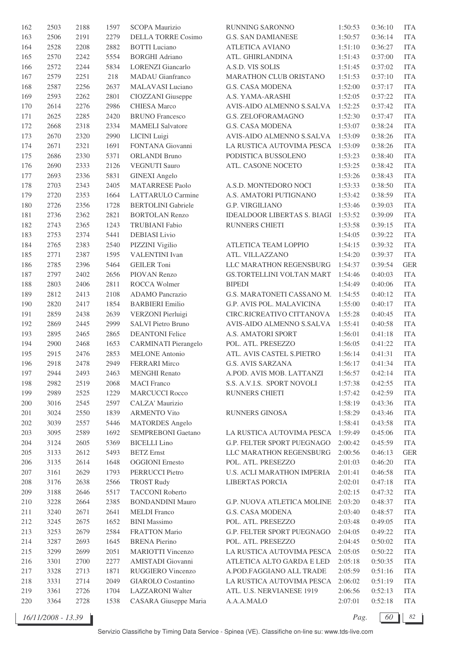| 162     | 2503 | 2188 | 1597 | SCOPA Maurizio                                     | RUNNING SARONNO                     | 1:50:53 | 0:36:10 | <b>ITA</b> |
|---------|------|------|------|----------------------------------------------------|-------------------------------------|---------|---------|------------|
| 163     | 2506 | 2191 | 2279 | <b>DELLA TORRE Cosimo</b>                          | <b>G.S. SAN DAMIANESE</b>           | 1:50:57 | 0:36:14 | <b>ITA</b> |
| 164     | 2528 | 2208 | 2882 | <b>BOTTI</b> Luciano                               | <b>ATLETICA AVIANO</b>              | 1:51:10 | 0:36:27 | <b>ITA</b> |
| 165     | 2570 | 2242 | 5554 | <b>BORGHI Adriano</b>                              | ATL. GHIRLANDINA                    | 1:51:43 | 0:37:00 | <b>ITA</b> |
| 166     | 2572 | 2244 | 5834 | <b>LORENZI</b> Giancarlo                           | A.S.D. VIS SOLIS                    | 1:51:45 | 0:37:02 | <b>ITA</b> |
| 167     | 2579 | 2251 | 218  | <b>MADAU</b> Gianfranco                            | MARATHON CLUB ORISTANO              | 1:51:53 | 0:37:10 | <b>ITA</b> |
| 168     | 2587 | 2256 | 2637 | MALAVASI Luciano                                   | G.S. CASA MODENA                    | 1:52:00 | 0:37:17 | <b>ITA</b> |
| 169     | 2593 | 2262 | 2801 | CIOZZANI Giuseppe                                  | A.S. YAMA-ARASHI                    | 1:52:05 | 0:37:22 | <b>ITA</b> |
| 170     | 2614 | 2276 | 2986 | <b>CHIESA</b> Marco                                | AVIS-AIDO ALMENNO S.SALVA           | 1:52:25 | 0:37:42 | <b>ITA</b> |
| 171     | 2625 | 2285 | 2420 | <b>BRUNO</b> Francesco                             | <b>G.S. ZELOFORAMAGNO</b>           | 1:52:30 | 0:37:47 | <b>ITA</b> |
| 172     | 2668 | 2318 | 2334 | <b>MAMELI</b> Salvatore                            | G.S. CASA MODENA                    | 1:53:07 | 0:38:24 | <b>ITA</b> |
| 173     | 2670 | 2320 | 2990 | LICINI Luigi                                       | AVIS-AIDO ALMENNO S.SALVA           | 1:53:09 | 0:38:26 | <b>ITA</b> |
| 174     | 2671 | 2321 | 1691 | FONTANA Giovanni                                   | LA RUSTICA AUTOVIMA PESCA 1:53:09   |         | 0:38:26 | <b>ITA</b> |
| 175     | 2686 | 2330 | 5371 | <b>ORLANDI Bruno</b>                               | PODISTICA BUSSOLENO                 | 1:53:23 | 0:38:40 | <b>ITA</b> |
| 176     | 2690 | 2333 | 2126 | <b>VEGNUTI Sauro</b>                               | ATL. CASONE NOCETO                  | 1:53:25 | 0:38:42 | <b>ITA</b> |
| 177     | 2693 | 2336 | 5831 | <b>GINEXI</b> Angelo                               |                                     | 1:53:26 | 0:38:43 | <b>ITA</b> |
|         |      |      |      |                                                    |                                     | 1:53:33 |         |            |
| 178     | 2703 | 2343 | 2405 | <b>MATARRESE Paolo</b><br><b>LATTARULO Carmine</b> | A.S.D. MONTEDORO NOCI               | 1:53:42 | 0:38:50 | <b>ITA</b> |
| 179     | 2720 | 2353 | 1664 |                                                    | A.S. AMATORI PUTIGNANO              |         | 0:38:59 | <b>ITA</b> |
| 180     | 2726 | 2356 | 1728 | <b>BERTOLINI</b> Gabriele                          | <b>G.P. VIRGILIANO</b>              | 1:53:46 | 0:39:03 | <b>ITA</b> |
| 181     | 2736 | 2362 | 2821 | <b>BORTOLAN Renzo</b>                              | IDEALDOOR LIBERTAS S. BIAGI 1:53:52 |         | 0:39:09 | <b>ITA</b> |
| 182     | 2743 | 2365 | 1243 | <b>TRUBIANI</b> Fabio                              | RUNNERS CHIETI                      | 1:53:58 | 0:39:15 | <b>ITA</b> |
| 183     | 2753 | 2374 | 5441 | DEBIASI Livio                                      |                                     | 1:54:05 | 0:39:22 | <b>ITA</b> |
| 184     | 2765 | 2383 | 2540 | PIZZINI Vigilio                                    | ATLETICA TEAM LOPPIO                | 1:54:15 | 0:39:32 | <b>ITA</b> |
| 185     | 2771 | 2387 | 1595 | <b>VALENTINI</b> Ivan                              | ATL. VILLAZZANO                     | 1:54:20 | 0:39:37 | <b>ITA</b> |
| 186     | 2785 | 2396 | 5464 | <b>GEILER</b> Toni                                 | LLC MARATHON REGENSBURG             | 1:54:37 | 0:39:54 | <b>GER</b> |
| 187     | 2797 | 2402 | 2656 | PIOVAN Renzo                                       | GS.TORTELLINI VOLTAN MART           | 1:54:46 | 0:40:03 | <b>ITA</b> |
| 188     | 2803 | 2406 | 2811 | ROCCA Wolmer                                       | <b>BIPEDI</b>                       | 1:54:49 | 0:40:06 | <b>ITA</b> |
| 189     | 2812 | 2413 | 2108 | ADAMO Pancrazio                                    | G.S. MARATONETI CASSANO M.          | 1:54:55 | 0:40:12 | <b>ITA</b> |
| 190     | 2820 | 2417 | 1854 | <b>BARBIERI</b> Emilio                             | G.P. AVIS POL. MALAVICINA           | 1:55:00 | 0:40:17 | <b>ITA</b> |
| 191     | 2859 | 2438 | 2639 | VERZONI Pierluigi                                  | CIRC.RICREATIVO CITTANOVA           | 1:55:28 | 0:40:45 | <b>ITA</b> |
| 192     | 2869 | 2445 | 2999 | SALVI Pietro Bruno                                 | AVIS-AIDO ALMENNO S.SALVA           | 1:55:41 | 0:40:58 | <b>ITA</b> |
| 193     | 2895 | 2465 | 2865 | <b>DEANTONI</b> Felice                             | A.S. AMATORI SPORT                  | 1:56:01 | 0:41:18 | <b>ITA</b> |
| 194     | 2900 | 2468 | 1653 | <b>CARMINATI Pierangelo</b>                        | POL. ATL. PRESEZZO                  | 1:56:05 | 0:41:22 | <b>ITA</b> |
| 195     | 2915 | 2476 | 2853 | <b>MELONE</b> Antonio                              | ATL. AVIS CASTEL S.PIETRO           | 1:56:14 | 0:41:31 | <b>ITA</b> |
| 196     | 2918 | 2478 | 2949 | <b>FERRARI</b> Mirco                               | <b>G.S. AVIS SARZANA</b>            | 1:56:17 | 0:41:34 | <b>ITA</b> |
| 197     | 2944 | 2493 | 2463 | <b>MENGHI</b> Renato                               | A.POD. AVIS MOB. LATTANZI           | 1:56:57 | 0:42:14 | <b>ITA</b> |
| 198     | 2982 | 2519 | 2068 | <b>MACI</b> Franco                                 | S.S. A.V.I.S. SPORT NOVOLI          | 1:57:38 | 0:42:55 | <b>ITA</b> |
| 199     | 2989 | 2525 | 1229 | <b>MARCUCCI Rocco</b>                              | RUNNERS CHIETI                      | 1:57:42 | 0:42:59 | <b>ITA</b> |
| 200     | 3016 | 2545 | 2597 | CALZA' Maurizio                                    |                                     | 1:58:19 | 0:43:36 | <b>ITA</b> |
| 201     | 3024 | 2550 | 1839 | <b>ARMENTO Vito</b>                                | RUNNERS GINOSA                      | 1:58:29 | 0:43:46 | <b>ITA</b> |
| 202     | 3039 | 2557 | 5446 | <b>MATORDES</b> Angelo                             |                                     | 1:58:41 | 0:43:58 | <b>ITA</b> |
| 203     | 3095 | 2589 | 1692 | SEMPREBONI Gaetano                                 | LA RUSTICA AUTOVIMA PESCA           | 1:59:49 | 0:45:06 | <b>ITA</b> |
| $204\,$ | 3124 | 2605 | 5369 | <b>BICELLI</b> Lino                                | G.P. FELTER SPORT PUEGNAGO          | 2:00:42 | 0:45:59 | <b>ITA</b> |
| 205     | 3133 | 2612 | 5493 | <b>BETZ</b> Ernst                                  | LLC MARATHON REGENSBURG             | 2:00:56 | 0:46:13 | <b>GER</b> |
| 206     | 3135 | 2614 | 1648 | <b>OGGIONI</b> Ernesto                             | POL. ATL. PRESEZZO                  | 2:01:03 | 0:46:20 | <b>ITA</b> |
| $207\,$ | 3161 | 2629 | 1793 | PERRUCCI Pietro                                    | <b>U.S. ACLI MARATHON IMPERIA</b>   | 2:01:41 | 0:46:58 | <b>ITA</b> |
| 208     | 3176 | 2638 | 2566 | <b>TROST Rudy</b>                                  | LIBERTAS PORCIA                     | 2:02:01 | 0:47:18 | <b>ITA</b> |
| 209     | 3188 | 2646 | 5517 | <b>TACCONI Roberto</b>                             |                                     | 2:02:15 | 0:47:32 | <b>ITA</b> |
| 210     | 3228 | 2664 | 2385 | <b>BONDANDINI Mauro</b>                            | G.P. NUOVA ATLETICA MOLINE          | 2:03:20 | 0:48:37 | <b>ITA</b> |
| 211     | 3240 | 2671 | 2641 | <b>MELDI</b> Franco                                | G.S. CASA MODENA                    | 2:03:40 | 0:48:57 | <b>ITA</b> |
| 212     | 3245 | 2675 | 1652 | <b>BINI</b> Massimo                                | POL. ATL. PRESEZZO                  | 2:03:48 | 0:49:05 | <b>ITA</b> |
| 213     | 3253 | 2679 | 2584 | <b>FRATTON Mario</b>                               | G.P. FELTER SPORT PUEGNAGO          | 2:04:05 | 0:49:22 | <b>ITA</b> |
| 214     | 3287 | 2693 | 1645 | <b>BRENA Pierino</b>                               | POL. ATL. PRESEZZO                  | 2:04:45 | 0:50:02 | <b>ITA</b> |
| 215     | 3299 | 2699 | 2051 | <b>MARIOTTI Vincenzo</b>                           | LA RUSTICA AUTOVIMA PESCA           | 2:05:05 | 0:50:22 | <b>ITA</b> |
| 216     | 3301 | 2700 | 2277 | AMISTADI Giovanni                                  | ATLETICA ALTO GARDA E LED           | 2:05:18 | 0:50:35 | <b>ITA</b> |
| 217     | 3328 | 2713 | 1871 | RUGGIERO Vincenzo                                  | A.POD.FAGGIANO ALL TRADE            | 2:05:59 | 0:51:16 | <b>ITA</b> |
| 218     | 3331 | 2714 | 2049 | <b>GIAROLO</b> Costantino                          | LA RUSTICA AUTOVIMA PESCA           | 2:06:02 | 0:51:19 | <b>ITA</b> |
| 219     | 3361 | 2726 | 1704 | <b>LAZZARONI</b> Walter                            | ATL. U.S. NERVIANESE 1919           | 2:06:56 | 0:52:13 | <b>ITA</b> |
| 220     | 3364 | 2728 | 1538 | CASARA Giuseppe Maria                              | A.A.A.MALO                          | 2:07:01 | 0:52:18 | <b>ITA</b> |
|         |      |      |      |                                                    |                                     |         |         |            |

*Pag.*  $\begin{bmatrix} 60 \end{bmatrix}$  82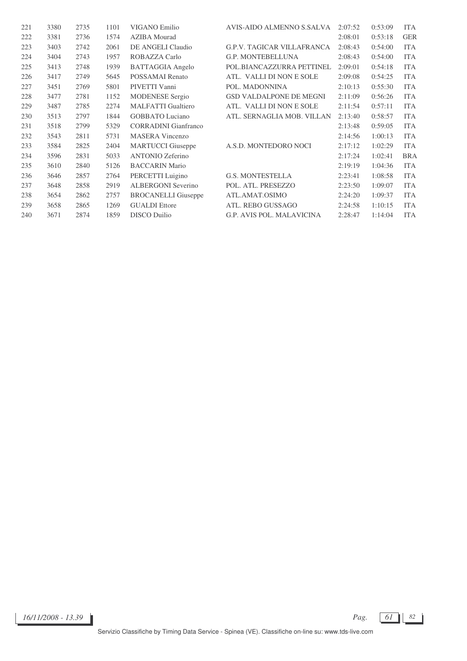| 221 | 3380 | 2735 | 1101 | VIGANO Emilio               | AVIS-AIDO ALMENNO S.SALVA         | 2:07:52 | 0:53:09 | <b>ITA</b> |
|-----|------|------|------|-----------------------------|-----------------------------------|---------|---------|------------|
| 222 | 3381 | 2736 | 1574 | <b>AZIBA</b> Mourad         |                                   | 2:08:01 | 0:53:18 | <b>GER</b> |
| 223 | 3403 | 2742 | 2061 | DE ANGELI Claudio           | <b>G.P.V. TAGICAR VILLAFRANCA</b> | 2:08:43 | 0:54:00 | <b>ITA</b> |
| 224 | 3404 | 2743 | 1957 | ROBAZZA Carlo               | <b>G.P. MONTEBELLUNA</b>          | 2:08:43 | 0:54:00 | <b>ITA</b> |
| 225 | 3413 | 2748 | 1939 | <b>BATTAGGIA</b> Angelo     | POL.BIANCAZZURRA PETTINEL         | 2:09:01 | 0:54:18 | <b>ITA</b> |
| 226 | 3417 | 2749 | 5645 | <b>POSSAMAI</b> Renato      | ATL. VALLI DI NON E SOLE          | 2:09:08 | 0:54:25 | <b>ITA</b> |
| 227 | 3451 | 2769 | 5801 | PIVETTI Vanni               | POL. MADONNINA                    | 2:10:13 | 0:55:30 | <b>ITA</b> |
| 228 | 3477 | 2781 | 1152 | <b>MODENESE</b> Sergio      | <b>GSD VALDALPONE DE MEGNI</b>    | 2:11:09 | 0:56:26 | <b>ITA</b> |
| 229 | 3487 | 2785 | 2274 | <b>MALFATTI</b> Gualtiero   | ATL. VALLI DI NON E SOLE          | 2:11:54 | 0:57:11 | <b>ITA</b> |
| 230 | 3513 | 2797 | 1844 | <b>GOBBATO</b> Luciano      | ATL. SERNAGLIA MOB. VILLAN        | 2:13:40 | 0:58:57 | <b>ITA</b> |
| 231 | 3518 | 2799 | 5329 | <b>CORRADINI</b> Gianfranco |                                   | 2:13:48 | 0:59:05 | <b>ITA</b> |
| 232 | 3543 | 2811 | 5731 | <b>MASERA</b> Vincenzo      |                                   | 2:14:56 | 1:00:13 | <b>ITA</b> |
| 233 | 3584 | 2825 | 2404 | <b>MARTUCCI</b> Giuseppe    | A.S.D. MONTEDORO NOCI             | 2:17:12 | 1:02:29 | <b>ITA</b> |
| 234 | 3596 | 2831 | 5033 | <b>ANTONIO Zeferino</b>     |                                   | 2:17:24 | 1:02:41 | <b>BRA</b> |
| 235 | 3610 | 2840 | 5126 | <b>BACCARIN Mario</b>       |                                   | 2:19:19 | 1:04:36 | <b>ITA</b> |
| 236 | 3646 | 2857 | 2764 | PERCETTI Luigino            | <b>G.S. MONTESTELLA</b>           | 2:23:41 | 1:08:58 | <b>ITA</b> |
| 237 | 3648 | 2858 | 2919 | <b>ALBERGONI</b> Severino   | POL. ATL. PRESEZZO                | 2:23:50 | 1:09:07 | <b>ITA</b> |
| 238 | 3654 | 2862 | 2757 | <b>BROCANELLI</b> Giuseppe  | ATL.AMAT.OSIMO                    | 2:24:20 | 1:09:37 | <b>ITA</b> |
| 239 | 3658 | 2865 | 1269 | <b>GUALDI</b> Ettore        | ATL. REBO GUSSAGO                 | 2:24:58 | 1:10:15 | <b>ITA</b> |
| 240 | 3671 | 2874 | 1859 | <b>DISCO</b> Duilio         | <b>G.P. AVIS POL. MALAVICINA</b>  | 2:28:47 | 1:14:04 | <b>ITA</b> |

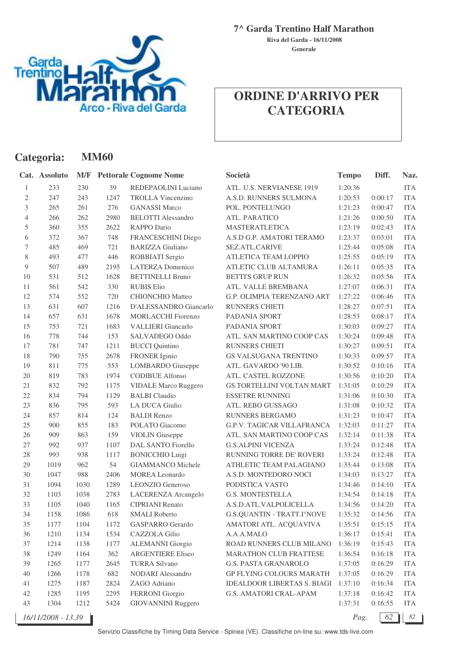

**Categoria: MM60**

**7^ Garda Trentino Half Marathon**

**Generale Riva del Garda - 16/11/2008**

|                | Cat. Assoluto      | M/F  |      | <b>Pettorale Cognome Nome</b> | Società                            | <b>Tempo</b> | Diff.   | Naz.       |
|----------------|--------------------|------|------|-------------------------------|------------------------------------|--------------|---------|------------|
| 1              | 233                | 230  | 39   | REDEPAOLINI Luciano           | ATL. U.S. NERVIANESE 1919          | 1:20:36      |         | <b>ITA</b> |
| 2              | 247                | 243  | 1247 | <b>TROLLA Vincenzino</b>      | A.S.D. RUNNERS SULMONA             | 1:20:53      | 0:00:17 | <b>ITA</b> |
| 3              | 265                | 261  | 276  | <b>GANASSI Marco</b>          | POL. PONTELUNGO                    | 1:21:23      | 0:00:47 | <b>ITA</b> |
| $\overline{4}$ | 266                | 262  | 2980 | <b>BELOTTI Alessandro</b>     | ATL. PARATICO                      | 1:21:26      | 0:00:50 | <b>ITA</b> |
| 5              | 360                | 355  | 2622 | RAPPO Dario                   | <b>MASTERATLETICA</b>              | 1:23:19      | 0:02:43 | <b>ITA</b> |
| 6              | 372                | 367  | 748  | FRANCESCHINI Diego            | A.S.D G.P. AMATORI TERAMO          | 1:23:37      | 0:03:01 | <b>ITA</b> |
| 7              | 485                | 469  | 721  | <b>BARIZZA Giuliano</b>       | <b>SEZ.ATL.CARIVE</b>              | 1:25:44      | 0:05:08 | <b>ITA</b> |
| 8              | 493                | 477  | 446  | ROBBIATI Sergio               | ATLETICA TEAM LOPPIO               | 1:25:55      | 0:05:19 | <b>ITA</b> |
| 9              | 507                | 489  | 2195 | <b>LATERZA</b> Domenico       | ATLETIC CLUB ALTAMURA              | 1:26:11      | 0:05:35 | <b>ITA</b> |
| 10             | 531                | 512  | 1628 | <b>BETTINELLI Bruno</b>       | <b>BETTI'S GRUP RUN</b>            | 1:26:32      | 0:05:56 | <b>ITA</b> |
| 11             | 561                | 542  | 330  | <b>RUBIS Elio</b>             | ATL. VALLE BREMBANA                | 1:27:07      | 0:06:31 | <b>ITA</b> |
| 12             | 574                | 552  | 720  | <b>CHIONCHIO Matteo</b>       | G.P. OLIMPIA TERENZANO ART         | 1:27:22      | 0:06:46 | <b>ITA</b> |
| 13             | 631                | 607  | 1216 | D'ALESSANDRO Giancarlo        | RUNNERS CHIETI                     | 1:28:27      | 0:07:51 | <b>ITA</b> |
| 14             | 657                | 631  | 1678 | <b>MORLACCHI Fiorenzo</b>     | PADANIA SPORT                      | 1:28:53      | 0:08:17 | <b>ITA</b> |
| 15             | 753                | 721  | 1683 | <b>VALLIERI</b> Giancarlo     | <b>PADANIA SPORT</b>               | 1:30:03      | 0:09:27 | <b>ITA</b> |
| 16             | 778                | 744  | 153  | SALVADEGO Oddo                | ATL. SAN MARTINO COOP CAS          | 1:30:24      | 0:09:48 | <b>ITA</b> |
| 17             | 781                | 747  | 1211 | <b>BUCCI</b> Quintino         | <b>RUNNERS CHIETI</b>              | 1:30:27      | 0:09:51 | <b>ITA</b> |
| 18             | 790                | 755  | 2678 | <b>FRONER</b> Iginio          | GS VALSUGANA TRENTINO              | 1:30:33      | 0:09:57 | <b>ITA</b> |
| 19             | 811                | 775  | 553  | LOMBARDO Giuseppe             | ATL. GAVARDO '90 LIB.              | 1:30:52      | 0:10:16 | <b>ITA</b> |
| 20             | 819                | 783  | 1974 | <b>CODIBUE Alfonso</b>        | ATL. CASTEL ROZZONE                | 1:30:56      | 0:10:20 | <b>ITA</b> |
| 21             | 832                | 792  | 1175 | <b>VIDALE Marco Ruggero</b>   | <b>GS.TORTELLINI VOLTAN MART</b>   | 1:31:05      | 0:10:29 | <b>ITA</b> |
| 22             | 834                | 794  | 1129 | <b>BALBI</b> Claudio          | <b>ESSETRE RUNNING</b>             | 1:31:06      | 0:10:30 | <b>ITA</b> |
| 23             | 836                | 795  | 593  | <b>LA DUCA Giulio</b>         | ATL. REBO GUSSAGO                  | 1:31:08      | 0:10:32 | <b>ITA</b> |
| 24             | 857                | 814  | 124  | <b>BALDI</b> Renzo            | <b>RUNNERS BERGAMO</b>             | 1:31:23      | 0:10:47 | <b>ITA</b> |
| 25             | 900                | 855  | 183  | POLATO Giacomo                | G.P.V. TAGICAR VILLAFRANCA         | 1:32:03      | 0:11:27 | <b>ITA</b> |
| 26             | 909                | 863  | 159  | <b>VIOLIN</b> Giuseppe        | ATL. SAN MARTINO COOP CAS          | 1:32:14      | 0:11:38 | <b>ITA</b> |
| 27             | 992                | 937  | 1107 | <b>DAL SANTO Fiorello</b>     | <b>G.S.ALPINI VICENZA</b>          | 1:33:24      | 0:12:48 | <b>ITA</b> |
| 28             | 993                | 938  | 1117 | <b>BONICCHIO Luigi</b>        | RUNNING TORRE DE' ROVERI           | 1:33:24      | 0:12:48 | <b>ITA</b> |
| 29             | 1019               | 962  | 54   | <b>GIAMMANCO Michele</b>      | ATHLETIC TEAM PALAGIANO            | 1:33:44      | 0:13:08 | <b>ITA</b> |
| 30             | 1047               | 988  | 2406 | <b>MOREA</b> Leonardo         | A.S.D. MONTEDORO NOCI              | 1:34:03      | 0:13:27 | <b>ITA</b> |
| 31             | 1094               | 1030 | 1289 | LEONZIO Generoso              | PODISTICA VASTO                    | 1:34:46      | 0:14:10 | <b>ITA</b> |
| 32             | 1103               | 1038 | 2783 | LACERENZA Arcangelo           | <b>G.S. MONTESTELLA</b>            | 1:34:54      | 0:14:18 | <b>ITA</b> |
| 33             | 1105               | 1040 | 1165 | <b>CIPRIANI Renato</b>        | A.S.D.ATL.VALPOLICELLA             | 1:34:56      | 0:14:20 | <b>ITA</b> |
| 34             | 1158               | 1086 | 618  | <b>SMALI</b> Roberto          | <b>G.S.QUANTIN - TRATT.I°NOVE</b>  | 1:35:32      | 0:14:56 | <b>ITA</b> |
| 35             | 1177               | 1104 | 1172 | GASPARRO Gerardo              | AMATORI ATL. ACQUAVIVA             | 1:35:51      | 0:15:15 | <b>ITA</b> |
| 36             | 1210               | 1134 | 1534 | CAZZOLA Gilio                 | A.A.A.MALO                         | 1:36:17      | 0:15:41 | <b>ITA</b> |
| 37             | 1214               | 1138 | 1177 | <b>ALEMANNI</b> Giorgio       | ROAD RUNNERS CLUB MILANO           | 1:36:19      | 0:15:43 | <b>ITA</b> |
| 38             | 1249               | 1164 | 362  | <b>ARGENTIERE Eliseo</b>      | <b>MARATHON CLUB FRATTESE</b>      | 1:36:54      | 0:16:18 | <b>ITA</b> |
| 39             | 1265               | 1177 | 2645 | <b>TURRA Silvano</b>          | <b>G.S. PASTA GRANAROLO</b>        | 1:37:05      | 0:16:29 | <b>ITA</b> |
| 40             | 1266               | 1178 | 682  | <b>NODARI</b> Alessandro      | <b>GP FLYING COLOURS MARATH</b>    | 1:37:05      | 0:16:29 | ITA        |
| 41             | 1275               | 1187 | 2824 | ZAGO Adriano                  | <b>IDEALDOOR LIBERTAS S. BIAGI</b> | 1:37:10      | 0:16:34 | <b>ITA</b> |
| 42             | 1285               | 1195 | 2295 | <b>FERRONI</b> Giorgio        | <b>G.S. AMATORI CRAL-APAM</b>      | 1:37:18      | 0:16:42 | <b>ITA</b> |
| 43             | 1304               | 1212 | 5424 | <b>GIOVANNINI Ruggero</b>     |                                    | 1:37:31      | 0:16:55 | <b>ITA</b> |
|                | 16/11/2008 - 13.39 |      |      |                               |                                    | Pag.         | 62      | 82         |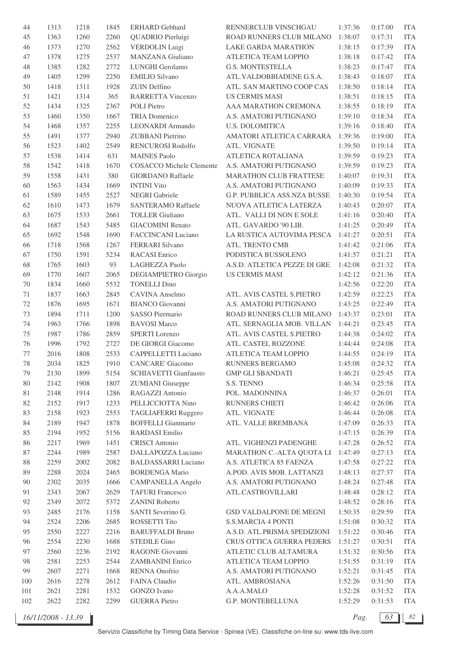| 44     | 1313 | 1218 | 1845 | <b>ERHARD</b> Gebhard           | RENNERCLUB VINSCHGAU         | 1:37:36 | 0:17:00 | <b>ITA</b> |
|--------|------|------|------|---------------------------------|------------------------------|---------|---------|------------|
| 45     | 1363 | 1260 | 2260 | QUADRIO Pierluigi               | ROAD RUNNERS CLUB MILANO     | 1:38:07 | 0:17:31 | <b>ITA</b> |
| 46     | 1373 | 1270 | 2562 | <b>VERDOLIN</b> Luigi           | LAKE GARDA MARATHON          | 1:38:15 | 0:17:39 | <b>ITA</b> |
| 47     | 1378 | 1275 | 2537 | MANZANA Giuliano                | ATLETICA TEAM LOPPIO         | 1:38:18 | 0:17:42 | <b>ITA</b> |
| 48     | 1385 | 1282 | 2772 | LUNGHI Gerolamo                 | <b>G.S. MONTESTELLA</b>      | 1:38:23 | 0:17:47 | <b>ITA</b> |
| 49     | 1405 | 1299 | 2250 | <b>EMILIO</b> Silvano           | ATL.VALDOBBIADENE G.S.A.     | 1:38:43 | 0:18:07 | <b>ITA</b> |
| 50     | 1418 | 1311 | 1928 | ZUIN Delfino                    | ATL. SAN MARTINO COOP CAS    | 1:38:50 | 0:18:14 | <b>ITA</b> |
| 51     | 1421 | 1314 | 365  | <b>BARRETTA Vincenzo</b>        | <b>US CERMIS MASI</b>        | 1:38:51 | 0:18:15 | <b>ITA</b> |
| 52     | 1434 | 1325 | 2367 | <b>POLI</b> Pietro              | AAA MARATHON CREMONA         | 1:38:55 | 0:18:19 | <b>ITA</b> |
| 53     | 1460 | 1350 | 1667 | <b>TRIA Domenico</b>            | A.S. AMATORI PUTIGNANO       | 1:39:10 | 0:18:34 | <b>ITA</b> |
| 54     | 1468 | 1357 | 2255 | LEONARDI Armando                | <b>U.S. DOLOMITICA</b>       | 1:39:16 | 0:18:40 | <b>ITA</b> |
| 55     | 1491 | 1377 | 2940 | ZUBBANI Pietrino                | AMATORI ATLETICA CARRARA     | 1:39:36 | 0:19:00 | <b>ITA</b> |
| 56     | 1523 | 1402 | 2549 | RENCUROSI Rodolfo               | ATL. VIGNATE                 | 1:39:50 | 0:19:14 | <b>ITA</b> |
| 57     | 1538 | 1414 | 631  | <b>MAINES Paolo</b>             | ATLETICA ROTALIANA           | 1:39:59 | 0:19:23 | <b>ITA</b> |
| 58     | 1542 | 1418 | 1670 | <b>COSACCO</b> Michele Clemente | A.S. AMATORI PUTIGNANO       | 1:39:59 | 0:19:23 | <b>ITA</b> |
| 59     | 1558 | 1431 | 380  | <b>GIORDANO Raffaele</b>        | MARATHON CLUB FRATTESE       | 1:40:07 | 0:19:31 | <b>ITA</b> |
|        |      | 1434 | 1669 | <b>INTINI Vito</b>              | A.S. AMATORI PUTIGNANO       | 1:40:09 | 0:19:33 | <b>ITA</b> |
| 60     | 1563 |      |      | <b>NEGRI</b> Gabriele           |                              |         |         |            |
| 61     | 1589 | 1455 | 2527 |                                 | G.P. PUBBLICA ASS.NZA BUSSE  | 1:40:30 | 0:19:54 | <b>ITA</b> |
| 62     | 1610 | 1473 | 1679 | <b>SANTERAMO Raffaele</b>       | NUOVA ATLETICA LATERZA       | 1:40:43 | 0:20:07 | <b>ITA</b> |
| 63     | 1675 | 1533 | 2661 | <b>TOLLER</b> Giuliano          | ATL. VALLI DI NON E SOLE     | 1:41:16 | 0:20:40 | <b>ITA</b> |
| 64     | 1687 | 1543 | 5485 | <b>GIACOMINI Renato</b>         | ATL. GAVARDO '90 LIB.        | 1:41:25 | 0:20:49 | <b>ITA</b> |
| 65     | 1692 | 1548 | 1690 | <b>FACCINCANI Luciano</b>       | LA RUSTICA AUTOVIMA PESCA    | 1:41:27 | 0:20:51 | <b>ITA</b> |
| 66     | 1718 | 1568 | 1267 | FERRARI Silvano                 | ATL. TRENTO CMB              | 1:41:42 | 0:21:06 | <b>ITA</b> |
| 67     | 1750 | 1591 | 5234 | <b>RACASI</b> Enrico            | PODISTICA BUSSOLENO          | 1:41:57 | 0:21:21 | <b>ITA</b> |
| 68     | 1765 | 1603 | 93   | LAGHEZZA Paolo                  | A.S.D. ATLETICA PEZZE DI GRE | 1:42:08 | 0:21:32 | <b>ITA</b> |
| 69     | 1770 | 1607 | 2065 | DEGIAMPIETRO Giorgio            | <b>US CERMIS MASI</b>        | 1:42:12 | 0:21:36 | <b>ITA</b> |
| 70     | 1834 | 1660 | 5532 | <b>TONELLI Dino</b>             |                              | 1:42:56 | 0:22:20 | <b>ITA</b> |
| 71     | 1837 | 1663 | 2845 | CAVINA Anselmo                  | ATL. AVIS CASTEL S.PIETRO    | 1:42:59 | 0:22:23 | <b>ITA</b> |
| 72     | 1876 | 1695 | 1671 | <b>BIANCO</b> Giovanni          | A.S. AMATORI PUTIGNANO       | 1:43:25 | 0:22:49 | <b>ITA</b> |
| 73     | 1894 | 1711 | 1200 | SASSO Piermario                 | ROAD RUNNERS CLUB MILANO     | 1:43:37 | 0:23:01 | <b>ITA</b> |
| 74     | 1963 | 1766 | 1898 | <b>BAVOSI</b> Marco             | ATL. SERNAGLIA MOB. VILLAN   | 1:44:21 | 0:23:45 | <b>ITA</b> |
| 75     | 1987 | 1786 | 2859 | <b>SPERTI</b> Lorenzo           | ATL. AVIS CASTEL S.PIETRO    | 1:44:38 | 0:24:02 | <b>ITA</b> |
| 76     | 1996 | 1792 | 2727 | DE GIORGI Giacomo               | ATL. CASTEL ROZZONE          | 1:44:44 | 0:24:08 | <b>ITA</b> |
| 77     | 2016 | 1808 | 2533 | <b>CAPPELLETTI Luciano</b>      | ATLETICA TEAM LOPPIO         | 1:44:55 | 0:24:19 | <b>ITA</b> |
| 78     | 2034 | 1825 | 1910 | <b>CANCARE'</b> Giacomo         | <b>RUNNERS BERGAMO</b>       | 1:45:08 | 0:24:32 | <b>ITA</b> |
| 79     | 2130 | 1899 | 5154 | <b>SCHIAVETTI Gianfausto</b>    | <b>GMP GLI SBANDATI</b>      | 1:46:21 | 0:25:45 | ITA        |
| 80     | 2142 | 1908 | 1807 | <b>ZUMIANI</b> Giuseppe         | S.S. TENNO                   | 1:46:34 | 0:25:58 | <b>ITA</b> |
| 81     | 2148 | 1914 | 1286 | RAGAZZI Antonio                 | POL. MADONNINA               | 1:46:37 | 0:26:01 | <b>ITA</b> |
| 82     | 2152 | 1917 | 1233 | PELLICCIOTTA Nino               | RUNNERS CHIETI               | 1:46:42 | 0:26:06 | <b>ITA</b> |
| 83     | 2158 | 1923 | 2553 | TAGLIAFERRI Ruggero             | ATL. VIGNATE                 | 1:46:44 | 0:26:08 | <b>ITA</b> |
| 84     | 2189 | 1947 | 1878 | <b>BOFFELLI</b> Gianmario       | ATL. VALLE BREMBANA          | 1:47:09 | 0:26:33 | <b>ITA</b> |
| 85     | 2194 | 1952 | 5156 | <b>BARDASI</b> Emilio           |                              | 1:47:15 | 0:26:39 | <b>ITA</b> |
| 86     | 2217 | 1969 | 1451 | <b>CRISCI</b> Antonio           | ATL. VIGHENZI PADENGHE       | 1:47:28 | 0:26:52 | <b>ITA</b> |
| 87     | 2244 | 1989 | 2587 | DALLAPOZZA Luciano              | MARATHON C.-ALTA QUOTA LI    | 1:47:49 | 0:27:13 | <b>ITA</b> |
| $88\,$ | 2259 | 2002 | 2082 | <b>BALDASSARRI Luciano</b>      | A.S. ATLETICA 85 FAENZA      | 1:47:58 | 0:27:22 | <b>ITA</b> |
| 89     | 2288 | 2024 | 2465 | <b>BORDENGA Mario</b>           | A.POD. AVIS MOB. LATTANZI    | 1:48:13 | 0:27:37 | <b>ITA</b> |
| 90     | 2302 | 2035 | 1666 | <b>CAMPANELLA</b> Angelo        | A.S. AMATORI PUTIGNANO       | 1:48:24 | 0:27:48 | <b>ITA</b> |
| 91     | 2343 | 2067 | 2629 | <b>TAFURI</b> Francesco         | ATL.CASTROVILLARI            | 1:48:48 | 0:28:12 | <b>ITA</b> |
| 92     | 2349 | 2072 | 5372 | <b>ZANINI Roberto</b>           |                              | 1:48:52 | 0:28:16 | <b>ITA</b> |
| 93     | 2485 | 2176 | 1158 | SANTI Severino G.               | GSD VALDALPONE DE MEGNI      | 1:50:35 | 0:29:59 | <b>ITA</b> |
| 94     | 2524 | 2206 | 2685 | ROSSETTI Tito                   | <b>S.S.MARCIA 4 PONTI</b>    | 1:51:08 | 0:30:32 | <b>ITA</b> |
| 95     | 2550 | 2227 | 2216 | <b>BARUFFALDI Bruno</b>         | A.S.D. ATL.PRISMA SPEDIZIONI | 1:51:22 | 0:30:46 | <b>ITA</b> |
| 96     | 2554 | 2230 | 1688 | <b>STEDILE Gino</b>             | CRUS OTTICA GUERRA PEDERS    | 1:51:27 | 0:30:51 | <b>ITA</b> |
| 97     | 2560 | 2236 | 2192 | RAGONE Giovanni                 | ATLETIC CLUB ALTAMURA        | 1:51:32 | 0:30:56 | <b>ITA</b> |
| 98     | 2581 | 2253 | 2544 | <b>ZAMBANINI Enrico</b>         | ATLETICA TEAM LOPPIO         | 1:51:55 | 0:31:19 | <b>ITA</b> |
| 99     | 2607 | 2271 | 1668 | RENNA Onofrio                   | A.S. AMATORI PUTIGNANO       | 1:52:21 | 0:31:45 | <b>ITA</b> |
| 100    | 2616 | 2278 | 2612 | FAINA Claudio                   | ATL. AMBROSIANA              | 1:52:26 | 0:31:50 | <b>ITA</b> |
| 101    | 2621 | 2281 | 1532 | <b>GONZO</b> Ivano              | A.A.A.MALO                   | 1:52:28 | 0:31:52 | <b>ITA</b> |
| 102    | 2622 | 2282 | 2299 | <b>GUERRA</b> Pietro            | G.P. MONTEBELLUNA            | 1:52:29 | 0:31:53 | <b>ITA</b> |
|        |      |      |      |                                 |                              |         |         |            |

*16/11/2008 - 13.39 Pag. 63 82*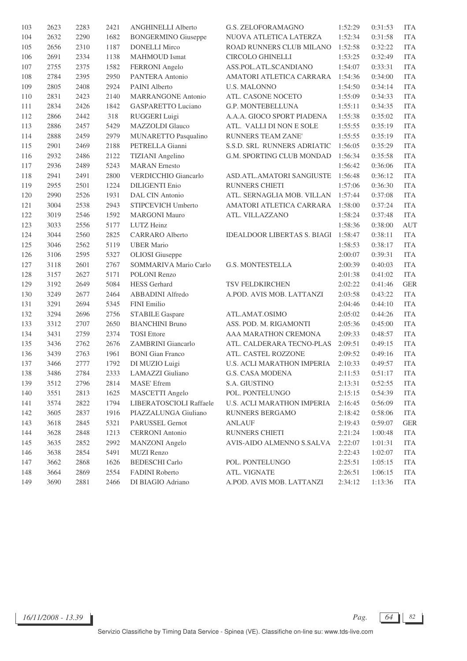| 103 | 2623 | 2283 | 2421 | <b>ANGHINELLI Alberto</b>   | <b>G.S. ZELOFORAMAGNO</b>          | 1:52:29 | 0:31:53 | <b>ITA</b>  |
|-----|------|------|------|-----------------------------|------------------------------------|---------|---------|-------------|
| 104 | 2632 | 2290 | 1682 | <b>BONGERMINO</b> Giuseppe  | NUOVA ATLETICA LATERZA             | 1:52:34 | 0:31:58 | <b>ITA</b>  |
| 105 | 2656 | 2310 | 1187 | <b>DONELLI Mirco</b>        | ROAD RUNNERS CLUB MILANO           | 1:52:58 | 0:32:22 | <b>ITA</b>  |
| 106 | 2691 | 2334 | 1138 | <b>MAHMOUD</b> Ismat        | CIRCOLO GHINELLI                   | 1:53:25 | 0:32:49 | <b>ITA</b>  |
| 107 | 2755 | 2375 | 1582 | FERRONI Angelo              | ASS.POL.ATL.SCANDIANO              | 1:54:07 | 0:33:31 | <b>ITA</b>  |
| 108 | 2784 | 2395 | 2950 | PANTERA Antonio             | AMATORI ATLETICA CARRARA           | 1:54:36 | 0:34:00 | <b>ITA</b>  |
| 109 | 2805 | 2408 | 2924 | <b>PAINI</b> Alberto        | <b>U.S. MALONNO</b>                | 1:54:50 | 0:34:14 | <b>ITA</b>  |
| 110 | 2831 | 2423 | 2140 | <b>MARRANGONE Antonio</b>   | ATL. CASONE NOCETO                 | 1:55:09 | 0:34:33 | <b>ITA</b>  |
| 111 | 2834 | 2426 | 1842 | <b>GASPARETTO Luciano</b>   | G.P. MONTEBELLUNA                  | 1:55:11 | 0:34:35 | <b>ITA</b>  |
| 112 | 2866 | 2442 | 318  | RUGGERI Luigi               | A.A.A. GIOCO SPORT PIADENA         | 1:55:38 | 0:35:02 | <b>ITA</b>  |
| 113 | 2886 | 2457 | 5429 | <b>MAZZOLDI</b> Glauco      | ATL. VALLI DI NON E SOLE           | 1:55:55 | 0:35:19 | <b>ITA</b>  |
| 114 | 2888 | 2459 | 2979 | MUNARETTO Pasqualino        | RUNNERS TEAM ZANE'                 | 1:55:55 | 0:35:19 | <b>ITA</b>  |
| 115 | 2901 | 2469 | 2188 | PETRELLA Gianni             | S.S.D. SRL RUNNERS ADRIATIC        | 1:56:05 | 0:35:29 | <b>ITA</b>  |
| 116 | 2932 | 2486 | 2122 | <b>TIZIANI</b> Angelino     | G.M. SPORTING CLUB MONDAD          | 1:56:34 | 0:35:58 | <b>ITA</b>  |
| 117 | 2936 | 2489 | 5243 | <b>MARAN</b> Ernesto        |                                    | 1:56:42 | 0:36:06 | <b>ITA</b>  |
| 118 | 2941 | 2491 | 2800 | <b>VERDICCHIO Giancarlo</b> | ASD.ATL.AMATORI SANGIUSTE          | 1:56:48 | 0:36:12 | <b>ITA</b>  |
| 119 | 2955 | 2501 | 1224 | <b>DILIGENTI Enio</b>       | RUNNERS CHIETI                     | 1:57:06 | 0:36:30 | <b>ITA</b>  |
| 120 | 2990 | 2526 | 1931 | DAL CIN Antonio             | ATL. SERNAGLIA MOB. VILLAN         | 1:57:44 | 0:37:08 | <b>ITA</b>  |
| 121 | 3004 | 2538 | 2943 | STIPCEVICH Umberto          | AMATORI ATLETICA CARRARA           | 1:58:00 | 0:37:24 | <b>ITA</b>  |
| 122 | 3019 | 2546 | 1592 | <b>MARGONI Mauro</b>        | ATL. VILLAZZANO                    | 1:58:24 | 0:37:48 | <b>ITA</b>  |
| 123 | 3033 | 2556 | 5177 | LUTZ Heinz                  |                                    | 1:58:36 | 0:38:00 | <b>AUT</b>  |
| 124 | 3044 | 2560 | 2825 | <b>CARRARO</b> Alberto      | <b>IDEALDOOR LIBERTAS S. BIAGI</b> | 1:58:47 | 0:38:11 | <b>ITA</b>  |
| 125 | 3046 | 2562 | 5119 | <b>UBER Mario</b>           |                                    | 1:58:53 | 0:38:17 | <b>ITA</b>  |
| 126 | 3106 | 2595 | 5327 | <b>OLIOSI</b> Giuseppe      |                                    | 2:00:07 | 0:39:31 | <b>ITA</b>  |
| 127 | 3118 | 2601 | 2767 | SOMMARIVA Mario Carlo       | <b>G.S. MONTESTELLA</b>            | 2:00:39 | 0:40:03 | <b>ITA</b>  |
| 128 | 3157 | 2627 | 5171 | <b>POLONI Renzo</b>         |                                    | 2:01:38 | 0:41:02 | <b>ITA</b>  |
| 129 | 3192 | 2649 | 5084 | <b>HESS</b> Gerhard         | TSV FELDKIRCHEN                    | 2:02:22 | 0:41:46 | <b>GER</b>  |
| 130 | 3249 | 2677 | 2464 | ABBADINI Alfredo            | A.POD. AVIS MOB. LATTANZI          | 2:03:58 | 0:43:22 | <b>ITA</b>  |
| 131 | 3291 | 2694 | 5345 | FINI Emilio                 |                                    | 2:04:46 | 0:44:10 | <b>ITA</b>  |
| 132 | 3294 | 2696 | 2756 | <b>STABILE Gaspare</b>      | ATL.AMAT.OSIMO                     | 2:05:02 | 0:44:26 | <b>ITA</b>  |
| 133 | 3312 | 2707 | 2650 | <b>BIANCHINI Bruno</b>      | ASS. POD. M. RIGAMONTI             | 2:05:36 | 0:45:00 | <b>ITA</b>  |
| 134 | 3431 | 2759 | 2374 | <b>TOSI</b> Ettore          | AAA MARATHON CREMONA               | 2:09:33 | 0:48:57 | <b>ITA</b>  |
| 135 | 3436 | 2762 | 2676 | <b>ZAMBRINI</b> Giancarlo   | ATL. CALDERARA TECNO-PLAS          | 2:09:51 | 0:49:15 | <b>ITA</b>  |
| 136 | 3439 | 2763 | 1961 | <b>BONI</b> Gian Franco     | ATL. CASTEL ROZZONE                | 2:09:52 | 0:49:16 | <b>ITA</b>  |
| 137 | 3466 | 2777 | 1792 | DI MUZIO Luigi              | U.S. ACLI MARATHON IMPERIA         | 2:10:33 | 0:49:57 | <b>ITA</b>  |
| 138 | 3486 | 2784 | 2333 | LAMAZZI Giuliano            | G.S. CASA MODENA                   | 2:11:53 | 0:51:17 | <b>ITA</b>  |
| 139 | 3512 | 2796 | 2814 | <b>MASE'</b> Efrem          | S.A. GIUSTINO                      | 2:13:31 | 0:52:55 | <b>ITA</b>  |
| 140 | 3551 | 2813 | 1625 | MASCETTI Angelo             | POL. PONTELUNGO                    | 2:15:15 | 0:54:39 | <b>ITA</b>  |
| 141 | 3574 | 2822 | 1794 | LIBERATOSCIOLI Raffaele     | <b>U.S. ACLI MARATHON IMPERIA</b>  | 2:16:45 | 0:56:09 | <b>ITA</b>  |
| 142 | 3605 | 2837 | 1916 | PIAZZALUNGA Giuliano        | RUNNERS BERGAMO                    | 2:18:42 | 0:58:06 | <b>ITA</b>  |
| 143 | 3618 | 2845 | 5321 | PARUSSEL Gernot             | <b>ANLAUF</b>                      | 2:19:43 | 0:59:07 | ${\tt GER}$ |
| 144 | 3628 | 2848 | 1213 | <b>CERRONI</b> Antonio      | RUNNERS CHIETI                     | 2:21:24 | 1:00:48 | <b>ITA</b>  |
| 145 | 3635 | 2852 | 2992 | <b>MANZONI</b> Angelo       | AVIS-AIDO ALMENNO S.SALVA          | 2:22:07 | 1:01:31 | <b>ITA</b>  |
| 146 | 3638 | 2854 | 5491 | <b>MUZI Renzo</b>           |                                    | 2:22:43 | 1:02:07 | <b>ITA</b>  |
| 147 | 3662 | 2868 | 1626 | <b>BEDESCHI</b> Carlo       | POL. PONTELUNGO                    | 2:25:51 | 1:05:15 | <b>ITA</b>  |
| 148 | 3664 | 2869 | 2554 | <b>FADINI Roberto</b>       | ATL. VIGNATE                       | 2:26:51 | 1:06:15 | <b>ITA</b>  |
| 149 | 3690 | 2881 | 2466 | DI BIAGIO Adriano           | A.POD. AVIS MOB. LATTANZI          | 2:34:12 | 1:13:36 | <b>ITA</b>  |

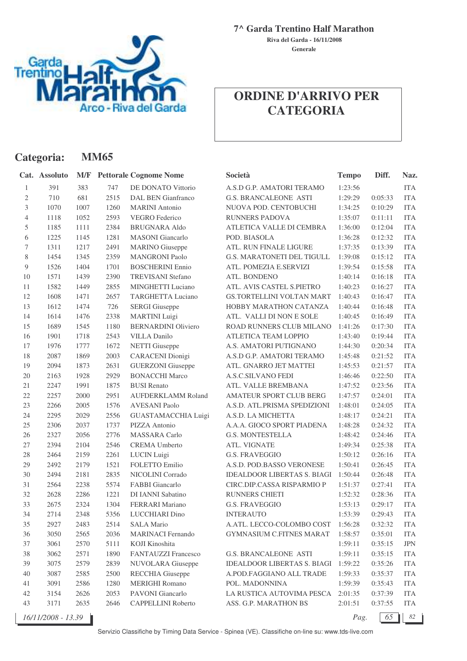

**Categoria: MM65**

**7^ Garda Trentino Half Marathon**

**Generale Riva del Garda - 16/11/2008**

# **ORDINE D'ARRIVO PER CATEGORIA**

|        | Cat. Assoluto      | M/F  |      | <b>Pettorale Cognome Nome</b> | Società                            | <b>Tempo</b> | Diff.   | Naz.       |
|--------|--------------------|------|------|-------------------------------|------------------------------------|--------------|---------|------------|
| 1      | 391                | 383  | 747  | DE DONATO Vittorio            | A.S.D G.P. AMATORI TERAMO          | 1:23:56      |         | <b>ITA</b> |
| 2      | 710                | 681  | 2515 | DAL BEN Gianfranco            | <b>G.S. BRANCALEONE ASTI</b>       | 1:29:29      | 0:05:33 | <b>ITA</b> |
| 3      | 1070               | 1007 | 1260 | <b>MARINI</b> Antonio         | NUOVA POD. CENTOBUCHI              | 1:34:25      | 0:10:29 | <b>ITA</b> |
| 4      | 1118               | 1052 | 2593 | <b>VEGRO</b> Federico         | <b>RUNNERS PADOVA</b>              | 1:35:07      | 0:11:11 | <b>ITA</b> |
| 5      | 1185               | 1111 | 2384 | <b>BRUGNARA Aldo</b>          | ATLETICA VALLE DI CEMBRA           | 1:36:00      | 0:12:04 | <b>ITA</b> |
| 6      | 1225               | 1145 | 1281 | <b>MASONI</b> Giancarlo       | POD. BIASOLA                       | 1:36:28      | 0:12:32 | <b>ITA</b> |
| 7      | 1311               | 1217 | 2491 | <b>MARINO</b> Giuseppe        | ATL. RUN FINALE LIGURE             | 1:37:35      | 0:13:39 | <b>ITA</b> |
| 8      | 1454               | 1345 | 2359 | <b>MANGRONI Paolo</b>         | G.S. MARATONETI DEL TIGULL         | 1:39:08      | 0:15:12 | <b>ITA</b> |
| 9      | 1526               | 1404 | 1701 | <b>BOSCHERINI</b> Ennio       | ATL. POMEZIA E.SERVIZI             | 1:39:54      | 0:15:58 | <b>ITA</b> |
| 10     | 1571               | 1439 | 2390 | <b>TREVISANI Stefano</b>      | ATL. BONDENO                       | 1:40:14      | 0:16:18 | <b>ITA</b> |
| 11     | 1582               | 1449 | 2855 | MINGHETTI Luciano             | ATL. AVIS CASTEL S.PIETRO          | 1:40:23      | 0:16:27 | <b>ITA</b> |
| 12     | 1608               | 1471 | 2657 | <b>TARGHETTA Luciano</b>      | GS.TORTELLINI VOLTAN MART          | 1:40:43      | 0:16:47 | <b>ITA</b> |
| 13     | 1612               | 1474 | 726  | <b>SERGI</b> Giuseppe         | HOBBY MARATHON CATANZA             | 1:40:44      | 0:16:48 | <b>ITA</b> |
| 14     | 1614               | 1476 | 2338 | <b>MARTINI</b> Luigi          | ATL. VALLI DI NON E SOLE           | 1:40:45      | 0:16:49 | <b>ITA</b> |
| 15     | 1689               | 1545 | 1180 | <b>BERNARDINI Oliviero</b>    | ROAD RUNNERS CLUB MILANO           | 1:41:26      | 0:17:30 | <b>ITA</b> |
| 16     | 1901               | 1718 | 2543 | <b>VILLA Danilo</b>           | <b>ATLETICA TEAM LOPPIO</b>        | 1:43:40      | 0:19:44 | <b>ITA</b> |
| 17     | 1976               | 1777 | 1672 | <b>NETTI</b> Giuseppe         | A.S. AMATORI PUTIGNANO             | 1:44:30      | 0:20:34 | <b>ITA</b> |
| 18     | 2087               | 1869 | 2003 | <b>CARACENI</b> Dionigi       | A.S.D G.P. AMATORI TERAMO          | 1:45:48      | 0:21:52 | <b>ITA</b> |
| 19     | 2094               | 1873 | 2631 | <b>GUERZONI</b> Giuseppe      | ATL. GNARRO JET MATTEI             | 1:45:53      | 0:21:57 | <b>ITA</b> |
| 20     | 2163               | 1928 | 2929 | <b>BONACCHI Marco</b>         | <b>A.S.C.SILVANO FEDI</b>          | 1:46:46      | 0:22:50 | <b>ITA</b> |
| 21     | 2247               | 1991 | 1875 | <b>BUSI</b> Renato            | ATL. VALLE BREMBANA                | 1:47:52      | 0:23:56 | <b>ITA</b> |
| $22\,$ | 2257               | 2000 | 2951 | <b>AUFDERKLAMM Roland</b>     | AMATEUR SPORT CLUB BERG            | 1:47:57      | 0:24:01 | <b>ITA</b> |
| 23     | 2266               | 2005 | 1576 | <b>AVESANI Paolo</b>          | A.S.D. ATL.PRISMA SPEDIZIONI       | 1:48:01      | 0:24:05 | <b>ITA</b> |
| 24     | 2295               | 2029 | 2556 | GUASTAMACCHIA Luigi           | A.S.D. LA MICHETTA                 | 1:48:17      | 0:24:21 | <b>ITA</b> |
| 25     | 2306               | 2037 | 1737 | PIZZA Antonio                 | A.A.A. GIOCO SPORT PIADENA         | 1:48:28      | 0:24:32 | <b>ITA</b> |
| 26     | 2327               | 2056 | 2776 | <b>MASSARA</b> Carlo          | <b>G.S. MONTESTELLA</b>            | 1:48:42      | 0:24:46 | <b>ITA</b> |
| 27     | 2394               | 2104 | 2546 | <b>CREMA Umberto</b>          | ATL. VIGNATE                       | 1:49:34      | 0:25:38 | <b>ITA</b> |
| 28     | 2464               | 2159 | 2261 | <b>LUCIN</b> Luigi            | <b>G.S. FRAVEGGIO</b>              | 1:50:12      | 0:26:16 | <b>ITA</b> |
| 29     | 2492               | 2179 | 1521 | FOLETTO Emilio                | A.S.D. POD.BASSO VERONESE          | 1:50:41      | 0:26:45 | <b>ITA</b> |
| 30     | 2494               | 2181 | 2835 | NICOLINI Corrado              | <b>IDEALDOOR LIBERTAS S. BIAGI</b> | 1:50:44      | 0:26:48 | <b>ITA</b> |
| 31     | 2564               | 2238 | 5574 | <b>FABBI</b> Giancarlo        | CIRC.DIP.CASSA RISPARMIO P         | 1:51:37      | 0:27:41 | <b>ITA</b> |
| 32     | 2628               | 2286 | 1221 | DI IANNI Sabatino             | <b>RUNNERS CHIETI</b>              | 1:52:32      | 0:28:36 | <b>ITA</b> |
| 33     | 2675               | 2324 | 1304 | <b>FERRARI</b> Mariano        | <b>G.S. FRAVEGGIO</b>              | 1:53:13      | 0:29:17 | <b>ITA</b> |
| 34     | 2714               | 2348 | 5356 | LUCCHIARI Dino                | <b>INTERAUTO</b>                   | 1:53:39      | 0:29:43 | ITA        |
| 35     | 2927               | 2483 | 2514 | <b>SALA Mario</b>             | A.ATL. LECCO-COLOMBO COST          | 1:56:28      | 0:32:32 | <b>ITA</b> |
| 36     | 3050               | 2565 | 2036 | <b>MARINACI Fernando</b>      | <b>GYMNASIUM C.FITNES MARAT</b>    | 1:58:57      | 0:35:01 | <b>ITA</b> |
| 37     | 3061               | 2570 | 5111 | KOJI Kinoshita                |                                    | 1:59:11      | 0:35:15 | JPN        |
| 38     | 3062               | 2571 | 1890 | FANTAUZZI Francesco           | G.S. BRANCALEONE ASTI              | 1:59:11      | 0:35:15 | <b>ITA</b> |
| 39     | 3075               | 2579 | 2839 | NUVOLARA Giuseppe             | <b>IDEALDOOR LIBERTAS S. BIAGI</b> | 1:59:22      | 0:35:26 | <b>ITA</b> |
| 40     | 3087               | 2585 | 2500 | RECCHIA Giuseppe              | A.POD.FAGGIANO ALL TRADE           | 1:59:33      | 0:35:37 | <b>ITA</b> |
| 41     | 3091               | 2586 | 1280 | <b>MERIGHI Romano</b>         | POL. MADONNINA                     | 1:59:39      | 0:35:43 | <b>ITA</b> |
| 42     | 3154               | 2626 | 2053 | PAVONI Giancarlo              | LA RUSTICA AUTOVIMA PESCA          | 2:01:35      | 0:37:39 | <b>ITA</b> |
| 43     | 3171               | 2635 | 2646 | CAPPELLINI Roberto            | ASS. G.P. MARATHON BS              | 2:01:51      | 0:37:55 | <b>ITA</b> |
|        | 16/11/2008 - 13.39 |      |      |                               |                                    | Pag.         | 65      | 82         |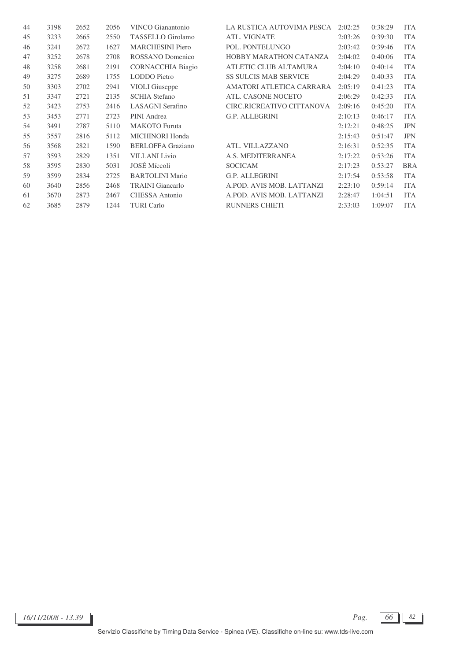| 44 | 3198 | 2652 | 2056 | VINCO Gianantonio        | LA RUSTICA AUTOVIMA PESCA     | 2:02:25 | 0:38:29 | <b>ITA</b> |
|----|------|------|------|--------------------------|-------------------------------|---------|---------|------------|
| 45 | 3233 | 2665 | 2550 | <b>TASSELLO</b> Girolamo | <b>ATL. VIGNATE</b>           | 2:03:26 | 0:39:30 | <b>ITA</b> |
| 46 | 3241 | 2672 | 1627 | <b>MARCHESINI</b> Piero  | POL. PONTELUNGO               | 2:03:42 | 0:39:46 | <b>ITA</b> |
| 47 | 3252 | 2678 | 2708 | ROSSANO Domenico         | <b>HOBBY MARATHON CATANZA</b> | 2:04:02 | 0:40:06 | <b>ITA</b> |
| 48 | 3258 | 2681 | 2191 | <b>CORNACCHIA Biagio</b> | ATLETIC CLUB ALTAMURA         | 2:04:10 | 0:40:14 | <b>ITA</b> |
| 49 | 3275 | 2689 | 1755 | <b>LODDO</b> Pietro      | <b>SS SULCIS MAB SERVICE</b>  | 2:04:29 | 0:40:33 | <b>ITA</b> |
| 50 | 3303 | 2702 | 2941 | <b>VIOLI</b> Giuseppe    | AMATORI ATLETICA CARRARA      | 2:05:19 | 0:41:23 | <b>ITA</b> |
| 51 | 3347 | 2721 | 2135 | <b>SCHIA Stefano</b>     | ATL. CASONE NOCETO            | 2:06:29 | 0:42:33 | <b>ITA</b> |
| 52 | 3423 | 2753 | 2416 | <b>LASAGNI</b> Serafino  | CIRC.RICREATIVO CITTANOVA     | 2:09:16 | 0:45:20 | <b>ITA</b> |
| 53 | 3453 | 2771 | 2723 | PINI Andrea              | <b>G.P. ALLEGRINI</b>         | 2:10:13 | 0:46:17 | <b>ITA</b> |
| 54 | 3491 | 2787 | 5110 | <b>MAKOTO</b> Furuta     |                               | 2:12:21 | 0:48:25 | <b>JPN</b> |
| 55 | 3557 | 2816 | 5112 | <b>MICHINORI Honda</b>   |                               | 2:15:43 | 0:51:47 | <b>JPN</b> |
| 56 | 3568 | 2821 | 1590 | <b>BERLOFFA</b> Graziano | ATL. VILLAZZANO               | 2:16:31 | 0:52:35 | <b>ITA</b> |
| 57 | 3593 | 2829 | 1351 | <b>VILLANI</b> Livio     | A.S. MEDITERRANEA             | 2:17:22 | 0:53:26 | <b>ITA</b> |
| 58 | 3595 | 2830 | 5031 | <b>JOSÉ</b> Míccoli      | <b>SOCICAM</b>                | 2:17:23 | 0:53:27 | <b>BRA</b> |
| 59 | 3599 | 2834 | 2725 | <b>BARTOLINI Mario</b>   | G.P. ALLEGRINI                | 2:17:54 | 0:53:58 | <b>ITA</b> |
| 60 | 3640 | 2856 | 2468 | <b>TRAINI</b> Giancarlo  | A.POD. AVIS MOB. LATTANZI     | 2:23:10 | 0:59:14 | <b>ITA</b> |
| 61 | 3670 | 2873 | 2467 | CHESSA Antonio           | A.POD. AVIS MOB. LATTANZI     | 2:28:47 | 1:04:51 | <b>ITA</b> |
| 62 | 3685 | 2879 | 1244 | <b>TURI</b> Carlo        | RUNNERS CHIETI                | 2:33:03 | 1:09:07 | <b>ITA</b> |

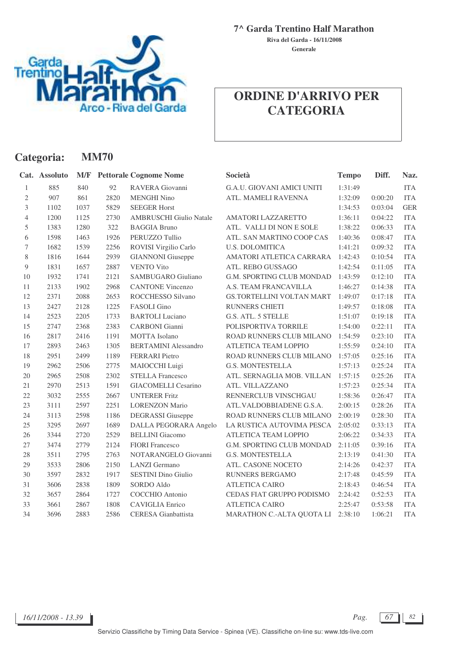

#### **7^ Garda Trentino Half Marathon**

**Generale Riva del Garda - 16/11/2008**

# **ORDINE D'ARRIVO PER CATEGORIA**

| Categoria:     |               | <b>MM70</b> |      |                                |                                   |              |         |            |  |  |  |  |
|----------------|---------------|-------------|------|--------------------------------|-----------------------------------|--------------|---------|------------|--|--|--|--|
|                | Cat. Assoluto | M/F         |      | <b>Pettorale Cognome Nome</b>  | Società                           | <b>Tempo</b> | Diff.   | Naz.       |  |  |  |  |
| $\mathbf{1}$   | 885           | 840         | 92   | RAVERA Giovanni                | <b>G.A.U. GIOVANI AMICI UNITI</b> | 1:31:49      |         | <b>ITA</b> |  |  |  |  |
| $\sqrt{2}$     | 907           | 861         | 2820 | <b>MENGHI Nino</b>             | ATL. MAMELI RAVENNA               | 1:32:09      | 0:00:20 | <b>ITA</b> |  |  |  |  |
| 3              | 1102          | 1037        | 5829 | <b>SEEGER Horst</b>            |                                   | 1:34:53      | 0:03:04 | <b>GER</b> |  |  |  |  |
| 4              | 1200          | 1125        | 2730 | <b>AMBRUSCHI Giulio Natale</b> | AMATORI LAZZARETTO                | 1:36:11      | 0:04:22 | <b>ITA</b> |  |  |  |  |
| 5              | 1383          | 1280        | 322  | <b>BAGGIA Bruno</b>            | ATL. VALLI DI NON E SOLE          | 1:38:22      | 0:06:33 | <b>ITA</b> |  |  |  |  |
| 6              | 1598          | 1463        | 1926 | PERUZZO Tullio                 | ATL. SAN MARTINO COOP CAS         | 1:40:36      | 0:08:47 | <b>ITA</b> |  |  |  |  |
| $\tau$         | 1682          | 1539        | 2256 | ROVISI Virgilio Carlo          | <b>U.S. DOLOMITICA</b>            | 1:41:21      | 0:09:32 | <b>ITA</b> |  |  |  |  |
| $8\,$          | 1816          | 1644        | 2939 | <b>GIANNONI</b> Giuseppe       | AMATORI ATLETICA CARRARA          | 1:42:43      | 0:10:54 | <b>ITA</b> |  |  |  |  |
| $\overline{9}$ | 1831          | 1657        | 2887 | <b>VENTO Vito</b>              | ATL. REBO GUSSAGO                 | 1:42:54      | 0:11:05 | <b>ITA</b> |  |  |  |  |
| 10             | 1932          | 1741        | 2121 | SAMBUGARO Giuliano             | G.M. SPORTING CLUB MONDAD         | 1:43:59      | 0:12:10 | <b>ITA</b> |  |  |  |  |
| 11             | 2133          | 1902        | 2968 | <b>CANTONE Vincenzo</b>        | A.S. TEAM FRANCAVILLA             | 1:46:27      | 0:14:38 | <b>ITA</b> |  |  |  |  |
| 12             | 2371          | 2088        | 2653 | ROCCHESSO Silvano              | <b>GS.TORTELLINI VOLTAN MART</b>  | 1:49:07      | 0:17:18 | <b>ITA</b> |  |  |  |  |
| 13             | 2427          | 2128        | 1225 | FASOLI Gino                    | RUNNERS CHIETI                    | 1:49:57      | 0:18:08 | <b>ITA</b> |  |  |  |  |
| 14             | 2523          | 2205        | 1733 | <b>BARTOLI</b> Luciano         | G.S. ATL. 5 STELLE                | 1:51:07      | 0:19:18 | <b>ITA</b> |  |  |  |  |
| 15             | 2747          | 2368        | 2383 | <b>CARBONI</b> Gianni          | POLISPORTIVA TORRILE              | 1:54:00      | 0:22:11 | <b>ITA</b> |  |  |  |  |
| 16             | 2817          | 2416        | 1191 | <b>MOTTA</b> Isolano           | ROAD RUNNERS CLUB MILANO          | 1:54:59      | 0:23:10 | <b>ITA</b> |  |  |  |  |
| 17             | 2893          | 2463        | 1305 | <b>BERTAMINI Alessandro</b>    | ATLETICA TEAM LOPPIO              | 1:55:59      | 0:24:10 | <b>ITA</b> |  |  |  |  |
| 18             | 2951          | 2499        | 1189 | FERRARI Pietro                 | ROAD RUNNERS CLUB MILANO          | 1:57:05      | 0:25:16 | <b>ITA</b> |  |  |  |  |
| 19             | 2962          | 2506        | 2775 | MAIOCCHI Luigi                 | <b>G.S. MONTESTELLA</b>           | 1:57:13      | 0:25:24 | <b>ITA</b> |  |  |  |  |
| 20             | 2965          | 2508        | 2302 | <b>STELLA Francesco</b>        | ATL. SERNAGLIA MOB. VILLAN        | 1:57:15      | 0:25:26 | <b>ITA</b> |  |  |  |  |
| 21             | 2970          | 2513        | 1591 | <b>GIACOMELLI Cesarino</b>     | ATL. VILLAZZANO                   | 1:57:23      | 0:25:34 | <b>ITA</b> |  |  |  |  |
| 22             | 3032          | 2555        | 2667 | <b>UNTERER Fritz</b>           | RENNERCLUB VINSCHGAU              | 1:58:36      | 0:26:47 | <b>ITA</b> |  |  |  |  |
| 23             | 3111          | 2597        | 2251 | <b>LORENZON Mario</b>          | ATL.VALDOBBIADENE G.S.A.          | 2:00:15      | 0:28:26 | <b>ITA</b> |  |  |  |  |
| 24             | 3113          | 2598        | 1186 | <b>DEGRASSI</b> Giuseppe       | ROAD RUNNERS CLUB MILANO          | 2:00:19      | 0:28:30 | <b>ITA</b> |  |  |  |  |
| 25             | 3295          | 2697        | 1689 | DALLA PEGORARA Angelo          | LA RUSTICA AUTOVIMA PESCA         | 2:05:02      | 0:33:13 | <b>ITA</b> |  |  |  |  |
| 26             | 3344          | 2720        | 2529 | <b>BELLINI</b> Giacomo         | ATLETICA TEAM LOPPIO              | 2:06:22      | 0:34:33 | <b>ITA</b> |  |  |  |  |
| 27             | 3474          | 2779        | 2124 | <b>FIORI</b> Francesco         | G.M. SPORTING CLUB MONDAD         | 2:11:05      | 0:39:16 | <b>ITA</b> |  |  |  |  |
| 28             | 3511          | 2795        | 2763 | NOTARANGELO Giovanni           | <b>G.S. MONTESTELLA</b>           | 2:13:19      | 0:41:30 | <b>ITA</b> |  |  |  |  |
| 29             | 3533          | 2806        | 2150 | <b>LANZI</b> Germano           | ATL. CASONE NOCETO                | 2:14:26      | 0:42:37 | <b>ITA</b> |  |  |  |  |
| 30             | 3597          | 2832        | 1917 | <b>SESTINI</b> Dino Giulio     | <b>RUNNERS BERGAMO</b>            | 2:17:48      | 0:45:59 | <b>ITA</b> |  |  |  |  |
| 31             | 3606          | 2838        | 1809 | SORDO Aldo                     | <b>ATLETICA CAIRO</b>             | 2:18:43      | 0:46:54 | <b>ITA</b> |  |  |  |  |
| 32             | 3657          | 2864        | 1727 | COCCHIO Antonio                | CEDAS FIAT GRUPPO PODISMO         | 2:24:42      | 0:52:53 | <b>ITA</b> |  |  |  |  |
| 33             | 3661          | 2867        | 1808 | <b>CAVIGLIA</b> Enrico         | <b>ATLETICA CAIRO</b>             | 2:25:47      | 0:53:58 | <b>ITA</b> |  |  |  |  |
| 34             | 3696          | 2883        | 2586 | <b>CERESA</b> Gianbattista     | MARATHON C.-ALTA QUOTA LI         | 2:38:10      | 1:06:21 | <b>ITA</b> |  |  |  |  |

*16/11/2008 - 13.39 Pag. 67 82*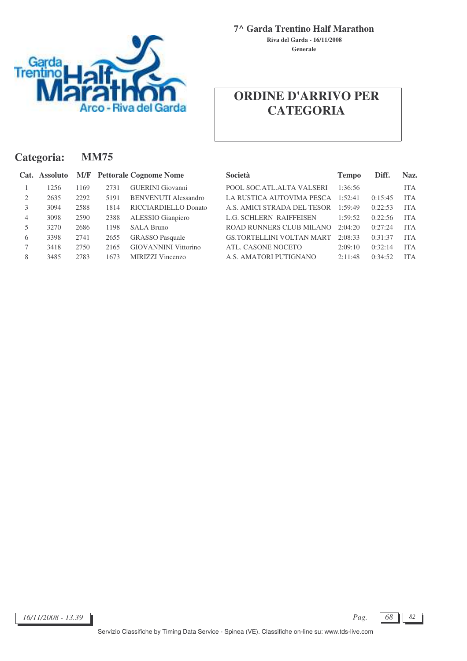

**7^ Garda Trentino Half Marathon**

**Generale Riva del Garda - 16/11/2008**

| Categoria: |               |      | <b>MM75</b> |                                   |                                  |              |         |            |  |  |  |  |
|------------|---------------|------|-------------|-----------------------------------|----------------------------------|--------------|---------|------------|--|--|--|--|
|            | Cat. Assoluto |      |             | <b>M/F</b> Pettorale Cognome Nome | <b>Società</b>                   | <b>Tempo</b> | Diff.   | Naz.       |  |  |  |  |
|            | 1256          | 1169 | 2731        | <b>GUERINI</b> Giovanni           | POOL SOC.ATL.ALTA VALSERI        | 1:36:56      |         | <b>ITA</b> |  |  |  |  |
| 2          | 2635          | 2292 | 5191        | <b>BENVENUTI Alessandro</b>       | LA RUSTICA AUTOVIMA PESCA        | 1:52:41      | 0:15:45 | <b>ITA</b> |  |  |  |  |
| 3          | 3094          | 2588 | 1814        | RICCIARDIELLO Donato              | A.S. AMICI STRADA DEL TESOR      | 1:59:49      | 0:22:53 | <b>ITA</b> |  |  |  |  |
| 4          | 3098          | 2590 | 2388        | ALESSIO Gianpiero                 | <b>L.G. SCHLERN RAIFFEISEN</b>   | 1:59:52      | 0:22:56 | <b>ITA</b> |  |  |  |  |
| 5          | 3270          | 2686 | 1198        | <b>SALA Bruno</b>                 | ROAD RUNNERS CLUB MILANO         | 2:04:20      | 0:27:24 | <b>ITA</b> |  |  |  |  |
| 6          | 3398          | 2741 | 2655        | <b>GRASSO</b> Pasquale            | <b>GS.TORTELLINI VOLTAN MART</b> | 2:08:33      | 0:31:37 | <b>ITA</b> |  |  |  |  |
| 7          | 3418          | 2750 | 2165        | <b>GIOVANNINI Vittorino</b>       | ATL. CASONE NOCETO               | 2:09:10      | 0:32:14 | <b>ITA</b> |  |  |  |  |
| 8          | 3485          | 2783 | 1673        | MIRIZZI Vincenzo                  | A.S. AMATORI PUTIGNANO           | 2:11:48      | 0:34:52 | <b>ITA</b> |  |  |  |  |

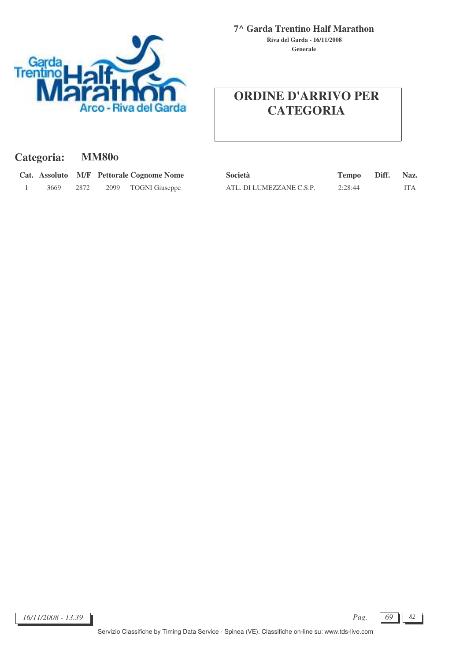

**Generale Riva del Garda - 16/11/2008**

| Categoria: | <b>MM80o</b> |
|------------|--------------|
|------------|--------------|

|      |      |      | Cat. Assoluto M/F Pettorale Cognome Nome |
|------|------|------|------------------------------------------|
| 3669 | 2872 | 2099 | <b>TOGNI</b> Giuseppe                    |

|      |      | Cat. Assoluto M/F Pettorale Cognome Nome | Società                  | Tempo Diff. Naz. |     |
|------|------|------------------------------------------|--------------------------|------------------|-----|
| 3669 | 2872 | 2099 TOGNI Giuseppe                      | ATL. DI LUMEZZANE C.S.P. | 2:28:44          | ITA |

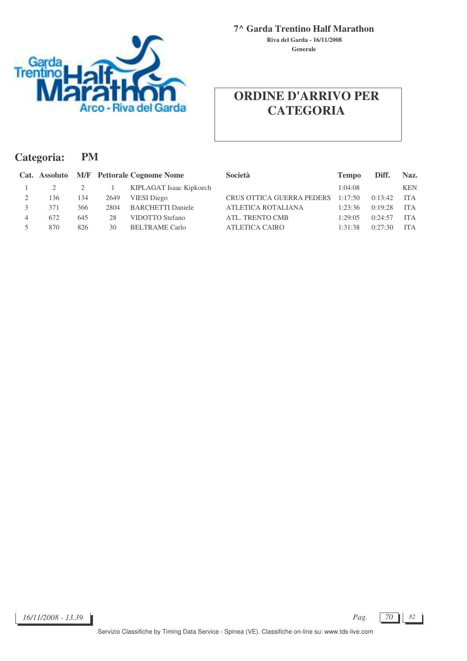

**7^ Garda Trentino Half Marathon**

**Generale Riva del Garda - 16/11/2008**

| Categoria: |     | <b>PM</b> |      |                                          |                                  |              |         |            |  |
|------------|-----|-----------|------|------------------------------------------|----------------------------------|--------------|---------|------------|--|
|            |     |           |      | Cat. Assoluto M/F Pettorale Cognome Nome | <b>Società</b>                   | <b>Tempo</b> | Diff.   | Naz.       |  |
|            |     |           |      | KIPLAGAT Isaac Kipkoech                  |                                  | 1:04:08      |         | <b>KEN</b> |  |
|            | 136 | 134       | 2649 | <b>VIESI</b> Diego                       | <b>CRUS OTTICA GUERRA PEDERS</b> | 1:17:50      | 0:13:42 | <b>ITA</b> |  |
|            | 371 | 366       | 2804 | <b>BARCHETTI Daniele</b>                 | ATLETICA ROTALIANA               | 1:23:36      | 0:19:28 | <b>ITA</b> |  |
| 4          | 672 | 645       | 28   | VIDOTTO Stefano                          | ATL. TRENTO CMB                  | 1:29:05      | 0:24:57 | <b>ITA</b> |  |
|            | 870 | 826       | 30   | <b>BELTRAME</b> Carlo                    | <b>ATLETICA CAIRO</b>            | 1:31:38      | 0:27:30 | <b>ITA</b> |  |
|            |     |           |      |                                          |                                  |              |         |            |  |

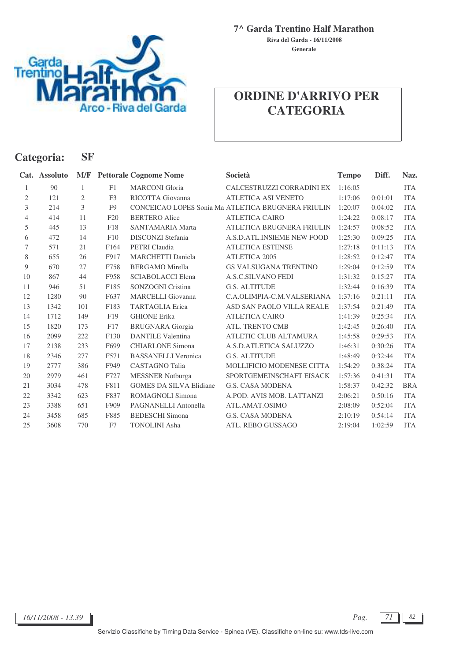

**Categoria: SF**

**7^ Garda Trentino Half Marathon**

**Generale Riva del Garda - 16/11/2008**

|                | Cat. Assoluto |                |                  | <b>M/F</b> Pettorale Cognome Nome | Società                                            | <b>Tempo</b> | Diff.   | Naz.       |
|----------------|---------------|----------------|------------------|-----------------------------------|----------------------------------------------------|--------------|---------|------------|
| 1              | 90            | $\mathbf{1}$   | F1               | <b>MARCONI</b> Gloria             | CALCESTRUZZI CORRADINI EX                          | 1:16:05      |         | <b>ITA</b> |
| $\mathfrak{2}$ | 121           | $\mathfrak{2}$ | F <sub>3</sub>   | RICOTTA Giovanna                  | ATLETICA ASI VENETO                                | 1:17:06      | 0:01:01 | <b>ITA</b> |
| 3              | 214           | 3              | F <sub>9</sub>   |                                   | CONCEICAO LOPES Sonia Ma ATLETICA BRUGNERA FRIULIN | 1:20:07      | 0:04:02 | <b>ITA</b> |
| $\overline{4}$ | 414           | 11             | F20              | <b>BERTERO</b> Alice              | <b>ATLETICA CAIRO</b>                              | 1:24:22      | 0:08:17 | <b>ITA</b> |
| 5              | 445           | 13             | F18              | <b>SANTAMARIA Marta</b>           | ATLETICA BRUGNERA FRIULIN                          | 1:24:57      | 0:08:52 | <b>ITA</b> |
| 6              | 472           | 14             | F10              | DISCONZI Stefania                 | A.S.D.ATL.INSIEME NEW FOOD                         | 1:25:30      | 0:09:25 | <b>ITA</b> |
| 7              | 571           | 21             | F <sub>164</sub> | PETRI Claudia                     | <b>ATLETICA ESTENSE</b>                            | 1:27:18      | 0:11:13 | <b>ITA</b> |
| 8              | 655           | 26             | F917             | <b>MARCHETTI Daniela</b>          | ATLETICA 2005                                      | 1:28:52      | 0:12:47 | <b>ITA</b> |
| 9              | 670           | 27             | F758             | <b>BERGAMO</b> Mirella            | <b>GS VALSUGANA TRENTINO</b>                       | 1:29:04      | 0:12:59 | <b>ITA</b> |
| 10             | 867           | 44             | F958             | <b>SCIABOLACCI Elena</b>          | A.S.C.SILVANO FEDI                                 | 1:31:32      | 0:15:27 | <b>ITA</b> |
| 11             | 946           | 51             | F185             | SONZOGNI Cristina                 | <b>G.S. ALTITUDE</b>                               | 1:32:44      | 0:16:39 | <b>ITA</b> |
| 12             | 1280          | 90             | F637             | <b>MARCELLI</b> Giovanna          | C.A.OLIMPIA-C.M.VALSERIANA                         | 1:37:16      | 0:21:11 | <b>ITA</b> |
| 13             | 1342          | 101            | F183             | TARTAGLIA Erica                   | ASD SAN PAOLO VILLA REALE                          | 1:37:54      | 0:21:49 | <b>ITA</b> |
| 14             | 1712          | 149            | F19              | <b>GHIONE</b> Erika               | <b>ATLETICA CAIRO</b>                              | 1:41:39      | 0:25:34 | <b>ITA</b> |
| 15             | 1820          | 173            | F17              | <b>BRUGNARA</b> Giorgia           | ATL. TRENTO CMB                                    | 1:42:45      | 0:26:40 | <b>ITA</b> |
| 16             | 2099          | 222            | F130             | <b>DANTILE Valentina</b>          | ATLETIC CLUB ALTAMURA                              | 1:45:58      | 0:29:53 | <b>ITA</b> |
| 17             | 2138          | 233            | F699             | <b>CHIARLONE Simona</b>           | A.S.D.ATLETICA SALUZZO                             | 1:46:31      | 0:30:26 | <b>ITA</b> |
| 18             | 2346          | 277            | F571             | <b>BASSANELLI Veronica</b>        | <b>G.S. ALTITUDE</b>                               | 1:48:49      | 0:32:44 | <b>ITA</b> |
| 19             | 2777          | 386            | F949             | <b>CASTAGNO</b> Talia             | MOLLIFICIO MODENESE CITTA                          | 1:54:29      | 0:38:24 | <b>ITA</b> |
| 20             | 2979          | 461            | F727             | <b>MESSNER</b> Notburga           | SPORTGEMEINSCHAFT EISACK                           | 1:57:36      | 0:41:31 | <b>ITA</b> |
| 21             | 3034          | 478            | F811             | <b>GOMES DA SILVA Elidiane</b>    | <b>G.S. CASA MODENA</b>                            | 1:58:37      | 0:42:32 | <b>BRA</b> |
| 22             | 3342          | 623            | F837             | <b>ROMAGNOLI Simona</b>           | A.POD. AVIS MOB. LATTANZI                          | 2:06:21      | 0:50:16 | <b>ITA</b> |
| 23             | 3388          | 651            | F909             | PAGNANELLI Antonella              | ATL.AMAT.OSIMO                                     | 2:08:09      | 0:52:04 | <b>ITA</b> |
| 24             | 3458          | 685            | F885             | <b>BEDESCHI</b> Simona            | <b>G.S. CASA MODENA</b>                            | 2:10:19      | 0:54:14 | <b>ITA</b> |
| 25             | 3608          | 770            | F7               | <b>TONOLINI Asha</b>              | ATL. REBO GUSSAGO                                  | 2:19:04      | 1:02:59 | <b>ITA</b> |

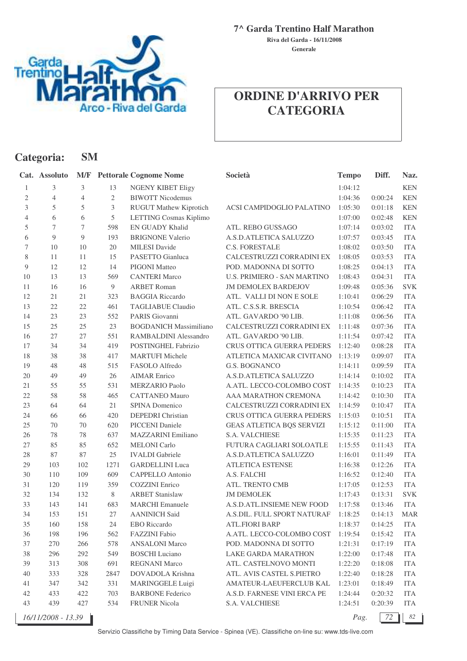

#### **7^ Garda Trentino Half Marathon**

**Generale Riva del Garda - 16/11/2008**

# **ORDINE D'ARRIVO PER CATEGORIA**

| Categoria:                  |                  | <b>SM</b>      |                |                                   |                                  |              |         |                                    |
|-----------------------------|------------------|----------------|----------------|-----------------------------------|----------------------------------|--------------|---------|------------------------------------|
|                             | Cat. Assoluto    |                |                | <b>M/F</b> Pettorale Cognome Nome | Società                          | <b>Tempo</b> | Diff.   | Naz.                               |
| 1                           | 3                | 3              | 13             | <b>NGENY KIBET Eligy</b>          |                                  | 1:04:12      |         | <b>KEN</b>                         |
| $\sqrt{2}$                  | $\overline{4}$   | $\overline{4}$ | $\mathbf{2}$   | <b>BIWOTT Nicodemus</b>           |                                  | 1:04:36      | 0:00:24 | <b>KEN</b>                         |
| $\ensuremath{\mathfrak{Z}}$ | 5                | 5              | $\mathfrak{Z}$ | <b>RUGUT Mathew Kiprotich</b>     | ACSI CAMPIDOGLIO PALATINO        | 1:05:30      | 0:01:18 | <b>KEN</b>                         |
| $\overline{4}$              | 6                | 6              | 5              | LETTING Cosmas Kiplimo            |                                  | 1:07:00      | 0:02:48 | <b>KEN</b>                         |
| $\mathfrak s$               | $\boldsymbol{7}$ | 7              | 598            | <b>EN GUADY Khalid</b>            | ATL. REBO GUSSAGO                | 1:07:14      | 0:03:02 | <b>ITA</b>                         |
| 6                           | 9                | 9              | 193            | <b>BRIGNONE Valerio</b>           | A.S.D.ATLETICA SALUZZO           | 1:07:57      | 0:03:45 | <b>ITA</b>                         |
| $\boldsymbol{7}$            | 10               | 10             | 20             | <b>MILESI</b> Davide              | <b>C.S. FORESTALE</b>            | 1:08:02      | 0:03:50 | <b>ITA</b>                         |
| $8\,$                       | 11               | 11             | 15             | PASETTO Gianluca                  | CALCESTRUZZI CORRADINI EX        | 1:08:05      | 0:03:53 | <b>ITA</b>                         |
| $\overline{9}$              | 12               | 12             | 14             | PIGONI Matteo                     | POD. MADONNA DI SOTTO            | 1:08:25      | 0:04:13 | <b>ITA</b>                         |
| 10                          | 13               | 13             | 569            | <b>CANTERI Marco</b>              | U.S. PRIMIERO - SAN MARTINO      | 1:08:43      | 0:04:31 | <b>ITA</b>                         |
| 11                          | 16               | 16             | $\overline{9}$ | <b>ARBET Roman</b>                | <b>JM DEMOLEX BARDEJOV</b>       | 1:09:48      | 0:05:36 | <b>SVK</b>                         |
| 12                          | 21               | 21             | 323            | <b>BAGGIA Riccardo</b>            | ATL. VALLI DI NON E SOLE         | 1:10:41      | 0:06:29 | <b>ITA</b>                         |
| 13                          | $22\,$           | $22\,$         | 461            | <b>TAGLIABUE Claudio</b>          | ATL. C.S.S.R. BRESCIA            | 1:10:54      | 0:06:42 | <b>ITA</b>                         |
| 14                          | 23               | 23             | 552            | PARIS Giovanni                    | ATL. GAVARDO '90 LIB.            | 1:11:08      | 0:06:56 | <b>ITA</b>                         |
| 15                          | $25\,$           | 25             | 23             | <b>BOGDANICH Massimiliano</b>     | CALCESTRUZZI CORRADINI EX        | 1:11:48      | 0:07:36 | <b>ITA</b>                         |
| 16                          | 27               | 27             | 551            | <b>RAMBALDINI Alessandro</b>      | ATL. GAVARDO '90 LIB.            | 1:11:54      | 0:07:42 | <b>ITA</b>                         |
| 17                          | 34               | 34             | 419            | POSTINGHEL Fabrizio               | CRUS OTTICA GUERRA PEDERS        | 1:12:40      | 0:08:28 | <b>ITA</b>                         |
| 18                          | 38               | 38             | 417            | <b>MARTUFI Michele</b>            | ATLETICA MAXICAR CIVITANO        | 1:13:19      | 0:09:07 | <b>ITA</b>                         |
| 19                          | 48               | 48             | 515            | FASOLO Alfredo                    | G.S. BOGNANCO                    | 1:14:11      | 0:09:59 | <b>ITA</b>                         |
| 20                          | 49               | 49             | 26             | <b>AIMAR Enrico</b>               | A.S.D.ATLETICA SALUZZO           | 1:14:14      | 0:10:02 | <b>ITA</b>                         |
| 21                          | 55               | 55             | 531            | MERZARIO Paolo                    | A.ATL. LECCO-COLOMBO COST        | 1:14:35      | 0:10:23 | <b>ITA</b>                         |
| 22                          | 58               | $58\,$         | 465            | <b>CATTANEO Mauro</b>             | AAA MARATHON CREMONA             | 1:14:42      | 0:10:30 | <b>ITA</b>                         |
| 23                          | 64               | 64             | 21             | SPINA Domenico                    | CALCESTRUZZI CORRADINI EX        | 1:14:59      | 0:10:47 | <b>ITA</b>                         |
| 24                          | 66               | 66             | 420            | DEPEDRI Christian                 | CRUS OTTICA GUERRA PEDERS        | 1:15:03      | 0:10:51 | <b>ITA</b>                         |
| 25                          | 70               | 70             | 620            | PICCENI Daniele                   | <b>GEAS ATLETICA BQS SERVIZI</b> | 1:15:12      | 0:11:00 | <b>ITA</b>                         |
| 26                          | 78               | 78             | 637            | <b>MAZZARINI Emiliano</b>         | S.A. VALCHIESE                   | 1:15:35      | 0:11:23 | <b>ITA</b>                         |
| 27                          | 85               | 85             | 652            | <b>MELONI</b> Carlo               | FUTURA CAGLIARI SOLOATLE         | 1:15:55      | 0:11:43 | <b>ITA</b>                         |
| 28                          | 87               | 87             | 25             | <b>IVALDI</b> Gabriele            | A.S.D.ATLETICA SALUZZO           | 1:16:01      | 0:11:49 | <b>ITA</b>                         |
| 29                          | 103              | 102            | 1271           | <b>GARDELLINI</b> Luca            | <b>ATLETICA ESTENSE</b>          | 1:16:38      | 0:12:26 | <b>ITA</b>                         |
| 30                          | 110              | 109            | 609            | CAPPELLO Antonio                  | A.S. FALCHI                      | 1:16:52      | 0:12:40 | <b>ITA</b>                         |
| 31                          | 120              | 119            | 359            | <b>COZZINI</b> Enrico             | ATL. TRENTO CMB                  | 1:17:05      | 0:12:53 | <b>ITA</b>                         |
| 32                          | 134              | 132            | 8              | <b>ARBET Stanislaw</b>            | <b>JM DEMOLEK</b>                | 1:17:43      | 0:13:31 | <b>SVK</b>                         |
| 33                          | 143              | 141            | 683            | <b>MARCHI</b> Emanuele            | A.S.D.ATL.INSIEME NEW FOOD       | 1:17:58      | 0:13:46 | $\ensuremath{\mathsf{ITA}}\xspace$ |
| 34                          | 153              | 151            | 27             | <b>AANINICH Said</b>              | A.S.DIL. FULL SPORT NATURAF      | 1:18:25      | 0:14:13 | <b>MAR</b>                         |
| 35                          | 160              | 158            | 24             | <b>EBO</b> Riccardo               | <b>ATL.FIORI BARP</b>            | 1:18:37      | 0:14:25 | <b>ITA</b>                         |
| 36                          | 198              | 196            | 562            | FAZZINI Fabio                     | A.ATL. LECCO-COLOMBO COST        | 1:19:54      | 0:15:42 | <b>ITA</b>                         |
| 37                          | 270              | 266            | 578            | <b>ANSALONI Marco</b>             | POD. MADONNA DI SOTTO            | 1:21:31      | 0:17:19 | <b>ITA</b>                         |
| 38                          | 296              | 292            | 549            | <b>BOSCHI</b> Luciano             | LAKE GARDA MARATHON              | 1:22:00      | 0:17:48 | <b>ITA</b>                         |
| 39                          | 313              | 308            | 691            | <b>REGNANI Marco</b>              | ATL. CASTELNOVO MONTI            | 1:22:20      | 0:18:08 | <b>ITA</b>                         |
| 40                          | 333              | 328            | 2847           | DOVADOLA Krishna                  | ATL. AVIS CASTEL S.PIETRO        | 1:22:40      | 0:18:28 | <b>ITA</b>                         |
| 41                          | 347              | 342            | 331            | <b>MARINGGELE Luigi</b>           | AMATEUR-LAEUFERCLUB KAL          | 1:23:01      | 0:18:49 | <b>ITA</b>                         |
| 42                          | 433              | 422            | 703            | <b>BARBONE Federico</b>           | A.S.D. FARNESE VINI ERCA PE      | 1:24:44      | 0:20:32 | <b>ITA</b>                         |
| 43                          | 439              | 427            | 534            | <b>FRUNER Nicola</b>              | S.A. VALCHIESE                   | 1:24:51      | 0:20:39 | <b>ITA</b>                         |

*Pag.*  $\boxed{72}$  82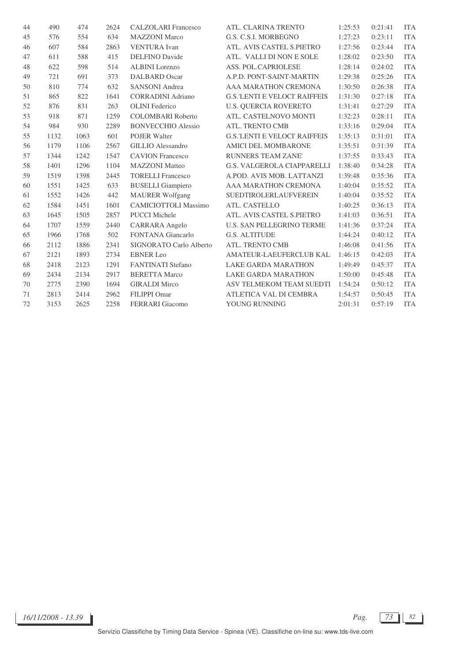| 44 | 490  | 474  | 2624 | <b>CALZOLARI</b> Francesco  | ATL. CLARINA TRENTO                  | 1:25:53 | 0:21:41 | <b>ITA</b> |
|----|------|------|------|-----------------------------|--------------------------------------|---------|---------|------------|
| 45 | 576  | 554  | 634  | <b>MAZZONI</b> Marco        | G.S. C.S.I. MORBEGNO                 | 1:27:23 | 0:23:11 | <b>ITA</b> |
| 46 | 607  | 584  | 2863 | <b>VENTURA</b> Ivan         | ATL. AVIS CASTEL S.PIETRO            | 1:27:56 | 0:23:44 | <b>ITA</b> |
| 47 | 611  | 588  | 415  | <b>DELFINO</b> Davide       | ATL. VALLI DI NON E SOLE             | 1:28:02 | 0:23:50 | <b>ITA</b> |
| 48 | 622  | 598  | 514  | <b>ALBINI</b> Lorenzo       | ASS. POL.CAPRIOLESE                  | 1:28:14 | 0:24:02 | <b>ITA</b> |
| 49 | 721  | 691  | 373  | DALBARD Oscar               | A.P.D. PONT-SAINT-MARTIN             | 1:29:38 | 0:25:26 | <b>ITA</b> |
| 50 | 810  | 774  | 632  | <b>SANSONI</b> Andrea       | AAA MARATHON CREMONA                 | 1:30:50 | 0:26:38 | <b>ITA</b> |
| 51 | 865  | 822  | 1641 | <b>CORRADINI Adriano</b>    | <b>G.S.'LENTI E VELOCI' RAIFFEIS</b> | 1:31:30 | 0:27:18 | <b>ITA</b> |
| 52 | 876  | 831  | 263  | <b>OLINI</b> Federico       | <b>U.S. OUERCIA ROVERETO</b>         | 1:31:41 | 0:27:29 | <b>ITA</b> |
| 53 | 918  | 871  | 1259 | <b>COLOMBARI</b> Roberto    | ATL. CASTELNOVO MONTI                | 1:32:23 | 0:28:11 | <b>ITA</b> |
| 54 | 984  | 930  | 2289 | <b>BONVECCHIO Alessio</b>   | ATL. TRENTO CMB                      | 1:33:16 | 0:29:04 | <b>ITA</b> |
| 55 | 1132 | 1063 | 601  | <b>POJER Walter</b>         | <b>G.S.'LENTI E VELOCI' RAIFFEIS</b> | 1:35:13 | 0:31:01 | <b>ITA</b> |
| 56 | 1179 | 1106 | 2567 | <b>GILLIO</b> Alessandro    | <b>AMICI DEL MOMBARONE</b>           | 1:35:51 | 0:31:39 | <b>ITA</b> |
| 57 | 1344 | 1242 | 1547 | <b>CAVION</b> Francesco     | <b>RUNNERS TEAM ZANE'</b>            | 1:37:55 | 0:33:43 | <b>ITA</b> |
| 58 | 1401 | 1296 | 1104 | <b>MAZZONI</b> Matteo       | <b>G.S. VALGEROLA CIAPPARELLI</b>    | 1:38:40 | 0:34:28 | <b>ITA</b> |
| 59 | 1519 | 1398 | 2445 | <b>TORELLI Francesco</b>    | A.POD. AVIS MOB. LATTANZI            | 1:39:48 | 0:35:36 | <b>ITA</b> |
| 60 | 1551 | 1425 | 633  | <b>BUSELLI</b> Giampiero    | AAA MARATHON CREMONA                 | 1:40:04 | 0:35:52 | <b>ITA</b> |
| 61 | 1552 | 1426 | 442  | <b>MAURER Wolfgang</b>      | <b>SUEDTIROLERLAUFVEREIN</b>         | 1:40:04 | 0:35:52 | <b>ITA</b> |
| 62 | 1584 | 1451 | 1601 | <b>CAMICIOTTOLI Massimo</b> | ATL. CASTELLO                        | 1:40:25 | 0:36:13 | <b>ITA</b> |
| 63 | 1645 | 1505 | 2857 | <b>PUCCI Michele</b>        | ATL. AVIS CASTEL S.PIETRO            | 1:41:03 | 0:36:51 | <b>ITA</b> |
| 64 | 1707 | 1559 | 2440 | CARRARA Angelo              | <b>U.S. SAN PELLEGRINO TERME</b>     | 1:41:36 | 0:37:24 | <b>ITA</b> |
| 65 | 1966 | 1768 | 502  | <b>FONTANA</b> Giancarlo    | <b>G.S. ALTITUDE</b>                 | 1:44:24 | 0:40:12 | <b>ITA</b> |
| 66 | 2112 | 1886 | 2341 | SIGNORATO Carlo Alberto     | ATL. TRENTO CMB                      | 1:46:08 | 0:41:56 | <b>ITA</b> |
| 67 | 2121 | 1893 | 2734 | <b>EBNER Leo</b>            | AMATEUR-LAEUFERCLUB KAL              | 1:46:15 | 0:42:03 | <b>ITA</b> |
| 68 | 2418 | 2123 | 1291 | <b>FANTINATI</b> Stefano    | <b>LAKE GARDA MARATHON</b>           | 1:49:49 | 0:45:37 | <b>ITA</b> |
| 69 | 2434 | 2134 | 2917 | <b>BERETTA Marco</b>        | <b>LAKE GARDA MARATHON</b>           | 1:50:00 | 0:45:48 | <b>ITA</b> |
| 70 | 2775 | 2390 | 1694 | <b>GIRALDI</b> Mirco        | ASV TELMEKOM TEAM SUEDTI             | 1:54:24 | 0:50:12 | <b>ITA</b> |
| 71 | 2813 | 2414 | 2962 | FILIPPI Omar                | ATLETICA VAL DI CEMBRA               | 1:54:57 | 0:50:45 | <b>ITA</b> |
| 72 | 3153 | 2625 | 2258 | FERRARI Giacomo             | YOUNG RUNNING                        | 2:01:31 | 0:57:19 | <b>ITA</b> |

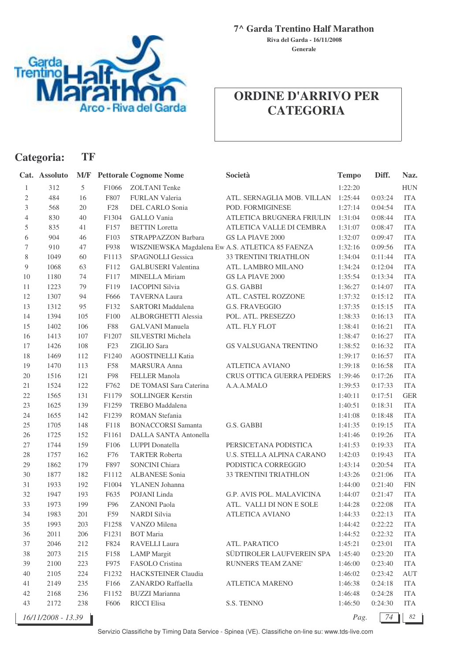

**7^ Garda Trentino Half Marathon**

**Generale Riva del Garda - 16/11/2008**

## **ORDINE D'ARRIVO PER CATEGORIA**

| Categoria:   |                    | TF  |                 |                                                  |                            |              |         |            |
|--------------|--------------------|-----|-----------------|--------------------------------------------------|----------------------------|--------------|---------|------------|
|              | Cat. Assoluto      | M/F |                 | <b>Pettorale Cognome Nome</b>                    | Società                    | <b>Tempo</b> | Diff.   | Naz.       |
| 1            | 312                | 5   | F1066           | <b>ZOLTANI</b> Tenke                             |                            | 1:22:20      |         | <b>HUN</b> |
| $\mathbf{2}$ | 484                | 16  | F807            | FURLAN Valeria                                   | ATL. SERNAGLIA MOB. VILLAN | 1:25:44      | 0:03:24 | <b>ITA</b> |
| 3            | 568                | 20  | ${\rm F28}$     | DEL CARLO Sonia                                  | POD. FORMIGINESE           | 1:27:14      | 0:04:54 | <b>ITA</b> |
| 4            | 830                | 40  | F1304           | <b>GALLO</b> Vania                               | ATLETICA BRUGNERA FRIULIN  | 1:31:04      | 0:08:44 | <b>ITA</b> |
| 5            | 835                | 41  | F157            | <b>BETTIN</b> Loretta                            | ATLETICA VALLE DI CEMBRA   | 1:31:07      | 0:08:47 | <b>ITA</b> |
| 6            | 904                | 46  | F103            | STRAPPAZZON Barbara                              | <b>GS LA PIAVE 2000</b>    | 1:32:07      | 0:09:47 | <b>ITA</b> |
| $\tau$       | 910                | 47  | F938            | WISZNIEWSKA Magdalena Ew A.S. ATLETICA 85 FAENZA |                            | 1:32:16      | 0:09:56 | <b>ITA</b> |
| 8            | 1049               | 60  | F1113           | SPAGNOLLI Gessica                                | 33 TRENTINI TRIATHLON      | 1:34:04      | 0:11:44 | <b>ITA</b> |
| 9            | 1068               | 63  | F112            | GALBUSERI Valentina                              | ATL. LAMBRO MILANO         | 1:34:24      | 0:12:04 | <b>ITA</b> |
| 10           | 1180               | 74  | F117            | MINELLA Miriam                                   | <b>GS LA PIAVE 2000</b>    | 1:35:54      | 0:13:34 | <b>ITA</b> |
| 11           | 1223               | 79  | F119            | <b>IACOPINI Silvia</b>                           | G.S. GABBI                 | 1:36:27      | 0:14:07 | <b>ITA</b> |
| 12           | 1307               | 94  | F666            | <b>TAVERNA Laura</b>                             | ATL. CASTEL ROZZONE        | 1:37:32      | 0:15:12 | <b>ITA</b> |
| 13           | 1312               | 95  | F132            | SARTORI Maddalena                                | <b>G.S. FRAVEGGIO</b>      | 1:37:35      | 0:15:15 | <b>ITA</b> |
| 14           | 1394               | 105 | F100            | ALBORGHETTI Alessia                              | POL. ATL. PRESEZZO         | 1:38:33      | 0:16:13 | <b>ITA</b> |
| 15           | 1402               | 106 | <b>F88</b>      | <b>GALVANI</b> Manuela                           | ATL. FLY FLOT              | 1:38:41      | 0:16:21 | <b>ITA</b> |
| 16           | 1413               | 107 | F1207           | SILVESTRI Michela                                |                            | 1:38:47      | 0:16:27 | <b>ITA</b> |
| 17           | 1426               | 108 | F <sub>23</sub> | ZIGLIO Sara                                      | GS VALSUGANA TRENTINO      | 1:38:52      | 0:16:32 | <b>ITA</b> |
| 18           | 1469               | 112 | F1240           | AGOSTINELLI Katia                                |                            | 1:39:17      | 0:16:57 | <b>ITA</b> |
| 19           | 1470               | 113 | F58             | <b>MARSURA</b> Anna                              | <b>ATLETICA AVIANO</b>     | 1:39:18      | 0:16:58 | <b>ITA</b> |
| 20           | 1516               | 121 | F98             | <b>FELLER Manola</b>                             | CRUS OTTICA GUERRA PEDERS  | 1:39:46      | 0:17:26 | <b>ITA</b> |
| 21           | 1524               | 122 | F762            | DE TOMASI Sara Caterina                          | A.A.A.MALO                 | 1:39:53      | 0:17:33 | <b>ITA</b> |
| 22           | 1565               | 131 | F1179           | <b>SOLLINGER Kerstin</b>                         |                            | 1:40:11      | 0:17:51 | <b>GER</b> |
| 23           | 1625               | 139 | F1259           | <b>TREBO</b> Maddalena                           |                            | 1:40:51      | 0:18:31 | <b>ITA</b> |
| 24           | 1655               | 142 | F1239           | <b>ROMAN</b> Stefania                            |                            | 1:41:08      | 0:18:48 | <b>ITA</b> |
| 25           | 1705               | 148 | F118            | <b>BONACCORSI Samanta</b>                        | G.S. GABBI                 | 1:41:35      | 0:19:15 | <b>ITA</b> |
| 26           | 1725               | 152 | F1161           | DALLA SANTA Antonella                            |                            | 1:41:46      | 0:19:26 | <b>ITA</b> |
| $27\,$       | 1744               | 159 | F106            | LUPPI Donatella                                  | PERSICETANA PODISTICA      | 1:41:53      | 0:19:33 | <b>ITA</b> |
| $28\,$       | 1757               | 162 | F76             | <b>TARTER Roberta</b>                            | U.S. STELLA ALPINA CARANO  | 1:42:03      | 0:19:43 | <b>ITA</b> |
| 29           | 1862               | 179 | F897            | <b>SONCINI Chiara</b>                            | PODISTICA CORREGGIO        | 1:43:14      | 0:20:54 | <b>ITA</b> |
| 30           | 1877               | 182 | F1112           | <b>ALBANESE Sonia</b>                            | 33 TRENTINI TRIATHLON      | 1:43:26      | 0:21:06 | <b>ITA</b> |
| 31           | 1933               | 192 | F1004           | YLANEN Johanna                                   |                            | 1:44:00      | 0:21:40 | <b>FIN</b> |
| 32           | 1947               | 193 | F635            | POJANI Linda                                     | G.P. AVIS POL. MALAVICINA  | 1:44:07      | 0:21:47 | <b>ITA</b> |
| 33           | 1973               | 199 | F96             | <b>ZANONI Paola</b>                              | ATL. VALLI DI NON E SOLE   | 1:44:28      | 0:22:08 | <b>ITA</b> |
| 34           | 1983               | 201 | F59             | <b>NARDI</b> Silvia                              | <b>ATLETICA AVIANO</b>     | 1:44:33      | 0:22:13 | <b>ITA</b> |
| 35           | 1993               | 203 | F1258           | VANZO Milena                                     |                            | 1:44:42      | 0:22:22 | <b>ITA</b> |
| 36           | 2011               | 206 | F1231           | <b>BOT</b> Maria                                 |                            | 1:44:52      | 0:22:32 | <b>ITA</b> |
| 37           | 2046               | 212 | F824            | <b>RAVELLI Laura</b>                             | ATL. PARATICO              | 1:45:21      | 0:23:01 | <b>ITA</b> |
| $38\,$       | 2073               | 215 | F158            | <b>LAMP</b> Margit                               | SÜDTIROLER LAUFVEREIN SPA  | 1:45:40      | 0:23:20 | <b>ITA</b> |
| 39           | 2100               | 223 | F975            | FASOLO Cristina                                  | RUNNERS TEAM ZANE'         | 1:46:00      | 0:23:40 | <b>ITA</b> |
| 40           | 2105               | 224 | F1232           | HACKSTEINER Claudia                              |                            | 1:46:02      | 0:23:42 | <b>AUT</b> |
| 41           | 2149               | 235 | F166            | ZANARDO Raffaella                                | ATLETICA MARENO            | 1:46:38      | 0:24:18 | <b>ITA</b> |
| $42\,$       | 2168               | 236 | F1152           | <b>BUZZI</b> Marianna                            |                            | 1:46:48      | 0:24:28 | <b>ITA</b> |
| 43           | 2172               | 238 | F606            | <b>RICCI</b> Elisa                               | S.S. TENNO                 | 1:46:50      | 0:24:30 | <b>ITA</b> |
|              | 16/11/2008 - 13.39 |     |                 |                                                  |                            | Pag.         | 74      | 82         |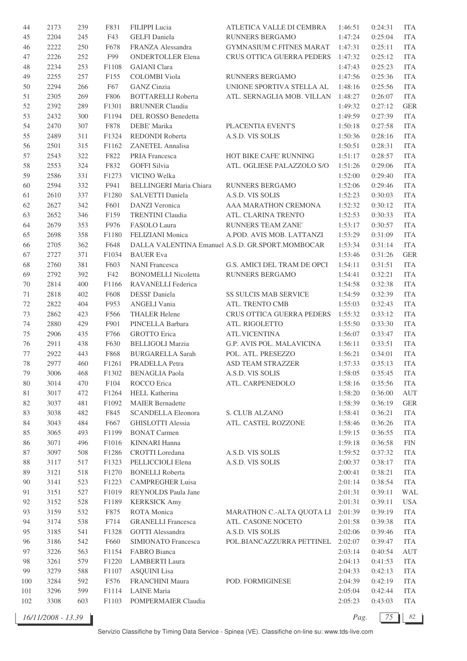| 44     | 2173 | 239 | F831             | FILIPPI Lucia                  | ATLETICA VALLE DI CEMBRA                         | 1:46:51            | 0:24:31 | <b>ITA</b>         |
|--------|------|-----|------------------|--------------------------------|--------------------------------------------------|--------------------|---------|--------------------|
| 45     | 2204 | 245 | F43              | <b>GELFI</b> Daniela           | <b>RUNNERS BERGAMO</b>                           | 1:47:24            | 0:25:04 | <b>ITA</b>         |
| 46     | 2222 | 250 | F678             | FRANZA Alessandra              | GYMNASIUM C.FITNES MARAT                         | 1:47:31            | 0:25:11 | <b>ITA</b>         |
| 47     | 2226 | 252 | F99              | <b>ONDERTOLLER Elena</b>       | <b>CRUS OTTICA GUERRA PEDERS</b>                 | 1:47:32            | 0:25:12 | <b>ITA</b>         |
| 48     | 2234 | 253 | F1108            | <b>GAIANI</b> Clara            |                                                  | 1:47:43            | 0:25:23 | <b>ITA</b>         |
| 49     | 2255 | 257 | F <sub>155</sub> | <b>COLOMBI</b> Viola           | RUNNERS BERGAMO                                  | 1:47:56            | 0:25:36 | <b>ITA</b>         |
| 50     | 2294 | 266 | F67              | <b>GANZ</b> Cinzia             | UNIONE SPORTIVA STELLA AL                        | 1:48:16            | 0:25:56 | <b>ITA</b>         |
| 51     | 2305 | 269 | F806             | <b>BOTTARELLI Roberta</b>      | ATL. SERNAGLIA MOB. VILLAN                       | 1:48:27            | 0:26:07 | <b>ITA</b>         |
| 52     | 2392 | 289 | F1301            | <b>BRUNNER Claudia</b>         |                                                  | 1:49:32            | 0:27:12 | <b>GER</b>         |
| 53     | 2432 | 300 | F1194            | DEL ROSSO Benedetta            |                                                  | 1:49:59            | 0:27:39 | <b>ITA</b>         |
| 54     | 2470 | 307 | F878             | DEBE' Marika                   | PLACENTIA EVENT'S                                | 1:50:18            | 0:27:58 | <b>ITA</b>         |
| 55     | 2489 | 311 | F1324            | REDONDI Roberta                | A.S.D. VIS SOLIS                                 | 1:50:36            | 0:28:16 | <b>ITA</b>         |
|        | 2501 | 315 | F1162            | ZANETEL Annalisa               |                                                  | 1:50:51            | 0:28:31 | <b>ITA</b>         |
| 56     |      |     |                  |                                |                                                  |                    |         |                    |
| 57     | 2543 | 322 | F822             | PRIA Francesca                 | HOT BIKE CAFE' RUNNING                           | 1:51:17            | 0:28:57 | <b>ITA</b>         |
| 58     | 2553 | 324 | F832             | <b>GOFFI Silvia</b>            | ATL. OGLIESE PALAZZOLO S/O                       | 1:51:26            | 0:29:06 | <b>ITA</b>         |
| 59     | 2586 | 331 | F1273            | VICINO Welka                   |                                                  | 1:52:00            | 0:29:40 | <b>ITA</b>         |
| 60     | 2594 | 332 | F941             | <b>BELLINGERI Maria Chiara</b> | RUNNERS BERGAMO                                  | 1:52:06            | 0:29:46 | <b>ITA</b>         |
| 61     | 2610 | 337 | F1280            | SALVETTI Daniela               | A.S.D. VIS SOLIS                                 | 1:52:23            | 0:30:03 | <b>ITA</b>         |
| 62     | 2627 | 342 | F601             | <b>DANZI</b> Veronica          | AAA MARATHON CREMONA                             | 1:52:32            | 0:30:12 | <b>ITA</b>         |
| 63     | 2652 | 346 | F159             | <b>TRENTINI Claudia</b>        | ATL. CLARINA TRENTO                              | 1:52:53            | 0:30:33 | <b>ITA</b>         |
| 64     | 2679 | 353 | F976             | FASOLO Laura                   | <b>RUNNERS TEAM ZANE'</b>                        | 1:53:17            | 0:30:57 | <b>ITA</b>         |
| 65     | 2698 | 358 | F1180            | FELIZIANI Monica               | A.POD. AVIS MOB. LATTANZI                        | 1:53:29            | 0:31:09 | <b>ITA</b>         |
| 66     | 2705 | 362 | F648             |                                | DALLA VALENTINA Emanuel A.S.D. GR.SPORT.MOMBOCAR | 1:53:34            | 0:31:14 | <b>ITA</b>         |
| 67     | 2727 | 371 | F1034            | <b>BAUER</b> Eva               |                                                  | 1:53:46            | 0:31:26 | <b>GER</b>         |
| 68     | 2760 | 381 | F603             | <b>NANI Francesca</b>          | G.S. AMICI DEL TRAM DE OPCI                      | 1:54:11            | 0:31:51 | <b>ITA</b>         |
| 69     | 2792 | 392 | F42              | <b>BONOMELLI Nicoletta</b>     | RUNNERS BERGAMO                                  | 1:54:41            | 0:32:21 | <b>ITA</b>         |
| 70     | 2814 | 400 | F1166            | RAVANELLI Federica             |                                                  | 1:54:58            | 0:32:38 | <b>ITA</b>         |
| 71     | 2818 | 402 | F608             | DESSI' Daniela                 | SS SULCIS MAB SERVICE                            | 1:54:59            | 0:32:39 | <b>ITA</b>         |
| 72     | 2822 | 404 | F953             | ANGELI Vania                   | ATL. TRENTO CMB                                  | 1:55:03            | 0:32:43 | <b>ITA</b>         |
| 73     | 2862 | 423 | F566             | <b>THALER Helene</b>           | CRUS OTTICA GUERRA PEDERS                        | 1:55:32            | 0:33:12 | <b>ITA</b>         |
| 74     | 2880 | 429 | F901             | PINCELLA Barbara               | ATL. RIGOLETTO                                   | 1:55:50            | 0:33:30 | <b>ITA</b>         |
| $75\,$ | 2906 | 435 | F766             | <b>GROTTO</b> Erica            | <b>ATL.VICENTINA</b>                             | 1:56:07            | 0:33:47 | <b>ITA</b>         |
| 76     | 2911 | 438 | F630             | <b>BELLIGOLI Marzia</b>        | G.P. AVIS POL. MALAVICINA                        | 1:56:11            | 0:33:51 | <b>ITA</b>         |
| 77     | 2922 | 443 | F868             | <b>BURGARELLA Sarah</b>        | POL. ATL. PRESEZZO                               | 1:56:21            | 0:34:01 | <b>ITA</b>         |
| 78     | 2977 | 460 | F1261            | PRADELLA Petra                 | ASD TEAM STRAZZER                                | 1:57:33            | 0:35:13 | <b>ITA</b>         |
| 79     | 3006 | 468 | F1302            | BENAGLIA Paola                 | A.S.D. VIS SOLIS                                 | 1:58:05            | 0:35:45 | ITA                |
| 80     | 3014 | 470 | F104             | ROCCO Erica                    | ATL. CARPENEDOLO                                 | 1:58:16            | 0:35:56 | ITA                |
| 81     | 3017 | 472 | F1264            | HELL Katherina                 |                                                  | 1:58:20            | 0:36:00 | $\mathop{\rm AUT}$ |
| 82     | 3037 | 481 | F1092            | <b>MAIER</b> Bernadette        |                                                  | 1:58:39            | 0:36:19 | <b>GER</b>         |
| 83     | 3038 | 482 | F845             | <b>SCANDELLA Eleonora</b>      | S. CLUB ALZANO                                   | 1:58:41            | 0:36:21 | <b>ITA</b>         |
| 84     | 3043 | 484 | F667             | <b>GHISLOTTI Alessia</b>       | ATL. CASTEL ROZZONE                              | 1:58:46            | 0:36:26 | <b>ITA</b>         |
| 85     | 3065 | 493 | F1199            | <b>BONAT Carmen</b>            |                                                  |                    | 0:36:55 | <b>ITA</b>         |
|        | 3071 | 496 | F1016            | <b>KINNARI Hanna</b>           |                                                  | 1:59:15            | 0:36:58 | <b>FIN</b>         |
| 86     |      |     |                  |                                |                                                  | 1:59:18<br>1:59:52 | 0:37:32 |                    |
| 87     | 3097 | 508 | F1286            | CROTTI Loredana                | A.S.D. VIS SOLIS                                 |                    |         | <b>ITA</b>         |
| 88     | 3117 | 517 | F1323            | PELLICCIOLI Elena              | A.S.D. VIS SOLIS                                 | 2:00:37            | 0:38:17 | <b>ITA</b>         |
| 89     | 3121 | 518 | F1270            | <b>BONELLI</b> Roberta         |                                                  | 2:00:41            | 0:38:21 | ITA                |
| 90     | 3141 | 523 | F1223            | <b>CAMPREGHER Luisa</b>        |                                                  | 2:01:14            | 0:38:54 | ITA                |
| 91     | 3151 | 527 | F1019            | REYNOLDS Paula Jane            |                                                  | 2:01:31            | 0:39:11 | WAL                |
| 92     | 3152 | 528 | F1189            | <b>KERKSICK Amy</b>            |                                                  | 2:01:31            | 0:39:11 | <b>USA</b>         |
| 93     | 3159 | 532 | F875             | ROTA Monica                    | MARATHON C.-ALTA QUOTA LI 2:01:39                |                    | 0:39:19 | <b>ITA</b>         |
| 94     | 3174 | 538 | F714             | <b>GRANELLI</b> Francesca      | ATL. CASONE NOCETO                               | 2:01:58            | 0:39:38 | ITA                |
| 95     | 3185 | 541 | F1328            | GOTTI Alessandra               | A.S.D. VIS SOLIS                                 | 2:02:06            | 0:39:46 | <b>ITA</b>         |
| 96     | 3186 | 542 | F660             | SIMIONATO Francesca            | POL.BIANCAZZURRA PETTINEL                        | 2:02:07            | 0:39:47 | <b>ITA</b>         |
| 97     | 3226 | 563 | F1154            | FABRO Bianca                   |                                                  | 2:03:14            | 0:40:54 | AUT                |
| 98     | 3261 | 579 | F1220            | <b>LAMBERTI Laura</b>          |                                                  | 2:04:13            | 0:41:53 | ITA                |
| 99     | 3279 | 588 | F1107            | <b>ASQUINI Lisa</b>            |                                                  | 2:04:33            | 0:42:13 | ITA                |
| 100    | 3284 | 592 | F576             | FRANCHINI Maura                | POD. FORMIGINESE                                 | 2:04:39            | 0:42:19 | <b>ITA</b>         |
| 101    | 3296 | 599 | F1114            | <b>LAINE</b> Maria             |                                                  | 2:05:04            | 0:42:44 | ITA                |
| 102    | 3308 | 603 | F1103            | POMPERMAIER Claudia            |                                                  | 2:05:23            | 0:43:03 | ITA                |
|        |      |     |                  |                                |                                                  |                    |         |                    |

*16/11/2008 - 13.39 Pag. 75 82*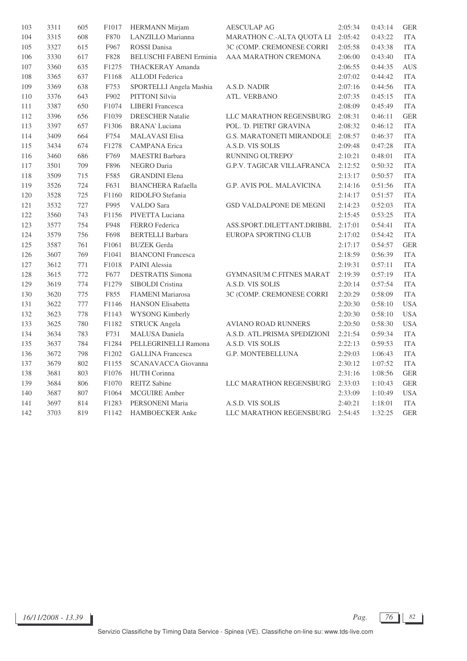| 103     | 3311 | 605 | F1017 | <b>HERMANN</b> Mirjam          | <b>AESCULAP AG</b>                | 2:05:34 | 0:43:14 | <b>GER</b> |
|---------|------|-----|-------|--------------------------------|-----------------------------------|---------|---------|------------|
| $104\,$ | 3315 | 608 | F870  | LANZILLO Marianna              | MARATHON C.-ALTA QUOTA LI         | 2:05:42 | 0:43:22 | <b>ITA</b> |
| 105     | 3327 | 615 | F967  | <b>ROSSI</b> Danisa            | 3C (COMP. CREMONESE CORRI         | 2:05:58 | 0:43:38 | <b>ITA</b> |
| 106     | 3330 | 617 | F828  | <b>BELUSCHI FABENI Erminia</b> | AAA MARATHON CREMONA              | 2:06:00 | 0:43:40 | <b>ITA</b> |
| $107\,$ | 3360 | 635 | F1275 | THACKERAY Amanda               |                                   | 2:06:55 | 0:44:35 | <b>AUS</b> |
| 108     | 3365 | 637 | F1168 | <b>ALLODI</b> Federica         |                                   | 2:07:02 | 0:44:42 | <b>ITA</b> |
| 109     | 3369 | 638 | F753  | SPORTELLI Angela Mashia        | A.S.D. NADIR                      | 2:07:16 | 0:44:56 | <b>ITA</b> |
| 110     | 3376 | 643 | F902  | PITTONI Silvia                 | ATL. VERBANO                      | 2:07:35 | 0:45:15 | <b>ITA</b> |
| 111     | 3387 | 650 | F1074 | <b>LIBERI</b> Francesca        |                                   | 2:08:09 | 0:45:49 | <b>ITA</b> |
| 112     | 3396 | 656 | F1039 | <b>DRESCHER Natalie</b>        | LLC MARATHON REGENSBURG           | 2:08:31 | 0:46:11 | <b>GER</b> |
| 113     | 3397 | 657 | F1306 | <b>BRANA'</b> Luciana          | POL. 'D. PIETRI' GRAVINA          | 2:08:32 | 0:46:12 | <b>ITA</b> |
| 114     | 3409 | 664 | F754  | <b>MALAVASI Elisa</b>          | <b>G.S. MARATONETI MIRANDOLE</b>  | 2:08:57 | 0:46:37 | <b>ITA</b> |
| 115     | 3434 | 674 | F1278 | <b>CAMPANA</b> Erica           | A.S.D. VIS SOLIS                  | 2:09:48 | 0:47:28 | <b>ITA</b> |
| 116     | 3460 | 686 | F769  | MAESTRI Barbara                | RUNNING OLTREPO'                  | 2:10:21 | 0:48:01 | <b>ITA</b> |
| 117     | 3501 | 709 | F896  | NEGRO Daria                    | <b>G.P.V. TAGICAR VILLAFRANCA</b> | 2:12:52 | 0:50:32 | <b>ITA</b> |
| 118     | 3509 | 715 | F585  | <b>GRANDINI</b> Elena          |                                   | 2:13:17 | 0:50:57 | <b>ITA</b> |
| 119     | 3526 | 724 | F631  | <b>BIANCHERA Rafaella</b>      | G.P. AVIS POL. MALAVICINA         | 2:14:16 | 0:51:56 | <b>ITA</b> |
| 120     | 3528 | 725 | F1160 | RIDOLFO Stefania               |                                   | 2:14:17 | 0:51:57 | <b>ITA</b> |
| 121     | 3532 | 727 | F995  | <b>VALDO</b> Sara              | <b>GSD VALDALPONE DE MEGNI</b>    | 2:14:23 | 0:52:03 | <b>ITA</b> |
| 122     | 3560 | 743 | F1156 | PIVETTA Luciana                |                                   | 2:15:45 | 0:53:25 | <b>ITA</b> |
| 123     | 3577 | 754 | F948  | FERRO Federica                 | ASS.SPORT.DILETTANT.DRIBBL        | 2:17:01 | 0:54:41 | <b>ITA</b> |
| 124     | 3579 | 756 | F698  | <b>BERTELLI Barbara</b>        | <b>EUROPA SPORTING CLUB</b>       | 2:17:02 | 0:54:42 | <b>ITA</b> |
| 125     | 3587 | 761 | F1061 | <b>BUZEK</b> Gerda             |                                   | 2:17:17 | 0:54:57 | <b>GER</b> |
| 126     | 3607 | 769 | F1041 | <b>BIANCONI</b> Francesca      |                                   | 2:18:59 | 0:56:39 | <b>ITA</b> |
| 127     | 3612 | 771 | F1018 | PAINI Alessia                  |                                   | 2:19:31 | 0:57:11 | <b>ITA</b> |
| 128     | 3615 | 772 | F677  | <b>DESTRATIS Simona</b>        | <b>GYMNASIUM C.FITNES MARAT</b>   | 2:19:39 | 0:57:19 | <b>ITA</b> |
| 129     | 3619 | 774 | F1279 | SIBOLDI Cristina               | A.S.D. VIS SOLIS                  | 2:20:14 | 0:57:54 | <b>ITA</b> |
| 130     | 3620 | 775 | F855  | <b>FIAMENI</b> Mariarosa       | 3C (COMP. CREMONESE CORRI         | 2:20:29 | 0:58:09 | <b>ITA</b> |
| 131     | 3622 | 777 | F1146 | <b>HANSON</b> Elisabetta       |                                   | 2:20:30 | 0:58:10 | <b>USA</b> |
| 132     | 3623 | 778 | F1143 | <b>WYSONG Kimberly</b>         |                                   | 2:20:30 | 0:58:10 | <b>USA</b> |
| 133     | 3625 | 780 | F1182 | <b>STRUCK Angela</b>           | <b>AVIANO ROAD RUNNERS</b>        | 2:20:50 | 0:58:30 | <b>USA</b> |
| 134     | 3634 | 783 | F731  | <b>MALUSA</b> Daniela          | A.S.D. ATL.PRISMA SPEDIZIONI      | 2:21:54 | 0:59:34 | <b>ITA</b> |
| 135     | 3637 | 784 | F1284 | PELLEGRINELLI Ramona           | A.S.D. VIS SOLIS                  | 2:22:13 | 0:59:53 | <b>ITA</b> |
| 136     | 3672 | 798 | F1202 | <b>GALLINA</b> Francesca       | G.P. MONTEBELLUNA                 | 2:29:03 | 1:06:43 | <b>ITA</b> |
| 137     | 3679 | 802 | F1155 | SCANAVACCA Giovanna            |                                   | 2:30:12 | 1:07:52 | <b>ITA</b> |
| 138     | 3681 | 803 | F1076 | <b>HUTH Corinna</b>            |                                   | 2:31:16 | 1:08:56 | <b>GER</b> |
| 139     | 3684 | 806 | F1070 | <b>REITZ</b> Sabine            | LLC MARATHON REGENSBURG           | 2:33:03 | 1:10:43 | <b>GER</b> |
| 140     | 3687 | 807 | F1064 | <b>MCGUIRE</b> Amber           |                                   | 2:33:09 | 1:10:49 | <b>USA</b> |
| 141     | 3697 | 814 | F1283 | PERSONENI Maria                | A.S.D. VIS SOLIS                  | 2:40:21 | 1:18:01 | <b>ITA</b> |
| 142     | 3703 | 819 | F1142 | <b>HAMBOECKER</b> Anke         | LLC MARATHON REGENSBURG           | 2:54:45 | 1:32:25 | <b>GER</b> |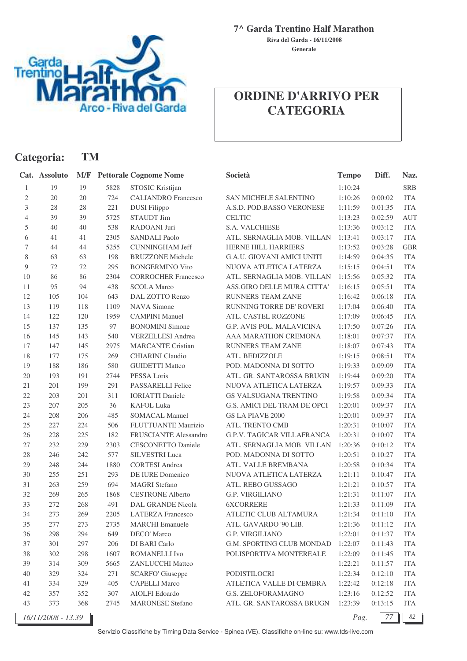

**Categoria: TM**

## **7^ Garda Trentino Half Marathon**

**Generale Riva del Garda - 16/11/2008**

## **ORDINE D'ARRIVO PER CATEGORIA**

|                | Cat. Assoluto      | M/F |      | <b>Pettorale Cognome Nome</b> | Società                           | <b>Tempo</b> | Diff.   | Naz.       |
|----------------|--------------------|-----|------|-------------------------------|-----------------------------------|--------------|---------|------------|
| 1              | 19                 | 19  | 5828 | STOSIC Kristijan              |                                   | 1:10:24      |         | <b>SRB</b> |
| 2              | 20                 | 20  | 724  | <b>CALIANDRO</b> Francesco    | <b>SAN MICHELE SALENTINO</b>      | 1:10:26      | 0:00:02 | <b>ITA</b> |
| 3              | 28                 | 28  | 221  | <b>DUSI</b> Filippo           | A.S.D. POD.BASSO VERONESE         | 1:11:59      | 0:01:35 | <b>ITA</b> |
| $\overline{4}$ | 39                 | 39  | 5725 | <b>STAUDT Jim</b>             | <b>CELTIC</b>                     | 1:13:23      | 0:02:59 | <b>AUT</b> |
| 5              | 40                 | 40  | 538  | RADOANI Juri                  | S.A. VALCHIESE                    | 1:13:36      | 0:03:12 | <b>ITA</b> |
| 6              | 41                 | 41  | 2305 | <b>SANDALI Paolo</b>          | ATL. SERNAGLIA MOB. VILLAN        | 1:13:41      | 0:03:17 | <b>ITA</b> |
| $\tau$         | 44                 | 44  | 5255 | <b>CUNNINGHAM Jeff</b>        | HERNE HILL HARRIERS               | 1:13:52      | 0:03:28 | <b>GBR</b> |
| 8              | 63                 | 63  | 198  | <b>BRUZZONE Michele</b>       | G.A.U. GIOVANI AMICI UNITI        | 1:14:59      | 0:04:35 | <b>ITA</b> |
| 9              | 72                 | 72  | 295  | <b>BONGERMINO Vito</b>        | NUOVA ATLETICA LATERZA            | 1:15:15      | 0:04:51 | <b>ITA</b> |
| 10             | 86                 | 86  | 2304 | <b>CORROCHER Francesco</b>    | ATL. SERNAGLIA MOB. VILLAN        | 1:15:56      | 0:05:32 | <b>ITA</b> |
| 11             | 95                 | 94  | 438  | <b>SCOLA Marco</b>            | ASS.GIRO DELLE MURA CITTA'        | 1:16:15      | 0:05:51 | <b>ITA</b> |
| 12             | 105                | 104 | 643  | DAL ZOTTO Renzo               | <b>RUNNERS TEAM ZANE'</b>         | 1:16:42      | 0:06:18 | <b>ITA</b> |
| 13             | 119                | 118 | 1109 | <b>NAVA Simone</b>            | RUNNING TORRE DE' ROVERI          | 1:17:04      | 0:06:40 | <b>ITA</b> |
| 14             | 122                | 120 | 1959 | <b>CAMPINI Manuel</b>         | ATL. CASTEL ROZZONE               | 1:17:09      | 0:06:45 | <b>ITA</b> |
| 15             | 137                | 135 | 97   | <b>BONOMINI</b> Simone        | G.P. AVIS POL. MALAVICINA         | 1:17:50      | 0:07:26 | <b>ITA</b> |
| 16             | 145                | 143 | 540  | <b>VERZELLESI Andrea</b>      | AAA MARATHON CREMONA              | 1:18:01      | 0:07:37 | <b>ITA</b> |
| 17             | 147                | 145 | 2975 | <b>MARCANTE Cristian</b>      | RUNNERS TEAM ZANE'                | 1:18:07      | 0:07:43 | <b>ITA</b> |
| 18             | 177                | 175 | 269  | <b>CHIARINI Claudio</b>       | ATL. BEDIZZOLE                    | 1:19:15      | 0:08:51 | <b>ITA</b> |
| 19             | 188                | 186 | 580  | <b>GUIDETTI Matteo</b>        | POD. MADONNA DI SOTTO             | 1:19:33      | 0:09:09 | <b>ITA</b> |
| $20\,$         | 193                | 191 | 2744 | PESSA Loris                   | ATL. GR. SANTAROSSA BRUGN         | 1:19:44      | 0:09:20 | <b>ITA</b> |
| 21             | 201                | 199 | 291  | PASSARELLI Felice             | NUOVA ATLETICA LATERZA            | 1:19:57      | 0:09:33 | <b>ITA</b> |
| 22             | 203                | 201 | 311  | <b>IORIATTI Daniele</b>       | GS VALSUGANA TRENTINO             | 1:19:58      | 0:09:34 | <b>ITA</b> |
| 23             | 207                | 205 | 36   | <b>KAFOL Luka</b>             | G.S. AMICI DEL TRAM DE OPCI       | 1:20:01      | 0:09:37 | <b>ITA</b> |
| 24             | 208                | 206 | 485  | <b>SOMACAL Manuel</b>         | <b>GS LA PIAVE 2000</b>           | 1:20:01      | 0:09:37 | <b>ITA</b> |
| 25             | 227                | 224 | 506  | FLUTTUANTE Maurizio           | ATL. TRENTO CMB                   | 1:20:31      | 0:10:07 | <b>ITA</b> |
| 26             | 228                | 225 | 182  | FRUSCIANTE Alessandro         | <b>G.P.V. TAGICAR VILLAFRANCA</b> | 1:20:31      | 0:10:07 | <b>ITA</b> |
| 27             | 232                | 229 | 2303 | <b>CESCONETTO Daniele</b>     | ATL. SERNAGLIA MOB. VILLAN        | 1:20:36      | 0:10:12 | <b>ITA</b> |
| $28\,$         | 246                | 242 | 577  | SILVESTRI Luca                | POD. MADONNA DI SOTTO             | 1:20:51      | 0:10:27 | <b>ITA</b> |
| 29             | 248                | 244 | 1880 | <b>CORTESI</b> Andrea         | ATL. VALLE BREMBANA               | 1:20:58      | 0:10:34 | <b>ITA</b> |
| 30             | 255                | 251 | 293  | DE IURE Domenico              | NUOVA ATLETICA LATERZA            | 1:21:11      | 0:10:47 | <b>ITA</b> |
| 31             | 263                | 259 | 694  | <b>MAGRI</b> Stefano          | ATL. REBO GUSSAGO                 | 1:21:21      | 0:10:57 | <b>ITA</b> |
| 32             | 269                | 265 | 1868 | <b>CESTRONE Alberto</b>       | G.P. VIRGILIANO                   | 1:21:31      | 0:11:07 | <b>ITA</b> |
| 33             | 272                | 268 | 491  | <b>DAL GRANDE Nicola</b>      | <b>6XCORRERE</b>                  | 1:21:33      | 0:11:09 | <b>ITA</b> |
| 34             | 273                | 269 | 2205 | <b>LATERZA Francesco</b>      | ATLETIC CLUB ALTAMURA             | 1:21:34      | 0:11:10 | <b>ITA</b> |
| 35             | 277                | 273 | 2735 | <b>MARCHI</b> Emanuele        | ATL. GAVARDO '90 LIB.             | 1:21:36      | 0:11:12 | <b>ITA</b> |
| 36             | 298                | 294 | 649  | DECO' Marco                   | G.P. VIRGILIANO                   | 1:22:01      | 0:11:37 | <b>ITA</b> |
| 37             | 301                | 297 | 206  | DI BARI Carlo                 | G.M. SPORTING CLUB MONDAD         | 1:22:07      | 0:11:43 | <b>ITA</b> |
| 38             | 302                | 298 | 1607 | ROMANELLI Ivo                 | POLISPORTIVA MONTEREALE           | 1:22:09      | 0:11:45 | <b>ITA</b> |
| 39             | 314                | 309 | 5665 | <b>ZANLUCCHI Matteo</b>       |                                   | 1:22:21      | 0:11:57 | <b>ITA</b> |
| 40             | 329                | 324 | 271  | <b>SCARFO' Giuseppe</b>       | PODISTILOCRI                      | 1:22:34      | 0:12:10 | <b>ITA</b> |
| 41             | 334                | 329 | 405  | <b>CAPELLI Marco</b>          | ATLETICA VALLE DI CEMBRA          | 1:22:42      | 0:12:18 | <b>ITA</b> |
| 42             | 357                | 352 | 307  | AIOLFI Edoardo                | G.S. ZELOFORAMAGNO                | 1:23:16      | 0:12:52 | <b>ITA</b> |
| 43             | 373                | 368 | 2745 | <b>MARONESE Stefano</b>       | ATL. GR. SANTAROSSA BRUGN         | 1:23:39      | 0:13:15 | ITA        |
|                | 16/11/2008 - 13.39 |     |      |                               |                                   | Pag.         | 77      | 82         |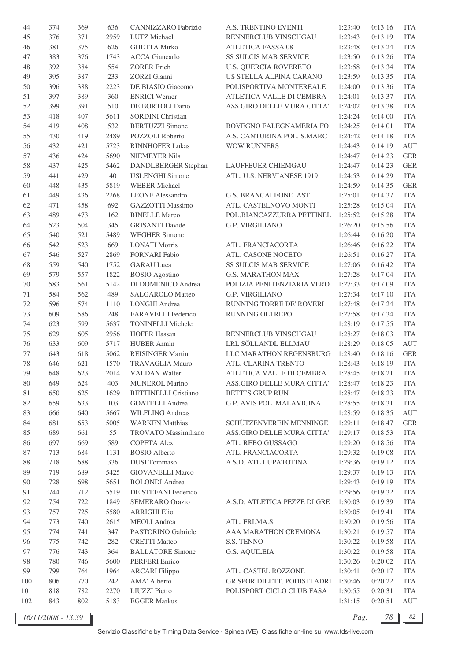| 44       | 374 | 369 | 636  | CANNIZZARO Fabrizio         | A.S. TRENTINO EVENTI         | 1:23:40 | 0:13:16 | <b>ITA</b> |
|----------|-----|-----|------|-----------------------------|------------------------------|---------|---------|------------|
| 45       | 376 | 371 | 2959 | LUTZ Michael                | RENNERCLUB VINSCHGAU         | 1:23:43 | 0:13:19 | <b>ITA</b> |
| 46       | 381 | 375 | 626  | <b>GHETTA Mirko</b>         | <b>ATLETICA FASSA 08</b>     | 1:23:48 | 0:13:24 | <b>ITA</b> |
| 47       | 383 | 376 | 1743 | <b>ACCA</b> Giancarlo       | SS SULCIS MAB SERVICE        | 1:23:50 | 0:13:26 | <b>ITA</b> |
| 48       | 392 | 384 | 554  | <b>ZORER Erich</b>          | <b>U.S. QUERCIA ROVERETO</b> | 1:23:58 | 0:13:34 | <b>ITA</b> |
| 49       | 395 | 387 | 233  | <b>ZORZI</b> Gianni         | US STELLA ALPINA CARANO      | 1:23:59 | 0:13:35 | <b>ITA</b> |
| 50       | 396 | 388 | 2223 | DE BIASIO Giacomo           | POLISPORTIVA MONTEREALE      | 1:24:00 | 0:13:36 | <b>ITA</b> |
| 51       | 397 | 389 | 360  | <b>ENRICI Werner</b>        | ATLETICA VALLE DI CEMBRA     | 1:24:01 | 0:13:37 | <b>ITA</b> |
| 52       | 399 | 391 | 510  | DE BORTOLI Dario            | ASS.GIRO DELLE MURA CITTA'   | 1:24:02 | 0:13:38 | <b>ITA</b> |
| 53       | 418 | 407 | 5611 | <b>SORDINI</b> Christian    |                              | 1:24:24 | 0:14:00 | <b>ITA</b> |
| 54       | 419 | 408 | 532  | <b>BERTUZZI</b> Simone      | BOVEGNO FALEGNAMERIA FO      | 1:24:25 | 0:14:01 | <b>ITA</b> |
| 55       | 430 | 419 | 2489 | POZZOLI Roberto             | A.S. CANTURINA POL. S.MARC   | 1:24:42 | 0:14:18 | <b>ITA</b> |
| 56       | 432 | 421 | 5723 | <b>RINNHOFER Lukas</b>      | <b>WOW RUNNERS</b>           | 1:24:43 | 0:14:19 | <b>AUT</b> |
|          |     | 424 | 5690 | <b>NIEMEYER Nils</b>        |                              |         |         |            |
| 57       | 436 |     |      |                             |                              | 1:24:47 | 0:14:23 | <b>GER</b> |
| 58       | 437 | 425 | 5462 | DANDLBERGER Stephan         | LAUFFEUER CHIEMGAU           | 1:24:47 | 0:14:23 | <b>GER</b> |
| 59       | 441 | 429 | 40   | <b>USLENGHI Simone</b>      | ATL. U.S. NERVIANESE 1919    | 1:24:53 | 0:14:29 | <b>ITA</b> |
| 60       | 448 | 435 | 5819 | <b>WEBER Michael</b>        |                              | 1:24:59 | 0:14:35 | <b>GER</b> |
| 61       | 449 | 436 | 2268 | <b>LEONE</b> Alessandro     | <b>G.S. BRANCALEONE ASTI</b> | 1:25:01 | 0:14:37 | <b>ITA</b> |
| 62       | 471 | 458 | 692  | GAZZOTTI Massimo            | ATL. CASTELNOVO MONTI        | 1:25:28 | 0:15:04 | <b>ITA</b> |
| 63       | 489 | 473 | 162  | <b>BINELLE Marco</b>        | POL.BIANCAZZURRA PETTINEL    | 1:25:52 | 0:15:28 | <b>ITA</b> |
| 64       | 523 | 504 | 345  | <b>GRISANTI Davide</b>      | G.P. VIRGILIANO              | 1:26:20 | 0:15:56 | <b>ITA</b> |
| 65       | 540 | 521 | 5489 | <b>WEGHER Simone</b>        |                              | 1:26:44 | 0:16:20 | <b>ITA</b> |
| 66       | 542 | 523 | 669  | <b>LONATI Morris</b>        | ATL. FRANCIACORTA            | 1:26:46 | 0:16:22 | <b>ITA</b> |
| 67       | 546 | 527 | 2869 | <b>FORNARI</b> Fabio        | ATL. CASONE NOCETO           | 1:26:51 | 0:16:27 | <b>ITA</b> |
| 68       | 559 | 540 | 1752 | <b>GARAU Luca</b>           | <b>SS SULCIS MAB SERVICE</b> | 1:27:06 | 0:16:42 | <b>ITA</b> |
| 69       | 579 | 557 | 1822 | <b>BOSIO</b> Agostino       | <b>G.S. MARATHON MAX</b>     | 1:27:28 | 0:17:04 | <b>ITA</b> |
| 70       | 583 | 561 | 5142 | DI DOMENICO Andrea          | POLIZIA PENITENZIARIA VERO   | 1:27:33 | 0:17:09 | <b>ITA</b> |
| 71       | 584 | 562 | 489  | SALGAROLO Matteo            | G.P. VIRGILIANO              | 1:27:34 | 0:17:10 | <b>ITA</b> |
| 72       | 596 | 574 | 1110 | LONGHI Andrea               | RUNNING TORRE DE' ROVERI     | 1:27:48 | 0:17:24 | <b>ITA</b> |
| 73       | 609 | 586 | 248  | FARAVELLI Federico          | RUNNING OLTREPO'             | 1:27:58 | 0:17:34 | <b>ITA</b> |
| 74       | 623 | 599 | 5637 | <b>TONINELLI Michele</b>    |                              | 1:28:19 | 0:17:55 | <b>ITA</b> |
| $75\,$   | 629 | 605 | 2956 | <b>HOFER Hassan</b>         | RENNERCLUB VINSCHGAU         | 1:28:27 | 0:18:03 | <b>ITA</b> |
| 76       | 633 | 609 | 5717 | <b>HUBER Armin</b>          | LRL SÖLLANDL ELLMAU          | 1:28:29 | 0:18:05 | <b>AUT</b> |
| 77       | 643 | 618 | 5062 | <b>REISINGER Martin</b>     | LLC MARATHON REGENSBURG      | 1:28:40 | 0:18:16 | <b>GER</b> |
| 78       | 646 | 621 | 1570 | <b>TRAVAGLIA Mauro</b>      | ATL. CLARINA TRENTO          | 1:28:43 | 0:18:19 | <b>ITA</b> |
| 79       | 648 | 623 | 2014 | VALDAN Walter               | ATLETICA VALLE DI CEMBRA     | 1:28:45 | 0:18:21 | <b>ITA</b> |
| 80       | 649 | 624 | 403  | <b>MUNEROL Marino</b>       | ASS.GIRO DELLE MURA CITTA'   | 1:28:47 | 0:18:23 | <b>ITA</b> |
| 81       | 650 | 625 | 1629 | <b>BETTINELLI Cristiano</b> | <b>BETTI'S GRUP RUN</b>      | 1:28:47 | 0:18:23 | <b>ITA</b> |
| 82       | 659 | 633 | 103  | <b>GOATELLI</b> Andrea      | G.P. AVIS POL. MALAVICINA    | 1:28:55 | 0:18:31 | <b>ITA</b> |
| 83       | 666 | 640 | 5667 | <b>WILFLING Andreas</b>     |                              | 1:28:59 | 0:18:35 | AUT        |
| 84       | 681 | 653 | 5005 | <b>WARKEN Matthias</b>      | SCHÜTZENVEREIN MENNINGE      | 1:29:11 | 0:18:47 | <b>GER</b> |
| $85\,$   | 689 | 661 | 55   | TROVATO Massimiliano        | ASS.GIRO DELLE MURA CITTA'   | 1:29:17 | 0:18:53 | <b>ITA</b> |
| 86       | 697 | 669 | 589  | <b>COPETA Alex</b>          | ATL. REBO GUSSAGO            | 1:29:20 | 0:18:56 | <b>ITA</b> |
| 87       | 713 | 684 | 1131 | <b>BOSIO</b> Alberto        | ATL. FRANCIACORTA            | 1:29:32 | 0:19:08 | <b>ITA</b> |
|          | 718 | 688 | 336  | <b>DUSI</b> Tommaso         | A.S.D. ATL.LUPATOTINA        | 1:29:36 | 0:19:12 | <b>ITA</b> |
| 88<br>89 | 719 | 689 | 5425 | <b>GIOVANELLI Marco</b>     |                              | 1:29:37 | 0:19:13 | <b>ITA</b> |
|          |     |     |      |                             |                              |         |         |            |
| 90       | 728 | 698 | 5651 | <b>BOLONDI</b> Andrea       |                              | 1:29:43 | 0:19:19 | <b>ITA</b> |
| 91       | 744 | 712 | 5519 | DE STEFANI Federico         |                              | 1:29:56 | 0:19:32 | <b>ITA</b> |
| 92       | 754 | 722 | 1849 | SEMERARO Orazio             | A.S.D. ATLETICA PEZZE DI GRE | 1:30:03 | 0:19:39 | <b>ITA</b> |
| 93       | 757 | 725 | 5580 | <b>ARRIGHI Elio</b>         |                              | 1:30:05 | 0:19:41 | <b>ITA</b> |
| 94       | 773 | 740 | 2615 | MEOLI Andrea                | ATL. FRI.MA.S.               | 1:30:20 | 0:19:56 | <b>ITA</b> |
| 95       | 774 | 741 | 347  | PASTORINO Gabriele          | AAA MARATHON CREMONA         | 1:30:21 | 0:19:57 | <b>ITA</b> |
| 96       | 775 | 742 | 282  | <b>CRETTI Matteo</b>        | S.S. TENNO                   | 1:30:22 | 0:19:58 | <b>ITA</b> |
| 97       | 776 | 743 | 364  | <b>BALLATORE Simone</b>     | <b>G.S. AQUILEIA</b>         | 1:30:22 | 0:19:58 | <b>ITA</b> |
| 98       | 780 | 746 | 5600 | PERFERI Enrico              |                              | 1:30:26 | 0:20:02 | <b>ITA</b> |
| 99       | 799 | 764 | 1964 | <b>ARCARI Filippo</b>       | ATL. CASTEL ROZZONE          | 1:30:41 | 0:20:17 | <b>ITA</b> |
| 100      | 806 | 770 | 242  | AMA' Alberto                | GR.SPOR.DILETT. PODISTI ADRI | 1:30:46 | 0:20:22 | <b>ITA</b> |
| 101      | 818 | 782 | 2270 | <b>LIUZZI</b> Pietro        | POLISPORT CICLO CLUB FASA    | 1:30:55 | 0:20:31 | <b>ITA</b> |
| 102      | 843 | 802 | 5183 | <b>EGGER Markus</b>         |                              | 1:31:15 | 0:20:51 | AUT        |

*16/11/2008 - 13.39 Pag. 78 82*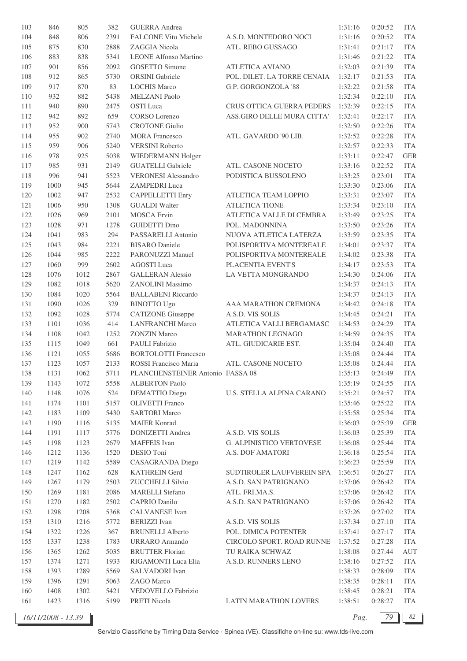| 103     | 846  | 805  | 382  | <b>GUERRA</b> Andrea             |                              | 1:31:16 | 0:20:52 | <b>ITA</b> |
|---------|------|------|------|----------------------------------|------------------------------|---------|---------|------------|
| 104     | 848  | 806  | 2391 | <b>FALCONE Vito Michele</b>      | A.S.D. MONTEDORO NOCI        | 1:31:16 | 0:20:52 | <b>ITA</b> |
| 105     | 875  | 830  | 2888 | ZAGGIA Nicola                    | ATL. REBO GUSSAGO            | 1:31:41 | 0:21:17 | <b>ITA</b> |
| 106     | 883  | 838  | 5341 | <b>LEONE Alfonso Martino</b>     |                              | 1:31:46 | 0:21:22 | <b>ITA</b> |
| 107     | 901  | 856  | 2092 | <b>GOSETTO Simone</b>            | <b>ATLETICA AVIANO</b>       | 1:32:03 | 0:21:39 | <b>ITA</b> |
| 108     | 912  | 865  | 5730 | <b>ORSINI</b> Gabriele           | POL. DILET. LA TORRE CENAIA  | 1:32:17 | 0:21:53 | <b>ITA</b> |
| 109     | 917  | 870  | 83   | <b>LOCHIS Marco</b>              | G.P. GORGONZOLA '88          | 1:32:22 | 0:21:58 | <b>ITA</b> |
| 110     | 932  | 882  | 5438 | MELZANI Paolo                    |                              | 1:32:34 | 0:22:10 | <b>ITA</b> |
| 111     | 940  | 890  | 2475 | <b>OSTI</b> Luca                 | CRUS OTTICA GUERRA PEDERS    | 1:32:39 | 0:22:15 | <b>ITA</b> |
| 112     | 942  | 892  | 659  | <b>CORSO</b> Lorenzo             | ASS.GIRO DELLE MURA CITTA'   | 1:32:41 | 0:22:17 | <b>ITA</b> |
| 113     | 952  | 900  | 5743 | <b>CROTONE Giulio</b>            |                              | 1:32:50 | 0:22:26 | <b>ITA</b> |
| 114     | 955  | 902  | 2740 | <b>MORA Francesco</b>            | ATL. GAVARDO '90 LIB.        | 1:32:52 | 0:22:28 | <b>ITA</b> |
| 115     | 959  | 906  | 5240 | <b>VERSINI Roberto</b>           |                              | 1:32:57 | 0:22:33 | <b>ITA</b> |
| 116     | 978  | 925  | 5038 | WIEDERMANN Holger                |                              | 1:33:11 | 0:22:47 | <b>GER</b> |
| $117\,$ | 985  | 931  | 2149 | <b>GUATELLI</b> Gabriele         | ATL. CASONE NOCETO           | 1:33:16 | 0:22:52 | <b>ITA</b> |
| 118     | 996  | 941  | 5523 | <b>VERONESI Alessandro</b>       | PODISTICA BUSSOLENO          | 1:33:25 | 0:23:01 | <b>ITA</b> |
|         |      |      |      |                                  |                              |         |         |            |
| 119     | 1000 | 945  | 5644 | ZAMPEDRI Luca                    |                              | 1:33:30 | 0:23:06 | <b>ITA</b> |
| 120     | 1002 | 947  | 2532 | <b>CAPPELLETTI Enry</b>          | ATLETICA TEAM LOPPIO         | 1:33:31 | 0:23:07 | <b>ITA</b> |
| 121     | 1006 | 950  | 1308 | <b>GUALDI</b> Walter             | <b>ATLETICA TIONE</b>        | 1:33:34 | 0:23:10 | <b>ITA</b> |
| 122     | 1026 | 969  | 2101 | <b>MOSCA</b> Ervin               | ATLETICA VALLE DI CEMBRA     | 1:33:49 | 0:23:25 | <b>ITA</b> |
| 123     | 1028 | 971  | 1278 | <b>GUIDETTI Dino</b>             | POL. MADONNINA               | 1:33:50 | 0:23:26 | <b>ITA</b> |
| 124     | 1041 | 983  | 294  | PASSARELLI Antonio               | NUOVA ATLETICA LATERZA       | 1:33:59 | 0:23:35 | <b>ITA</b> |
| 125     | 1043 | 984  | 2221 | <b>BISARO</b> Daniele            | POLISPORTIVA MONTEREALE      | 1:34:01 | 0:23:37 | <b>ITA</b> |
| 126     | 1044 | 985  | 2222 | PARONUZZI Manuel                 | POLISPORTIVA MONTEREALE      | 1:34:02 | 0:23:38 | <b>ITA</b> |
| 127     | 1060 | 999  | 2602 | <b>AGOSTI</b> Luca               | PLACENTIA EVENT'S            | 1:34:17 | 0:23:53 | <b>ITA</b> |
| 128     | 1076 | 1012 | 2867 | <b>GALLERAN Alessio</b>          | LA VETTA MONGRANDO           | 1:34:30 | 0:24:06 | <b>ITA</b> |
| 129     | 1082 | 1018 | 5620 | ZANOLINI Massimo                 |                              | 1:34:37 | 0:24:13 | <b>ITA</b> |
| 130     | 1084 | 1020 | 5564 | <b>BALLABENI Riccardo</b>        |                              | 1:34:37 | 0:24:13 | <b>ITA</b> |
| 131     | 1090 | 1026 | 329  | <b>BINOTTO Ugo</b>               | AAA MARATHON CREMONA         | 1:34:42 | 0:24:18 | <b>ITA</b> |
| 132     | 1092 | 1028 | 5774 | <b>CATIZONE</b> Giuseppe         | A.S.D. VIS SOLIS             | 1:34:45 | 0:24:21 | <b>ITA</b> |
| 133     | 1101 | 1036 | 414  | <b>LANFRANCHI Marco</b>          | ATLETICA VALLI BERGAMASC     | 1:34:53 | 0:24:29 | <b>ITA</b> |
| 134     | 1108 | 1042 | 1252 | <b>ZONZIN</b> Marco              | <b>MARATHON LEGNAGO</b>      | 1:34:59 | 0:24:35 | <b>ITA</b> |
| 135     | 1115 | 1049 | 661  | PAULI Fabrizio                   | ATL. GIUDICARIE EST.         | 1:35:04 | 0:24:40 | <b>ITA</b> |
| 136     | 1121 | 1055 | 5686 | <b>BORTOLOTTI Francesco</b>      |                              | 1:35:08 | 0:24:44 | <b>ITA</b> |
| 137     | 1123 | 1057 | 2133 | ROSSI Francisco Maria            | ATL. CASONE NOCETO           | 1:35:08 | 0:24:44 | <b>ITA</b> |
| 138     | 1131 | 1062 | 5711 | PLANCHENSTEINER Antonio FASSA 08 |                              | 1:35:13 | 0:24:49 | ITA        |
| 139     | 1143 | 1072 | 5558 | <b>ALBERTON Paolo</b>            |                              | 1:35:19 | 0:24:55 | <b>ITA</b> |
| 140     | 1148 | 1076 | 524  | <b>DEMATTIO Diego</b>            | U.S. STELLA ALPINA CARANO    | 1:35:21 | 0:24:57 | <b>ITA</b> |
| 141     | 1174 | 1101 | 5157 | <b>OLIVETTI Franco</b>           |                              | 1:35:46 | 0:25:22 | <b>ITA</b> |
| 142     | 1183 | 1109 | 5430 | <b>SARTORI Marco</b>             |                              | 1:35:58 | 0:25:34 | <b>ITA</b> |
| 143     | 1190 | 1116 | 5135 | <b>MAIER Konrad</b>              |                              | 1:36:03 | 0:25:39 | <b>GER</b> |
| 144     | 1191 | 1117 | 5776 | DONIZETTI Andrea                 | A.S.D. VIS SOLIS             | 1:36:03 | 0:25:39 | <b>ITA</b> |
| 145     | 1198 | 1123 | 2679 | <b>MAFFEIS</b> Ivan              | G. ALPINISTICO VERTOVESE     | 1:36:08 | 0:25:44 | <b>ITA</b> |
| 146     | 1212 | 1136 | 1520 | DESIO Toni                       | A.S. DOF AMATORI             | 1:36:18 | 0:25:54 | <b>ITA</b> |
| 147     | 1219 | 1142 | 5589 | CASAGRANDA Diego                 |                              | 1:36:23 | 0:25:59 | <b>ITA</b> |
| 148     | 1247 | 1162 | 628  | <b>KATHREIN Gerd</b>             | SÜDTIROLER LAUFVEREIN SPA    | 1:36:51 | 0:26:27 | <b>ITA</b> |
| 149     | 1267 | 1179 | 2503 | <b>ZUCCHELLI Silvio</b>          | A.S.D. SAN PATRIGNANO        | 1:37:06 | 0:26:42 | <b>ITA</b> |
| 150     | 1269 | 1181 | 2086 | <b>MARELLI</b> Stefano           | ATL. FRI.MA.S.               | 1:37:06 | 0:26:42 | <b>ITA</b> |
| 151     | 1270 | 1182 | 2502 | <b>CAPRIO Danilo</b>             | A.S.D. SAN PATRIGNANO        | 1:37:06 | 0:26:42 | <b>ITA</b> |
| 152     | 1298 | 1208 | 5368 | CALVANESE Ivan                   |                              | 1:37:26 | 0:27:02 | <b>ITA</b> |
| 153     | 1310 | 1216 | 5772 | <b>BERIZZI</b> Ivan              | A.S.D. VIS SOLIS             | 1:37:34 | 0:27:10 | <b>ITA</b> |
| 154     | 1322 | 1226 | 367  | <b>BRUNELLI Alberto</b>          | POL. DIMICA POTENTER         | 1:37:41 | 0:27:17 | <b>ITA</b> |
| 155     | 1337 | 1238 | 1783 | <b>URRARO</b> Armando            | CIRCOLO SPORT. ROAD RUNNE    | 1:37:52 | 0:27:28 | <b>ITA</b> |
| 156     | 1365 | 1262 | 5035 | <b>BRUTTER Florian</b>           | TU RAIKA SCHWAZ              | 1:38:08 | 0:27:44 | AUT        |
| 157     | 1374 | 1271 | 1933 | RIGAMONTI Luca Elia              | A.S.D. RUNNERS LENO          | 1:38:16 | 0:27:52 | <b>ITA</b> |
| 158     | 1393 | 1289 | 5569 | SALVADORI Ivan                   |                              | 1:38:33 | 0:28:09 | <b>ITA</b> |
|         |      |      |      |                                  |                              |         |         |            |
| 159     | 1396 | 1291 | 5063 | ZAGO Marco                       |                              | 1:38:35 | 0:28:11 | <b>ITA</b> |
| 160     | 1408 | 1302 | 5421 | VEDOVELLO Fabrizio               |                              | 1:38:45 | 0:28:21 | <b>ITA</b> |
| 161     | 1423 | 1316 | 5199 | PRETI Nicola                     | <b>LATIN MARATHON LOVERS</b> | 1:38:51 | 0:28:27 | <b>ITA</b> |

*16/11/2008 - 13.39 Pag. 79 82*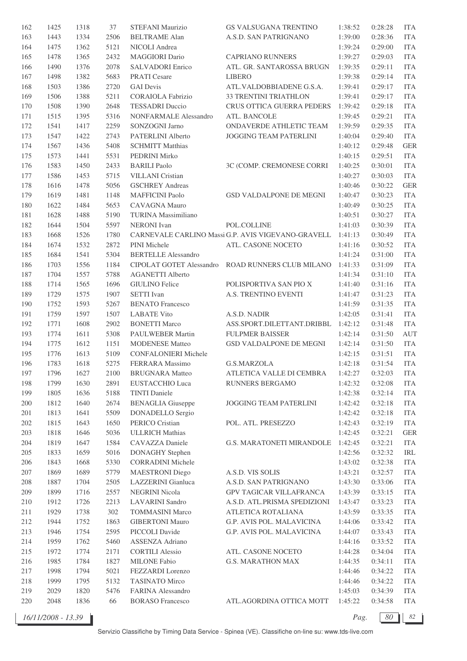| 162     | 1425 | 1318 | 37   | STEFANI Maurizio                            | GS VALSUGANA TRENTINO                              | 1:38:52 | 0:28:28 | <b>ITA</b> |
|---------|------|------|------|---------------------------------------------|----------------------------------------------------|---------|---------|------------|
| 163     | 1443 | 1334 | 2506 | <b>BELTRAME Alan</b>                        | A.S.D. SAN PATRIGNANO                              | 1:39:00 | 0:28:36 | <b>ITA</b> |
| 164     | 1475 | 1362 | 5121 | NICOLI Andrea                               |                                                    | 1:39:24 | 0:29:00 | <b>ITA</b> |
| 165     | 1478 | 1365 | 2432 | <b>MAGGIORI</b> Dario                       | <b>CAPRIANO RUNNERS</b>                            | 1:39:27 | 0:29:03 | <b>ITA</b> |
| 166     | 1490 | 1376 | 2078 | SALVADORI Enrico                            | ATL. GR. SANTAROSSA BRUGN                          | 1:39:35 | 0:29:11 | <b>ITA</b> |
| 167     | 1498 | 1382 | 5683 | <b>PRATI</b> Cesare                         | <b>LIBERO</b>                                      | 1:39:38 | 0:29:14 | <b>ITA</b> |
| 168     | 1503 | 1386 | 2720 | <b>GAI</b> Devis                            | ATL.VALDOBBIADENE G.S.A.                           | 1:39:41 | 0:29:17 | <b>ITA</b> |
| 169     | 1506 | 1388 | 5211 | <b>CORAIOLA Fabrizio</b>                    | 33 TRENTINI TRIATHLON                              | 1:39:41 | 0:29:17 | <b>ITA</b> |
| 170     | 1508 | 1390 | 2648 | <b>TESSADRI</b> Duccio                      | CRUS OTTICA GUERRA PEDERS                          | 1:39:42 | 0:29:18 | <b>ITA</b> |
| 171     | 1515 | 1395 | 5316 | NONFARMALE Alessandro                       | ATL. BANCOLE                                       | 1:39:45 | 0:29:21 | <b>ITA</b> |
| 172     | 1541 | 1417 | 2259 | SONZOGNI Jarno                              | ONDAVERDE ATHLETIC TEAM                            | 1:39:59 | 0:29:35 | <b>ITA</b> |
| 173     | 1547 | 1422 | 2743 | PATERLINI Alberto                           | JOGGING TEAM PATERLINI                             | 1:40:04 | 0:29:40 | <b>ITA</b> |
| 174     | 1567 | 1436 | 5408 | <b>SCHMITT Matthias</b>                     |                                                    | 1:40:12 | 0:29:48 | <b>GER</b> |
| 175     | 1573 | 1441 | 5531 | PEDRINI Mirko                               |                                                    | 1:40:15 | 0:29:51 | <b>ITA</b> |
| 176     | 1583 | 1450 | 2433 | <b>BARILI</b> Paolo                         | 3C (COMP. CREMONESE CORRI                          | 1:40:25 | 0:30:01 | <b>ITA</b> |
| 177     | 1586 | 1453 | 5715 | <b>VILLANI</b> Cristian                     |                                                    | 1:40:27 | 0:30:03 | <b>ITA</b> |
| 178     | 1616 | 1478 | 5056 | <b>GSCHREY Andreas</b>                      |                                                    | 1:40:46 | 0:30:22 | <b>GER</b> |
| 179     | 1619 | 1481 | 1148 | <b>MAFFICINI Paolo</b>                      | GSD VALDALPONE DE MEGNI                            | 1:40:47 | 0:30:23 | <b>ITA</b> |
|         |      |      |      |                                             |                                                    |         |         | <b>ITA</b> |
| 180     | 1622 | 1484 | 5653 | CAVAGNA Mauro<br><b>TURINA</b> Massimiliano |                                                    | 1:40:49 | 0:30:25 | <b>ITA</b> |
| 181     | 1628 | 1488 | 5190 |                                             |                                                    | 1:40:51 | 0:30:27 |            |
| 182     | 1644 | 1504 | 5597 | <b>NERONI</b> Ivan                          | POL.COLLINE                                        | 1:41:03 | 0:30:39 | <b>ITA</b> |
| 183     | 1668 | 1526 | 1780 |                                             | CARNEVALE CARLINO Massi G.P. AVIS VIGEVANO-GRAVELL | 1:41:13 | 0:30:49 | <b>ITA</b> |
| 184     | 1674 | 1532 | 2872 | PINI Michele                                | ATL. CASONE NOCETO                                 | 1:41:16 | 0:30:52 | <b>ITA</b> |
| 185     | 1684 | 1541 | 5304 | <b>BERTELLE Alessandro</b>                  |                                                    | 1:41:24 | 0:31:00 | <b>ITA</b> |
| 186     | 1703 | 1556 | 1184 | CIPOLAT GOTET Alessandro                    | ROAD RUNNERS CLUB MILANO                           | 1:41:33 | 0:31:09 | <b>ITA</b> |
| 187     | 1704 | 1557 | 5788 | <b>AGANETTI Alberto</b>                     |                                                    | 1:41:34 | 0:31:10 | <b>ITA</b> |
| 188     | 1714 | 1565 | 1696 | <b>GIULINO Felice</b>                       | POLISPORTIVA SAN PIO X                             | 1:41:40 | 0:31:16 | <b>ITA</b> |
| 189     | 1729 | 1575 | 1907 | <b>SETTI</b> Ivan                           | A.S. TRENTINO EVENTI                               | 1:41:47 | 0:31:23 | <b>ITA</b> |
| 190     | 1752 | 1593 | 5267 | <b>BENATO Francesco</b>                     |                                                    | 1:41:59 | 0:31:35 | <b>ITA</b> |
| 191     | 1759 | 1597 | 1507 | <b>LABATE Vito</b>                          | A.S.D. NADIR                                       | 1:42:05 | 0:31:41 | <b>ITA</b> |
| 192     | 1771 | 1608 | 2902 | <b>BONETTI Marco</b>                        | ASS.SPORT.DILETTANT.DRIBBL                         | 1:42:12 | 0:31:48 | <b>ITA</b> |
| 193     | 1774 | 1611 | 5308 | PAULWEBER Martin                            | <b>FULPMER BAISSER</b>                             | 1:42:14 | 0:31:50 | AUT        |
| 194     | 1775 | 1612 | 1151 | <b>MODENESE Matteo</b>                      | GSD VALDALPONE DE MEGNI                            | 1:42:14 | 0:31:50 | <b>ITA</b> |
| 195     | 1776 | 1613 | 5109 | <b>CONFALONIERI Michele</b>                 |                                                    | 1:42:15 | 0:31:51 | <b>ITA</b> |
| 196     | 1783 | 1618 | 5275 | FERRARA Massimo                             | <b>G.S.MARZOLA</b>                                 | 1:42:18 | 0:31:54 | <b>ITA</b> |
| 197     | 1796 | 1627 | 2100 | <b>BRUGNARA</b> Matteo                      | ATLETICA VALLE DI CEMBRA                           | 1:42:27 | 0:32:03 | ITA        |
| 198     | 1799 | 1630 | 2891 | <b>EUSTACCHIO Luca</b>                      | RUNNERS BERGAMO                                    | 1:42:32 | 0:32:08 | <b>ITA</b> |
| 199     | 1805 | 1636 | 5188 | <b>TINTI</b> Daniele                        |                                                    | 1:42:38 | 0:32:14 | <b>ITA</b> |
| 200     | 1812 | 1640 | 2674 | <b>BENAGLIA</b> Giuseppe                    | JOGGING TEAM PATERLINI                             | 1:42:42 | 0:32:18 | <b>ITA</b> |
| 201     | 1813 | 1641 | 5509 | <b>DONADELLO</b> Sergio                     |                                                    | 1:42:42 | 0:32:18 | <b>ITA</b> |
| 202     | 1815 | 1643 | 1650 | PERICO Cristian                             | POL. ATL. PRESEZZO                                 | 1:42:43 | 0:32:19 | <b>ITA</b> |
| $203\,$ | 1818 | 1646 | 5036 | <b>ULLRICH Mathias</b>                      |                                                    | 1:42:45 | 0:32:21 | <b>GER</b> |
| $204\,$ | 1819 | 1647 | 1584 | CAVAZZA Daniele                             | G.S. MARATONETI MIRANDOLE                          | 1:42:45 | 0:32:21 | <b>ITA</b> |
| $205\,$ | 1833 | 1659 | 5016 | <b>DONAGHY</b> Stephen                      |                                                    | 1:42:56 | 0:32:32 | IRL        |
| 206     | 1843 | 1668 | 5330 | <b>CORRADINI Michele</b>                    |                                                    | 1:43:02 | 0:32:38 | <b>ITA</b> |
| 207     | 1869 | 1689 | 5779 | <b>MAESTRONI</b> Diego                      | A.S.D. VIS SOLIS                                   | 1:43:21 | 0:32:57 | <b>ITA</b> |
| 208     | 1887 | 1704 | 2505 | LAZZERINI Gianluca                          | A.S.D. SAN PATRIGNANO                              | 1:43:30 | 0:33:06 | <b>ITA</b> |
| 209     | 1899 | 1716 | 2557 | <b>NEGRINI Nicola</b>                       | GPV TAGICAR VILLAFRANCA                            | 1:43:39 | 0:33:15 | <b>ITA</b> |
| 210     | 1912 | 1726 | 2213 | <b>LAVARINI</b> Sandro                      | A.S.D. ATL.PRISMA SPEDIZIONI                       | 1:43:47 | 0:33:23 | <b>ITA</b> |
| 211     | 1929 | 1738 | 302  | <b>TOMMASINI Marco</b>                      | ATLETICA ROTALIANA                                 | 1:43:59 | 0:33:35 | <b>ITA</b> |
| 212     | 1944 | 1752 | 1863 | <b>GIBERTONI Mauro</b>                      | G.P. AVIS POL. MALAVICINA                          | 1:44:06 | 0:33:42 | <b>ITA</b> |
| 213     | 1946 | 1754 | 2595 | PICCOLI Davide                              | G.P. AVIS POL. MALAVICINA                          | 1:44:07 | 0:33:43 | <b>ITA</b> |
| 214     | 1959 | 1762 | 5460 | <b>ASSENZA Adriano</b>                      |                                                    | 1:44:16 | 0:33:52 | <b>ITA</b> |
| 215     | 1972 | 1774 | 2171 | <b>CORTILI Alessio</b>                      | ATL. CASONE NOCETO                                 | 1:44:28 | 0:34:04 | <b>ITA</b> |
| 216     | 1985 | 1784 | 1827 | <b>MILONE Fabio</b>                         | <b>G.S. MARATHON MAX</b>                           | 1:44:35 | 0:34:11 | <b>ITA</b> |
| 217     | 1998 | 1794 | 5021 | FEZZARDI Lorenzo                            |                                                    | 1:44:46 | 0:34:22 | <b>ITA</b> |
| 218     | 1999 | 1795 | 5132 | <b>TASINATO Mirco</b>                       |                                                    | 1:44:46 | 0:34:22 | <b>ITA</b> |
| 219     | 2029 | 1820 | 5476 | FARINA Alessandro                           |                                                    | 1:45:03 | 0:34:39 | <b>ITA</b> |
| 220     | 2048 | 1836 | 66   | <b>BORASO</b> Francesco                     | ATL.AGORDINA OTTICA MOTT                           | 1:45:22 | 0:34:58 | <b>ITA</b> |
|         |      |      |      |                                             |                                                    |         |         |            |

*Pag.*  $\boxed{80}$  82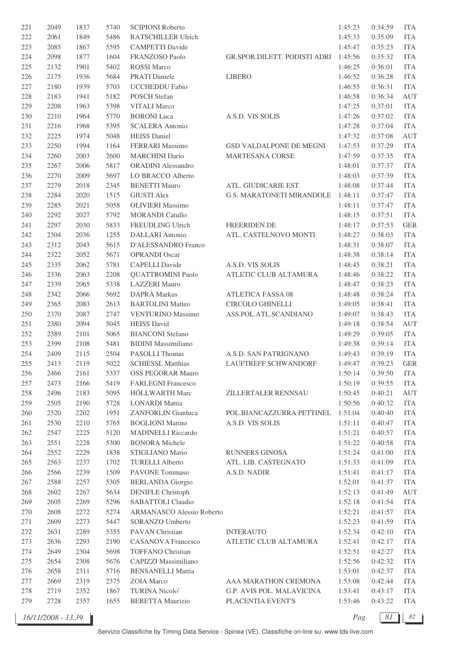| 221 | 2049 | 1837 | 5740 | <b>SCIPIONI Roberto</b>    |                                  | 1:45:23 | 0:34:59 | <b>ITA</b> |
|-----|------|------|------|----------------------------|----------------------------------|---------|---------|------------|
| 222 | 2061 | 1849 | 5486 | RATSCHILLER Ulrich         |                                  | 1:45:33 | 0:35:09 | <b>ITA</b> |
| 223 | 2085 | 1867 | 5595 | <b>CAMPETTI Davide</b>     |                                  | 1:45:47 | 0:35:23 | <b>ITA</b> |
| 224 | 2098 | 1877 | 1604 | FRANZOSO Paolo             | GR.SPOR.DILETT. PODISTI ADRI     | 1:45:56 | 0:35:32 | <b>ITA</b> |
| 225 | 2132 | 1901 | 5402 | <b>ROSSI</b> Marco         |                                  | 1:46:25 | 0:36:01 | <b>ITA</b> |
| 226 | 2175 | 1936 | 5684 | <b>PRATI</b> Daniele       | <b>LIBERO</b>                    | 1:46:52 | 0:36:28 | <b>ITA</b> |
| 227 | 2180 | 1939 | 5703 | <b>UCCHEDDU Fabio</b>      |                                  | 1:46:55 | 0:36:31 | <b>ITA</b> |
| 228 | 2183 | 1941 | 5182 | <b>POSCH</b> Stefan        |                                  | 1:46:58 | 0:36:34 | AUT        |
| 229 | 2208 | 1963 | 5398 | <b>VITALI Marco</b>        |                                  | 1:47:25 | 0:37:01 | <b>ITA</b> |
| 230 | 2210 | 1964 | 5770 | <b>BORONI</b> Luca         | A.S.D. VIS SOLIS                 | 1:47:26 | 0:37:02 | <b>ITA</b> |
| 231 | 2216 | 1968 | 5395 | <b>SCALERA Antonio</b>     |                                  | 1:47:28 | 0:37:04 | ITA        |
| 232 | 2225 | 1974 | 5048 | <b>HEISS</b> Daniel        |                                  | 1:47:32 | 0:37:08 | AUT        |
| 233 | 2250 | 1994 | 1164 | FERRARI Massimo            | GSD VALDALPONE DE MEGNI          | 1:47:53 | 0:37:29 | <b>ITA</b> |
| 234 | 2260 | 2003 | 2600 | <b>MARCHINI</b> Dario      | <b>MARTESANA CORSE</b>           | 1:47:59 | 0:37:35 | <b>ITA</b> |
| 235 | 2267 | 2006 | 5817 | <b>ORADINI</b> Alessandro  |                                  | 1:48:01 | 0:37:37 | <b>ITA</b> |
|     |      |      |      |                            |                                  |         |         | <b>ITA</b> |
| 236 | 2270 | 2009 | 5697 | LO BRACCO Alberto          |                                  | 1:48:03 | 0:37:39 |            |
| 237 | 2279 | 2018 | 2345 | <b>BENETTI Mauro</b>       | ATL. GIUDICARIE EST.             | 1:48:08 | 0:37:44 | <b>ITA</b> |
| 238 | 2284 | 2020 | 1515 | <b>GIUSTI Alex</b>         | <b>G.S. MARATONETI MIRANDOLE</b> | 1:48:11 | 0:37:47 | <b>ITA</b> |
| 239 | 2285 | 2021 | 5058 | <b>OLIVIERI</b> Massimo    |                                  | 1:48:11 | 0:37:47 | <b>ITA</b> |
| 240 | 2292 | 2027 | 5792 | <b>MORANDI Catullo</b>     |                                  | 1:48:15 | 0:37:51 | <b>ITA</b> |
| 241 | 2297 | 2030 | 5833 | <b>FREUDLING Ulrich</b>    | FREERIDEN.DE                     | 1:48:17 | 0:37:53 | <b>GER</b> |
| 242 | 2304 | 2036 | 1255 | DALLARI Antonio            | ATL. CASTELNOVO MONTI            | 1:48:27 | 0:38:03 | <b>ITA</b> |
| 243 | 2312 | 2043 | 5615 | D'ALESSANDRO Franco        |                                  | 1:48:31 | 0:38:07 | <b>ITA</b> |
| 244 | 2322 | 2052 | 5671 | <b>OPRANDI Oscar</b>       |                                  | 1:48:38 | 0:38:14 | <b>ITA</b> |
| 245 | 2335 | 2062 | 5781 | <b>CAPELLI</b> Davide      | A.S.D. VIS SOLIS                 | 1:48:45 | 0:38:21 | <b>ITA</b> |
| 246 | 2336 | 2063 | 2208 | <b>QUATTROMINI Paolo</b>   | ATLETIC CLUB ALTAMURA            | 1:48:46 | 0:38:22 | <b>ITA</b> |
| 247 | 2339 | 2065 | 5338 | <b>LAZZERI</b> Mauro       |                                  | 1:48:47 | 0:38:23 | <b>ITA</b> |
| 248 | 2342 | 2066 | 5692 | DAPRÀ Markus               | <b>ATLETICA FASSA 08</b>         | 1:48:48 | 0:38:24 | <b>ITA</b> |
| 249 | 2365 | 2083 | 2613 | <b>BARTOLINI</b> Matteo    | CIRCOLO GHINELLI                 | 1:49:05 | 0:38:41 | <b>ITA</b> |
| 250 | 2370 | 2087 | 2747 | <b>VENTURINO Massimo</b>   | ASS.POL.ATL.SCANDIANO            | 1:49:07 | 0:38:43 | <b>ITA</b> |
| 251 | 2380 | 2094 | 5045 | <b>HEISS</b> David         |                                  | 1:49:18 | 0:38:54 | AUT        |
| 252 | 2389 | 2101 | 5065 | <b>BIANCONI</b> Stefano    |                                  | 1:49:29 | 0:39:05 | <b>ITA</b> |
| 253 | 2399 | 2108 | 5481 | <b>BIDINI</b> Massimiliano |                                  | 1:49:38 | 0:39:14 | <b>ITA</b> |
| 254 | 2409 | 2115 | 2504 | PASOLLI Thomas             | A.S.D. SAN PATRIGNANO            | 1:49:43 | 0:39:19 | <b>ITA</b> |
| 255 | 2413 | 2119 | 5022 | <b>SCHIESSL Matthias</b>   | <b>LAUFTREFF SCHWANDORF</b>      | 1:49:47 | 0:39:23 | <b>GER</b> |
| 256 | 2466 | 2161 | 5337 | <b>OSS PEGORAR Mauro</b>   |                                  | 1:50:14 | 0:39:50 | ITA        |
| 257 | 2473 | 2166 | 5419 | <b>FARLEGNI Francesco</b>  |                                  | 1:50:19 | 0:39:55 | <b>ITA</b> |
| 258 | 2496 | 2183 | 5095 | <b>HÖLLWARTH Marc</b>      | ZILLERTALER RENNSAU              | 1:50:45 | 0:40:21 | AUT        |
| 259 | 2505 | 2190 | 5728 | <b>LONARDI</b> Mattia      |                                  | 1:50:56 | 0:40:32 | <b>ITA</b> |
| 260 | 2520 | 2202 | 1951 | ZANFORLIN Gianluca         | POL.BIANCAZZURRA PETTINEL        | 1:51:04 | 0:40:40 | <b>ITA</b> |
| 261 | 2530 | 2210 | 5765 | <b>BOGLIONI Marino</b>     | A.S.D. VIS SOLIS                 | 1:51:11 | 0:40:47 | <b>ITA</b> |
| 262 | 2547 | 2225 | 5120 | <b>MADINELLI Riccardo</b>  |                                  | 1:51:21 | 0:40:57 | <b>ITA</b> |
| 263 | 2551 | 2228 | 5300 | <b>BONORA</b> Michele      |                                  | 1:51:22 | 0:40:58 | <b>ITA</b> |
| 264 | 2552 | 2229 | 1838 | STIGLIANO Mario            | RUNNERS GINOSA                   | 1:51:24 | 0:41:00 | <b>ITA</b> |
| 265 | 2563 | 2237 | 1702 | <b>TURELLI Alberto</b>     | ATL. LIB. CASTEGNATO             | 1:51:33 | 0:41:09 | <b>ITA</b> |
| 266 | 2566 | 2239 | 1509 | PAVONE Tommaso             | A.S.D. NADIR                     | 1:51:41 | 0:41:17 | <b>ITA</b> |
| 267 | 2588 | 2257 | 5305 | <b>BERLANDA Giorgio</b>    |                                  | 1:52:01 | 0:41:37 | <b>ITA</b> |
| 268 | 2602 | 2267 | 5634 | <b>DENIFLE Christoph</b>   |                                  | 1:52:13 | 0:41:49 | <b>AUT</b> |
| 269 | 2605 | 2269 | 5296 | SABATTOLI Claudio          |                                  | 1:52:18 | 0:41:54 | <b>ITA</b> |
| 270 | 2608 | 2272 | 5274 | ARMANASCO Alessio Roberto  |                                  | 1:52:21 | 0:41:57 | <b>ITA</b> |
| 271 | 2609 | 2273 | 5447 | SORANZO Umberto            |                                  | 1:52:23 | 0:41:59 | <b>ITA</b> |
| 272 | 2631 | 2289 | 5355 | PAVAN Christian            | <b>INTERAUTO</b>                 | 1:52:34 | 0:42:10 | <b>ITA</b> |
| 273 | 2636 | 2293 | 2190 | <b>CASANOVA Francesco</b>  | ATLETIC CLUB ALTAMURA            | 1:52:41 | 0:42:17 | <b>ITA</b> |
| 274 | 2649 | 2304 | 5698 | <b>TOFFANO Christian</b>   |                                  | 1:52:51 | 0:42:27 | <b>ITA</b> |
| 275 | 2654 | 2308 | 5676 | CAPIZZI Massimiliano       |                                  | 1:52:56 | 0:42:32 | <b>ITA</b> |
| 276 | 2658 | 2311 | 5716 | <b>BENSANELLI Mattia</b>   |                                  | 1:53:01 | 0:42:37 | <b>ITA</b> |
| 277 | 2669 | 2319 | 2375 | ZOIA Marco                 | AAA MARATHON CREMONA             | 1:53:08 | 0:42:44 | <b>ITA</b> |
| 278 | 2719 | 2352 | 1867 | <b>TURINA Nicolo'</b>      | G.P. AVIS POL. MALAVICINA        | 1:53:41 | 0:43:17 | <b>ITA</b> |
| 279 | 2728 | 2357 | 1655 | <b>BERETTA Maurizio</b>    | PLACENTIA EVENT'S                | 1:53:46 | 0:43:22 | <b>ITA</b> |
|     |      |      |      |                            |                                  |         |         |            |

*16/11/2008 - 13.39 Pag. 81 82*